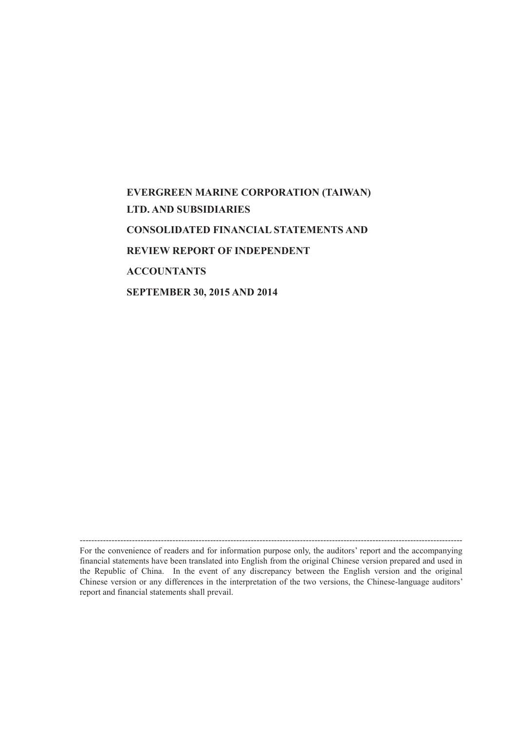# **EVERGREEN MARINE CORPORATION (TAIWAN) LTD. AND SUBSIDIARIES CONSOLIDATED FINANCIAL STATEMENTS AND REVIEW REPORT OF INDEPENDENT ACCOUNTANTS SEPTEMBER 30, 2015 AND 2014**

------------------------------------------------------------------------------------------------------------------------------------ For the convenience of readers and for information purpose only, the auditors' report and the accompanying financial statements have been translated into English from the original Chinese version prepared and used in the Republic of China. In the event of any discrepancy between the English version and the original Chinese version or any differences in the interpretation of the two versions, the Chinese-language auditors' report and financial statements shall prevail.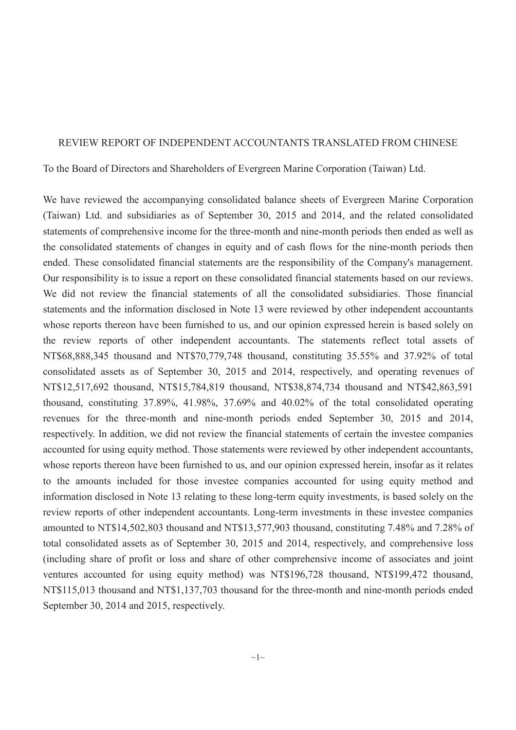#### REVIEW REPORT OF INDEPENDENT ACCOUNTANTS TRANSLATED FROM CHINESE

To the Board of Directors and Shareholders of Evergreen Marine Corporation (Taiwan) Ltd.

We have reviewed the accompanying consolidated balance sheets of Evergreen Marine Corporation (Taiwan) Ltd. and subsidiaries as of September 30, 2015 and 2014, and the related consolidated statements of comprehensive income for the three-month and nine-month periods then ended as well as the consolidated statements of changes in equity and of cash flows for the nine-month periods then ended. These consolidated financial statements are the responsibility of the Company's management. Our responsibility is to issue a report on these consolidated financial statements based on our reviews. We did not review the financial statements of all the consolidated subsidiaries. Those financial statements and the information disclosed in Note 13 were reviewed by other independent accountants whose reports thereon have been furnished to us, and our opinion expressed herein is based solely on the review reports of other independent accountants. The statements reflect total assets of NT\$68,888,345 thousand and NT\$70,779,748 thousand, constituting 35.55% and 37.92% of total consolidated assets as of September 30, 2015 and 2014, respectively, and operating revenues of NT\$12,517,692 thousand, NT\$15,784,819 thousand, NT\$38,874,734 thousand and NT\$42,863,591 thousand, constituting 37.89%, 41.98%, 37.69% and 40.02% of the total consolidated operating revenues for the three-month and nine-month periods ended September 30, 2015 and 2014, respectively. In addition, we did not review the financial statements of certain the investee companies accounted for using equity method. Those statements were reviewed by other independent accountants, whose reports thereon have been furnished to us, and our opinion expressed herein, insofar as it relates to the amounts included for those investee companies accounted for using equity method and information disclosed in Note 13 relating to these long-term equity investments, is based solely on the review reports of other independent accountants. Long-term investments in these investee companies amounted to NT\$14,502,803 thousand and NT\$13,577,903 thousand, constituting 7.48% and 7.28% of total consolidated assets as of September 30, 2015 and 2014, respectively, and comprehensive loss (including share of profit or loss and share of other comprehensive income of associates and joint ventures accounted for using equity method) was NT\$196,728 thousand, NT\$199,472 thousand, NT\$115,013 thousand and NT\$1,137,703 thousand for the three-month and nine-month periods ended September 30, 2014 and 2015, respectively.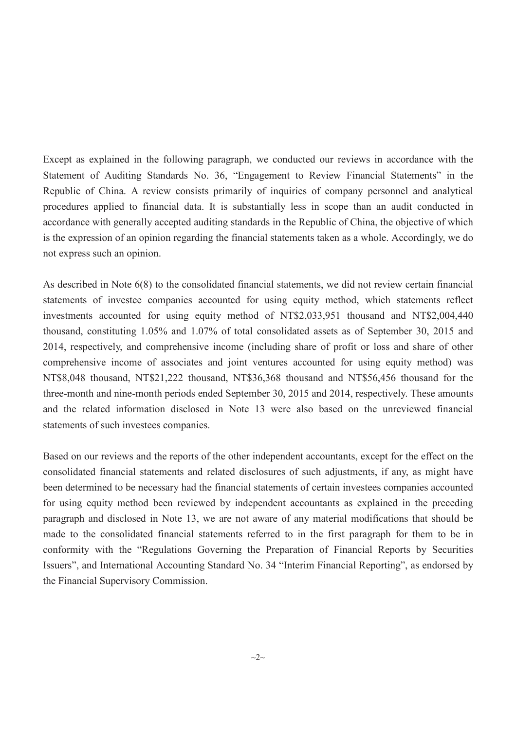Except as explained in the following paragraph, we conducted our reviews in accordance with the Statement of Auditing Standards No. 36, "Engagement to Review Financial Statements" in the Republic of China. A review consists primarily of inquiries of company personnel and analytical procedures applied to financial data. It is substantially less in scope than an audit conducted in accordance with generally accepted auditing standards in the Republic of China, the objective of which is the expression of an opinion regarding the financial statements taken as a whole. Accordingly, we do not express such an opinion.

As described in Note 6(8) to the consolidated financial statements, we did not review certain financial statements of investee companies accounted for using equity method, which statements reflect investments accounted for using equity method of NT\$2,033,951 thousand and NT\$2,004,440 thousand, constituting 1.05% and 1.07% of total consolidated assets as of September 30, 2015 and 2014, respectively, and comprehensive income (including share of profit or loss and share of other comprehensive income of associates and joint ventures accounted for using equity method) was NT\$8,048 thousand, NT\$21,222 thousand, NT\$36,368 thousand and NT\$56,456 thousand for the three-month and nine-month periods ended September 30, 2015 and 2014, respectively. These amounts and the related information disclosed in Note 13 were also based on the unreviewed financial statements of such investees companies.

Based on our reviews and the reports of the other independent accountants, except for the effect on the consolidated financial statements and related disclosures of such adjustments, if any, as might have been determined to be necessary had the financial statements of certain investees companies accounted for using equity method been reviewed by independent accountants as explained in the preceding paragraph and disclosed in Note 13, we are not aware of any material modifications that should be made to the consolidated financial statements referred to in the first paragraph for them to be in conformity with the "Regulations Governing the Preparation of Financial Reports by Securities Issuers", and International Accounting Standard No. 34 "Interim Financial Reporting", as endorsed by the Financial Supervisory Commission.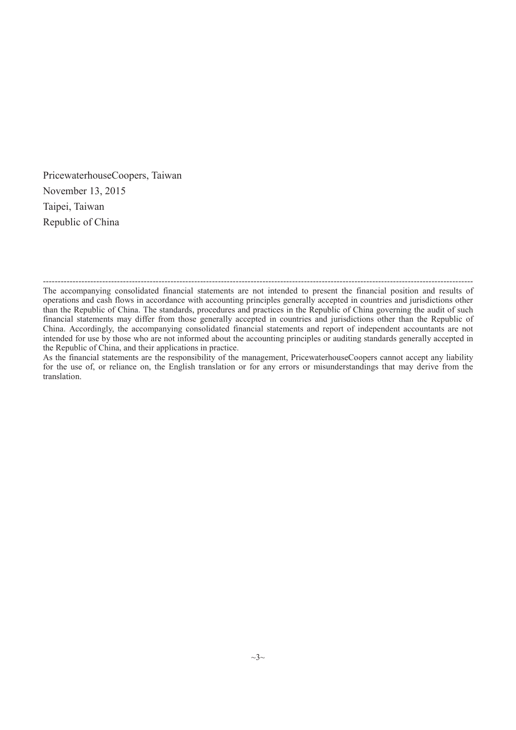PricewaterhouseCoopers, Taiwan November 13, 2015 Taipei, Taiwan Republic of China

As the financial statements are the responsibility of the management, PricewaterhouseCoopers cannot accept any liability for the use of, or reliance on, the English translation or for any errors or misunderstandings that may derive from the translation.

<sup>-------------------------------------------------------------------------------------------------------------------------------------------------</sup> The accompanying consolidated financial statements are not intended to present the financial position and results of operations and cash flows in accordance with accounting principles generally accepted in countries and jurisdictions other than the Republic of China. The standards, procedures and practices in the Republic of China governing the audit of such financial statements may differ from those generally accepted in countries and jurisdictions other than the Republic of China. Accordingly, the accompanying consolidated financial statements and report of independent accountants are not intended for use by those who are not informed about the accounting principles or auditing standards generally accepted in the Republic of China, and their applications in practice.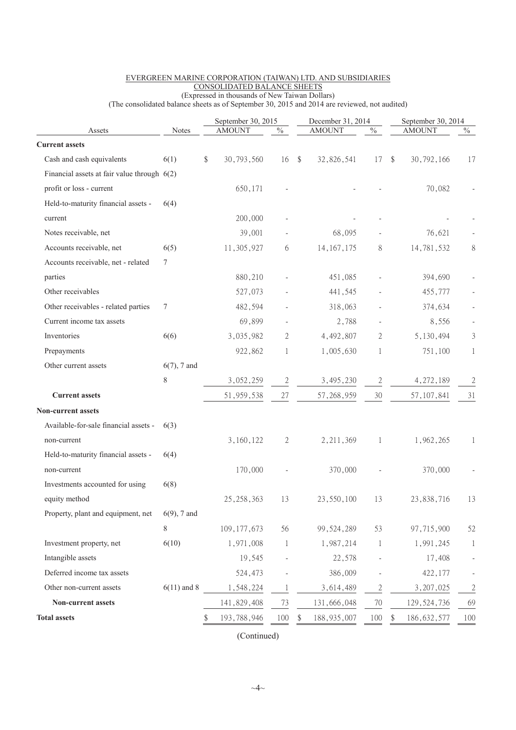|                                               |                |        | September 30, 2015 |                          | December 31, 2014       |               |                          | September 30, 2014      |               |                |
|-----------------------------------------------|----------------|--------|--------------------|--------------------------|-------------------------|---------------|--------------------------|-------------------------|---------------|----------------|
| Assets                                        | Notes          |        | <b>AMOUNT</b>      | $\%$                     |                         | <b>AMOUNT</b> | $\%$                     |                         | <b>AMOUNT</b> | $\%$           |
| <b>Current assets</b>                         |                |        |                    |                          |                         |               |                          |                         |               |                |
| Cash and cash equivalents                     | 6(1)           | $\$\,$ | 30,793,560         | 16                       | $\sqrt[6]{\frac{1}{2}}$ | 32,826,541    | 17                       | $\sqrt[6]{\frac{1}{2}}$ | 30, 792, 166  | 17             |
| Financial assets at fair value through $6(2)$ |                |        |                    |                          |                         |               |                          |                         |               |                |
| profit or loss - current                      |                |        | 650,171            |                          |                         |               |                          |                         | 70,082        |                |
| Held-to-maturity financial assets -           | 6(4)           |        |                    |                          |                         |               |                          |                         |               |                |
| current                                       |                |        | 200,000            |                          |                         |               |                          |                         |               |                |
| Notes receivable, net                         |                |        | 39,001             |                          |                         | 68,095        |                          |                         | 76,621        |                |
| Accounts receivable, net                      | 6(5)           |        | 11,305,927         | 6                        |                         | 14, 167, 175  | 8                        |                         | 14,781,532    | 8              |
| Accounts receivable, net - related            | 7              |        |                    |                          |                         |               |                          |                         |               |                |
| parties                                       |                |        | 880,210            |                          |                         | 451,085       |                          |                         | 394,690       |                |
| Other receivables                             |                |        | 527,073            |                          |                         | 441,545       |                          |                         | 455,777       |                |
| Other receivables - related parties           | 7              |        | 482,594            |                          |                         | 318,063       |                          |                         | 374,634       |                |
| Current income tax assets                     |                |        | 69,899             |                          |                         | 2,788         |                          |                         | 8,556         |                |
| Inventories                                   | 6(6)           |        | 3,035,982          | 2                        |                         | 4,492,807     | 2                        |                         | 5,130,494     | $\mathfrak{Z}$ |
| Prepayments                                   |                |        | 922,862            | 1                        |                         | 1,005,630     | 1                        |                         | 751,100       | $\mathbf{1}$   |
| Other current assets                          | $6(7)$ , 7 and |        |                    |                          |                         |               |                          |                         |               |                |
|                                               | 8              |        | 3,052,259          | 2                        |                         | 3,495,230     | 2                        |                         | 4, 272, 189   | $\mathfrak{2}$ |
| <b>Current assets</b>                         |                |        | 51,959,538         | 27                       |                         | 57, 268, 959  | 30                       |                         | 57, 107, 841  | 31             |
| <b>Non-current assets</b>                     |                |        |                    |                          |                         |               |                          |                         |               |                |
| Available-for-sale financial assets -         | 6(3)           |        |                    |                          |                         |               |                          |                         |               |                |
| non-current                                   |                |        | 3,160,122          | 2                        |                         | 2, 211, 369   | 1                        |                         | 1,962,265     | 1              |
| Held-to-maturity financial assets -           | 6(4)           |        |                    |                          |                         |               |                          |                         |               |                |
| non-current                                   |                |        | 170,000            |                          |                         | 370,000       |                          |                         | 370,000       |                |
| Investments accounted for using               | 6(8)           |        |                    |                          |                         |               |                          |                         |               |                |
| equity method                                 |                |        | 25, 258, 363       | 13                       |                         | 23,550,100    | 13                       |                         | 23,838,716    | 13             |
| Property, plant and equipment, net            | $6(9)$ , 7 and |        |                    |                          |                         |               |                          |                         |               |                |
|                                               | 8              |        | 109, 177, 673      | 56                       |                         | 99, 524, 289  | 53                       |                         | 97,715,900    | 52             |
| Investment property, net                      | 6(10)          |        | 1,971,008          | -1                       |                         | 1,987,214     | 1                        |                         | 1,991,245     | $\mathbf{1}$   |
| Intangible assets                             |                |        | 19,545             | $\overline{\phantom{a}}$ |                         | 22,578        | $\overline{\phantom{0}}$ |                         | 17,408        |                |
| Deferred income tax assets                    |                |        | 524,473            |                          |                         | 386,009       |                          |                         | 422,177       |                |
| Other non-current assets                      | $6(11)$ and 8  |        | 1,548,224          | 1                        |                         | 3,614,489     | $\mathfrak{c}$           |                         | 3, 207, 025   | $\mathfrak{c}$ |
| Non-current assets                            |                |        |                    | 73                       |                         |               | 70                       |                         |               |                |
|                                               |                |        | 141,829,408        |                          |                         | 131,666,048   |                          |                         | 129, 524, 736 | 69             |
| <b>Total assets</b>                           |                |        | 193,788,946        | 100                      |                         | 188, 935, 007 | 100                      |                         | 186, 632, 577 | 100            |

#### EVERGREEN MARINE CORPORATION (TAIWAN) LTD. AND SUBSIDIARIES CONSOLIDATED BALANCE SHEETS (Expressed in thousands of New Taiwan Dollars)

(The consolidated balance sheets as of September 30, 2015 and 2014 are reviewed, not audited)

(Continued)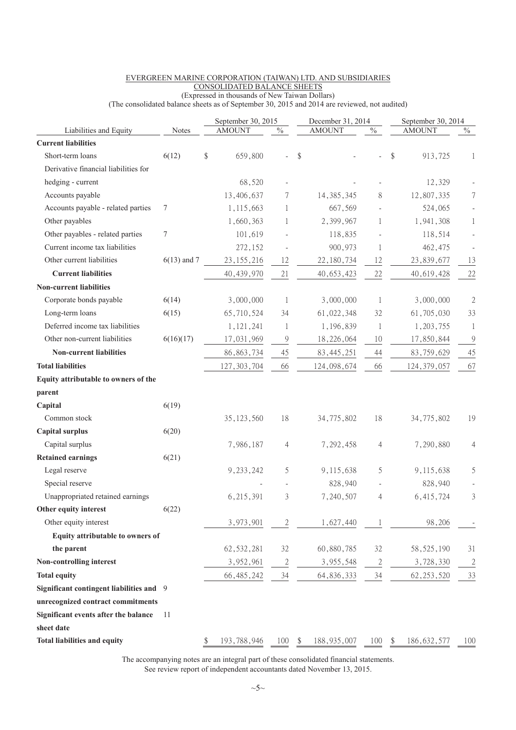|                                                      |               | September 30, 2015 |              | December 31, 2014   |                | September 30, 2014  |                |
|------------------------------------------------------|---------------|--------------------|--------------|---------------------|----------------|---------------------|----------------|
| Liabilities and Equity<br><b>Current liabilities</b> | Notes         | <b>AMOUNT</b>      | $\%$         | <b>AMOUNT</b>       | $\%$           | <b>AMOUNT</b>       | $\%$           |
| Short-term loans                                     | 6(12)         | \$<br>659,800      |              | \$                  |                | \$<br>913,725       |                |
| Derivative financial liabilities for                 |               |                    |              |                     |                |                     | 1              |
| hedging - current                                    |               | 68,520             | ÷,           |                     |                | 12,329              |                |
| Accounts payable                                     |               | 13,406,637         | 7            | 14, 385, 345        | 8              | 12,807,335          | $\overline{7}$ |
|                                                      | 7             |                    |              |                     |                |                     |                |
| Accounts payable - related parties                   |               | 1,115,663          | 1            | 667,569             |                | 524,065             |                |
| Other payables                                       |               | 1,660,363          | 1            | 2,399,967           | 1              | 1,941,308           | 1              |
| Other payables - related parties                     | 7             | 101,619            |              | 118,835             |                | 118,514             |                |
| Current income tax liabilities                       |               | 272,152            | ÷,           | 900,973             | 1              | 462,475             |                |
| Other current liabilities                            | $6(13)$ and 7 | 23, 155, 216       | 12           | 22, 180, 734        | 12             | 23,839,677          | 13             |
| <b>Current liabilities</b>                           |               | 40, 439, 970       | 21           | 40, 653, 423        | 22             | 40,619,428          | 22             |
| <b>Non-current liabilities</b>                       |               |                    |              |                     |                |                     |                |
| Corporate bonds payable                              | 6(14)         | 3,000,000          | 1            | 3,000,000           | 1              | 3,000,000           | $\sqrt{2}$     |
| Long-term loans                                      | 6(15)         | 65,710,524         | 34           | 61,022,348          | 32             | 61,705,030          | 33             |
| Deferred income tax liabilities                      |               | 1,121,241          | $\mathbf{1}$ | 1,196,839           | $\mathbf{1}$   | 1,203,755           | $\mathbf{1}$   |
| Other non-current liabilities                        | 6(16)(17)     | 17,031,969         | 9            | 18,226,064          | 10             | 17,850,844          | $\overline{9}$ |
| <b>Non-current liabilities</b>                       |               | 86, 863, 734       | 45           | 83, 445, 251        | 44             | 83,759,629          | 45             |
| <b>Total liabilities</b>                             |               | 127, 303, 704      | 66           | 124,098,674         | 66             | 124, 379, 057       | 67             |
| Equity attributable to owners of the                 |               |                    |              |                     |                |                     |                |
| parent                                               |               |                    |              |                     |                |                     |                |
| Capital                                              | 6(19)         |                    |              |                     |                |                     |                |
| Common stock                                         |               | 35, 123, 560       | 18           | 34,775,802          | 18             | 34,775,802          | 19             |
| <b>Capital surplus</b>                               | 6(20)         |                    |              |                     |                |                     |                |
| Capital surplus                                      |               | 7,986,187          | 4            | 7,292,458           | 4              | 7,290,880           | 4              |
| <b>Retained earnings</b>                             | 6(21)         |                    |              |                     |                |                     |                |
| Legal reserve                                        |               | 9, 233, 242        | 5            | 9,115,638           | 5              | 9,115,638           | 5              |
| Special reserve                                      |               |                    |              | 828,940             |                | 828,940             |                |
| Unappropriated retained earnings                     |               | 6,215,391          | 3            | 7,240,507           | 4              | 6, 415, 724         | 3              |
| Other equity interest                                | 6(22)         |                    |              |                     |                |                     |                |
| Other equity interest                                |               | 3,973,901          | 2            | 1,627,440           |                | 98,206              |                |
| Equity attributable to owners of                     |               |                    |              |                     |                |                     |                |
| the parent                                           |               | 62, 532, 281       | 32           | 60,880,785          | 32             | 58, 525, 190        | 31             |
| Non-controlling interest                             |               | 3,952,961          | $\mathbf{2}$ | 3,955,548           | $\mathfrak{c}$ | 3,728,330           | $\mathbf{c}$   |
| <b>Total equity</b>                                  |               | 66, 485, 242       | 34           | 64,836,333          | 34             | 62, 253, 520        | 33             |
| Significant contingent liabilities and 9             |               |                    |              |                     |                |                     |                |
| unrecognized contract commitments                    |               |                    |              |                     |                |                     |                |
| Significant events after the balance                 | 11            |                    |              |                     |                |                     |                |
| sheet date                                           |               |                    |              |                     |                |                     |                |
| <b>Total liabilities and equity</b>                  |               | \$<br>193,788,946  | 100          | \$<br>188, 935, 007 | 100            | \$<br>186, 632, 577 | 100            |
|                                                      |               |                    |              |                     |                |                     |                |

#### EVERGREEN MARINE CORPORATION (TAIWAN) LTD. AND SUBSIDIARIES CONSOLIDATED BALANCE SHEETS (Expressed in thousands of New Taiwan Dollars)

(The consolidated balance sheets as of September 30, 2015 and 2014 are reviewed, not audited)

The accompanying notes are an integral part of these consolidated financial statements. See review report of independent accountants dated November 13, 2015.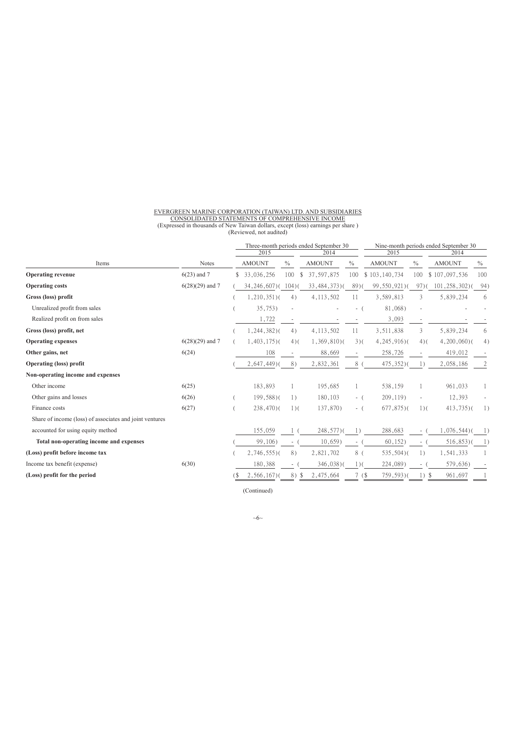# EVERGREEN MARINE CORPORATION (TAIWAN) LTD. AND SUBSIDIARIES<br>CONSOLIDATED STATEMENTS OF COMPREHENSIVE INCOME<br>(Expressed in thousands of New Taiwan dollars, except (loss) earnings per share )<br>(Reviewed, not audited)

|                                                         |                   | 2015                 |         | Three-month periods ended September 30<br>2014 |                          | 2015           |                          | Nine-month periods ended September 30<br>2014 |      |
|---------------------------------------------------------|-------------------|----------------------|---------|------------------------------------------------|--------------------------|----------------|--------------------------|-----------------------------------------------|------|
| Items                                                   | <b>Notes</b>      | <b>AMOUNT</b>        | $\%$    | <b>AMOUNT</b>                                  | $\frac{0}{0}$            | <b>AMOUNT</b>  | $\%$                     | <b>AMOUNT</b>                                 | $\%$ |
|                                                         |                   |                      | 100     |                                                |                          |                |                          |                                               |      |
| <b>Operating revenue</b>                                | $6(23)$ and 7     | \$<br>33,036,256     | \$      | 37, 597, 875                                   | 100                      | \$103,140,734  | 100                      | \$107,097,536                                 | 100  |
| <b>Operating costs</b>                                  | $6(28)(29)$ and 7 | $34, 246, 607$ (104) |         | $33,484,373$ )(                                | 89(                      | 99,550,921)    | 97)                      | 101, 258, 302)                                | 94)  |
| Gross (loss) profit                                     |                   | $1,210,351$ $($      | 4)      | 4, 113, 502                                    | 11                       | 3,589,813      | 3                        | 5,839,234                                     | 6    |
| Unrealized profit from sales                            |                   | 35,753)              |         |                                                | $\overline{\phantom{0}}$ | 81,068)        | ÷,                       |                                               |      |
| Realized profit on from sales                           |                   | 1,722                |         |                                                |                          | 3,093          |                          |                                               |      |
| Gross (loss) profit, net                                |                   | $1,244,382$ )(       | 4)      | 4, 113, 502                                    | 11                       | 3,511,838      | 3                        | 5,839,234                                     | 6    |
| <b>Operating expenses</b>                               | $6(28)(29)$ and 7 | $1,403,175$ )(       | $4)$ (  | $1,369,810$ $($                                | $3)$ (                   | $4,245,916$ )( | $4)$ (                   | $4,200,060$ )(                                | 4)   |
| Other gains, net                                        | 6(24)             | 108                  |         | 88,669                                         |                          | 258,726        |                          | 419,012                                       |      |
| <b>Operating (loss) profit</b>                          |                   | $2,647,449$ )        | 8)      | 2,832,361                                      | 8                        | 475,352(       | $\left  \right $         | 2,058,186                                     | 2    |
| Non-operating income and expenses                       |                   |                      |         |                                                |                          |                |                          |                                               |      |
| Other income                                            | 6(25)             | 183,893              |         | 195,685                                        |                          | 538,159        |                          | 961,033                                       |      |
| Other gains and losses                                  | 6(26)             | $199,588$ )(         | 1)      | 180,103                                        | $-$ (                    | 209,119)       | $\overline{\phantom{a}}$ | 12,393                                        |      |
| Finance costs                                           | 6(27)             | $238,470$ )(         | $1)$ (  | 137,870)                                       | - (                      | $677,875$ )(   | $1)$ (                   | $413,735$ )(                                  | 1)   |
| Share of income (loss) of associates and joint ventures |                   |                      |         |                                                |                          |                |                          |                                               |      |
| accounted for using equity method                       |                   | 155,059              |         | $248,577$ )(                                   | $_{\rm 1)}$              | 288,683        | $-1$                     | $1,076,544$ )                                 |      |
| Total non-operating income and expenses                 |                   | 99,106)              |         | $10,659$ )                                     | $\overline{\phantom{a}}$ | 60, 152)       | $\sim$                   | 516,853                                       | 1)   |
| (Loss) profit before income tax                         |                   | $2,746,555$ )(       | 8)      | 2,821,702                                      | 8 (                      | $535,504$ )(   | $\left( \right)$         | 1,541,333                                     |      |
| Income tax benefit (expense)                            | 6(30)             | 180,388              |         | $346,038$ )(                                   | $1)$ (                   | 224,089)       | $\sim$                   | 579,636)                                      |      |
| (Loss) profit for the period                            |                   | 2,566,167            | $8)$ \$ | 2,475,664                                      | 7(                       | $759,593$ )(   | $1)$ \$                  | 961,697                                       |      |

(Continued)

 $~\sim 6~\sim$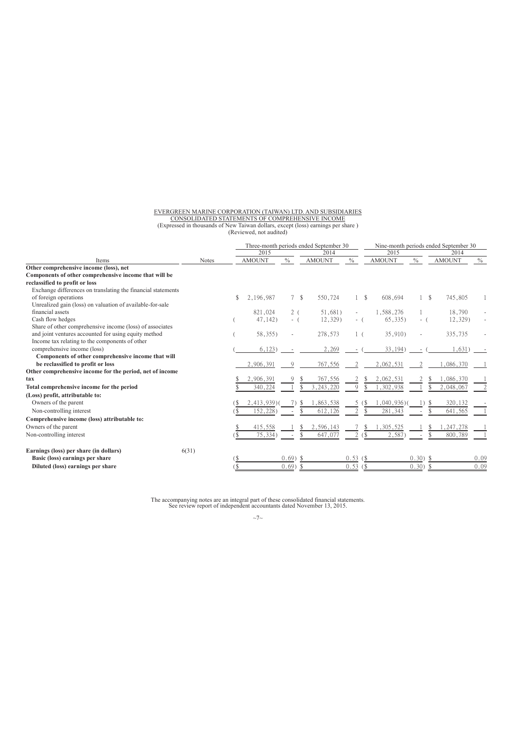# EVERGREEN MARINE CORPORATION (TAIWAN) LTD. AND SUBSIDIARIES<br>CONSOLIDATED STATEMENTS OF COMPREHENSIVE INCOME<br>(Expressed in thousands of New Taiwan dollars, except (loss) earnings per share )<br>(Reviewed, not audited)

|                                                              |              |      | Three-month periods ended September 30 |             |    |               |                |    |               | Nine-month periods ended September 30 |     |               |      |
|--------------------------------------------------------------|--------------|------|----------------------------------------|-------------|----|---------------|----------------|----|---------------|---------------------------------------|-----|---------------|------|
|                                                              |              |      | 2015                                   |             |    | 2014          |                |    | 2015          |                                       |     | 2014          |      |
| Items                                                        | <b>Notes</b> |      | <b>AMOUNT</b>                          | $\%$        |    | <b>AMOUNT</b> | $\frac{0}{0}$  |    | <b>AMOUNT</b> | $\frac{0}{0}$                         |     | <b>AMOUNT</b> | $\%$ |
| Other comprehensive income (loss), net                       |              |      |                                        |             |    |               |                |    |               |                                       |     |               |      |
| Components of other comprehensive income that will be        |              |      |                                        |             |    |               |                |    |               |                                       |     |               |      |
| reclassified to profit or loss                               |              |      |                                        |             |    |               |                |    |               |                                       |     |               |      |
| Exchange differences on translating the financial statements |              |      |                                        |             |    |               |                |    |               |                                       |     |               |      |
| of foreign operations                                        |              | \$   | 2,196,987                              | 7S          |    | 550,724       | $1 \quad$      |    | 608,694       |                                       | -\$ | 745,805       |      |
| Unrealized gain (loss) on valuation of available-for-sale    |              |      |                                        |             |    |               |                |    |               |                                       |     |               |      |
| financial assets                                             |              |      | 821,024                                | 2(          |    | 51,681)       |                |    | 1,588,276     |                                       |     | 18,790        |      |
| Cash flow hedges                                             |              |      | 47,142                                 | $-$ (       |    | 12,329)       | - 1            |    | (65, 335)     | - (                                   |     | 12,329)       |      |
| Share of other comprehensive income (loss) of associates     |              |      |                                        |             |    |               |                |    |               |                                       |     |               |      |
| and joint ventures accounted for using equity method         |              |      | 58, 355)                               |             |    | 278,573       | 1 <sup>6</sup> |    | 35,910)       |                                       |     | 335,735       |      |
| Income tax relating to the components of other               |              |      |                                        |             |    |               |                |    |               |                                       |     |               |      |
| comprehensive income (loss)                                  |              |      | 6,123                                  |             |    | 2,269         |                |    | 33, 194)      |                                       |     | 1,631)        |      |
| Components of other comprehensive income that will           |              |      |                                        |             |    |               |                |    |               |                                       |     |               |      |
| be reclassified to profit or loss                            |              |      | 2,906,391                              | 9           |    | 767,556       | 2              |    | 2,062,531     | 2                                     |     | 1,086,370     |      |
| Other comprehensive income for the period, net of income     |              |      |                                        |             |    |               |                |    |               |                                       |     |               |      |
| tax                                                          |              |      | 2,906,391                              |             |    | 767,556       |                |    | 2,062,531     |                                       |     | 1,086,370     |      |
| Total comprehensive income for the period                    |              |      | 340,224                                |             |    | 3.243.220     | Q              |    | 1,302,938     |                                       |     | 2,048,067     |      |
| (Loss) profit, attributable to:                              |              |      |                                        |             |    |               |                |    |               |                                       |     |               |      |
| Owners of the parent                                         |              |      | 2,413,939                              |             |    | 1,863,538     |                | S  | 1,040,936)    |                                       |     | 320,132       |      |
| Non-controlling interest                                     |              | 5    | 152,228)                               |             |    | 612,126       | 2              | \$ | 281,343       |                                       |     | 641,565       |      |
| Comprehensive income (loss) attributable to:                 |              |      |                                        |             |    |               |                |    |               |                                       |     |               |      |
| Owners of the parent                                         |              |      | 415,558                                |             |    | 2,596,143     |                |    | 1,305,525     |                                       |     | , 247, 278    |      |
| Non-controlling interest                                     |              | ΄ \$ | 75,334)                                |             | S  | 647,077       | 2(             |    | 2,587         |                                       |     | 800,789       |      |
| Earnings (loss) per share (in dollars)                       | 6(31)        |      |                                        |             |    |               |                |    |               |                                       |     |               |      |
| Basic (loss) earnings per share                              |              | (\$  |                                        | $0.69$ ) \$ |    |               | 0.53(          |    |               | $0.30)$ \$                            |     |               | 0.09 |
| Diluted (loss) earnings per share                            |              | 1\$  |                                        | $0.69$ )    | -8 |               | 0.53(          |    |               | $0.30)$ \$                            |     |               | 0.09 |
|                                                              |              |      |                                        |             |    |               |                |    |               |                                       |     |               |      |

The accompanying notes are an integral part of these consolidated financial statements. See review report of independent accountants dated November 13, 2015.

 $~\sim$ 7 $~\sim$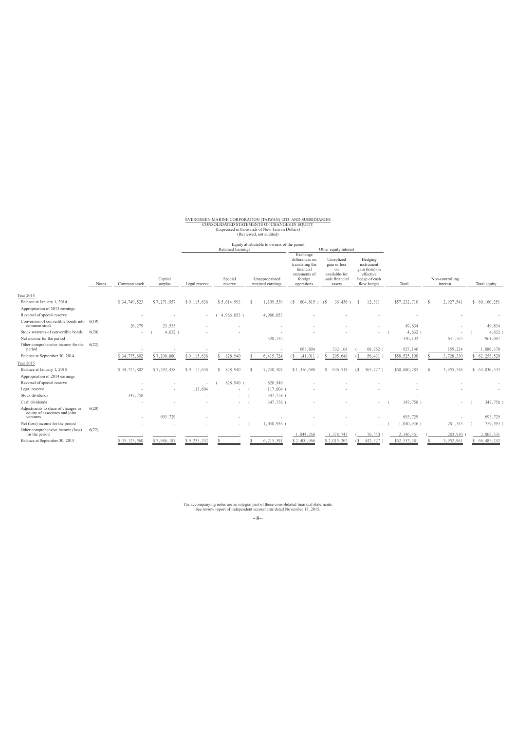# EVERGREEN MARINE CORPORATION (TAIWAN) LTD. AND SUBSIDIARIES CONSOLIDATED STATEMENTS OF CHANGES IN EQUITY (Expressed in thousands of New Taiwan Dollars) (Reviewed, not audited)

|                                                                                  |       |              | Equity attributable to owners of the parent |               |                          |  |                                     |                                                                                                      |                                                                                |     |                                                                                      |  |              |               |                             |               |
|----------------------------------------------------------------------------------|-------|--------------|---------------------------------------------|---------------|--------------------------|--|-------------------------------------|------------------------------------------------------------------------------------------------------|--------------------------------------------------------------------------------|-----|--------------------------------------------------------------------------------------|--|--------------|---------------|-----------------------------|---------------|
|                                                                                  |       |              |                                             |               | <b>Retained Earnings</b> |  |                                     |                                                                                                      | Other equity interest                                                          |     |                                                                                      |  |              |               |                             |               |
|                                                                                  | Notes | Common stock | Capital<br>surplus                          | Legal reserve | Special<br>reserve       |  | Unappropriated<br>retained earnings | Exchange<br>differences on<br>translating the<br>financial<br>statements of<br>foreign<br>operations | Unrealized<br>gain or loss<br>on<br>available-for<br>-sale financial<br>assets |     | Hedging<br>instrument<br>gain (loss) on<br>effective<br>hedge of cash<br>flow hedges |  | Total        |               | Non-controlling<br>interest | Total equity  |
| Year 2014                                                                        |       |              |                                             |               |                          |  |                                     |                                                                                                      |                                                                                |     |                                                                                      |  |              |               |                             |               |
| Balance at January 1, 2014<br>Appropriation of 2013 earnings                     |       | \$34,749,523 | \$7,271,957                                 | \$9,115,638   | \$5,814,993              |  | 1,109,539                           | 804,815) (\$<br>(S                                                                                   | $36,456$ )                                                                     | -S  | 12,331                                                                               |  | \$57,232,710 | <sup>\$</sup> | 2.927.541                   | \$60,160,251  |
| Reversal of special reserve                                                      |       |              |                                             |               | 4,986,053)               |  | 4,986,053                           |                                                                                                      |                                                                                |     |                                                                                      |  |              |               |                             |               |
| Conversion of convertible bonds into 6(19)<br>common stock                       |       | 26,279       | 23,555                                      |               |                          |  |                                     |                                                                                                      |                                                                                |     | ٠                                                                                    |  | 49,834       |               | $\sim$                      | 49,834        |
| Stock warrants of convertible bonds                                              | 6(20) | ٠            | $4,632$ )                                   |               |                          |  |                                     |                                                                                                      |                                                                                |     |                                                                                      |  | 4,632)       |               |                             | $4,632$ )     |
| Net income for the period                                                        |       |              |                                             |               |                          |  | 320,132                             |                                                                                                      |                                                                                |     |                                                                                      |  | 320,132      |               | 641,565                     | 961,697       |
| Other comprehensive income for the<br>period                                     | 6(22) |              |                                             |               |                          |  |                                     | 663,804                                                                                              | 332,104                                                                        |     | 68,762                                                                               |  | 927,146      |               | 159,224                     | 1,086,370     |
| Balance at September 30, 2014                                                    |       | \$34,775,802 | \$7,290,880                                 | \$9,115,638   | 828,940                  |  | 6,415,724                           | 141,011                                                                                              | 295,648                                                                        |     | 56,431                                                                               |  | \$58,525,190 |               | 3,728,330                   | 62, 253, 520  |
| Year 2015                                                                        |       |              |                                             |               |                          |  |                                     |                                                                                                      |                                                                                |     |                                                                                      |  |              |               |                             |               |
| Balance at January 1, 2015                                                       |       | \$34,775,802 | \$7,292,458                                 | \$9,115,638   | 828.940<br>\$.           |  | 7,240,507                           | \$1,356,698                                                                                          | 636,519<br>-S                                                                  | (S) | 365,777                                                                              |  | \$60,880,785 |               | 3,955,548                   | \$ 64,836,333 |
| Appropriation of 2014 earnings                                                   |       |              |                                             |               |                          |  |                                     |                                                                                                      |                                                                                |     |                                                                                      |  |              |               |                             |               |
| Reversal of special reserve                                                      |       |              |                                             |               | 828,940)                 |  | 828,940                             |                                                                                                      |                                                                                |     |                                                                                      |  |              |               |                             |               |
| Legal reserve                                                                    |       |              | ÷.                                          | 117,604       |                          |  | $117,604$ )                         |                                                                                                      |                                                                                |     |                                                                                      |  |              |               |                             |               |
| Stock dividends                                                                  |       | 347,758      |                                             |               |                          |  | 347,758)                            |                                                                                                      |                                                                                |     |                                                                                      |  |              |               |                             |               |
| Cash dividends                                                                   |       |              |                                             |               |                          |  | 347,758)                            |                                                                                                      |                                                                                |     | ٠                                                                                    |  | 347,758)     |               | $\sim$                      | 347,758)      |
| Adjustments to share of changes in<br>equity of associates and joint<br>ventures | 6(20) |              | 693,729                                     |               |                          |  |                                     |                                                                                                      |                                                                                |     |                                                                                      |  | 693,729      |               |                             | 693,729       |
| Net (loss) income for the period                                                 |       |              |                                             |               |                          |  | 1,040,936                           |                                                                                                      |                                                                                |     |                                                                                      |  | 1,040,936)   |               | 281,343                     | 759,593)      |
| Other comprehensive income (loss)<br>for the period                              | 6(22) |              |                                             |               |                          |  |                                     | 1,044,268                                                                                            | 1,378,743                                                                      |     | 76,550                                                                               |  | 2,346,461    |               | 283,930                     | 2,062,531     |
| Balance at September 30, 2015                                                    |       | \$35,123,560 | \$7,986,187                                 | \$9,233,242   |                          |  | 6,215,391                           | \$2,400,966                                                                                          | \$2,015,262                                                                    |     | 442,327                                                                              |  | \$62,532,281 |               | 3,952,961                   | 66, 485, 242  |
|                                                                                  |       |              |                                             |               |                          |  |                                     |                                                                                                      |                                                                                |     |                                                                                      |  |              |               |                             |               |

The accompanying notes are an integral part of these consolidated financial statements. See review report of independent accountants dated November 13, 2015.

 $~\sim\!\!8\sim$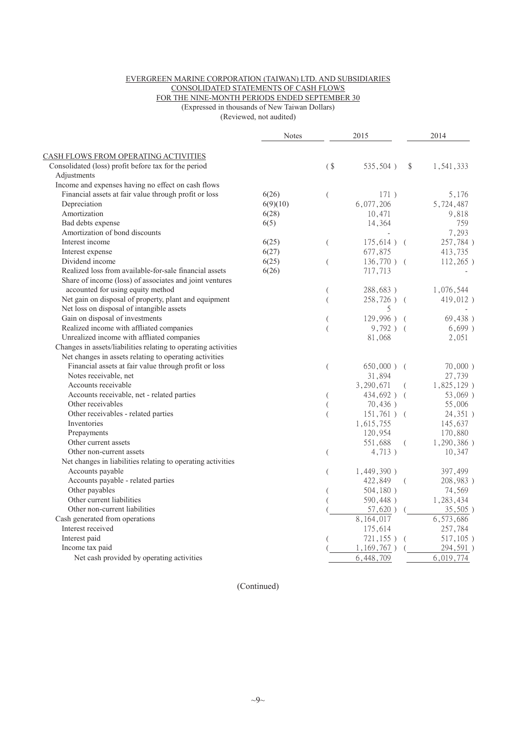#### EVERGREEN MARINE CORPORATION (TAIWAN) LTD. AND SUBSIDIARIES CONSOLIDATED STATEMENTS OF CASH FLOWS FOR THE NINE-MONTH PERIODS ENDED SEPTEMBER 30 (Expressed in thousands of New Taiwan Dollars)

(Reviewed, not audited)

|                                                                | <b>Notes</b> |                  | 2015           |            | 2014           |
|----------------------------------------------------------------|--------------|------------------|----------------|------------|----------------|
| CASH FLOWS FROM OPERATING ACTIVITIES                           |              |                  |                |            |                |
| Consolidated (loss) profit before tax for the period           |              | $($ \$           | 535,504)       | \$         | 1,541,333      |
| Adjustments                                                    |              |                  |                |            |                |
| Income and expenses having no effect on cash flows             |              |                  |                |            |                |
| Financial assets at fair value through profit or loss          | 6(26)        | $\left($         | 171)           |            | 5,176          |
| Depreciation                                                   | 6(9)(10)     |                  | 6,077,206      |            | 5,724,487      |
| Amortization                                                   | 6(28)        |                  | 10,471         |            | 9,818          |
| Bad debts expense                                              | 6(5)         |                  | 14,364         |            | 759            |
| Amortization of bond discounts                                 |              |                  |                |            | 7,293          |
| Interest income                                                | 6(25)        | $\left($         | $175,614$ ) (  |            | 257,784)       |
| Interest expense                                               | 6(27)        |                  | 677,875        |            | 413,735        |
| Dividend income                                                | 6(25)        | $\overline{(\ }$ | $136,770$ ) (  |            | $112,265$ )    |
| Realized loss from available-for-sale financial assets         | 6(26)        |                  | 717,713        |            |                |
| Share of income (loss) of associates and joint ventures        |              |                  |                |            |                |
| accounted for using equity method                              |              | (                | 288,683)       |            | 1,076,544      |
| Net gain on disposal of property, plant and equipment          |              | $\overline{(\ }$ | $258,726$ ) (  |            | 419,012)       |
| Net loss on disposal of intangible assets                      |              |                  | 5              |            | $\overline{a}$ |
| Gain on disposal of investments                                |              | (                | $129,996$ ) (  |            | 69,438)        |
| Realized income with affliated companies                       |              | $\left($         | $9,792)$ (     |            | $6,699$ )      |
| Unrealized income with affliated companies                     |              |                  | 81,068         |            | 2,051          |
| Changes in assets/liabilities relating to operating activities |              |                  |                |            |                |
| Net changes in assets relating to operating activities         |              |                  |                |            |                |
| Financial assets at fair value through profit or loss          |              | (                | $650,000$ ) (  |            | $70,000$ )     |
| Notes receivable, net                                          |              |                  | 31,894         |            | 27,739         |
| Accounts receivable                                            |              |                  | 3,290,671      | $\left($   | $1,825,129$ )  |
| Accounts receivable, net - related parties                     |              | (                | 434,692) (     |            | $53,069$ )     |
| Other receivables                                              |              | $\left($         | 70,436)        |            | 55,006         |
| Other receivables - related parties                            |              | $\overline{(}$   | $151,761$ ) (  |            | 24,351)        |
| Inventories                                                    |              |                  | 1,615,755      |            | 145,637        |
| Prepayments                                                    |              |                  | 120,954        |            | 170,880        |
| Other current assets                                           |              |                  | 551,688        | $\left($   | $1,290,386$ )  |
| Other non-current assets                                       |              | $\left($         | 4,713)         |            | 10,347         |
| Net changes in liabilities relating to operating activities    |              |                  |                |            |                |
| Accounts payable                                               |              | (                | 1,449,390)     |            | 397,499        |
| Accounts payable - related parties                             |              |                  | 422,849        | $\sqrt{ }$ | 208,983)       |
| Other payables                                                 |              |                  | $504,180$ )    |            | 74,569         |
| Other current liabilities                                      |              |                  | 590,448)       |            | 1,283,434      |
| Other non-current liabilities                                  |              |                  | $57,620$ )     |            | $35,505$ )     |
| Cash generated from operations                                 |              |                  | 8,164,017      |            | 6,573,686      |
| Interest received                                              |              |                  | 175,614        |            | 257,784        |
| Interest paid                                                  |              |                  | $721, 155$ ) ( |            | $517,105$ )    |
| Income tax paid                                                |              |                  | $1,169,767$ )  |            | 294,591)       |
| Net cash provided by operating activities                      |              |                  | 6,448,709      |            | 6,019,774      |
|                                                                |              |                  |                |            |                |

(Continued)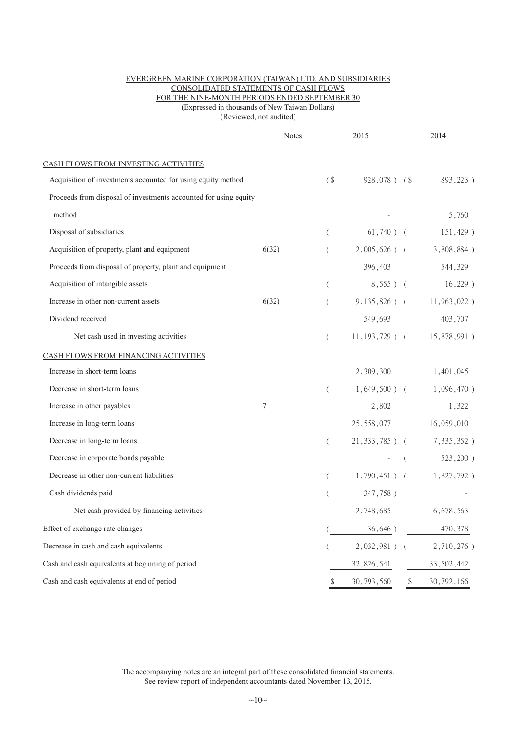#### EVERGREEN MARINE CORPORATION (TAIWAN) LTD. AND SUBSIDIARIES CONSOLIDATED STATEMENTS OF CASH FLOWS FOR THE NINE-MONTH PERIODS ENDED SEPTEMBER 30 (Expressed in thousands of New Taiwan Dollars)

(Reviewed, not audited)

|                                                                  | Notes            |                  | 2015                                |            | 2014                          |
|------------------------------------------------------------------|------------------|------------------|-------------------------------------|------------|-------------------------------|
| CASH FLOWS FROM INVESTING ACTIVITIES                             |                  |                  |                                     |            |                               |
| Acquisition of investments accounted for using equity method     |                  | $($ \$           | $928,078$ ) (\$                     |            | 893,223)                      |
| Proceeds from disposal of investments accounted for using equity |                  |                  |                                     |            |                               |
| method                                                           |                  |                  |                                     |            | 5,760                         |
| Disposal of subsidiaries                                         |                  | $\left($         | $61,740$ ) (                        |            | 151,429)                      |
| Acquisition of property, plant and equipment                     | 6(32)            | $\overline{(\ }$ | $2,005,626$ ) (                     |            | 3,808,884)                    |
| Proceeds from disposal of property, plant and equipment          |                  |                  | 396,403                             |            | 544,329                       |
| Acquisition of intangible assets                                 |                  | $\left($         | $8,555$ ) (                         |            | 16,229)                       |
| Increase in other non-current assets                             | 6(32)            | $\overline{(\ }$ |                                     |            | 9, 135, 826) (11, 963, 022)   |
| Dividend received                                                |                  |                  | 549,693                             |            | 403,707                       |
| Net cash used in investing activities                            |                  |                  | $11, 193, 729$ ) ( $15, 878, 991$ ) |            |                               |
| CASH FLOWS FROM FINANCING ACTIVITIES                             |                  |                  |                                     |            |                               |
| Increase in short-term loans                                     |                  |                  |                                     |            | 2, 309, 300 1, 401, 045       |
| Decrease in short-term loans                                     |                  | $\overline{(\ }$ |                                     |            | $1,649,500$ ( $1,096,470$ )   |
| Increase in other payables                                       | $\boldsymbol{7}$ |                  | 2,802                               |            | 1,322                         |
| Increase in long-term loans                                      |                  |                  |                                     |            | 25,558,077 16,059,010         |
| Decrease in long-term loans                                      |                  | $\overline{(\ }$ |                                     |            | $21,333,785$ ( $7,335,352$ )  |
| Decrease in corporate bonds payable                              |                  |                  |                                     | $\sqrt{2}$ | $523,200$ )                   |
| Decrease in other non-current liabilities                        |                  | $\left($         |                                     |            | $1,790,451$ ( $1,827,792$ )   |
| Cash dividends paid                                              |                  |                  | 347,758)                            |            |                               |
| Net cash provided by financing activities                        |                  |                  | 2,748,685                           |            | 6,678,563                     |
| Effect of exchange rate changes                                  |                  |                  | 36,646)                             |            | 470,378                       |
| Decrease in cash and cash equivalents                            |                  |                  |                                     |            | $2,032,981$ ) ( $2,710,276$ ) |
| Cash and cash equivalents at beginning of period                 |                  |                  | 32,826,541                          |            | 33, 502, 442                  |
| Cash and cash equivalents at end of period                       |                  | \$               | 30,793,560                          | $\$\,$     | 30,792,166                    |

The accompanying notes are an integral part of these consolidated financial statements. See review report of independent accountants dated November 13, 2015.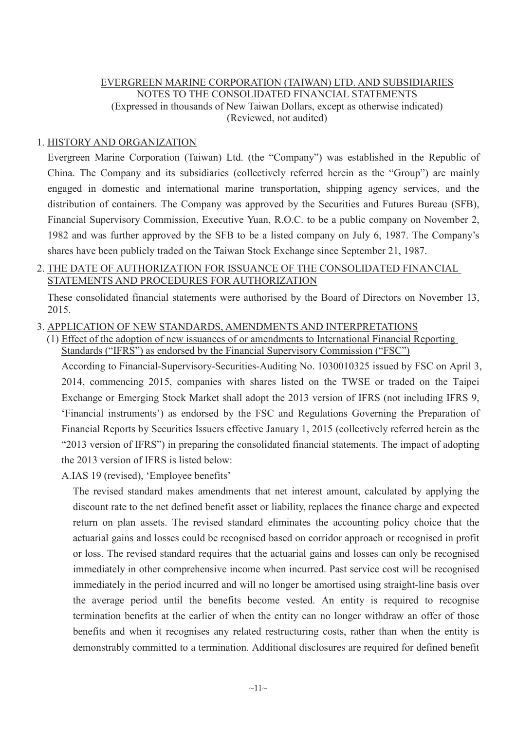#### EVERGREEN MARINE CORPORATION (TAIWAN) LTD. AND SUBSIDIARIES NOTES TO THE CONSOLIDATED FINANCIAL STATEMENTS (Expressed in thousands of New Taiwan Dollars, except as otherwise indicated) (Reviewed, not audited)

#### 1. HISTORY AND ORGANIZATION

Evergreen Marine Corporation (Taiwan) Ltd. (the "Company") was established in the Republic of China. The Company and its subsidiaries (collectively referred herein as the "Group") are mainly engaged in domestic and international marine transportation, shipping agency services, and the distribution of containers. The Company was approved by the Securities and Futures Bureau (SFB), Financial Supervisory Commission, Executive Yuan, R.O.C. to be a public company on November 2, 1982 and was further approved by the SFB to be a listed company on July 6, 1987. The Company's shares have been publicly traded on the Taiwan Stock Exchange since September 21, 1987.

#### 2. THE DATE OF AUTHORIZATION FOR ISSUANCE OF THE CONSOLIDATED FINANCIAL STATEMENTS AND PROCEDURES FOR AUTHORIZATION

These consolidated financial statements were authorised by the Board of Directors on November 13, 2015.

3. APPLICATION OF NEW STANDARDS, AMENDMENTS AND INTERPRETATIONS

(1) Effect of the adoption of new issuances of or amendments to International Financial Reporting Standards ("IFRS") as endorsed by the Financial Supervisory Commission ("FSC")

According to Financial-Supervisory-Securities-Auditing No. 1030010325 issued by FSC on April 3, 2014, commencing 2015, companies with shares listed on the TWSE or traded on the Taipei Exchange or Emerging Stock Market shall adopt the 2013 version of IFRS (not including IFRS 9, 'Financial instruments') as endorsed by the FSC and Regulations Governing the Preparation of Financial Reports by Securities Issuers effective January 1, 2015 (collectively referred herein as the "2013 version of IFRS") in preparing the consolidated financial statements. The impact of adopting the 2013 version of IFRS is listed below:

A.IAS 19 (revised), 'Employee benefits'

The revised standard makes amendments that net interest amount, calculated by applying the discount rate to the net defined benefit asset or liability, replaces the finance charge and expected return on plan assets. The revised standard eliminates the accounting policy choice that the actuarial gains and losses could be recognised based on corridor approach or recognised in profit or loss. The revised standard requires that the actuarial gains and losses can only be recognised immediately in other comprehensive income when incurred. Past service cost will be recognised immediately in the period incurred and will no longer be amortised using straight-line basis over the average period until the benefits become vested. An entity is required to recognise termination benefits at the earlier of when the entity can no longer withdraw an offer of those benefits and when it recognises any related restructuring costs, rather than when the entity is demonstrably committed to a termination. Additional disclosures are required for defined benefit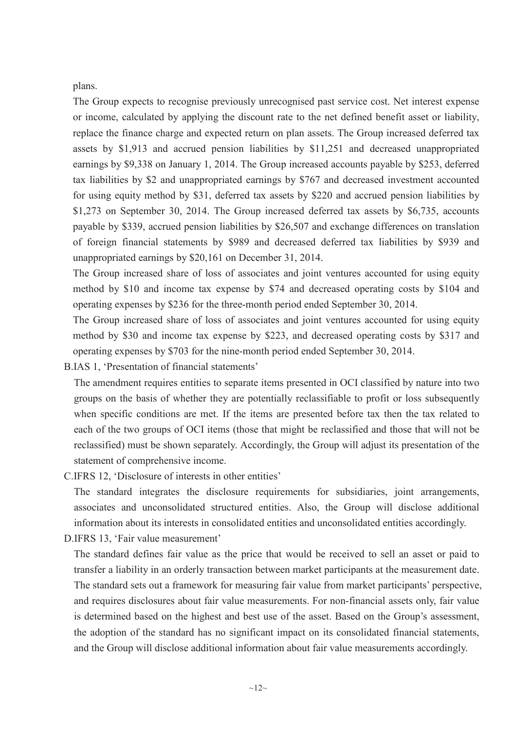plans.

The Group expects to recognise previously unrecognised past service cost. Net interest expense or income, calculated by applying the discount rate to the net defined benefit asset or liability, replace the finance charge and expected return on plan assets. The Group increased deferred tax assets by \$1,913 and accrued pension liabilities by \$11,251 and decreased unappropriated earnings by \$9,338 on January 1, 2014. The Group increased accounts payable by \$253, deferred tax liabilities by \$2 and unappropriated earnings by \$767 and decreased investment accounted for using equity method by \$31, deferred tax assets by \$220 and accrued pension liabilities by \$1,273 on September 30, 2014. The Group increased deferred tax assets by \$6,735, accounts payable by \$339, accrued pension liabilities by \$26,507 and exchange differences on translation of foreign financial statements by \$989 and decreased deferred tax liabilities by \$939 and unappropriated earnings by \$20,161 on December 31, 2014.

The Group increased share of loss of associates and joint ventures accounted for using equity method by \$10 and income tax expense by \$74 and decreased operating costs by \$104 and operating expenses by \$236 for the three-month period ended September 30, 2014.

The Group increased share of loss of associates and joint ventures accounted for using equity method by \$30 and income tax expense by \$223, and decreased operating costs by \$317 and operating expenses by \$703 for the nine-month period ended September 30, 2014.

B.IAS 1, 'Presentation of financial statements'

The amendment requires entities to separate items presented in OCI classified by nature into two groups on the basis of whether they are potentially reclassifiable to profit or loss subsequently when specific conditions are met. If the items are presented before tax then the tax related to each of the two groups of OCI items (those that might be reclassified and those that will not be reclassified) must be shown separately. Accordingly, the Group will adjust its presentation of the statement of comprehensive income.

C.IFRS 12, 'Disclosure of interests in other entities'

The standard integrates the disclosure requirements for subsidiaries, joint arrangements, associates and unconsolidated structured entities. Also, the Group will disclose additional information about its interests in consolidated entities and unconsolidated entities accordingly.

D.IFRS 13, 'Fair value measurement'

The standard defines fair value as the price that would be received to sell an asset or paid to transfer a liability in an orderly transaction between market participants at the measurement date. The standard sets out a framework for measuring fair value from market participants' perspective, and requires disclosures about fair value measurements. For non-financial assets only, fair value is determined based on the highest and best use of the asset. Based on the Group's assessment, the adoption of the standard has no significant impact on its consolidated financial statements, and the Group will disclose additional information about fair value measurements accordingly.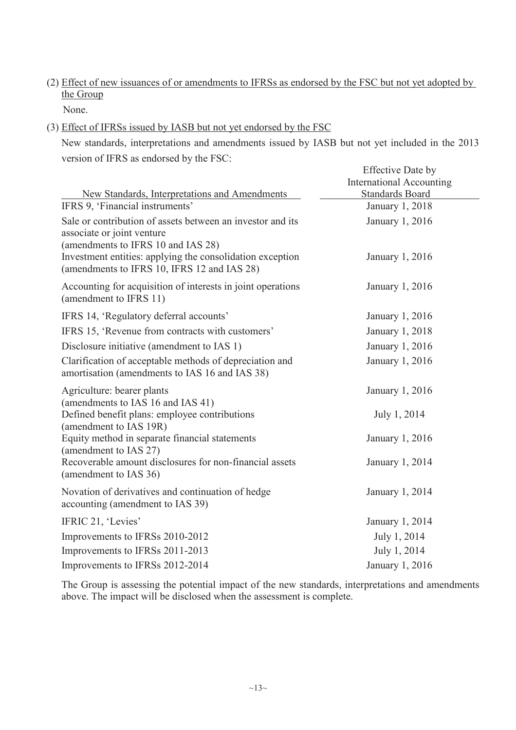## (2) Effect of new issuances of or amendments to IFRSs as endorsed by the FSC but not yet adopted by the Group

None.

#### (3) Effect of IFRSs issued by IASB but not yet endorsed by the FSC

New standards, interpretations and amendments issued by IASB but not yet included in the 2013 version of IFRS as endorsed by the FSC:

Effective Date by

|                                                                                                                               | <b>International Accounting</b>           |
|-------------------------------------------------------------------------------------------------------------------------------|-------------------------------------------|
| New Standards, Interpretations and Amendments<br>IFRS 9, 'Financial instruments'                                              | <b>Standards Board</b><br>January 1, 2018 |
| Sale or contribution of assets between an investor and its                                                                    | January 1, 2016                           |
| associate or joint venture<br>(amendments to IFRS 10 and IAS 28)<br>Investment entities: applying the consolidation exception | January 1, 2016                           |
| (amendments to IFRS 10, IFRS 12 and IAS 28)                                                                                   |                                           |
| Accounting for acquisition of interests in joint operations<br>(amendment to IFRS 11)                                         | January 1, 2016                           |
| IFRS 14, 'Regulatory deferral accounts'                                                                                       | January 1, 2016                           |
| IFRS 15, 'Revenue from contracts with customers'                                                                              | January 1, 2018                           |
| Disclosure initiative (amendment to IAS 1)                                                                                    | January 1, 2016                           |
| Clarification of acceptable methods of depreciation and<br>amortisation (amendments to IAS 16 and IAS 38)                     | January 1, 2016                           |
| Agriculture: bearer plants<br>(amendments to IAS 16 and IAS 41)                                                               | January 1, 2016                           |
| Defined benefit plans: employee contributions<br>(amendment to IAS 19R)                                                       | July 1, 2014                              |
| Equity method in separate financial statements<br>(amendment to IAS 27)                                                       | January 1, 2016                           |
| Recoverable amount disclosures for non-financial assets<br>(amendment to IAS 36)                                              | January 1, 2014                           |
| Novation of derivatives and continuation of hedge<br>accounting (amendment to IAS 39)                                         | January 1, 2014                           |
| IFRIC 21, 'Levies'                                                                                                            | January 1, 2014                           |
| Improvements to IFRSs 2010-2012                                                                                               | July 1, 2014                              |
| Improvements to IFRSs 2011-2013                                                                                               | July 1, 2014                              |
| Improvements to IFRSs 2012-2014                                                                                               | January 1, 2016                           |

The Group is assessing the potential impact of the new standards, interpretations and amendments above. The impact will be disclosed when the assessment is complete.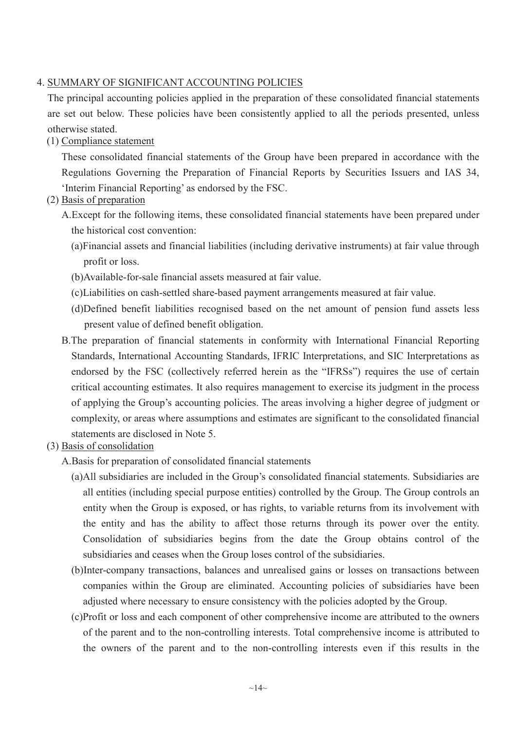#### 4. SUMMARY OF SIGNIFICANT ACCOUNTING POLICIES

The principal accounting policies applied in the preparation of these consolidated financial statements are set out below. These policies have been consistently applied to all the periods presented, unless otherwise stated.

(1) Compliance statement

These consolidated financial statements of the Group have been prepared in accordance with the Regulations Governing the Preparation of Financial Reports by Securities Issuers and IAS 34, 'Interim Financial Reporting' as endorsed by the FSC.

- (2) Basis of preparation
	- A.Except for the following items, these consolidated financial statements have been prepared under the historical cost convention:
		- (a)Financial assets and financial liabilities (including derivative instruments) at fair value through profit or loss.
		- (b)Available-for-sale financial assets measured at fair value.
		- (c)Liabilities on cash-settled share-based payment arrangements measured at fair value.
		- (d)Defined benefit liabilities recognised based on the net amount of pension fund assets less present value of defined benefit obligation.
	- B.The preparation of financial statements in conformity with International Financial Reporting Standards, International Accounting Standards, IFRIC Interpretations, and SIC Interpretations as endorsed by the FSC (collectively referred herein as the "IFRSs") requires the use of certain critical accounting estimates. It also requires management to exercise its judgment in the process of applying the Group's accounting policies. The areas involving a higher degree of judgment or complexity, or areas where assumptions and estimates are significant to the consolidated financial statements are disclosed in Note 5.
- (3) Basis of consolidation
	- A.Basis for preparation of consolidated financial statements
		- (a)All subsidiaries are included in the Group's consolidated financial statements. Subsidiaries are all entities (including special purpose entities) controlled by the Group. The Group controls an entity when the Group is exposed, or has rights, to variable returns from its involvement with the entity and has the ability to affect those returns through its power over the entity. Consolidation of subsidiaries begins from the date the Group obtains control of the subsidiaries and ceases when the Group loses control of the subsidiaries.
		- (b)Inter-company transactions, balances and unrealised gains or losses on transactions between companies within the Group are eliminated. Accounting policies of subsidiaries have been adjusted where necessary to ensure consistency with the policies adopted by the Group.
		- (c)Profit or loss and each component of other comprehensive income are attributed to the owners of the parent and to the non-controlling interests. Total comprehensive income is attributed to the owners of the parent and to the non-controlling interests even if this results in the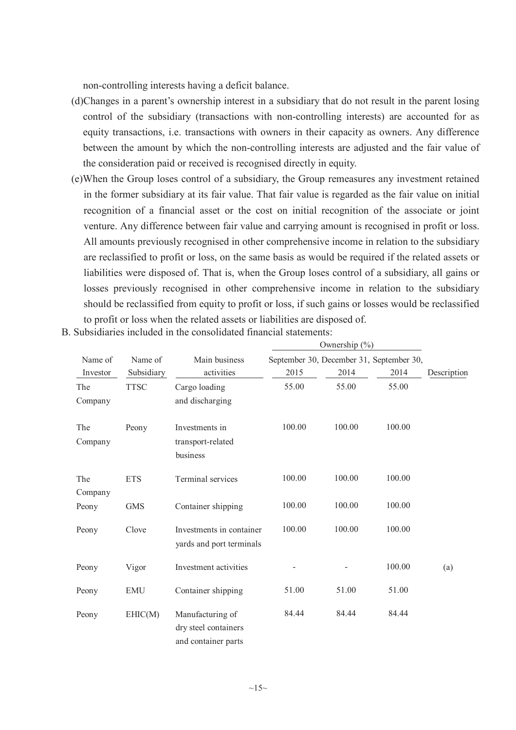non-controlling interests having a deficit balance.

- (d)Changes in a parent's ownership interest in a subsidiary that do not result in the parent losing control of the subsidiary (transactions with non-controlling interests) are accounted for as equity transactions, i.e. transactions with owners in their capacity as owners. Any difference between the amount by which the non-controlling interests are adjusted and the fair value of the consideration paid or received is recognised directly in equity.
- (e)When the Group loses control of a subsidiary, the Group remeasures any investment retained in the former subsidiary at its fair value. That fair value is regarded as the fair value on initial recognition of a financial asset or the cost on initial recognition of the associate or joint venture. Any difference between fair value and carrying amount is recognised in profit or loss. All amounts previously recognised in other comprehensive income in relation to the subsidiary are reclassified to profit or loss, on the same basis as would be required if the related assets or liabilities were disposed of. That is, when the Group loses control of a subsidiary, all gains or losses previously recognised in other comprehensive income in relation to the subsidiary should be reclassified from equity to profit or loss, if such gains or losses would be reclassified to profit or loss when the related assets or liabilities are disposed of.

 $\mathbf{1} \cdot \mathbf{1} \cdot \mathbf{1}$ 

|                     |                       |                                                                 |        | OWHERE SHIP $(70)$ |                                                  |             |
|---------------------|-----------------------|-----------------------------------------------------------------|--------|--------------------|--------------------------------------------------|-------------|
| Name of<br>Investor | Name of<br>Subsidiary | Main business<br>activities                                     | 2015   | 2014               | September 30, December 31, September 30,<br>2014 | Description |
| The<br>Company      | <b>TTSC</b>           | Cargo loading<br>and discharging                                | 55.00  | 55.00              | 55.00                                            |             |
| The<br>Company      | Peony                 | Investments in<br>transport-related<br>business                 | 100.00 | 100.00             | 100.00                                           |             |
| The<br>Company      | <b>ETS</b>            | Terminal services                                               | 100.00 | 100.00             | 100.00                                           |             |
| Peony               | <b>GMS</b>            | Container shipping                                              | 100.00 | 100.00             | 100.00                                           |             |
| Peony               | Clove                 | Investments in container<br>yards and port terminals            | 100.00 | 100.00             | 100.00                                           |             |
| Peony               | Vigor                 | Investment activities                                           |        |                    | 100.00                                           | (a)         |
| Peony               | <b>EMU</b>            | Container shipping                                              | 51.00  | 51.00              | 51.00                                            |             |
| Peony               | EHIC(M)               | Manufacturing of<br>dry steel containers<br>and container parts | 84.44  | 84.44              | 84.44                                            |             |

B. Subsidiaries included in the consolidated financial statements: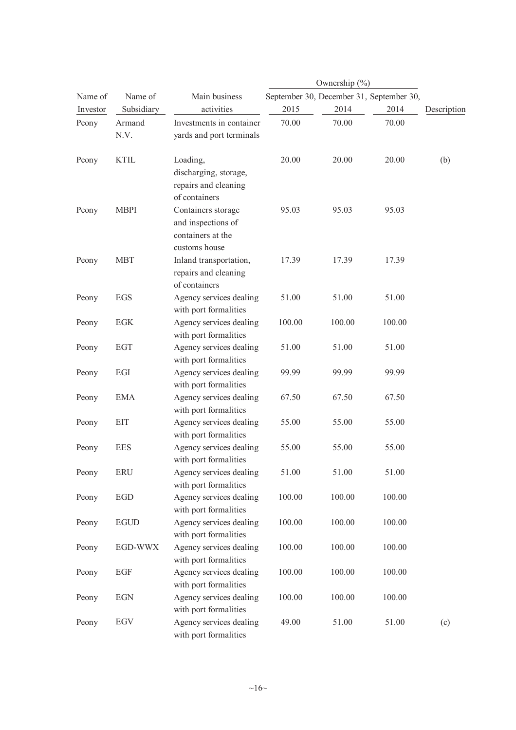|          |             |                                                  | Ownership (%) |        |                                          |             |
|----------|-------------|--------------------------------------------------|---------------|--------|------------------------------------------|-------------|
| Name of  | Name of     | Main business                                    |               |        | September 30, December 31, September 30, |             |
| Investor | Subsidiary  | activities                                       | 2015          | 2014   | 2014                                     | Description |
| Peony    | Armand      | Investments in container                         | 70.00         | 70.00  | 70.00                                    |             |
|          | N.V.        | yards and port terminals                         |               |        |                                          |             |
| Peony    | <b>KTIL</b> | Loading,                                         | 20.00         | 20.00  | 20.00                                    | (b)         |
|          |             | discharging, storage,<br>repairs and cleaning    |               |        |                                          |             |
|          |             | of containers                                    |               |        |                                          |             |
| Peony    | <b>MBPI</b> | Containers storage                               | 95.03         | 95.03  | 95.03                                    |             |
|          |             | and inspections of                               |               |        |                                          |             |
|          |             | containers at the                                |               |        |                                          |             |
|          |             | customs house                                    |               |        |                                          |             |
| Peony    | <b>MBT</b>  | Inland transportation,                           | 17.39         | 17.39  | 17.39                                    |             |
|          |             | repairs and cleaning                             |               |        |                                          |             |
|          | EGS         | of containers<br>Agency services dealing         | 51.00         | 51.00  | 51.00                                    |             |
| Peony    |             | with port formalities                            |               |        |                                          |             |
| Peony    | <b>EGK</b>  | Agency services dealing                          | 100.00        | 100.00 | 100.00                                   |             |
|          |             | with port formalities                            |               |        |                                          |             |
| Peony    | EGT         | Agency services dealing                          | 51.00         | 51.00  | 51.00                                    |             |
|          |             | with port formalities                            |               |        |                                          |             |
| Peony    | EGI         | Agency services dealing                          | 99.99         | 99.99  | 99.99                                    |             |
|          |             | with port formalities                            |               |        |                                          |             |
| Peony    | <b>EMA</b>  | Agency services dealing                          | 67.50         | 67.50  | 67.50                                    |             |
|          |             | with port formalities                            |               |        |                                          |             |
| Peony    | EIT         | Agency services dealing<br>with port formalities | 55.00         | 55.00  | 55.00                                    |             |
| Peony    | <b>EES</b>  | Agency services dealing                          | 55.00         | 55.00  | 55.00                                    |             |
|          |             | with port formalities                            |               |        |                                          |             |
| Peony    | <b>ERU</b>  | Agency services dealing                          | 51.00         | 51.00  | 51.00                                    |             |
|          |             | with port formalities                            |               |        |                                          |             |
| Peony    | EGD         | Agency services dealing                          | 100.00        | 100.00 | 100.00                                   |             |
|          |             | with port formalities                            |               |        |                                          |             |
| Peony    | <b>EGUD</b> | Agency services dealing                          | 100.00        | 100.00 | 100.00                                   |             |
|          | EGD-WWX     | with port formalities<br>Agency services dealing | 100.00        | 100.00 | 100.00                                   |             |
| Peony    |             | with port formalities                            |               |        |                                          |             |
| Peony    | EGF         | Agency services dealing                          | 100.00        | 100.00 | 100.00                                   |             |
|          |             | with port formalities                            |               |        |                                          |             |
| Peony    | <b>EGN</b>  | Agency services dealing                          | 100.00        | 100.00 | 100.00                                   |             |
|          |             | with port formalities                            |               |        |                                          |             |
| Peony    | EGV         | Agency services dealing                          | 49.00         | 51.00  | 51.00                                    | (c)         |
|          |             | with port formalities                            |               |        |                                          |             |
|          |             |                                                  |               |        |                                          |             |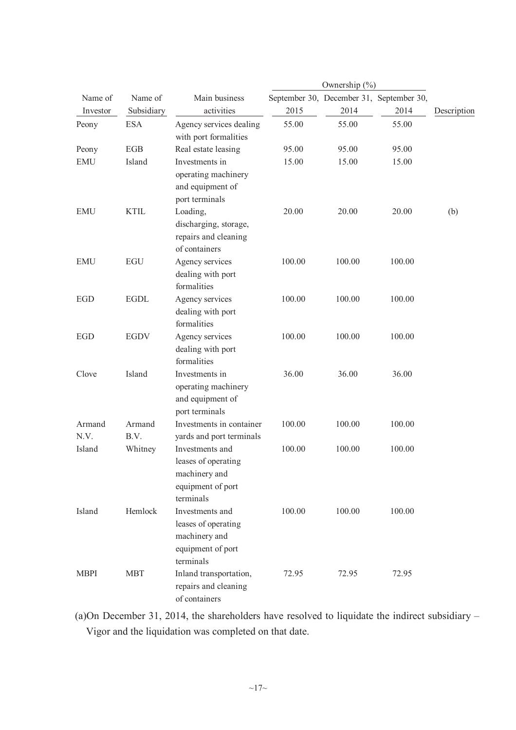| Name of        | Name of        | Main business                                                                             |        |        | September 30, December 31, September 30, |             |
|----------------|----------------|-------------------------------------------------------------------------------------------|--------|--------|------------------------------------------|-------------|
| Investor       | Subsidiary     | activities                                                                                | 2015   | 2014   | 2014                                     | Description |
| Peony          | <b>ESA</b>     | Agency services dealing<br>with port formalities                                          | 55.00  | 55.00  | 55.00                                    |             |
| Peony          | EGB            | Real estate leasing                                                                       | 95.00  | 95.00  | 95.00                                    |             |
| <b>EMU</b>     | Island         | Investments in<br>operating machinery<br>and equipment of<br>port terminals               | 15.00  | 15.00  | 15.00                                    |             |
| <b>EMU</b>     | <b>KTIL</b>    | Loading,<br>discharging, storage,<br>repairs and cleaning<br>of containers                | 20.00  | 20.00  | 20.00                                    | (b)         |
| <b>EMU</b>     | EGU            | Agency services<br>dealing with port<br>formalities                                       | 100.00 | 100.00 | 100.00                                   |             |
| <b>EGD</b>     | <b>EGDL</b>    | Agency services<br>dealing with port<br>formalities                                       | 100.00 | 100.00 | 100.00                                   |             |
| <b>EGD</b>     | <b>EGDV</b>    | Agency services<br>dealing with port<br>formalities                                       | 100.00 | 100.00 | 100.00                                   |             |
| Clove          | Island         | Investments in<br>operating machinery<br>and equipment of<br>port terminals               | 36.00  | 36.00  | 36.00                                    |             |
| Armand<br>N.V. | Armand<br>B.V. | Investments in container<br>yards and port terminals                                      | 100.00 | 100.00 | 100.00                                   |             |
| Island         | Whitney        | Investments and<br>leases of operating<br>machinery and<br>equipment of port<br>terminals | 100.00 | 100.00 | 100.00                                   |             |
| Island         | Hemlock        | Investments and<br>leases of operating<br>machinery and<br>equipment of port<br>terminals | 100.00 | 100.00 | 100.00                                   |             |
| <b>MBPI</b>    | <b>MBT</b>     | Inland transportation,<br>repairs and cleaning<br>of containers                           | 72.95  | 72.95  | 72.95                                    |             |

(a)On December 31, 2014, the shareholders have resolved to liquidate the indirect subsidiary – Vigor and the liquidation was completed on that date.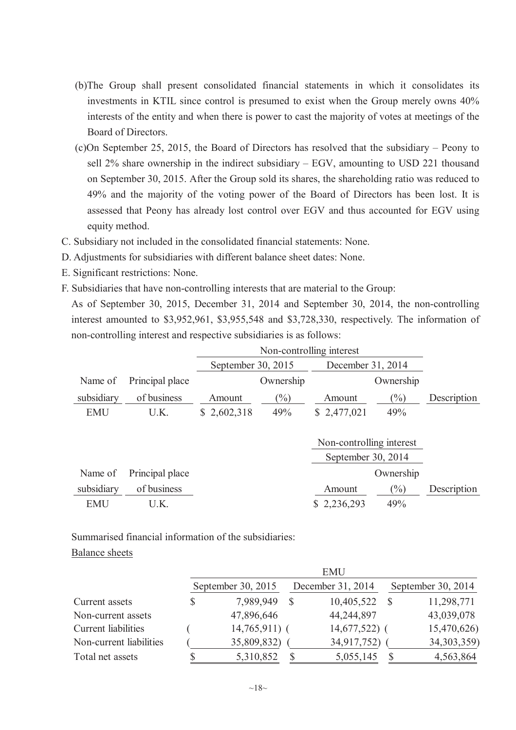- (b)The Group shall present consolidated financial statements in which it consolidates its investments in KTIL since control is presumed to exist when the Group merely owns 40% interests of the entity and when there is power to cast the majority of votes at meetings of the Board of Directors.
- (c)On September 25, 2015, the Board of Directors has resolved that the subsidiary Peony to sell 2% share ownership in the indirect subsidiary – EGV, amounting to USD 221 thousand on September 30, 2015. After the Group sold its shares, the shareholding ratio was reduced to 49% and the majority of the voting power of the Board of Directors has been lost. It is assessed that Peony has already lost control over EGV and thus accounted for EGV using equity method.
- C. Subsidiary not included in the consolidated financial statements: None.
- D. Adjustments for subsidiaries with different balance sheet dates: None.
- E. Significant restrictions: None.
- F. Subsidiaries that have non-controlling interests that are material to the Group:

As of September 30, 2015, December 31, 2014 and September 30, 2014, the non-controlling interest amounted to \$3,952,961, \$3,955,548 and \$3,728,330, respectively. The information of non-controlling interest and respective subsidiaries is as follows:

|            |                 |                    | Non-controlling interest |                          |                            |             |  |  |  |
|------------|-----------------|--------------------|--------------------------|--------------------------|----------------------------|-------------|--|--|--|
|            |                 | September 30, 2015 |                          | December 31, 2014        |                            |             |  |  |  |
| Name of    | Principal place |                    | Ownership                |                          | Ownership                  |             |  |  |  |
| subsidiary | of business     | Amount             | $(\%)$                   | Amount                   | $\left(\frac{0}{0}\right)$ | Description |  |  |  |
| <b>EMU</b> | U.K.            | \$2,602,318        | 49%                      | \$2,477,021              | 49%                        |             |  |  |  |
|            |                 |                    |                          |                          |                            |             |  |  |  |
|            |                 |                    |                          | Non-controlling interest |                            |             |  |  |  |
|            |                 |                    |                          | September 30, 2014       |                            |             |  |  |  |
| Name of    | Principal place |                    |                          |                          | Ownership                  |             |  |  |  |
| subsidiary | of business     |                    |                          | Amount                   | $\left(\frac{0}{0}\right)$ | Description |  |  |  |
| <b>EMU</b> | U.K.            |                    |                          | \$2,236,293              | 49%                        |             |  |  |  |

Summarised financial information of the subsidiaries:

#### Balance sheets

|                         |   |                    |                   | <b>EMU</b>     |                    |               |
|-------------------------|---|--------------------|-------------------|----------------|--------------------|---------------|
|                         |   | September 30, 2015 | December 31, 2014 |                | September 30, 2014 |               |
| Current assets          | S | 7,989,949          |                   | 10,405,522     |                    | 11,298,771    |
| Non-current assets      |   | 47,896,646         |                   | 44,244,897     |                    | 43,039,078    |
| Current liabilities     |   | $14,765,911)$ (    |                   | $14,677,522$ ( |                    | 15,470,626)   |
| Non-current liabilities |   | 35,809,832)        |                   | 34,917,752)    |                    | 34, 303, 359) |
| Total net assets        |   | 5,310,852          |                   | 5,055,145      |                    | 4,563,864     |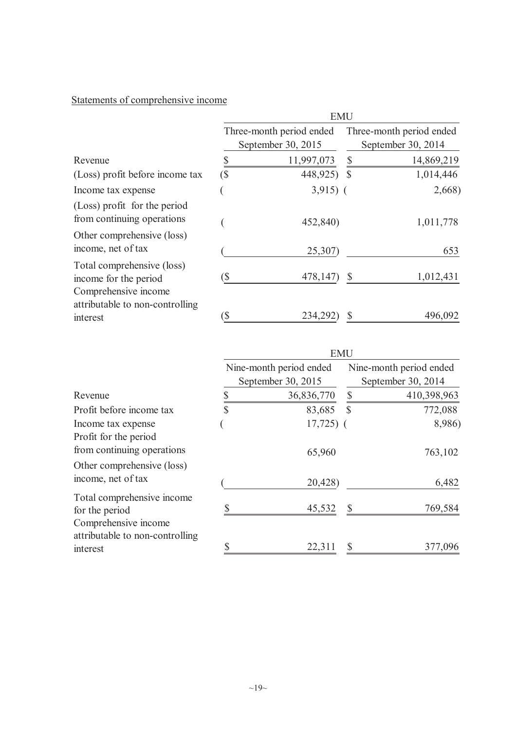### Statements of comprehensive income

|                                                                             | <b>EMU</b>                                     |             |                                                |            |  |
|-----------------------------------------------------------------------------|------------------------------------------------|-------------|------------------------------------------------|------------|--|
|                                                                             | Three-month period ended<br>September 30, 2015 |             | Three-month period ended<br>September 30, 2014 |            |  |
| Revenue                                                                     |                                                | 11,997,073  | \$                                             | 14,869,219 |  |
| (Loss) profit before income tax                                             | <u>์</u> \$                                    | 448,925) \$ |                                                | 1,014,446  |  |
| Income tax expense                                                          |                                                | $3,915)$ (  |                                                | 2,668)     |  |
| (Loss) profit for the period<br>from continuing operations                  |                                                | 452,840)    |                                                | 1,011,778  |  |
| Other comprehensive (loss)<br>income, net of tax                            |                                                | 25,307      |                                                | 653        |  |
| Total comprehensive (loss)<br>income for the period<br>Comprehensive income |                                                | 478,147)    |                                                | 1,012,431  |  |
| attributable to non-controlling<br>interest                                 |                                                | 234,29      |                                                | 496,092    |  |

|                                 | <b>EMU</b>              |                    |               |                         |
|---------------------------------|-------------------------|--------------------|---------------|-------------------------|
|                                 | Nine-month period ended |                    |               | Nine-month period ended |
|                                 |                         | September 30, 2015 |               | September 30, 2014      |
| Revenue                         |                         | 36,836,770         | \$            | 410,398,963             |
| Profit before income tax        | \$                      | 83,685             | $\mathcal{S}$ | 772,088                 |
| Income tax expense              |                         | $17,725$ (         |               | 8,986)                  |
| Profit for the period           |                         |                    |               |                         |
| from continuing operations      |                         | 65,960             |               | 763,102                 |
| Other comprehensive (loss)      |                         |                    |               |                         |
| income, net of tax              |                         | 20,428             |               | 6,482                   |
| Total comprehensive income      |                         |                    |               |                         |
| for the period                  |                         | 45,532             |               | 769,584                 |
| Comprehensive income            |                         |                    |               |                         |
| attributable to non-controlling |                         |                    |               |                         |
| interest                        |                         | 22,311             |               | 377,096                 |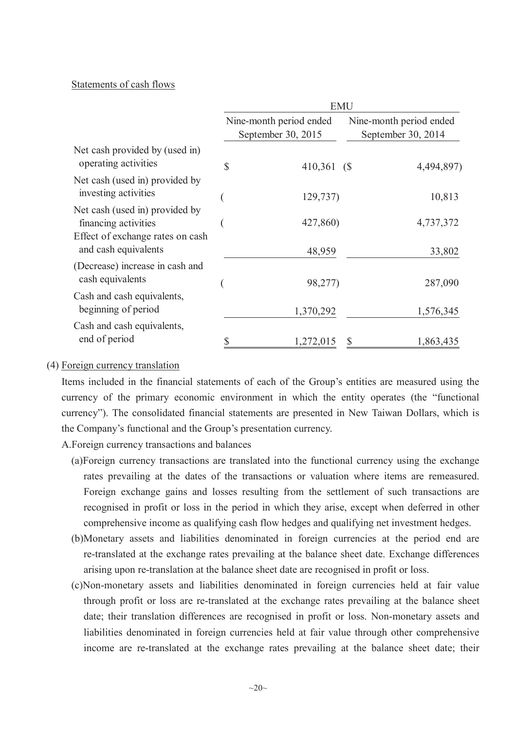#### Statements of cash flows

|                                                                                            | <b>EMU</b>              |                    |                         |  |
|--------------------------------------------------------------------------------------------|-------------------------|--------------------|-------------------------|--|
|                                                                                            | Nine-month period ended |                    | Nine-month period ended |  |
|                                                                                            |                         | September 30, 2015 | September 30, 2014      |  |
| Net cash provided by (used in)<br>operating activities                                     | $\mathcal{S}$           | 410,361 (\$        | 4,494,897)              |  |
| Net cash (used in) provided by<br>investing activities                                     |                         | 129,737            | 10,813                  |  |
| Net cash (used in) provided by<br>financing activities<br>Effect of exchange rates on cash |                         | 427,860)           | 4,737,372               |  |
| and cash equivalents                                                                       |                         | 48,959             | 33,802                  |  |
| (Decrease) increase in cash and<br>cash equivalents                                        |                         | 98,277)            | 287,090                 |  |
| Cash and cash equivalents,<br>beginning of period                                          |                         | 1,370,292          | 1,576,345               |  |
| Cash and cash equivalents,                                                                 |                         |                    |                         |  |
| end of period                                                                              |                         | 1,272,015          | 1,863,435               |  |

#### (4) Foreign currency translation

Items included in the financial statements of each of the Group's entities are measured using the currency of the primary economic environment in which the entity operates (the "functional currency"). The consolidated financial statements are presented in New Taiwan Dollars, which is the Company's functional and the Group's presentation currency.

- A.Foreign currency transactions and balances
	- (a)Foreign currency transactions are translated into the functional currency using the exchange rates prevailing at the dates of the transactions or valuation where items are remeasured. Foreign exchange gains and losses resulting from the settlement of such transactions are recognised in profit or loss in the period in which they arise, except when deferred in other comprehensive income as qualifying cash flow hedges and qualifying net investment hedges.
	- (b)Monetary assets and liabilities denominated in foreign currencies at the period end are re-translated at the exchange rates prevailing at the balance sheet date. Exchange differences arising upon re-translation at the balance sheet date are recognised in profit or loss.
	- (c)Non-monetary assets and liabilities denominated in foreign currencies held at fair value through profit or loss are re-translated at the exchange rates prevailing at the balance sheet date; their translation differences are recognised in profit or loss. Non-monetary assets and liabilities denominated in foreign currencies held at fair value through other comprehensive income are re-translated at the exchange rates prevailing at the balance sheet date; their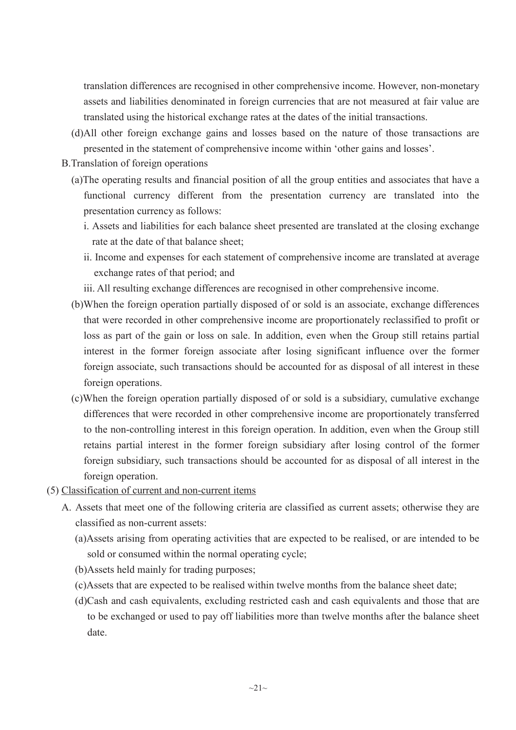translation differences are recognised in other comprehensive income. However, non-monetary assets and liabilities denominated in foreign currencies that are not measured at fair value are translated using the historical exchange rates at the dates of the initial transactions.

- (d)All other foreign exchange gains and losses based on the nature of those transactions are presented in the statement of comprehensive income within 'other gains and losses'.
- B.Translation of foreign operations
	- (a)The operating results and financial position of all the group entities and associates that have a functional currency different from the presentation currency are translated into the presentation currency as follows:
		- i. Assets and liabilities for each balance sheet presented are translated at the closing exchange rate at the date of that balance sheet;
		- ii. Income and expenses for each statement of comprehensive income are translated at average exchange rates of that period; and
		- iii. All resulting exchange differences are recognised in other comprehensive income.
	- (b)When the foreign operation partially disposed of or sold is an associate, exchange differences that were recorded in other comprehensive income are proportionately reclassified to profit or loss as part of the gain or loss on sale. In addition, even when the Group still retains partial interest in the former foreign associate after losing significant influence over the former foreign associate, such transactions should be accounted for as disposal of all interest in these foreign operations.
	- (c)When the foreign operation partially disposed of or sold is a subsidiary, cumulative exchange differences that were recorded in other comprehensive income are proportionately transferred to the non-controlling interest in this foreign operation. In addition, even when the Group still retains partial interest in the former foreign subsidiary after losing control of the former foreign subsidiary, such transactions should be accounted for as disposal of all interest in the foreign operation.
- (5) Classification of current and non-current items
	- A. Assets that meet one of the following criteria are classified as current assets; otherwise they are classified as non-current assets:
		- (a)Assets arising from operating activities that are expected to be realised, or are intended to be sold or consumed within the normal operating cycle;
		- (b)Assets held mainly for trading purposes;
		- (c)Assets that are expected to be realised within twelve months from the balance sheet date;
		- (d)Cash and cash equivalents, excluding restricted cash and cash equivalents and those that are to be exchanged or used to pay off liabilities more than twelve months after the balance sheet date.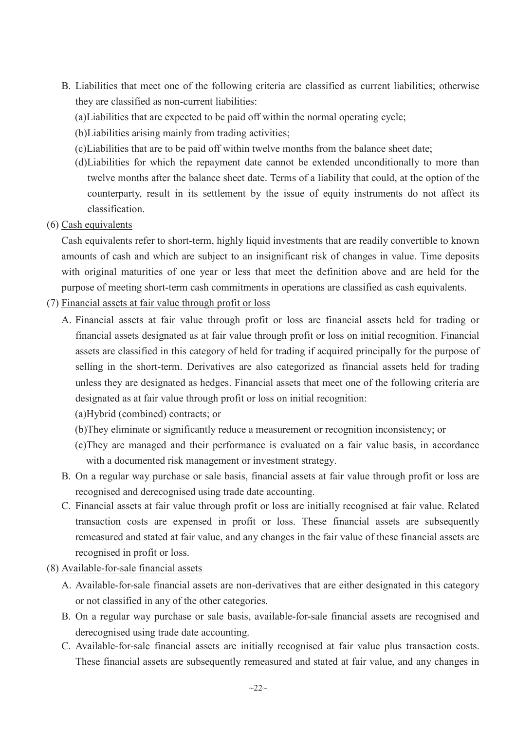- B. Liabilities that meet one of the following criteria are classified as current liabilities; otherwise they are classified as non-current liabilities:
	- (a)Liabilities that are expected to be paid off within the normal operating cycle;
	- (b)Liabilities arising mainly from trading activities;
	- (c)Liabilities that are to be paid off within twelve months from the balance sheet date;
	- (d)Liabilities for which the repayment date cannot be extended unconditionally to more than twelve months after the balance sheet date. Terms of a liability that could, at the option of the counterparty, result in its settlement by the issue of equity instruments do not affect its classification.
- (6) Cash equivalents

Cash equivalents refer to short-term, highly liquid investments that are readily convertible to known amounts of cash and which are subject to an insignificant risk of changes in value. Time deposits with original maturities of one year or less that meet the definition above and are held for the purpose of meeting short-term cash commitments in operations are classified as cash equivalents.

- (7) Financial assets at fair value through profit or loss
	- A. Financial assets at fair value through profit or loss are financial assets held for trading or financial assets designated as at fair value through profit or loss on initial recognition. Financial assets are classified in this category of held for trading if acquired principally for the purpose of selling in the short-term. Derivatives are also categorized as financial assets held for trading unless they are designated as hedges. Financial assets that meet one of the following criteria are designated as at fair value through profit or loss on initial recognition:
		- (a)Hybrid (combined) contracts; or
		- (b)They eliminate or significantly reduce a measurement or recognition inconsistency; or
		- (c)They are managed and their performance is evaluated on a fair value basis, in accordance with a documented risk management or investment strategy.
	- B. On a regular way purchase or sale basis, financial assets at fair value through profit or loss are recognised and derecognised using trade date accounting.
	- C. Financial assets at fair value through profit or loss are initially recognised at fair value. Related transaction costs are expensed in profit or loss. These financial assets are subsequently remeasured and stated at fair value, and any changes in the fair value of these financial assets are recognised in profit or loss.
- (8) Available-for-sale financial assets
	- A. Available-for-sale financial assets are non-derivatives that are either designated in this category or not classified in any of the other categories.
	- B. On a regular way purchase or sale basis, available-for-sale financial assets are recognised and derecognised using trade date accounting.
	- C. Available-for-sale financial assets are initially recognised at fair value plus transaction costs. These financial assets are subsequently remeasured and stated at fair value, and any changes in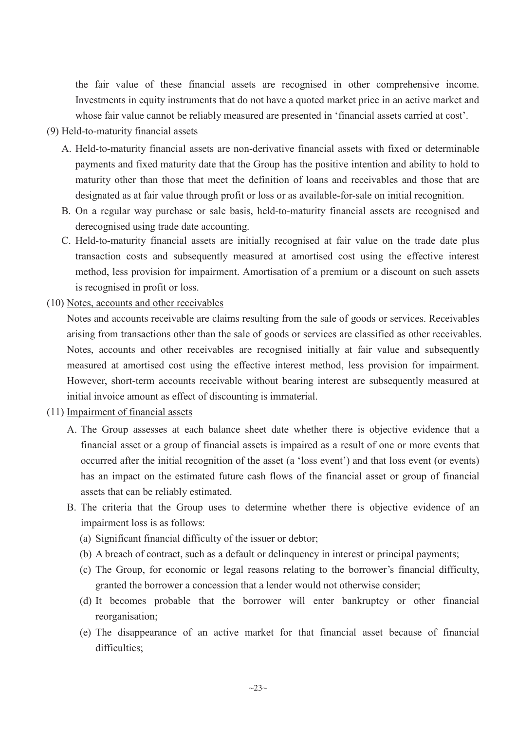the fair value of these financial assets are recognised in other comprehensive income. Investments in equity instruments that do not have a quoted market price in an active market and whose fair value cannot be reliably measured are presented in 'financial assets carried at cost'.

#### (9) Held-to-maturity financial assets

- A. Held-to-maturity financial assets are non-derivative financial assets with fixed or determinable payments and fixed maturity date that the Group has the positive intention and ability to hold to maturity other than those that meet the definition of loans and receivables and those that are designated as at fair value through profit or loss or as available-for-sale on initial recognition.
- B. On a regular way purchase or sale basis, held-to-maturity financial assets are recognised and derecognised using trade date accounting.
- C. Held-to-maturity financial assets are initially recognised at fair value on the trade date plus transaction costs and subsequently measured at amortised cost using the effective interest method, less provision for impairment. Amortisation of a premium or a discount on such assets is recognised in profit or loss.
- (10) Notes, accounts and other receivables

Notes and accounts receivable are claims resulting from the sale of goods or services. Receivables arising from transactions other than the sale of goods or services are classified as other receivables. Notes, accounts and other receivables are recognised initially at fair value and subsequently measured at amortised cost using the effective interest method, less provision for impairment. However, short-term accounts receivable without bearing interest are subsequently measured at initial invoice amount as effect of discounting is immaterial.

- (11) Impairment of financial assets
	- A. The Group assesses at each balance sheet date whether there is objective evidence that a financial asset or a group of financial assets is impaired as a result of one or more events that occurred after the initial recognition of the asset (a 'loss event') and that loss event (or events) has an impact on the estimated future cash flows of the financial asset or group of financial assets that can be reliably estimated.
	- B. The criteria that the Group uses to determine whether there is objective evidence of an impairment loss is as follows:
		- (a) Significant financial difficulty of the issuer or debtor;
		- (b) A breach of contract, such as a default or delinquency in interest or principal payments;
		- (c) The Group, for economic or legal reasons relating to the borrower's financial difficulty, granted the borrower a concession that a lender would not otherwise consider;
		- (d) It becomes probable that the borrower will enter bankruptcy or other financial reorganisation;
		- (e) The disappearance of an active market for that financial asset because of financial difficulties: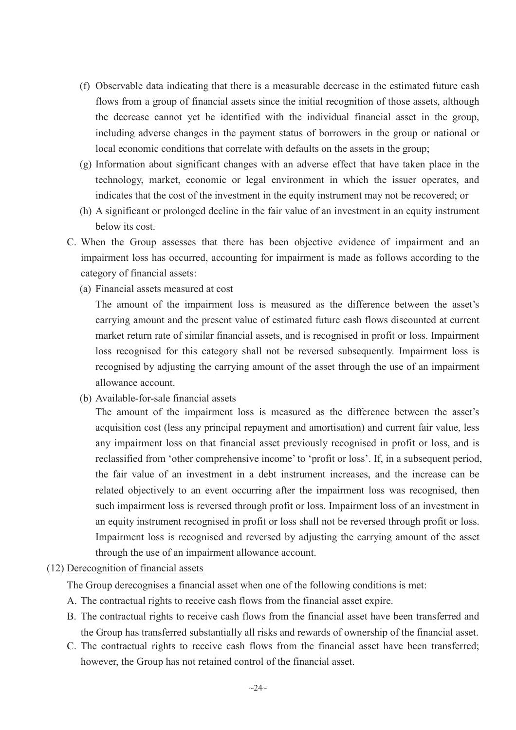- (f) Observable data indicating that there is a measurable decrease in the estimated future cash flows from a group of financial assets since the initial recognition of those assets, although the decrease cannot yet be identified with the individual financial asset in the group, including adverse changes in the payment status of borrowers in the group or national or local economic conditions that correlate with defaults on the assets in the group;
- (g) Information about significant changes with an adverse effect that have taken place in the technology, market, economic or legal environment in which the issuer operates, and indicates that the cost of the investment in the equity instrument may not be recovered; or
- (h) A significant or prolonged decline in the fair value of an investment in an equity instrument below its cost.
- C. When the Group assesses that there has been objective evidence of impairment and an impairment loss has occurred, accounting for impairment is made as follows according to the category of financial assets:
	- (a) Financial assets measured at cost

The amount of the impairment loss is measured as the difference between the asset's carrying amount and the present value of estimated future cash flows discounted at current market return rate of similar financial assets, and is recognised in profit or loss. Impairment loss recognised for this category shall not be reversed subsequently. Impairment loss is recognised by adjusting the carrying amount of the asset through the use of an impairment allowance account.

(b) Available-for-sale financial assets

The amount of the impairment loss is measured as the difference between the asset's acquisition cost (less any principal repayment and amortisation) and current fair value, less any impairment loss on that financial asset previously recognised in profit or loss, and is reclassified from 'other comprehensive income' to 'profit or loss'. If, in a subsequent period, the fair value of an investment in a debt instrument increases, and the increase can be related objectively to an event occurring after the impairment loss was recognised, then such impairment loss is reversed through profit or loss. Impairment loss of an investment in an equity instrument recognised in profit or loss shall not be reversed through profit or loss. Impairment loss is recognised and reversed by adjusting the carrying amount of the asset through the use of an impairment allowance account.

#### (12) Derecognition of financial assets

The Group derecognises a financial asset when one of the following conditions is met:

- A. The contractual rights to receive cash flows from the financial asset expire.
- B. The contractual rights to receive cash flows from the financial asset have been transferred and the Group has transferred substantially all risks and rewards of ownership of the financial asset.
- C. The contractual rights to receive cash flows from the financial asset have been transferred; however, the Group has not retained control of the financial asset.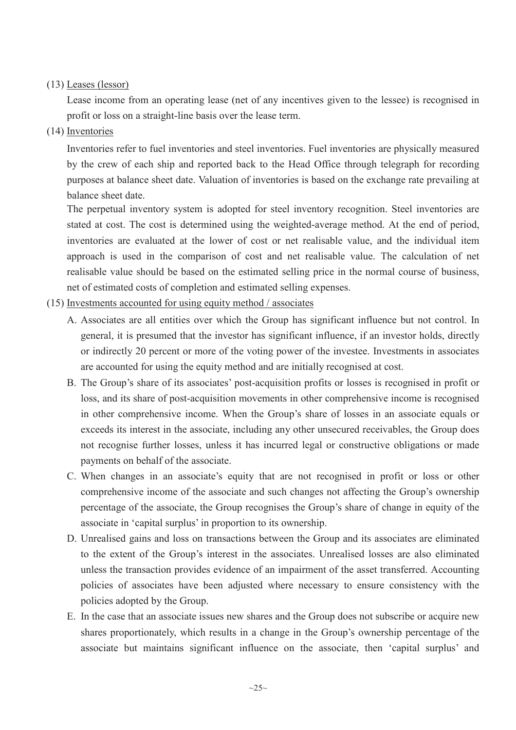#### (13) Leases (lessor)

Lease income from an operating lease (net of any incentives given to the lessee) is recognised in profit or loss on a straight-line basis over the lease term.

(14) Inventories

Inventories refer to fuel inventories and steel inventories. Fuel inventories are physically measured by the crew of each ship and reported back to the Head Office through telegraph for recording purposes at balance sheet date. Valuation of inventories is based on the exchange rate prevailing at balance sheet date.

The perpetual inventory system is adopted for steel inventory recognition. Steel inventories are stated at cost. The cost is determined using the weighted-average method. At the end of period, inventories are evaluated at the lower of cost or net realisable value, and the individual item approach is used in the comparison of cost and net realisable value. The calculation of net realisable value should be based on the estimated selling price in the normal course of business, net of estimated costs of completion and estimated selling expenses.

- (15) Investments accounted for using equity method / associates
	- A. Associates are all entities over which the Group has significant influence but not control. In general, it is presumed that the investor has significant influence, if an investor holds, directly or indirectly 20 percent or more of the voting power of the investee. Investments in associates are accounted for using the equity method and are initially recognised at cost.
	- B. The Group's share of its associates' post-acquisition profits or losses is recognised in profit or loss, and its share of post-acquisition movements in other comprehensive income is recognised in other comprehensive income. When the Group's share of losses in an associate equals or exceeds its interest in the associate, including any other unsecured receivables, the Group does not recognise further losses, unless it has incurred legal or constructive obligations or made payments on behalf of the associate.
	- C. When changes in an associate's equity that are not recognised in profit or loss or other comprehensive income of the associate and such changes not affecting the Group's ownership percentage of the associate, the Group recognises the Group's share of change in equity of the associate in 'capital surplus' in proportion to its ownership.
	- D. Unrealised gains and loss on transactions between the Group and its associates are eliminated to the extent of the Group's interest in the associates. Unrealised losses are also eliminated unless the transaction provides evidence of an impairment of the asset transferred. Accounting policies of associates have been adjusted where necessary to ensure consistency with the policies adopted by the Group.
	- E. In the case that an associate issues new shares and the Group does not subscribe or acquire new shares proportionately, which results in a change in the Group's ownership percentage of the associate but maintains significant influence on the associate, then 'capital surplus' and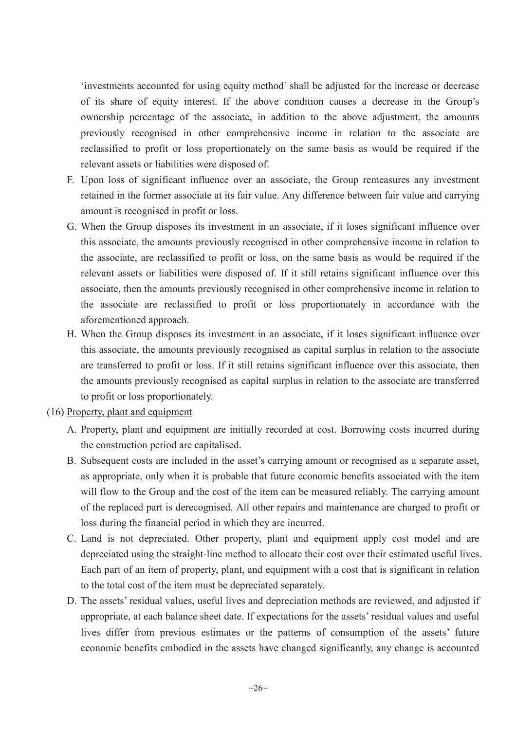'investments accounted for using equity method' shall be adjusted for the increase or decrease of its share of equity interest. If the above condition causes a decrease in the Group's ownership percentage of the associate, in addition to the above adjustment, the amounts previously recognised in other comprehensive income in relation to the associate are reclassified to profit or loss proportionately on the same basis as would be required if the relevant assets or liabilities were disposed of.

- F. Upon loss of significant influence over an associate, the Group remeasures any investment retained in the former associate at its fair value. Any difference between fair value and carrying amount is recognised in profit or loss.
- G. When the Group disposes its investment in an associate, if it loses significant influence over this associate, the amounts previously recognised in other comprehensive income in relation to the associate, are reclassified to profit or loss, on the same basis as would be required if the relevant assets or liabilities were disposed of. If it still retains significant influence over this associate, then the amounts previously recognised in other comprehensive income in relation to the associate are reclassified to profit or loss proportionately in accordance with the aforementioned approach.
- H. When the Group disposes its investment in an associate, if it loses significant influence over this associate, the amounts previously recognised as capital surplus in relation to the associate are transferred to profit or loss. If it still retains significant influence over this associate, then the amounts previously recognised as capital surplus in relation to the associate are transferred to profit or loss proportionately.
- (16) Property, plant and equipment
	- A. Property, plant and equipment are initially recorded at cost. Borrowing costs incurred during the construction period are capitalised.
	- B. Subsequent costs are included in the asset's carrying amount or recognised as a separate asset, as appropriate, only when it is probable that future economic benefits associated with the item will flow to the Group and the cost of the item can be measured reliably. The carrying amount of the replaced part is derecognised. All other repairs and maintenance are charged to profit or loss during the financial period in which they are incurred.
	- C. Land is not depreciated. Other property, plant and equipment apply cost model and are depreciated using the straight-line method to allocate their cost over their estimated useful lives. Each part of an item of property, plant, and equipment with a cost that is significant in relation to the total cost of the item must be depreciated separately.
	- D. The assets' residual values, useful lives and depreciation methods are reviewed, and adjusted if appropriate, at each balance sheet date. If expectations for the assets' residual values and useful lives differ from previous estimates or the patterns of consumption of the assets' future economic benefits embodied in the assets have changed significantly, any change is accounted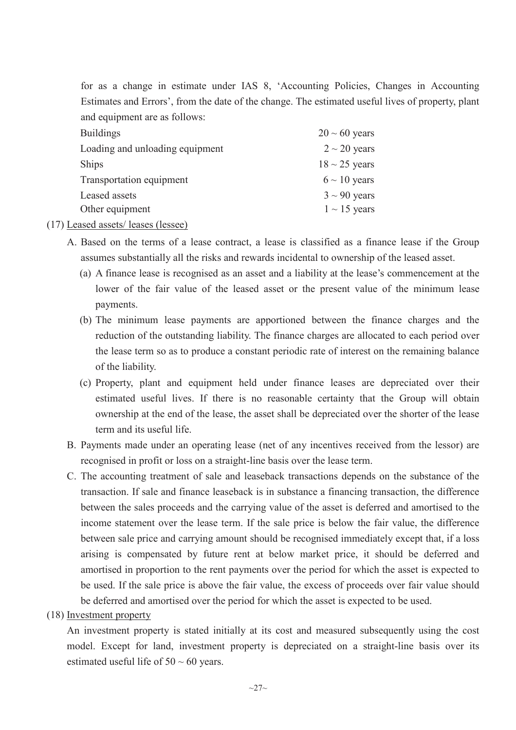for as a change in estimate under IAS 8, 'Accounting Policies, Changes in Accounting Estimates and Errors', from the date of the change. The estimated useful lives of property, plant and equipment are as follows:

| <b>Buildings</b>                | $20 \sim 60$ years |
|---------------------------------|--------------------|
| Loading and unloading equipment | $2 \sim 20$ years  |
| <b>Ships</b>                    | $18 \sim 25$ years |
| Transportation equipment        | $6 \sim 10$ years  |
| Leased assets                   | $3 \sim 90$ years  |
| Other equipment                 | $1 \sim 15$ years  |
| $\blacksquare$                  |                    |

(17) Leased assets/ leases (lessee)

- A. Based on the terms of a lease contract, a lease is classified as a finance lease if the Group assumes substantially all the risks and rewards incidental to ownership of the leased asset.
	- (a) A finance lease is recognised as an asset and a liability at the lease's commencement at the lower of the fair value of the leased asset or the present value of the minimum lease payments.
	- (b) The minimum lease payments are apportioned between the finance charges and the reduction of the outstanding liability. The finance charges are allocated to each period over the lease term so as to produce a constant periodic rate of interest on the remaining balance of the liability.
	- (c) Property, plant and equipment held under finance leases are depreciated over their estimated useful lives. If there is no reasonable certainty that the Group will obtain ownership at the end of the lease, the asset shall be depreciated over the shorter of the lease term and its useful life.
- B. Payments made under an operating lease (net of any incentives received from the lessor) are recognised in profit or loss on a straight-line basis over the lease term.
- C. The accounting treatment of sale and leaseback transactions depends on the substance of the transaction. If sale and finance leaseback is in substance a financing transaction, the difference between the sales proceeds and the carrying value of the asset is deferred and amortised to the income statement over the lease term. If the sale price is below the fair value, the difference between sale price and carrying amount should be recognised immediately except that, if a loss arising is compensated by future rent at below market price, it should be deferred and amortised in proportion to the rent payments over the period for which the asset is expected to be used. If the sale price is above the fair value, the excess of proceeds over fair value should be deferred and amortised over the period for which the asset is expected to be used.
- (18) Investment property

An investment property is stated initially at its cost and measured subsequently using the cost model. Except for land, investment property is depreciated on a straight-line basis over its estimated useful life of  $50 \sim 60$  years.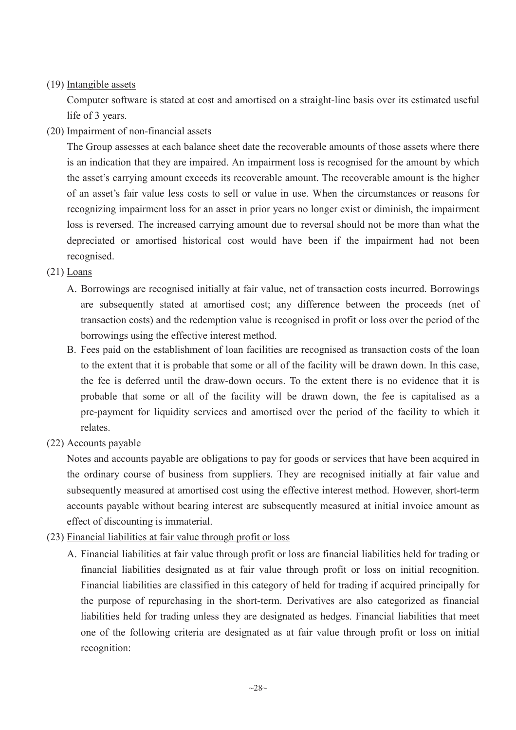#### (19) Intangible assets

Computer software is stated at cost and amortised on a straight-line basis over its estimated useful life of 3 years.

#### (20) Impairment of non-financial assets

The Group assesses at each balance sheet date the recoverable amounts of those assets where there is an indication that they are impaired. An impairment loss is recognised for the amount by which the asset's carrying amount exceeds its recoverable amount. The recoverable amount is the higher of an asset's fair value less costs to sell or value in use. When the circumstances or reasons for recognizing impairment loss for an asset in prior years no longer exist or diminish, the impairment loss is reversed. The increased carrying amount due to reversal should not be more than what the depreciated or amortised historical cost would have been if the impairment had not been recognised.

#### (21) Loans

- A. Borrowings are recognised initially at fair value, net of transaction costs incurred. Borrowings are subsequently stated at amortised cost; any difference between the proceeds (net of transaction costs) and the redemption value is recognised in profit or loss over the period of the borrowings using the effective interest method.
- B. Fees paid on the establishment of loan facilities are recognised as transaction costs of the loan to the extent that it is probable that some or all of the facility will be drawn down. In this case, the fee is deferred until the draw-down occurs. To the extent there is no evidence that it is probable that some or all of the facility will be drawn down, the fee is capitalised as a pre-payment for liquidity services and amortised over the period of the facility to which it relates.
- (22) Accounts payable

Notes and accounts payable are obligations to pay for goods or services that have been acquired in the ordinary course of business from suppliers. They are recognised initially at fair value and subsequently measured at amortised cost using the effective interest method. However, short-term accounts payable without bearing interest are subsequently measured at initial invoice amount as effect of discounting is immaterial.

- (23) Financial liabilities at fair value through profit or loss
	- A. Financial liabilities at fair value through profit or loss are financial liabilities held for trading or financial liabilities designated as at fair value through profit or loss on initial recognition. Financial liabilities are classified in this category of held for trading if acquired principally for the purpose of repurchasing in the short-term. Derivatives are also categorized as financial liabilities held for trading unless they are designated as hedges. Financial liabilities that meet one of the following criteria are designated as at fair value through profit or loss on initial recognition: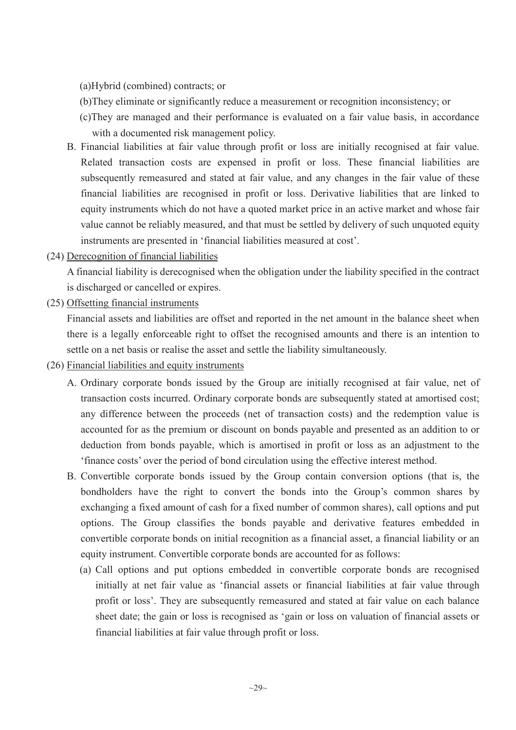(a)Hybrid (combined) contracts; or

- (b)They eliminate or significantly reduce a measurement or recognition inconsistency; or
- (c)They are managed and their performance is evaluated on a fair value basis, in accordance with a documented risk management policy.
- B. Financial liabilities at fair value through profit or loss are initially recognised at fair value. Related transaction costs are expensed in profit or loss. These financial liabilities are subsequently remeasured and stated at fair value, and any changes in the fair value of these financial liabilities are recognised in profit or loss. Derivative liabilities that are linked to equity instruments which do not have a quoted market price in an active market and whose fair value cannot be reliably measured, and that must be settled by delivery of such unquoted equity instruments are presented in 'financial liabilities measured at cost'.
- (24) Derecognition of financial liabilities

A financial liability is derecognised when the obligation under the liability specified in the contract is discharged or cancelled or expires.

(25) Offsetting financial instruments

Financial assets and liabilities are offset and reported in the net amount in the balance sheet when there is a legally enforceable right to offset the recognised amounts and there is an intention to settle on a net basis or realise the asset and settle the liability simultaneously.

- (26) Financial liabilities and equity instruments
	- A. Ordinary corporate bonds issued by the Group are initially recognised at fair value, net of transaction costs incurred. Ordinary corporate bonds are subsequently stated at amortised cost; any difference between the proceeds (net of transaction costs) and the redemption value is accounted for as the premium or discount on bonds payable and presented as an addition to or deduction from bonds payable, which is amortised in profit or loss as an adjustment to the 'finance costs' over the period of bond circulation using the effective interest method.
	- B. Convertible corporate bonds issued by the Group contain conversion options (that is, the bondholders have the right to convert the bonds into the Group's common shares by exchanging a fixed amount of cash for a fixed number of common shares), call options and put options. The Group classifies the bonds payable and derivative features embedded in convertible corporate bonds on initial recognition as a financial asset, a financial liability or an equity instrument. Convertible corporate bonds are accounted for as follows:
		- (a) Call options and put options embedded in convertible corporate bonds are recognised initially at net fair value as 'financial assets or financial liabilities at fair value through profit or loss'. They are subsequently remeasured and stated at fair value on each balance sheet date; the gain or loss is recognised as 'gain or loss on valuation of financial assets or financial liabilities at fair value through profit or loss.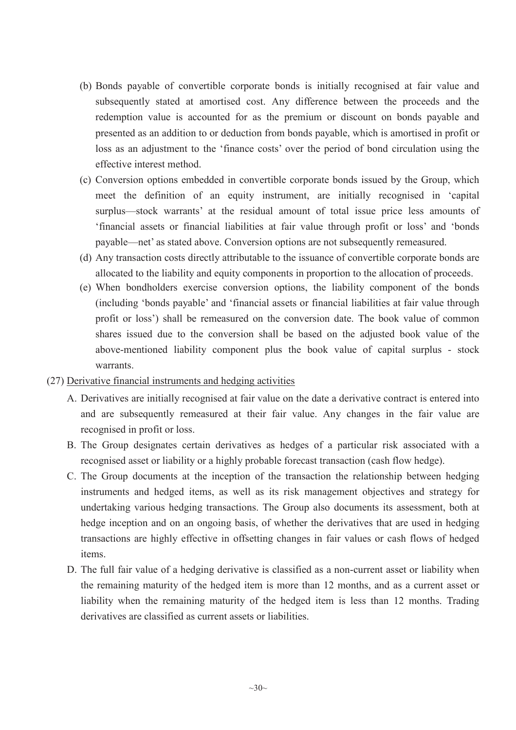- (b) Bonds payable of convertible corporate bonds is initially recognised at fair value and subsequently stated at amortised cost. Any difference between the proceeds and the redemption value is accounted for as the premium or discount on bonds payable and presented as an addition to or deduction from bonds payable, which is amortised in profit or loss as an adjustment to the 'finance costs' over the period of bond circulation using the effective interest method.
- (c) Conversion options embedded in convertible corporate bonds issued by the Group, which meet the definition of an equity instrument, are initially recognised in 'capital surplus—stock warrants' at the residual amount of total issue price less amounts of 'financial assets or financial liabilities at fair value through profit or loss' and 'bonds payable—net' as stated above. Conversion options are not subsequently remeasured.
- (d) Any transaction costs directly attributable to the issuance of convertible corporate bonds are allocated to the liability and equity components in proportion to the allocation of proceeds.
- (e) When bondholders exercise conversion options, the liability component of the bonds (including 'bonds payable' and 'financial assets or financial liabilities at fair value through profit or loss') shall be remeasured on the conversion date. The book value of common shares issued due to the conversion shall be based on the adjusted book value of the above-mentioned liability component plus the book value of capital surplus - stock warrants.
- (27) Derivative financial instruments and hedging activities
	- A. Derivatives are initially recognised at fair value on the date a derivative contract is entered into and are subsequently remeasured at their fair value. Any changes in the fair value are recognised in profit or loss.
	- B. The Group designates certain derivatives as hedges of a particular risk associated with a recognised asset or liability or a highly probable forecast transaction (cash flow hedge).
	- C. The Group documents at the inception of the transaction the relationship between hedging instruments and hedged items, as well as its risk management objectives and strategy for undertaking various hedging transactions. The Group also documents its assessment, both at hedge inception and on an ongoing basis, of whether the derivatives that are used in hedging transactions are highly effective in offsetting changes in fair values or cash flows of hedged items.
	- D. The full fair value of a hedging derivative is classified as a non-current asset or liability when the remaining maturity of the hedged item is more than 12 months, and as a current asset or liability when the remaining maturity of the hedged item is less than 12 months. Trading derivatives are classified as current assets or liabilities.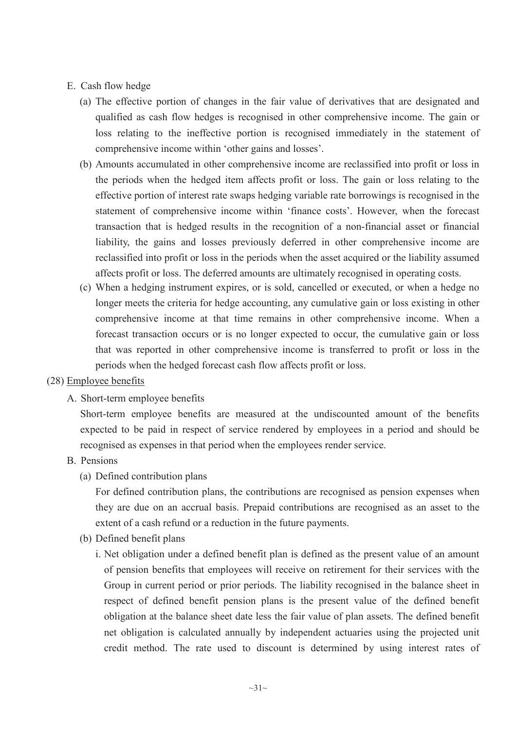#### E. Cash flow hedge

- (a) The effective portion of changes in the fair value of derivatives that are designated and qualified as cash flow hedges is recognised in other comprehensive income. The gain or loss relating to the ineffective portion is recognised immediately in the statement of comprehensive income within 'other gains and losses'.
- (b) Amounts accumulated in other comprehensive income are reclassified into profit or loss in the periods when the hedged item affects profit or loss. The gain or loss relating to the effective portion of interest rate swaps hedging variable rate borrowings is recognised in the statement of comprehensive income within 'finance costs'. However, when the forecast transaction that is hedged results in the recognition of a non-financial asset or financial liability, the gains and losses previously deferred in other comprehensive income are reclassified into profit or loss in the periods when the asset acquired or the liability assumed affects profit or loss. The deferred amounts are ultimately recognised in operating costs.
- (c) When a hedging instrument expires, or is sold, cancelled or executed, or when a hedge no longer meets the criteria for hedge accounting, any cumulative gain or loss existing in other comprehensive income at that time remains in other comprehensive income. When a forecast transaction occurs or is no longer expected to occur, the cumulative gain or loss that was reported in other comprehensive income is transferred to profit or loss in the periods when the hedged forecast cash flow affects profit or loss.

#### (28) Employee benefits

#### A. Short-term employee benefits

Short-term employee benefits are measured at the undiscounted amount of the benefits expected to be paid in respect of service rendered by employees in a period and should be recognised as expenses in that period when the employees render service.

#### B. Pensions

(a) Defined contribution plans

For defined contribution plans, the contributions are recognised as pension expenses when they are due on an accrual basis. Prepaid contributions are recognised as an asset to the extent of a cash refund or a reduction in the future payments.

- (b) Defined benefit plans
	- i. Net obligation under a defined benefit plan is defined as the present value of an amount of pension benefits that employees will receive on retirement for their services with the Group in current period or prior periods. The liability recognised in the balance sheet in respect of defined benefit pension plans is the present value of the defined benefit obligation at the balance sheet date less the fair value of plan assets. The defined benefit net obligation is calculated annually by independent actuaries using the projected unit credit method. The rate used to discount is determined by using interest rates of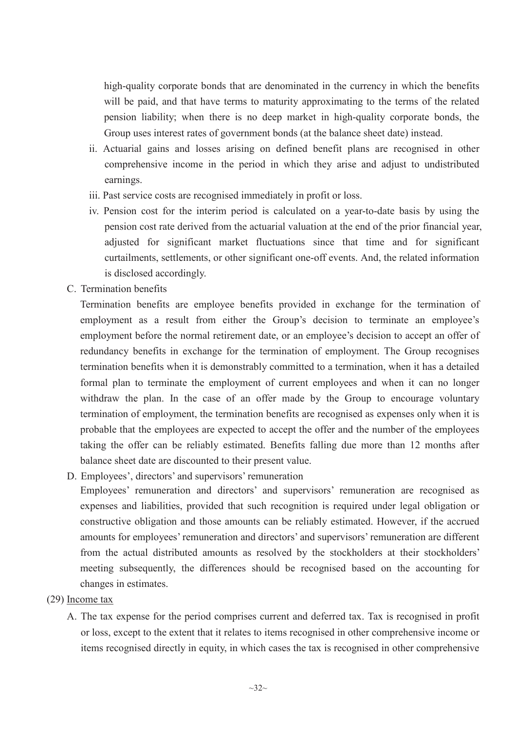high-quality corporate bonds that are denominated in the currency in which the benefits will be paid, and that have terms to maturity approximating to the terms of the related pension liability; when there is no deep market in high-quality corporate bonds, the Group uses interest rates of government bonds (at the balance sheet date) instead.

- ii. Actuarial gains and losses arising on defined benefit plans are recognised in other comprehensive income in the period in which they arise and adjust to undistributed earnings.
- iii. Past service costs are recognised immediately in profit or loss.
- iv. Pension cost for the interim period is calculated on a year-to-date basis by using the pension cost rate derived from the actuarial valuation at the end of the prior financial year, adjusted for significant market fluctuations since that time and for significant curtailments, settlements, or other significant one-off events. And, the related information is disclosed accordingly.
- C. Termination benefits

Termination benefits are employee benefits provided in exchange for the termination of employment as a result from either the Group's decision to terminate an employee's employment before the normal retirement date, or an employee's decision to accept an offer of redundancy benefits in exchange for the termination of employment. The Group recognises termination benefits when it is demonstrably committed to a termination, when it has a detailed formal plan to terminate the employment of current employees and when it can no longer withdraw the plan. In the case of an offer made by the Group to encourage voluntary termination of employment, the termination benefits are recognised as expenses only when it is probable that the employees are expected to accept the offer and the number of the employees taking the offer can be reliably estimated. Benefits falling due more than 12 months after balance sheet date are discounted to their present value.

D. Employees', directors' and supervisors' remuneration

Employees' remuneration and directors' and supervisors' remuneration are recognised as expenses and liabilities, provided that such recognition is required under legal obligation or constructive obligation and those amounts can be reliably estimated. However, if the accrued amounts for employees' remuneration and directors' and supervisors' remuneration are different from the actual distributed amounts as resolved by the stockholders at their stockholders' meeting subsequently, the differences should be recognised based on the accounting for changes in estimates.

- (29) Income tax
	- A. The tax expense for the period comprises current and deferred tax. Tax is recognised in profit or loss, except to the extent that it relates to items recognised in other comprehensive income or items recognised directly in equity, in which cases the tax is recognised in other comprehensive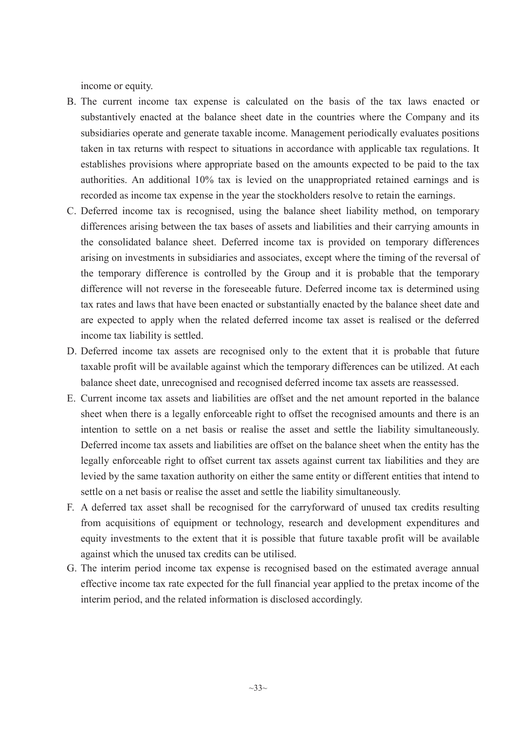income or equity.

- B. The current income tax expense is calculated on the basis of the tax laws enacted or substantively enacted at the balance sheet date in the countries where the Company and its subsidiaries operate and generate taxable income. Management periodically evaluates positions taken in tax returns with respect to situations in accordance with applicable tax regulations. It establishes provisions where appropriate based on the amounts expected to be paid to the tax authorities. An additional 10% tax is levied on the unappropriated retained earnings and is recorded as income tax expense in the year the stockholders resolve to retain the earnings.
- C. Deferred income tax is recognised, using the balance sheet liability method, on temporary differences arising between the tax bases of assets and liabilities and their carrying amounts in the consolidated balance sheet. Deferred income tax is provided on temporary differences arising on investments in subsidiaries and associates, except where the timing of the reversal of the temporary difference is controlled by the Group and it is probable that the temporary difference will not reverse in the foreseeable future. Deferred income tax is determined using tax rates and laws that have been enacted or substantially enacted by the balance sheet date and are expected to apply when the related deferred income tax asset is realised or the deferred income tax liability is settled.
- D. Deferred income tax assets are recognised only to the extent that it is probable that future taxable profit will be available against which the temporary differences can be utilized. At each balance sheet date, unrecognised and recognised deferred income tax assets are reassessed.
- E. Current income tax assets and liabilities are offset and the net amount reported in the balance sheet when there is a legally enforceable right to offset the recognised amounts and there is an intention to settle on a net basis or realise the asset and settle the liability simultaneously. Deferred income tax assets and liabilities are offset on the balance sheet when the entity has the legally enforceable right to offset current tax assets against current tax liabilities and they are levied by the same taxation authority on either the same entity or different entities that intend to settle on a net basis or realise the asset and settle the liability simultaneously.
- F. A deferred tax asset shall be recognised for the carryforward of unused tax credits resulting from acquisitions of equipment or technology, research and development expenditures and equity investments to the extent that it is possible that future taxable profit will be available against which the unused tax credits can be utilised.
- G. The interim period income tax expense is recognised based on the estimated average annual effective income tax rate expected for the full financial year applied to the pretax income of the interim period, and the related information is disclosed accordingly.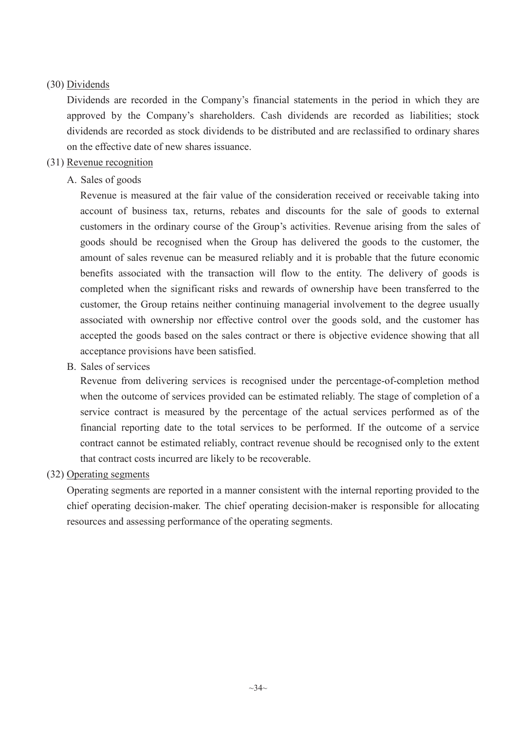#### (30) Dividends

Dividends are recorded in the Company's financial statements in the period in which they are approved by the Company's shareholders. Cash dividends are recorded as liabilities; stock dividends are recorded as stock dividends to be distributed and are reclassified to ordinary shares on the effective date of new shares issuance.

#### (31) Revenue recognition

#### A. Sales of goods

Revenue is measured at the fair value of the consideration received or receivable taking into account of business tax, returns, rebates and discounts for the sale of goods to external customers in the ordinary course of the Group's activities. Revenue arising from the sales of goods should be recognised when the Group has delivered the goods to the customer, the amount of sales revenue can be measured reliably and it is probable that the future economic benefits associated with the transaction will flow to the entity. The delivery of goods is completed when the significant risks and rewards of ownership have been transferred to the customer, the Group retains neither continuing managerial involvement to the degree usually associated with ownership nor effective control over the goods sold, and the customer has accepted the goods based on the sales contract or there is objective evidence showing that all acceptance provisions have been satisfied.

#### B. Sales of services

Revenue from delivering services is recognised under the percentage-of-completion method when the outcome of services provided can be estimated reliably. The stage of completion of a service contract is measured by the percentage of the actual services performed as of the financial reporting date to the total services to be performed. If the outcome of a service contract cannot be estimated reliably, contract revenue should be recognised only to the extent that contract costs incurred are likely to be recoverable.

#### (32) Operating segments

Operating segments are reported in a manner consistent with the internal reporting provided to the chief operating decision-maker. The chief operating decision-maker is responsible for allocating resources and assessing performance of the operating segments.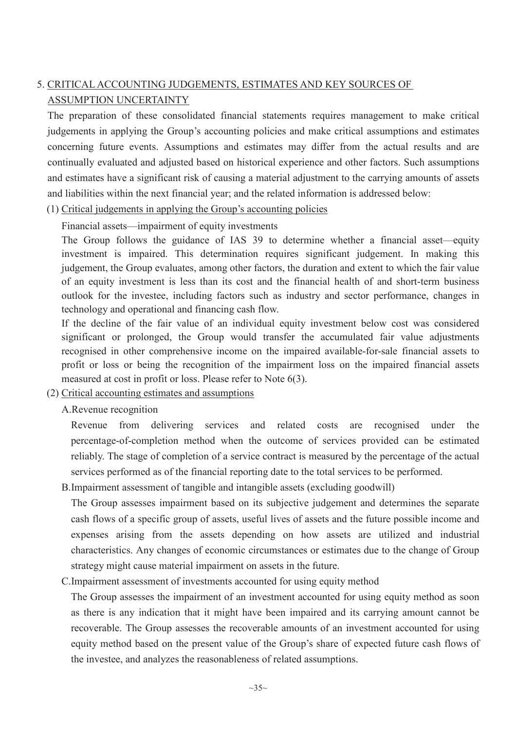## 5. CRITICAL ACCOUNTING JUDGEMENTS, ESTIMATES AND KEY SOURCES OF ASSUMPTION UNCERTAINTY

The preparation of these consolidated financial statements requires management to make critical judgements in applying the Group's accounting policies and make critical assumptions and estimates concerning future events. Assumptions and estimates may differ from the actual results and are continually evaluated and adjusted based on historical experience and other factors. Such assumptions and estimates have a significant risk of causing a material adjustment to the carrying amounts of assets and liabilities within the next financial year; and the related information is addressed below:

(1) Critical judgements in applying the Group's accounting policies

Financial assets—impairment of equity investments

The Group follows the guidance of IAS 39 to determine whether a financial asset—equity investment is impaired. This determination requires significant judgement. In making this judgement, the Group evaluates, among other factors, the duration and extent to which the fair value of an equity investment is less than its cost and the financial health of and short-term business outlook for the investee, including factors such as industry and sector performance, changes in technology and operational and financing cash flow.

If the decline of the fair value of an individual equity investment below cost was considered significant or prolonged, the Group would transfer the accumulated fair value adjustments recognised in other comprehensive income on the impaired available-for-sale financial assets to profit or loss or being the recognition of the impairment loss on the impaired financial assets measured at cost in profit or loss. Please refer to Note 6(3).

#### (2) Critical accounting estimates and assumptions

A.Revenue recognition

Revenue from delivering services and related costs are recognised under the percentage-of-completion method when the outcome of services provided can be estimated reliably. The stage of completion of a service contract is measured by the percentage of the actual services performed as of the financial reporting date to the total services to be performed.

B.Impairment assessment of tangible and intangible assets (excluding goodwill)

The Group assesses impairment based on its subjective judgement and determines the separate cash flows of a specific group of assets, useful lives of assets and the future possible income and expenses arising from the assets depending on how assets are utilized and industrial characteristics. Any changes of economic circumstances or estimates due to the change of Group strategy might cause material impairment on assets in the future.

C.Impairment assessment of investments accounted for using equity method

The Group assesses the impairment of an investment accounted for using equity method as soon as there is any indication that it might have been impaired and its carrying amount cannot be recoverable. The Group assesses the recoverable amounts of an investment accounted for using equity method based on the present value of the Group's share of expected future cash flows of the investee, and analyzes the reasonableness of related assumptions.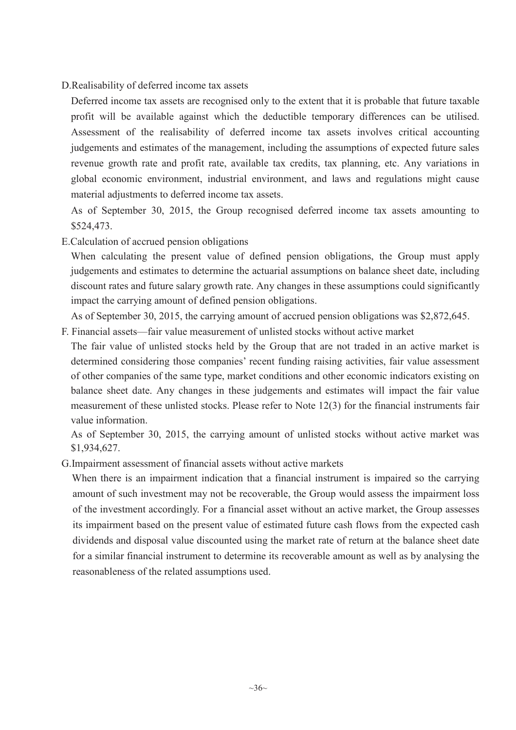D.Realisability of deferred income tax assets

Deferred income tax assets are recognised only to the extent that it is probable that future taxable profit will be available against which the deductible temporary differences can be utilised. Assessment of the realisability of deferred income tax assets involves critical accounting judgements and estimates of the management, including the assumptions of expected future sales revenue growth rate and profit rate, available tax credits, tax planning, etc. Any variations in global economic environment, industrial environment, and laws and regulations might cause material adjustments to deferred income tax assets.

As of September 30, 2015, the Group recognised deferred income tax assets amounting to \$524,473.

E.Calculation of accrued pension obligations

When calculating the present value of defined pension obligations, the Group must apply judgements and estimates to determine the actuarial assumptions on balance sheet date, including discount rates and future salary growth rate. Any changes in these assumptions could significantly impact the carrying amount of defined pension obligations.

As of September 30, 2015, the carrying amount of accrued pension obligations was \$2,872,645.

F. Financial assets—fair value measurement of unlisted stocks without active market

The fair value of unlisted stocks held by the Group that are not traded in an active market is determined considering those companies' recent funding raising activities, fair value assessment of other companies of the same type, market conditions and other economic indicators existing on balance sheet date. Any changes in these judgements and estimates will impact the fair value measurement of these unlisted stocks. Please refer to Note 12(3) for the financial instruments fair value information.

As of September 30, 2015, the carrying amount of unlisted stocks without active market was \$1,934,627.

G.Impairment assessment of financial assets without active markets

When there is an impairment indication that a financial instrument is impaired so the carrying amount of such investment may not be recoverable, the Group would assess the impairment loss of the investment accordingly. For a financial asset without an active market, the Group assesses its impairment based on the present value of estimated future cash flows from the expected cash dividends and disposal value discounted using the market rate of return at the balance sheet date for a similar financial instrument to determine its recoverable amount as well as by analysing the reasonableness of the related assumptions used.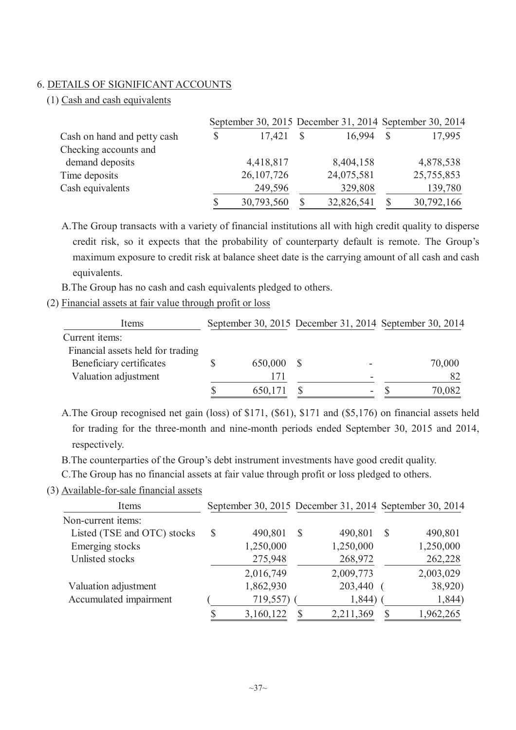## 6. DETAILS OF SIGNIFICANT ACCOUNTS

#### (1) Cash and cash equivalents

|                             |              |            |    | September 30, 2015 December 31, 2014 September 30, 2014 |
|-----------------------------|--------------|------------|----|---------------------------------------------------------|
| Cash on hand and petty cash | 17,421       | 16.994     | -S | 17,995                                                  |
| Checking accounts and       |              |            |    |                                                         |
| demand deposits             | 4,418,817    | 8,404,158  |    | 4,878,538                                               |
| Time deposits               | 26, 107, 726 | 24,075,581 |    | 25,755,853                                              |
| Cash equivalents            | 249,596      | 329,808    |    | 139,780                                                 |
|                             | 30,793,560   | 32,826,541 |    | 30,792,166                                              |

A.The Group transacts with a variety of financial institutions all with high credit quality to disperse credit risk, so it expects that the probability of counterparty default is remote. The Group's maximum exposure to credit risk at balance sheet date is the carrying amount of all cash and cash equivalents.

B.The Group has no cash and cash equivalents pledged to others.

(2) Financial assets at fair value through profit or loss

| Items                             | September 30, 2015 December 31, 2014 September 30, 2014 |     |   |        |
|-----------------------------------|---------------------------------------------------------|-----|---|--------|
| Current items:                    |                                                         |     |   |        |
| Financial assets held for trading |                                                         |     |   |        |
| Beneficiary certificates          | 650,000                                                 | - S |   | 70,000 |
| Valuation adjustment              | 171                                                     |     |   | 82     |
|                                   | 650,171                                                 |     | - | 70,082 |

A.The Group recognised net gain (loss) of \$171, (\$61), \$171 and (\$5,176) on financial assets held for trading for the three-month and nine-month periods ended September 30, 2015 and 2014, respectively.

B.The counterparties of the Group's debt instrument investments have good credit quality.

C.The Group has no financial assets at fair value through profit or loss pledged to others.

(3) Available-for-sale financial assets

| Items                       |              |           |   |           |               | September 30, 2015 December 31, 2014 September 30, 2014 |
|-----------------------------|--------------|-----------|---|-----------|---------------|---------------------------------------------------------|
| Non-current items:          |              |           |   |           |               |                                                         |
| Listed (TSE and OTC) stocks | $\mathbb{S}$ | 490,801   | S | 490,801   | <sup>S</sup>  | 490,801                                                 |
| Emerging stocks             |              | 1,250,000 |   | 1,250,000 |               | 1,250,000                                               |
| Unlisted stocks             |              | 275,948   |   | 268,972   |               | 262,228                                                 |
|                             |              | 2,016,749 |   | 2,009,773 |               | 2,003,029                                               |
| Valuation adjustment        |              | 1,862,930 |   | 203,440   |               | 38,920)                                                 |
| Accumulated impairment      |              | 719,557)  |   | 1,844)    |               | 1,844)                                                  |
|                             | \$           | 3,160,122 |   | 2,211,369 | <sup>\$</sup> | 1,962,265                                               |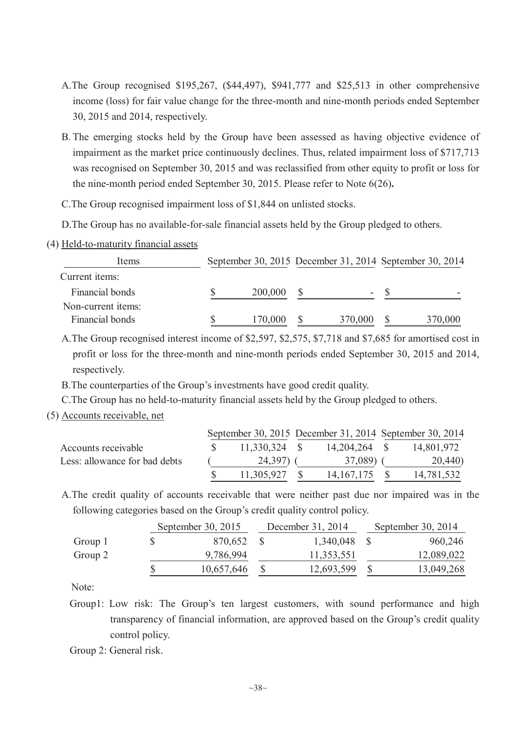- A.The Group recognised \$195,267, (\$44,497), \$941,777 and \$25,513 in other comprehensive income (loss) for fair value change for the three-month and nine-month periods ended September 30, 2015 and 2014, respectively.
- B. The emerging stocks held by the Group have been assessed as having objective evidence of impairment as the market price continuously declines. Thus, related impairment loss of \$717,713 was recognised on September 30, 2015 and was reclassified from other equity to profit or loss for the nine-month period ended September 30, 2015. Please refer to Note 6(26)**.**
- C.The Group recognised impairment loss of \$1,844 on unlisted stocks.
- D.The Group has no available-for-sale financial assets held by the Group pledged to others.
- (4) Held-to-maturity financial assets

| Items              | September 30, 2015 December 31, 2014 September 30, 2014 |         |         |  |         |
|--------------------|---------------------------------------------------------|---------|---------|--|---------|
| Current items:     |                                                         |         |         |  |         |
| Financial bonds    |                                                         | 200,000 | -       |  |         |
| Non-current items: |                                                         |         |         |  |         |
| Financial bonds    |                                                         | 170,000 | 370,000 |  | 370,000 |

A.The Group recognised interest income of \$2,597, \$2,575, \$7,718 and \$7,685 for amortised cost in profit or loss for the three-month and nine-month periods ended September 30, 2015 and 2014, respectively.

B.The counterparties of the Group's investments have good credit quality.

C.The Group has no held-to-maturity financial assets held by the Group pledged to others.

(5) Accounts receivable, net

|                               |                 |               | September 30, 2015 December 31, 2014 September 30, 2014 |
|-------------------------------|-----------------|---------------|---------------------------------------------------------|
| Accounts receivable           | $11,330,324$ \$ | 14,204,264 \$ | 14,801,972                                              |
| Less: allowance for bad debts | 24,397)         | 37,089) (     | 20,440)                                                 |
|                               | 11,305,927      | 14, 167, 175  | 14,781,532                                              |

A.The credit quality of accounts receivable that were neither past due nor impaired was in the following categories based on the Group's credit quality control policy.

|         |  | September 30, $2015$ |  | December 31, 2014 |  |            | September 30, 2014 |  |  |
|---------|--|----------------------|--|-------------------|--|------------|--------------------|--|--|
| Group 1 |  | 870,652              |  | 1,340,048         |  | 960,246    |                    |  |  |
| Group 2 |  | 9,786,994            |  | 11,353,551        |  | 12,089,022 |                    |  |  |
|         |  | 10,657,646           |  | 12,693,599        |  | 13,049,268 |                    |  |  |

Note:

Group1: Low risk: The Group's ten largest customers, with sound performance and high transparency of financial information, are approved based on the Group's credit quality control policy.

Group 2: General risk.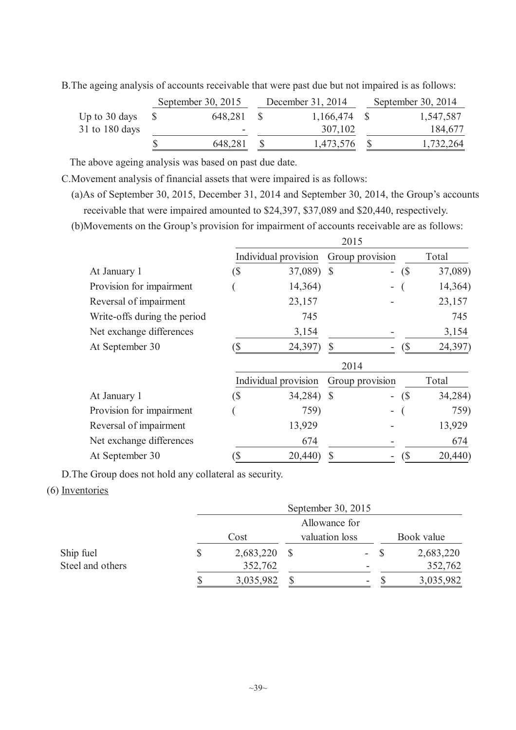B.The ageing analysis of accounts receivable that were past due but not impaired is as follows:

|                |  | September 30, 2015 | December 31, 2014 | September 30, 2014 |           |  |
|----------------|--|--------------------|-------------------|--------------------|-----------|--|
| Up to 30 days  |  | 648,281            | $1,166,474$ \$    |                    | 1,547,587 |  |
| 31 to 180 days |  |                    | 307,102           |                    | 184,677   |  |
|                |  | 648,281            | 1,473,576         |                    | 1,732,264 |  |
|                |  |                    |                   |                    |           |  |

The above ageing analysis was based on past due date.

C.Movement analysis of financial assets that were impaired is as follows:

(a)As of September 30, 2015, December 31, 2014 and September 30, 2014, the Group's accounts receivable that were impaired amounted to \$24,397, \$37,089 and \$20,440, respectively.

(b)Movements on the Group's provision for impairment of accounts receivable are as follows:

|                              |     | Individual provision | Group provision |                          | Total                      |         |
|------------------------------|-----|----------------------|-----------------|--------------------------|----------------------------|---------|
| At January 1                 | (\$ | 37,089)              | $\mathcal{S}$   | $\overline{\phantom{a}}$ | $\left(\frac{1}{2}\right)$ | 37,089) |
| Provision for impairment     |     | 14,364)              |                 | $\overline{\phantom{a}}$ |                            | 14,364) |
| Reversal of impairment       |     | 23,157               |                 |                          |                            | 23,157  |
| Write-offs during the period |     | 745                  |                 |                          |                            | 745     |
| Net exchange differences     |     | 3,154                |                 |                          |                            | 3,154   |
| At September 30              |     | 24,397)              |                 |                          | S)                         | 24,397) |
|                              |     |                      | 2014            |                          |                            |         |
|                              |     | Individual provision |                 | Group provision          |                            | Total   |
| At January 1                 | (\$ | 34,284)              | <sup>S</sup>    | $\overline{\phantom{0}}$ | (S)                        | 34,284) |
| Provision for impairment     |     | 759)                 |                 | ۰                        |                            | 759)    |
| Reversal of impairment       |     | 13,929               |                 |                          |                            | 13,929  |
| Net exchange differences     |     | 674                  |                 |                          |                            | 674     |
| At September 30              | (\$ | 20,440)              |                 | ۰                        | (\$                        | 20,440) |

D.The Group does not hold any collateral as security.

# (6) Inventories

|                  | September 30, 2015 |  |                |  |            |  |  |
|------------------|--------------------|--|----------------|--|------------|--|--|
|                  |                    |  |                |  |            |  |  |
|                  | Cost               |  | valuation loss |  | Book value |  |  |
| Ship fuel        | \$<br>2,683,220    |  | - S            |  | 2,683,220  |  |  |
| Steel and others | 352,762            |  |                |  | 352,762    |  |  |
|                  | 3,035,982          |  | ۰              |  | 3,035,982  |  |  |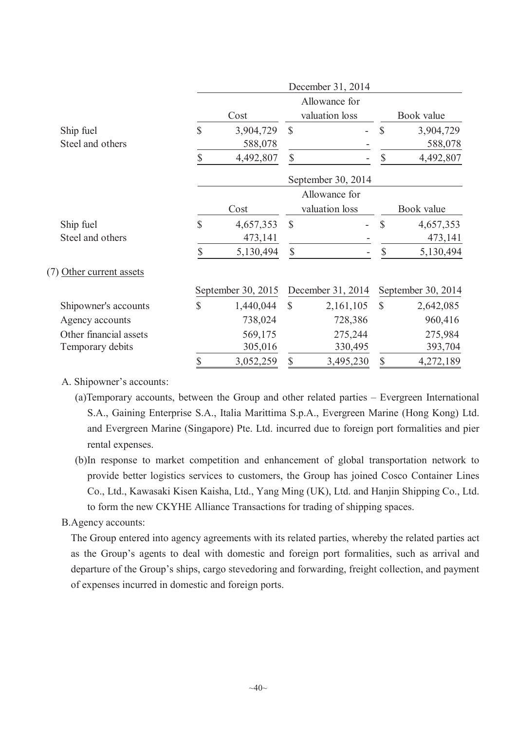|                          |              |                    |                   | December 31, 2014  |               |                    |  |
|--------------------------|--------------|--------------------|-------------------|--------------------|---------------|--------------------|--|
|                          |              |                    |                   | Allowance for      |               |                    |  |
|                          |              | Cost               |                   | valuation loss     |               | Book value         |  |
| Ship fuel                | $\mathsf S$  | 3,904,729          | $\mathcal{S}$     |                    | $\mathcal{S}$ | 3,904,729          |  |
| Steel and others         |              | 588,078            |                   |                    |               | 588,078            |  |
|                          | \$           | 4,492,807          | $\mathbb{S}$      |                    | \$            | 4,492,807          |  |
|                          |              |                    |                   | September 30, 2014 |               |                    |  |
|                          |              |                    |                   | Allowance for      |               |                    |  |
|                          |              | Cost               |                   | valuation loss     |               | Book value         |  |
| Ship fuel                | $\mathbb{S}$ | 4,657,353          | $\mathcal{S}$     |                    | $\mathcal{S}$ | 4,657,353          |  |
| Steel and others         |              | 473,141            |                   |                    |               | 473,141            |  |
|                          | $\mathbb{S}$ | 5,130,494          | \$                |                    | \$            | 5,130,494          |  |
| (7) Other current assets |              |                    |                   |                    |               |                    |  |
|                          |              | September 30, 2015 | December 31, 2014 |                    |               | September 30, 2014 |  |
| Shipowner's accounts     | $\mathbb{S}$ | 1,440,044          | $\mathbb{S}$      | 2,161,105          | $\mathcal{S}$ | 2,642,085          |  |
| Agency accounts          |              | 738,024            |                   | 728,386            |               | 960,416            |  |
| Other financial assets   |              | 569,175            |                   | 275,244            |               | 275,984            |  |
| Temporary debits         |              | 305,016            |                   | 330,495            |               | 393,704            |  |
|                          | \$           | 3,052,259          | \$                | 3,495,230          | \$            | 4,272,189          |  |

A. Shipowner's accounts:

- (a)Temporary accounts, between the Group and other related parties Evergreen International S.A., Gaining Enterprise S.A., Italia Marittima S.p.A., Evergreen Marine (Hong Kong) Ltd. and Evergreen Marine (Singapore) Pte. Ltd. incurred due to foreign port formalities and pier rental expenses.
- (b)In response to market competition and enhancement of global transportation network to provide better logistics services to customers, the Group has joined Cosco Container Lines Co., Ltd., Kawasaki Kisen Kaisha, Ltd., Yang Ming (UK), Ltd. and Hanjin Shipping Co., Ltd. to form the new CKYHE Alliance Transactions for trading of shipping spaces.

## B.Agency accounts:

The Group entered into agency agreements with its related parties, whereby the related parties act as the Group's agents to deal with domestic and foreign port formalities, such as arrival and departure of the Group's ships, cargo stevedoring and forwarding, freight collection, and payment of expenses incurred in domestic and foreign ports.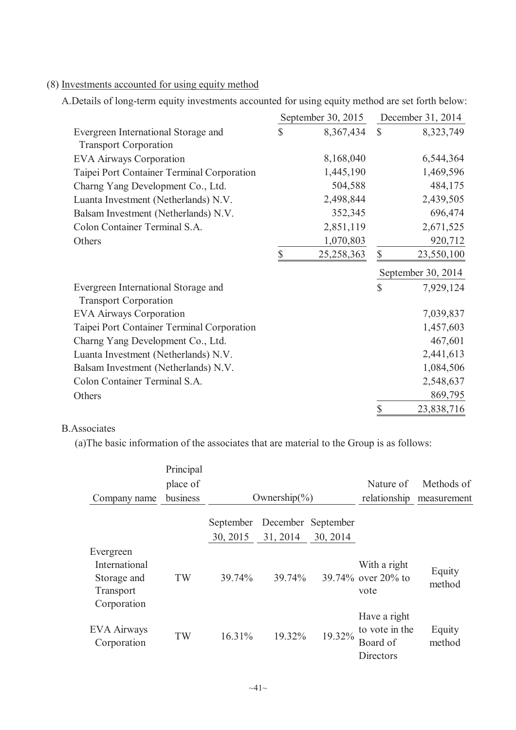(8) Investments accounted for using equity method

A.Details of long-term equity investments accounted for using equity method are set forth below:

|                                                                     |              | September 30, 2015 |              | December 31, 2014  |
|---------------------------------------------------------------------|--------------|--------------------|--------------|--------------------|
| Evergreen International Storage and                                 | $\mathbb{S}$ | 8,367,434          | $\mathbb{S}$ | 8,323,749          |
| <b>Transport Corporation</b>                                        |              |                    |              |                    |
| <b>EVA Airways Corporation</b>                                      |              | 8,168,040          |              | 6,544,364          |
| Taipei Port Container Terminal Corporation                          |              | 1,445,190          |              | 1,469,596          |
| Charng Yang Development Co., Ltd.                                   |              | 504,588            |              | 484,175            |
| Luanta Investment (Netherlands) N.V.                                |              | 2,498,844          |              | 2,439,505          |
| Balsam Investment (Netherlands) N.V.                                |              | 352,345            |              | 696,474            |
| Colon Container Terminal S.A.                                       |              | 2,851,119          |              | 2,671,525          |
| Others                                                              |              | 1,070,803          |              | 920,712            |
|                                                                     | \$           | 25,258,363         | $\mathbb{S}$ | 23,550,100         |
|                                                                     |              |                    |              | September 30, 2014 |
|                                                                     |              |                    |              |                    |
| Evergreen International Storage and<br><b>Transport Corporation</b> |              |                    | \$           | 7,929,124          |
| <b>EVA Airways Corporation</b>                                      |              |                    |              | 7,039,837          |
| Taipei Port Container Terminal Corporation                          |              |                    |              | 1,457,603          |
| Charng Yang Development Co., Ltd.                                   |              |                    |              | 467,601            |
| Luanta Investment (Netherlands) N.V.                                |              |                    |              | 2,441,613          |
| Balsam Investment (Netherlands) N.V.                                |              |                    |              | 1,084,506          |
| Colon Container Terminal S.A.                                       |              |                    |              | 2,548,637          |
| Others                                                              |              |                    |              | 869,795            |

# B.Associates

(a)The basic information of the associates that are material to the Group is as follows:

| Company name                                                          | Principal<br>place of<br>business |                       | Ownership $\left(\frac{0}{0}\right)$ |                                | Nature of<br>relationship                               | Methods of<br>measurement |
|-----------------------------------------------------------------------|-----------------------------------|-----------------------|--------------------------------------|--------------------------------|---------------------------------------------------------|---------------------------|
|                                                                       |                                   | September<br>30, 2015 | 31, 2014                             | December September<br>30, 2014 |                                                         |                           |
| Evergreen<br>International<br>Storage and<br>Transport<br>Corporation | TW                                | 39.74%                | 39.74%                               |                                | With a right<br>39.74% over 20% to<br>vote              | Equity<br>method          |
| <b>EVA Airways</b><br>Corporation                                     | TW                                | 16.31%                | 19.32%                               | 19.32%                         | Have a right<br>to vote in the<br>Board of<br>Directors | Equity<br>method          |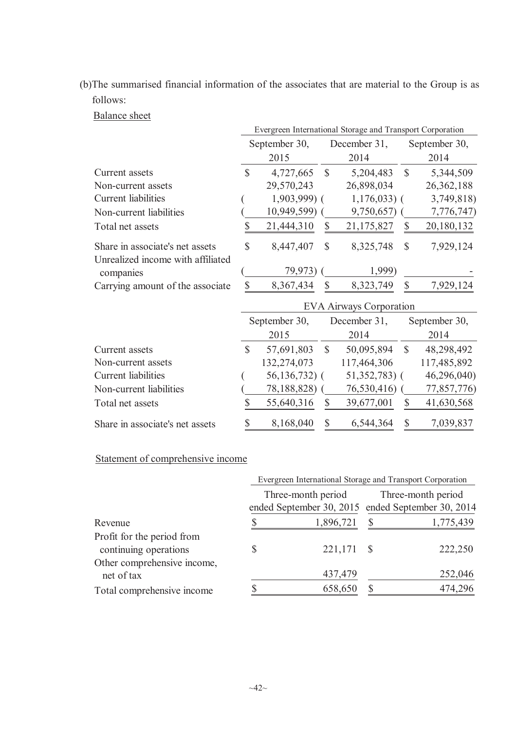(b)The summarised financial information of the associates that are material to the Group is as follows:

# Balance sheet

|                                                | Evergreen International Storage and Transport Corporation |                 |               |                                |               |               |  |  |  |
|------------------------------------------------|-----------------------------------------------------------|-----------------|---------------|--------------------------------|---------------|---------------|--|--|--|
|                                                |                                                           | September 30,   |               | December 31,                   |               | September 30, |  |  |  |
|                                                |                                                           | 2015            |               | 2014                           | 2014          |               |  |  |  |
| Current assets                                 | $\mathbb{S}$                                              | 4,727,665       | $\mathcal{S}$ | 5,204,483                      | $\mathbb{S}$  | 5,344,509     |  |  |  |
| Non-current assets                             |                                                           | 29,570,243      |               | 26,898,034                     |               | 26, 362, 188  |  |  |  |
| <b>Current</b> liabilities                     |                                                           | $1,903,999$ (   |               | $1,176,033$ ) (                |               | 3,749,818)    |  |  |  |
| Non-current liabilities                        |                                                           | 10,949,599      |               | 9,750,657)                     |               | 7,776,747)    |  |  |  |
| Total net assets                               | \$                                                        | 21,444,310      | \$            | 21,175,827                     | \$            | 20,180,132    |  |  |  |
| Share in associate's net assets                | $\mathbb{S}$                                              | 8,447,407       | $\mathbb{S}$  | 8,325,748                      | $\mathcal{S}$ | 7,929,124     |  |  |  |
| Unrealized income with affiliated<br>companies |                                                           | 79,973)         |               | 1,999)                         |               |               |  |  |  |
| Carrying amount of the associate               | \$                                                        | 8,367,434       | $\mathbb{S}$  | 8,323,749                      | \$            | 7,929,124     |  |  |  |
|                                                |                                                           |                 |               | <b>EVA Airways Corporation</b> |               |               |  |  |  |
|                                                |                                                           | September 30,   |               | December 31,                   |               | September 30, |  |  |  |
|                                                |                                                           | 2015            |               | 2014                           |               | 2014          |  |  |  |
| Current assets                                 | $\mathcal{S}$                                             | 57,691,803      | $\mathcal{S}$ | 50,095,894                     | $\mathcal{S}$ | 48,298,492    |  |  |  |
| Non-current assets                             |                                                           | 132,274,073     |               | 117,464,306                    |               | 117,485,892   |  |  |  |
| <b>Current</b> liabilities                     |                                                           | 56, 136, 732) ( |               | $51,352,783$ (                 |               | 46,296,040)   |  |  |  |
| Non-current liabilities                        |                                                           | 78,188,828) (   |               | 76,530,416) (                  |               | 77,857,776)   |  |  |  |
| Total net assets                               | \$                                                        | 55,640,316      | $\mathbb{S}$  | 39,677,001                     | \$            | 41,630,568    |  |  |  |

# Statement of comprehensive income

|                                                     |                    | Evergreen International Storage and Transport Corporation               |           |  |  |  |
|-----------------------------------------------------|--------------------|-------------------------------------------------------------------------|-----------|--|--|--|
|                                                     | Three-month period | Three-month period<br>ended September 30, 2015 ended September 30, 2014 |           |  |  |  |
| Revenue                                             | 1,896,721          | S                                                                       | 1,775,439 |  |  |  |
| Profit for the period from<br>continuing operations | $221,171$ \$       |                                                                         | 222,250   |  |  |  |
| Other comprehensive income,<br>net of tax           | 437,479            |                                                                         | 252,046   |  |  |  |
| Total comprehensive income                          | 658,650            |                                                                         | 474,296   |  |  |  |

Share in associate's net assets  $$ 8,168,040 \text{ } $ 6,544,364 \text{ } $ 7,039,837$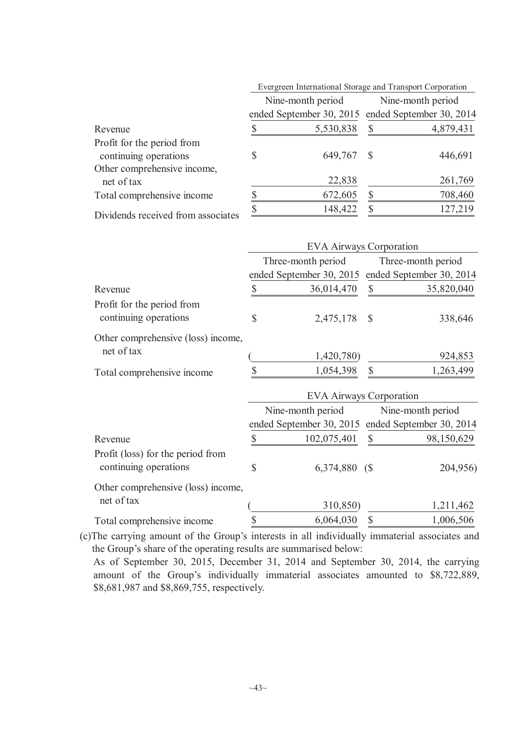|                                                     | Evergreen International Storage and Transport Corporation |                   |                                                                        |           |  |  |  |  |  |
|-----------------------------------------------------|-----------------------------------------------------------|-------------------|------------------------------------------------------------------------|-----------|--|--|--|--|--|
|                                                     |                                                           | Nine-month period | Nine-month period<br>ended September 30, 2015 ended September 30, 2014 |           |  |  |  |  |  |
|                                                     |                                                           |                   |                                                                        |           |  |  |  |  |  |
| Revenue                                             |                                                           | 5,530,838         | \$                                                                     | 4,879,431 |  |  |  |  |  |
| Profit for the period from<br>continuing operations | S                                                         | 649,767           | -S                                                                     | 446,691   |  |  |  |  |  |
| Other comprehensive income,<br>net of tax           |                                                           | 22,838            |                                                                        | 261,769   |  |  |  |  |  |
| Total comprehensive income                          |                                                           | 672,605           |                                                                        | 708,460   |  |  |  |  |  |
|                                                     |                                                           | 11812             |                                                                        | 127 210   |  |  |  |  |  |

Dividends received from associates  $\frac{\$}{\$}$  148,422  $\frac{\$}{\$}$  127,219

|                                                            |    | <b>EVA Airways Corporation</b>                                         |                           |                                                |  |  |  |  |
|------------------------------------------------------------|----|------------------------------------------------------------------------|---------------------------|------------------------------------------------|--|--|--|--|
|                                                            |    | Three-month period<br>ended September 30, 2015                         |                           | Three-month period<br>ended September 30, 2014 |  |  |  |  |
| Revenue                                                    | \$ | 36,014,470                                                             | $\mathcal{S}$             | 35,820,040                                     |  |  |  |  |
| Profit for the period from<br>continuing operations        | \$ | 2,475,178                                                              | $\mathcal{S}$             | 338,646                                        |  |  |  |  |
| Other comprehensive (loss) income,<br>net of tax           |    |                                                                        |                           |                                                |  |  |  |  |
|                                                            |    | 1,420,780)                                                             |                           | 924,853                                        |  |  |  |  |
| Total comprehensive income                                 | \$ | 1,054,398                                                              | \$                        | 1,263,499                                      |  |  |  |  |
|                                                            |    | <b>EVA Airways Corporation</b>                                         |                           |                                                |  |  |  |  |
|                                                            |    | Nine-month period<br>ended September 30, 2015 ended September 30, 2014 |                           | Nine-month period                              |  |  |  |  |
| Revenue                                                    | \$ | 102,075,401                                                            | $\boldsymbol{\mathsf{S}}$ | 98,150,629                                     |  |  |  |  |
| Profit (loss) for the period from<br>continuing operations | \$ | 6,374,880 (\$                                                          |                           | 204,956)                                       |  |  |  |  |
| Other comprehensive (loss) income,                         |    |                                                                        |                           |                                                |  |  |  |  |
| net of tax                                                 |    | 310,850)                                                               |                           | 1,211,462                                      |  |  |  |  |
| Total comprehensive income                                 |    | 6,064,030                                                              | \$                        | 1,006,506                                      |  |  |  |  |

(c)The carrying amount of the Group's interests in all individually immaterial associates and the Group's share of the operating results are summarised below:

As of September 30, 2015, December 31, 2014 and September 30, 2014, the carrying amount of the Group's individually immaterial associates amounted to \$8,722,889, \$8,681,987 and \$8,869,755, respectively.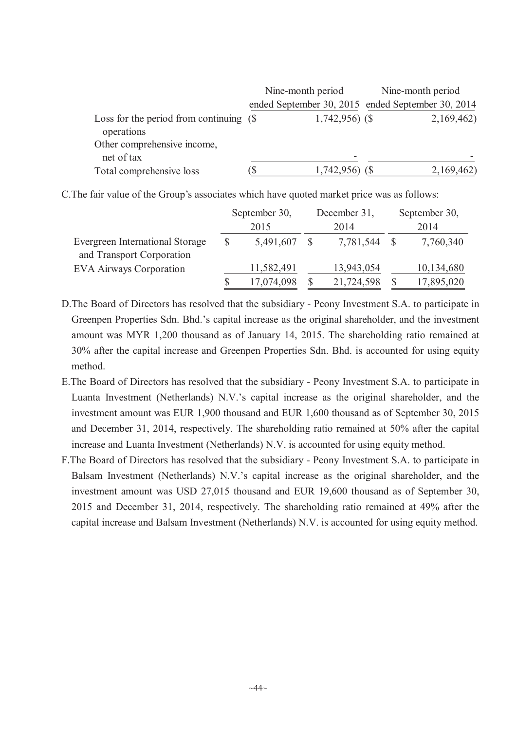|                                                        | Nine-month period | Nine-month period |                                                   |  |  |
|--------------------------------------------------------|-------------------|-------------------|---------------------------------------------------|--|--|
|                                                        |                   |                   | ended September 30, 2015 ended September 30, 2014 |  |  |
| Loss for the period from continuing $(\$<br>operations | $1,742,956$ (\$)  |                   | 2,169,462)                                        |  |  |
| Other comprehensive income,<br>net of tax              |                   |                   |                                                   |  |  |
| Total comprehensive loss                               | 1,742,956)        |                   | 2,169,462)                                        |  |  |

C.The fair value of the Group's associates which have quoted market price was as follows:

|                                                              | September 30,<br>2015 |            | December 31, | September 30, |            |  |
|--------------------------------------------------------------|-----------------------|------------|--------------|---------------|------------|--|
|                                                              |                       |            | 2014         |               | 2014       |  |
| Evergreen International Storage<br>and Transport Corporation |                       | 5,491,607  | 7,781,544    |               | 7,760,340  |  |
| <b>EVA Airways Corporation</b>                               |                       | 11,582,491 | 13,943,054   |               | 10,134,680 |  |
|                                                              |                       | 17,074,098 | 21,724,598   |               | 17,895,020 |  |

- D.The Board of Directors has resolved that the subsidiary Peony Investment S.A. to participate in Greenpen Properties Sdn. Bhd.'s capital increase as the original shareholder, and the investment amount was MYR 1,200 thousand as of January 14, 2015. The shareholding ratio remained at 30% after the capital increase and Greenpen Properties Sdn. Bhd. is accounted for using equity method.
- E.The Board of Directors has resolved that the subsidiary Peony Investment S.A. to participate in Luanta Investment (Netherlands) N.V.'s capital increase as the original shareholder, and the investment amount was EUR 1,900 thousand and EUR 1,600 thousand as of September 30, 2015 and December 31, 2014, respectively. The shareholding ratio remained at 50% after the capital increase and Luanta Investment (Netherlands) N.V. is accounted for using equity method.
- F.The Board of Directors has resolved that the subsidiary Peony Investment S.A. to participate in Balsam Investment (Netherlands) N.V.'s capital increase as the original shareholder, and the investment amount was USD 27,015 thousand and EUR 19,600 thousand as of September 30, 2015 and December 31, 2014, respectively. The shareholding ratio remained at 49% after the capital increase and Balsam Investment (Netherlands) N.V. is accounted for using equity method.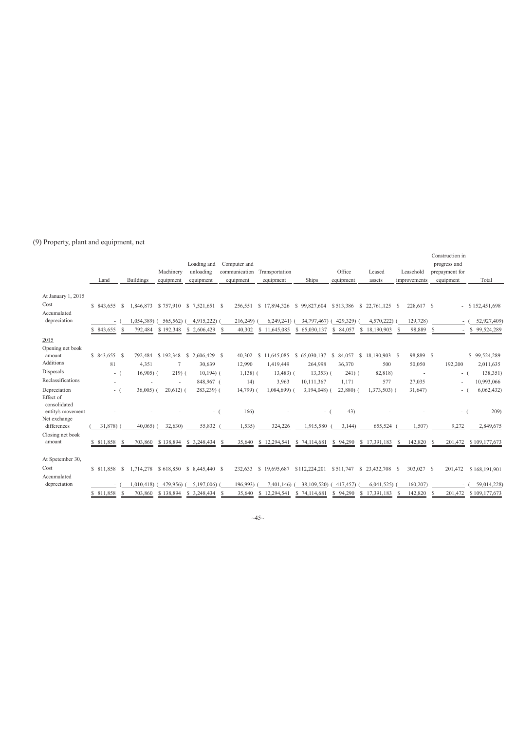#### (9) Property, plant and equipment, net

|                                                                                          | Land                            |               | <b>Buildings</b>        | Machinery<br>equipment | Loading and<br>unloading<br>equipment                                   |    | Computer and<br>communication<br>equipment | Transportation<br>equipment                        | Ships                                                 | Office<br>equipment                      | Leased<br>assets                         |    | Leasehold<br>improvements                                 | Construction in<br>progress and<br>prepayment for<br>equipment | Total                                               |
|------------------------------------------------------------------------------------------|---------------------------------|---------------|-------------------------|------------------------|-------------------------------------------------------------------------|----|--------------------------------------------|----------------------------------------------------|-------------------------------------------------------|------------------------------------------|------------------------------------------|----|-----------------------------------------------------------|----------------------------------------------------------------|-----------------------------------------------------|
| At January 1, 2015<br>Cost<br>Accumulated<br>depreciation                                | \$843,655                       | -S            | 1.846.873<br>1,054,389) | \$757,910<br>565,562)  | S.<br>7,521,651 \$<br>4,915,222)                                        |    | 256.551<br>216,249)                        | S<br>17,894,326<br>6,249,241                       | \$99,827,604<br>34,797,467)                           | \$513,386<br>429,329)                    | \$<br>22,761,125<br>4,570,222)           | -S | 228,617 \$<br>129,728)                                    |                                                                | \$152,451,698<br>52,927,409)                        |
|                                                                                          | \$843,655                       | <sup>\$</sup> | 792,484                 | \$192,348              | 2,606,429<br>S                                                          | S  | 40,302                                     | \$11,645,085                                       | 65,030,137<br>S                                       | \$ 84,057                                | \$18,190,903                             | -S | 98,889                                                    | -S                                                             | 99,524,289<br>S.                                    |
| 2015<br>Opening net book<br>amount<br><b>Additions</b><br>Disposals<br>Reclassifications | \$ 843,655 \$<br>81<br>- (<br>٠ |               | 4,351<br>$16,905$ (     | 7<br>219(              | 792,484 \$192,348 \$2,606,429 \$<br>30,639<br>$10,194$ ) (<br>848,967 ( |    | 40,302<br>12,990<br>$1,138$ ) (<br>14)     | \$11,645,085<br>1,419,449<br>$13,483$ ) (<br>3,963 | \$65,030,137<br>264,998<br>$13,353$ ) (<br>10,111,367 | \$ 84,057<br>36,370<br>$241)$ (<br>1.171 | \$18,190,903 \$<br>500<br>82,818)<br>577 |    | 98,889 \$<br>50,050<br>$\overline{\phantom{a}}$<br>27,035 | ä,<br>192,200<br>$\sim$<br>٠                                   | \$99,524,289<br>2,011,635<br>138,351)<br>10,993,066 |
| Depreciation<br>Effect of<br>consolidated                                                | - (                             |               | 36.005                  | $20,612)$ (            | 283,239) (                                                              |    | 14,799)                                    | $1,084,699$ )                                      | $3,194,048$ ) (                                       | 23,880) (                                | 1,373,503) (                             |    | 31,647)                                                   | $\overline{\phantom{a}}$                                       | 6,062,432)                                          |
| entity's movement<br>Net exchange                                                        |                                 |               |                         |                        | $-1$                                                                    |    | 166)                                       |                                                    | ٠                                                     | 43)                                      |                                          |    |                                                           | ÷                                                              | 209)                                                |
| differences<br>Closing net book<br>amount                                                | 31,878)<br>\$ 811,858           | -S            | $40,065$ )<br>703,860   | 32,630)<br>\$138,894   | 55,832<br>\$ 3,248,434                                                  | -S | 1,535<br>35,640                            | 324,226<br>\$12,294,541                            | 1,915,580<br>\$74,114,681                             | 3,144<br>\$94,290                        | 655,524<br>\$17,391,183                  | \$ | 1,507)<br>142,820                                         | 9,272<br>201,472<br>-S                                         | 2,849,675<br>\$109,177,673                          |
| At Spetember 30,                                                                         |                                 |               |                         |                        |                                                                         |    |                                            |                                                    |                                                       |                                          |                                          |    |                                                           |                                                                |                                                     |
| Cost<br>Accumulated                                                                      | \$ 811,858                      | -S            |                         |                        | 1,714,278 \$618,850 \$8,445,440 \$                                      |    | 232,633                                    | \$19,695,687                                       | \$112,224,201                                         | \$511,747                                | $$23,432,708$ \;                         |    | 303,027 \$                                                | 201,472                                                        | \$168,191,901                                       |
| depreciation                                                                             | $\sim$<br>\$ 811,858            | S             | 1,010,418)<br>703,860   | 479,956)<br>\$138,894  | 5,197,006)<br>S<br>3,248,434                                            | S  | 196,993)<br>35,640                         | 7,401,146)<br>\$12,294,541                         | 38,109,520)<br>S<br>74,114,681                        | 417,457)<br>\$94,290                     | 6,041,525<br>17,391,183<br>S             |    | 160,207)<br>142,820                                       | 201.472                                                        | 59,014,228)<br>\$109,177,673                        |

 $~15~$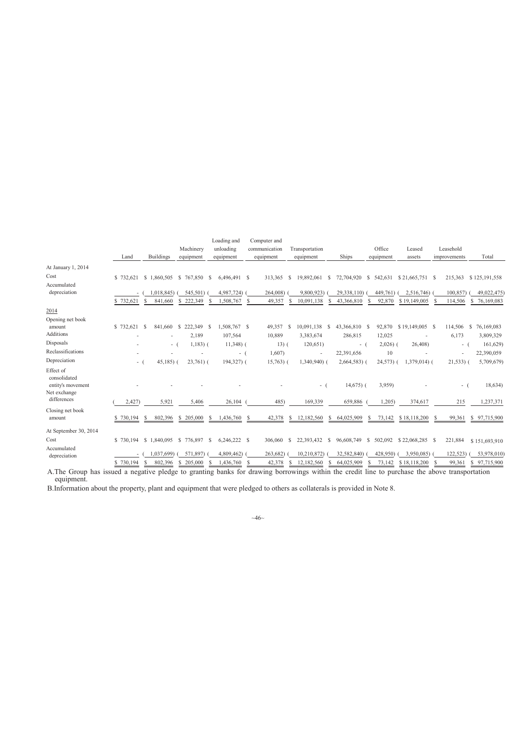|                                                                | Land      | <b>Buildings</b>           | Machinery<br>equipment     | Loading and<br>unloading<br>equipment | Computer and<br>communication<br>equipment | Transportation<br>equipment                | Ships                          | Office<br>equipment     | Leased<br>assets           | Leasehold<br>improvements | Total                       |
|----------------------------------------------------------------|-----------|----------------------------|----------------------------|---------------------------------------|--------------------------------------------|--------------------------------------------|--------------------------------|-------------------------|----------------------------|---------------------------|-----------------------------|
| At January 1, 2014                                             |           |                            |                            |                                       |                                            |                                            |                                |                         |                            |                           |                             |
| Cost                                                           | \$732,621 | \$1,860,505                | \$767,850                  | 6,496,491 \$<br>S                     | 313,365                                    | 19,892,061<br>-S                           | \$<br>72,704,920               | \$ 542,631              | \$21,665,751               | -S<br>215,363             | \$125,191,558               |
| Accumulated                                                    |           |                            |                            |                                       |                                            |                                            |                                |                         |                            |                           |                             |
| depreciation                                                   | $\sim$    | 1,018,845)                 | 545,501)                   | 4,987,724)                            | 264,008)                                   | 9,800,923)                                 | 29,338,110)                    | 449,761)                | 2,516,746)                 | 100,857)                  | 49,022,475)                 |
|                                                                | \$732,621 | 841,660                    | 222,349<br>S               | 1,508,767 \$<br><sup>S</sup>          | 49,357                                     | -S<br>10,091,138                           | 43,366,810                     | 92,870                  | \$19,149,005               | 114,506                   | \$76,169,083                |
| 2014                                                           |           |                            |                            |                                       |                                            |                                            |                                |                         |                            |                           |                             |
| Opening net book<br>amount                                     | \$732.621 | S<br>841.660               | 222.349 \$<br><sup>S</sup> | 1.508.767 \$                          | 49.357                                     | 10.091.138<br>- \$                         | 43,366,810 \$<br>-S            | 92,870                  | \$19,149,005 \$            | 114,506                   | 76,169,083<br><sup>S</sup>  |
| Additions                                                      |           | ٠                          | 2,189                      | 107,564                               | 10,889                                     | 3,383,674                                  | 286,815                        | 12,025                  |                            | 6,173                     | 3,809,329                   |
| Disposals                                                      |           | - 1                        | $1,183$ ) (                | $11,348$ ) (                          | $13)$ (                                    | 120,651                                    | - (                            | $2,026$ ) (             | 26,408)                    | - (                       | 161,629)                    |
| Reclassifications                                              |           |                            |                            | - (                                   | 1,607)                                     |                                            | 22,391,656                     | 10                      |                            |                           | 22,390,059                  |
| Depreciation                                                   | - (       | $45,185$ ) (               | $23,761$ ) (               | 194,327) (                            | $15,763$ ) (                               | 1,340,940) (                               | $2,664,583$ ) (                | $24,573$ ) (            | $1,379,014$ ) (            | $21,533$ ) (              | 5,709,679)                  |
| Effect of<br>consolidated<br>entity's movement<br>Net exchange |           |                            |                            |                                       |                                            | $-$ (                                      | $14,675$ ) (                   | 3,959)                  |                            | - (                       | 18,634)                     |
| differences                                                    | 2,427     | 5,921                      | 5,406                      | 26,104                                | 485)                                       | 169,339                                    | 659,886                        | 1,205                   | 374,617                    | 215                       | 1,237,371                   |
| Closing net book<br>amount                                     | \$730,194 | 802,396<br>S               | 205,000<br>\$              | S<br>1,436,760                        | S<br>42,378                                | 12,182,560<br>\$                           | 64,025,909<br>S                | 73,142<br>S             | \$18,118,200               | 99,361<br>-S              | \$97,715,900                |
| At September 30, 2014                                          |           |                            |                            |                                       |                                            |                                            |                                |                         |                            |                           |                             |
| Cost                                                           | \$730,194 | \$1,840,095                | \$776,897                  | S<br>6,246,222 \$                     | 306,060                                    | 22,393,432<br><sup>\$</sup>                | 96,608,749<br>\$               | S.<br>502,092           | $$22,068,285$ \ \$         | 221,884                   | \$151,693,910               |
| Accumulated<br>depreciation                                    | \$730,194 | 1.037.699)<br>802,396<br>S | 571.897)<br>\$ 205,000     | 4,809,462)<br>1,436,760               | 263,682)<br>42,378<br>S                    | 10,210,872)<br>12,182,560<br><sup>\$</sup> | 32,582,840)<br>64,025,909<br>S | 428,950)<br>73,142<br>S | 3,950,085)<br>\$18,118,200 | 122,523)<br>99,361<br>-S  | 53,978,010)<br>\$97,715,900 |

A. The Group has issued a negative pledge to granting banks for drawing borrowings within the credit line to purchase the above transportation equipment.

B.Information about the property, plant and equipment that were pledged to others as collaterals is provided in Note 8.

 $~146~$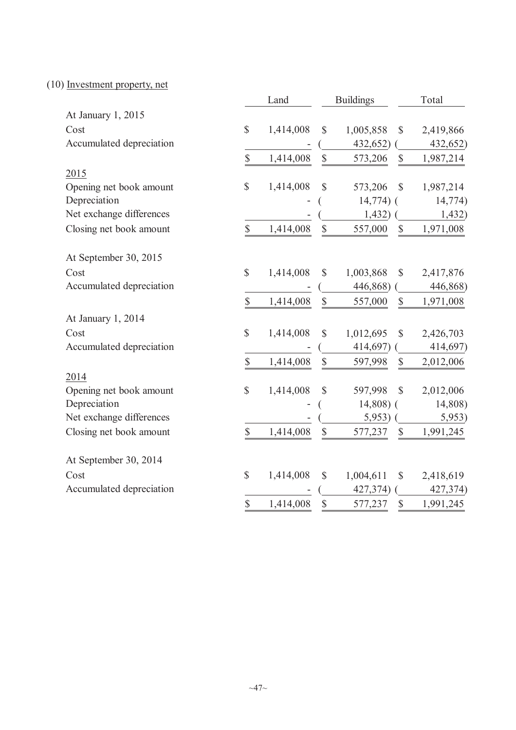(10) Investment property, net

|                          |                         | Land      |                           | <b>Buildings</b> | Total         |           |  |
|--------------------------|-------------------------|-----------|---------------------------|------------------|---------------|-----------|--|
| At January 1, 2015       |                         |           |                           |                  |               |           |  |
| Cost                     | \$                      | 1,414,008 | \$                        | 1,005,858        | $\mathbb{S}$  | 2,419,866 |  |
| Accumulated depreciation |                         |           |                           | 432,652)         |               | 432,652)  |  |
|                          | \$                      | 1,414,008 | $\mathbb{S}$              | 573,206          | $\mathbb{S}$  | 1,987,214 |  |
| 2015                     |                         |           |                           |                  |               |           |  |
| Opening net book amount  | \$                      | 1,414,008 | \$                        | 573,206          | $\mathbb{S}$  | 1,987,214 |  |
| Depreciation             |                         |           |                           | $14,774)$ (      |               | 14,774)   |  |
| Net exchange differences |                         |           |                           | 1,432)           |               | 1,432)    |  |
| Closing net book amount  | $\mathbb S$             | 1,414,008 | $\boldsymbol{\mathsf{S}}$ | 557,000          | $\mathcal{S}$ | 1,971,008 |  |
| At September 30, 2015    |                         |           |                           |                  |               |           |  |
| Cost                     | \$                      | 1,414,008 | $\mathcal{S}$             | 1,003,868        | $\mathbb{S}$  | 2,417,876 |  |
| Accumulated depreciation |                         |           |                           | 446,868)         |               | 446,868)  |  |
|                          | \$                      | 1,414,008 | $\mathbb{S}$              | 557,000          | \$            | 1,971,008 |  |
| At January 1, 2014       |                         |           |                           |                  |               |           |  |
| Cost                     | \$                      | 1,414,008 | $\mathcal{S}$             | 1,012,695        | $\mathbb{S}$  | 2,426,703 |  |
| Accumulated depreciation |                         |           |                           | 414,697)         |               | 414,697)  |  |
|                          | \$                      | 1,414,008 | $\mathbb{S}$              | 597,998          | $\mathbb{S}$  | 2,012,006 |  |
| 2014                     |                         |           |                           |                  |               |           |  |
| Opening net book amount  | \$                      | 1,414,008 | \$                        | 597,998          | $\mathbb{S}$  | 2,012,006 |  |
| Depreciation             |                         |           |                           | $14,808$ ) (     |               | 14,808)   |  |
| Net exchange differences |                         |           |                           | 5,953)           |               | 5,953)    |  |
| Closing net book amount  | \$                      | 1,414,008 | $\boldsymbol{\mathsf{S}}$ | 577,237          | $\mathbb{S}$  | 1,991,245 |  |
| At September 30, 2014    |                         |           |                           |                  |               |           |  |
| Cost                     | \$                      | 1,414,008 | \$                        | 1,004,611        | $\mathbb{S}$  | 2,418,619 |  |
| Accumulated depreciation |                         |           |                           | 427,374)         |               | 427,374)  |  |
|                          | $\overline{\mathbb{S}}$ | 1,414,008 | \$                        | 577,237          | \$            | 1,991,245 |  |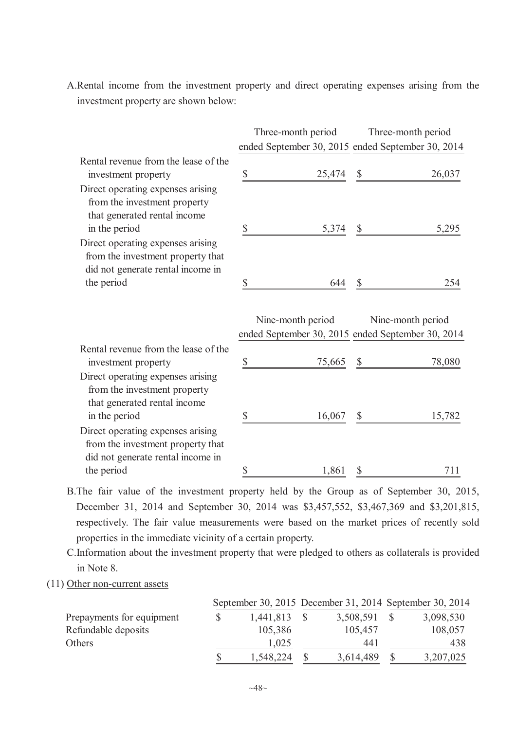A.Rental income from the investment property and direct operating expenses arising from the investment property are shown below:

|                                                                                                                              | Three-month period                                                     |              | Three-month period                                |
|------------------------------------------------------------------------------------------------------------------------------|------------------------------------------------------------------------|--------------|---------------------------------------------------|
|                                                                                                                              |                                                                        |              | ended September 30, 2015 ended September 30, 2014 |
| Rental revenue from the lease of the<br>investment property                                                                  | \$<br>25,474 \$                                                        |              | 26,037                                            |
| Direct operating expenses arising<br>from the investment property<br>that generated rental income<br>in the period           | \$<br>5,374                                                            | $\mathbb{S}$ | 5,295                                             |
| Direct operating expenses arising<br>from the investment property that<br>did not generate rental income in                  |                                                                        |              |                                                   |
| the period                                                                                                                   | \$<br>644                                                              | $\mathbb{S}$ | 254                                               |
|                                                                                                                              | Nine-month period<br>ended September 30, 2015 ended September 30, 2014 |              | Nine-month period                                 |
|                                                                                                                              |                                                                        |              |                                                   |
| Rental revenue from the lease of the<br>investment property                                                                  | \$<br>75,665                                                           | $\mathbb{S}$ | 78,080                                            |
| Direct operating expenses arising<br>from the investment property<br>that generated rental income                            |                                                                        |              |                                                   |
| in the period<br>Direct operating expenses arising<br>from the investment property that<br>did not generate rental income in | \$<br>16,067                                                           | $\mathbb{S}$ | 15,782                                            |

B.The fair value of the investment property held by the Group as of September 30, 2015, December 31, 2014 and September 30, 2014 was \$3,457,552, \$3,467,369 and \$3,201,815, respectively. The fair value measurements were based on the market prices of recently sold properties in the immediate vicinity of a certain property.

C.Information about the investment property that were pledged to others as collaterals is provided in Note 8.

### (11) Other non-current assets

|                           |           |           | September 30, 2015 December 31, 2014 September 30, 2014 |
|---------------------------|-----------|-----------|---------------------------------------------------------|
| Prepayments for equipment | 1,441,813 | 3,508,591 | 3,098,530                                               |
| Refundable deposits       | 105,386   | 105,457   | 108,057                                                 |
| Others                    | 1,025     | 441       | 438                                                     |
|                           | 1,548,224 | 3,614,489 | 3,207,025                                               |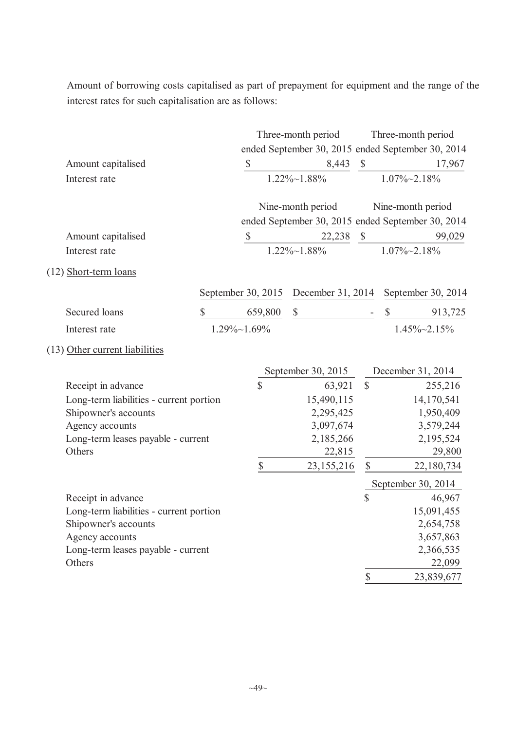Amount of borrowing costs capitalised as part of prepayment for equipment and the range of the interest rates for such capitalisation are as follows:

|                                         |                      | Three-month period                                |              |                      | Three-month period   |
|-----------------------------------------|----------------------|---------------------------------------------------|--------------|----------------------|----------------------|
|                                         |                      | ended September 30, 2015 ended September 30, 2014 |              |                      |                      |
| Amount capitalised                      | $\mathcal{S}$        | 8,443 \$                                          |              |                      | 17,967               |
| Interest rate                           | $1.22\% \sim 1.88\%$ |                                                   |              | $1.07\% \sim 2.18\%$ |                      |
|                                         |                      | Nine-month period                                 |              |                      | Nine-month period    |
|                                         |                      | ended September 30, 2015 ended September 30, 2014 |              |                      |                      |
| Amount capitalised                      | $\mathbb{S}$         | $22,238$ \$                                       |              |                      | 99,029               |
| Interest rate                           |                      | $1.22\% \sim 1.88\%$                              |              |                      | $1.07\% \sim 2.18\%$ |
| (12) Short-term loans                   |                      |                                                   |              |                      |                      |
|                                         | September 30, 2015   | December 31, 2014                                 |              |                      | September 30, 2014   |
| Secured loans                           | \$<br>659,800        | \$                                                |              | $\mathcal{S}$        | 913,725              |
| Interest rate                           | $1.29\% \sim 1.69\%$ |                                                   |              |                      | $1.45\% \sim 2.15\%$ |
| (13) Other current liabilities          |                      |                                                   |              |                      |                      |
|                                         |                      | September 30, 2015                                |              |                      | December 31, 2014    |
| Receipt in advance                      | $\hat{\mathbb{S}}$   | 63,921                                            | $\mathbb{S}$ |                      | 255,216              |
| Long-term liabilities - current portion |                      | 15,490,115                                        |              |                      | 14,170,541           |
| Shipowner's accounts                    |                      | 2,295,425                                         |              |                      | 1,950,409            |
| Agency accounts                         |                      | 3,097,674                                         |              |                      | 3,579,244            |
| Long-term leases payable - current      |                      | 2,185,266                                         |              |                      | 2,195,524            |
| Others                                  |                      | 22,815                                            |              |                      | 29,800               |
|                                         | $\mathbb{S}$         | 23, 155, 216                                      | \$           |                      | 22,180,734           |
|                                         |                      |                                                   |              |                      | September 30, 2014   |
| Receipt in advance                      |                      |                                                   | \$           |                      | 46,967               |
| Long-term liabilities - current portion |                      |                                                   |              |                      | 15,091,455           |
| Shipowner's accounts                    |                      |                                                   |              |                      | 2,654,758            |
| Agency accounts                         |                      |                                                   |              |                      | 3,657,863            |
| Long-term leases payable - current      |                      |                                                   |              |                      | 2,366,535            |
| Others                                  |                      |                                                   |              |                      | 22,099               |
|                                         |                      |                                                   | \$           |                      | 23,839,677           |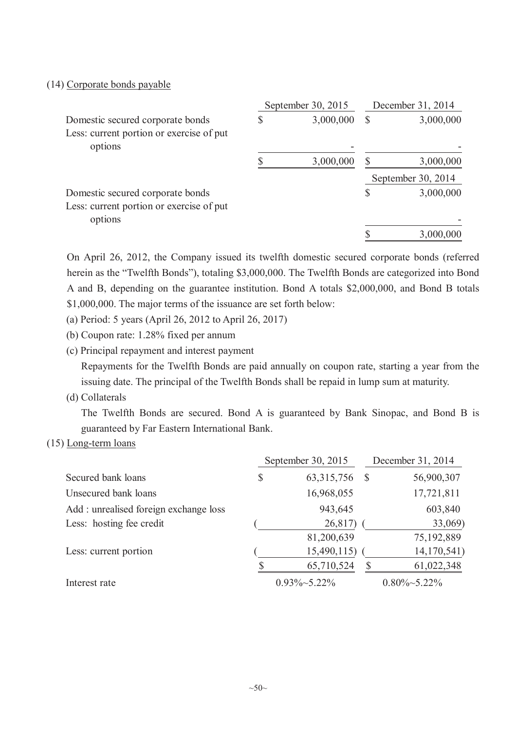#### (14) Corporate bonds payable

|                                                                                         |                           | September 30, 2015 |              | December 31, 2014  |
|-----------------------------------------------------------------------------------------|---------------------------|--------------------|--------------|--------------------|
| Domestic secured corporate bonds<br>Less: current portion or exercise of put            | $\boldsymbol{\mathsf{S}}$ | 3,000,000          | <sup>S</sup> | 3,000,000          |
| options                                                                                 |                           |                    |              |                    |
|                                                                                         |                           | 3,000,000          |              | 3,000,000          |
|                                                                                         |                           |                    |              | September 30, 2014 |
| Domestic secured corporate bonds<br>Less: current portion or exercise of put<br>options |                           |                    | \$           | 3,000,000          |
|                                                                                         |                           |                    |              | 3,000,000          |

On April 26, 2012, the Company issued its twelfth domestic secured corporate bonds (referred herein as the "Twelfth Bonds"), totaling \$3,000,000. The Twelfth Bonds are categorized into Bond A and B, depending on the guarantee institution. Bond A totals \$2,000,000, and Bond B totals \$1,000,000. The major terms of the issuance are set forth below:

(a) Period: 5 years (April 26, 2012 to April 26, 2017)

(b) Coupon rate: 1.28% fixed per annum

(c) Principal repayment and interest payment

Repayments for the Twelfth Bonds are paid annually on coupon rate, starting a year from the issuing date. The principal of the Twelfth Bonds shall be repaid in lump sum at maturity.

(d) Collaterals

The Twelfth Bonds are secured. Bond A is guaranteed by Bank Sinopac, and Bond B is guaranteed by Far Eastern International Bank.

# (15) Long-term loans

|                                       | September 30, 2015   | December 31, 2014 |                      |  |  |
|---------------------------------------|----------------------|-------------------|----------------------|--|--|
| Secured bank loans                    | \$<br>63, 315, 756   | <sup>S</sup>      | 56,900,307           |  |  |
| Unsecured bank loans                  | 16,968,055           |                   | 17,721,811           |  |  |
| Add: unrealised foreign exchange loss | 943,645              |                   | 603,840              |  |  |
| Less: hosting fee credit              | 26,817)              |                   | 33,069)              |  |  |
|                                       | 81,200,639           |                   | 75,192,889           |  |  |
| Less: current portion                 | 15,490,115)          |                   | 14,170,541)          |  |  |
|                                       | 65,710,524           |                   | 61,022,348           |  |  |
| Interest rate                         | $0.93\% \sim 5.22\%$ |                   | $0.80\% \sim 5.22\%$ |  |  |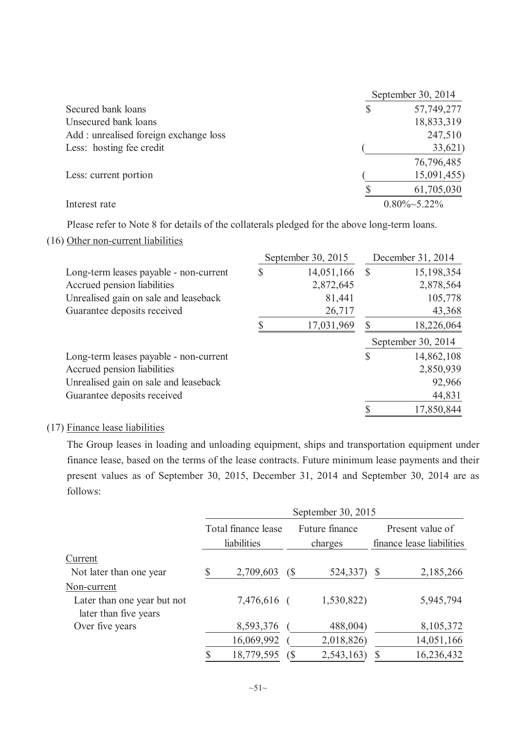|                                       | September 30, 2014   |
|---------------------------------------|----------------------|
| Secured bank loans                    | 57,749,277           |
| Unsecured bank loans                  | 18,833,319           |
| Add: unrealised foreign exchange loss | 247,510              |
| Less: hosting fee credit              | 33,621)              |
|                                       | 76,796,485           |
| Less: current portion                 | 15,091,455)          |
|                                       | 61,705,030           |
| Interest rate                         | $0.80\% \sim 5.22\%$ |

Please refer to Note 8 for details of the collaterals pledged for the above long-term loans.

#### (16) Other non-current liabilities

|                                        | September 30, 2015 |      | December 31, 2014  |
|----------------------------------------|--------------------|------|--------------------|
| Long-term leases payable - non-current | \$<br>14,051,166   | - \$ | 15,198,354         |
| Accrued pension liabilities            | 2,872,645          |      | 2,878,564          |
| Unrealised gain on sale and leaseback  | 81,441             |      | 105,778            |
| Guarantee deposits received            | 26,717             |      | 43,368             |
|                                        | 17,031,969         |      | 18,226,064         |
|                                        |                    |      | September 30, 2014 |
| Long-term leases payable - non-current |                    | \$   | 14,862,108         |
| Accrued pension liabilities            |                    |      | 2,850,939          |
| Unrealised gain on sale and leaseback  |                    |      | 92,966             |
| Guarantee deposits received            |                    |      | 44,831             |
|                                        |                    |      | 17,850,844         |

# (17) Finance lease liabilities

The Group leases in loading and unloading equipment, ships and transportation equipment under finance lease, based on the terms of the lease contracts. Future minimum lease payments and their present values as of September 30, 2015, December 31, 2014 and September 30, 2014 are as follows:

|                                                      | September 30, 2015  |             |    |                |                                               |            |  |  |  |  |
|------------------------------------------------------|---------------------|-------------|----|----------------|-----------------------------------------------|------------|--|--|--|--|
|                                                      | Total finance lease |             |    | Future finance | Present value of<br>finance lease liabilities |            |  |  |  |  |
|                                                      |                     | liabilities |    | charges        |                                               |            |  |  |  |  |
| Current                                              |                     |             |    |                |                                               |            |  |  |  |  |
| Not later than one year                              |                     | 2,709,603   | (S | 524,337)       | S                                             | 2,185,266  |  |  |  |  |
| Non-current                                          |                     |             |    |                |                                               |            |  |  |  |  |
| Later than one year but not<br>later than five years |                     | 7,476,616 ( |    | 1,530,822)     |                                               | 5,945,794  |  |  |  |  |
| Over five years                                      |                     | 8,593,376   |    | 488,004)       |                                               | 8,105,372  |  |  |  |  |
|                                                      |                     | 16,069,992  |    | 2,018,826)     |                                               | 14,051,166 |  |  |  |  |
|                                                      |                     | 18,779,595  |    | 2,543,163      |                                               | 16,236,432 |  |  |  |  |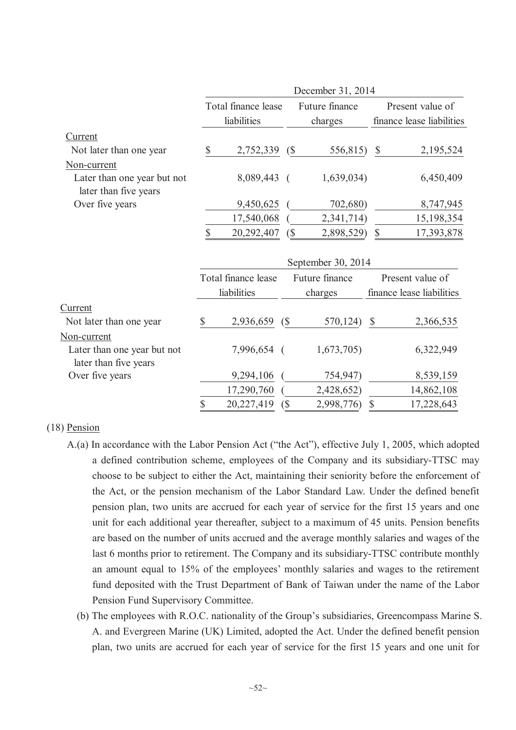|                                                      | December 31, 2014 |                     |                            |                    |               |                           |  |  |  |
|------------------------------------------------------|-------------------|---------------------|----------------------------|--------------------|---------------|---------------------------|--|--|--|
|                                                      |                   | Total finance lease |                            | Future finance     |               | Present value of          |  |  |  |
|                                                      |                   | liabilities         |                            | charges            |               | finance lease liabilities |  |  |  |
| Current                                              |                   |                     |                            |                    |               |                           |  |  |  |
| Not later than one year                              | \$                | 2,752,339 (\$)      |                            | 556,815)           | $\mathcal{S}$ | 2,195,524                 |  |  |  |
| Non-current                                          |                   |                     |                            |                    |               |                           |  |  |  |
| Later than one year but not<br>later than five years |                   | 8,089,443 (         |                            | 1,639,034)         |               | 6,450,409                 |  |  |  |
| Over five years                                      |                   | 9,450,625           |                            | 702,680)           |               | 8,747,945                 |  |  |  |
|                                                      |                   | 17,540,068          |                            | 2,341,714)         |               | 15,198,354                |  |  |  |
|                                                      | \$                | 20,292,407          | $\left(\frac{1}{2}\right)$ | 2,898,529)         | \$            | 17,393,878                |  |  |  |
|                                                      |                   |                     |                            | September 30, 2014 |               |                           |  |  |  |
|                                                      |                   | Total finance lease |                            | Future finance     |               | Present value of          |  |  |  |
|                                                      |                   | liabilities         |                            | charges            |               | finance lease liabilities |  |  |  |
| Current                                              |                   |                     |                            |                    |               |                           |  |  |  |
| Not later than one year                              | \$                | 2,936,659           | $\sqrt{\$}$                | 570,124)           | $\mathbb{S}$  | 2,366,535                 |  |  |  |
| Non-current                                          |                   |                     |                            |                    |               |                           |  |  |  |
| Later than one year but not<br>later than five years |                   | 7,996,654 (         |                            | 1,673,705)         |               | 6,322,949                 |  |  |  |
| Over five years                                      |                   | 9,294,106           |                            | 754,947)           |               | 8,539,159                 |  |  |  |
|                                                      |                   | 17,290,760          |                            | 2,428,652)         |               | 14,862,108                |  |  |  |
|                                                      | \$                | 20,227,419          | (S)                        | 2,998,776)         | $\mathbb{S}$  | 17,228,643                |  |  |  |

## (18) Pension

- A.(a) In accordance with the Labor Pension Act ("the Act"), effective July 1, 2005, which adopted a defined contribution scheme, employees of the Company and its subsidiary-TTSC may choose to be subject to either the Act, maintaining their seniority before the enforcement of the Act, or the pension mechanism of the Labor Standard Law. Under the defined benefit pension plan, two units are accrued for each year of service for the first 15 years and one unit for each additional year thereafter, subject to a maximum of 45 units. Pension benefits are based on the number of units accrued and the average monthly salaries and wages of the last 6 months prior to retirement. The Company and its subsidiary-TTSC contribute monthly an amount equal to 15% of the employees' monthly salaries and wages to the retirement fund deposited with the Trust Department of Bank of Taiwan under the name of the Labor Pension Fund Supervisory Committee.
	- (b) The employees with R.O.C. nationality of the Group's subsidiaries, Greencompass Marine S. A. and Evergreen Marine (UK) Limited, adopted the Act. Under the defined benefit pension plan, two units are accrued for each year of service for the first 15 years and one unit for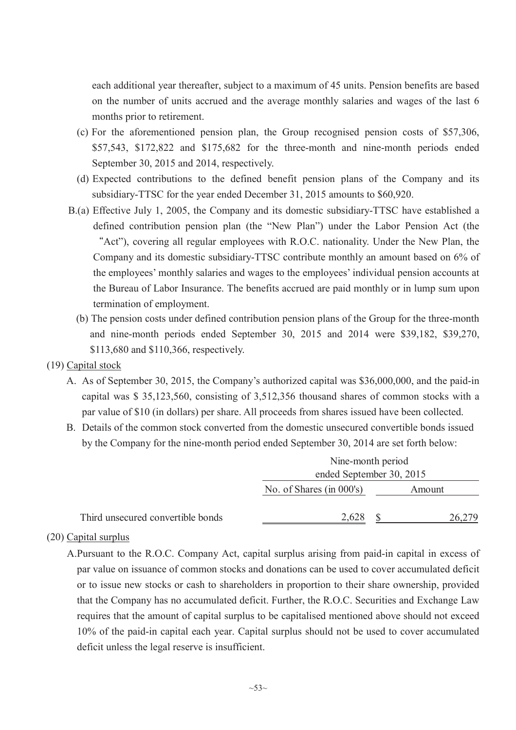each additional year thereafter, subject to a maximum of 45 units. Pension benefits are based on the number of units accrued and the average monthly salaries and wages of the last 6 months prior to retirement.

- (c) For the aforementioned pension plan, the Group recognised pension costs of \$57,306, \$57,543, \$172,822 and \$175,682 for the three-month and nine-month periods ended September 30, 2015 and 2014, respectively.
- (d) Expected contributions to the defined benefit pension plans of the Company and its subsidiary-TTSC for the year ended December 31, 2015 amounts to \$60,920.
- B.(a) Effective July 1, 2005, the Company and its domestic subsidiary-TTSC have established a defined contribution pension plan (the "New Plan") under the Labor Pension Act (the "Act"), covering all regular employees with R.O.C. nationality. Under the New Plan, the Company and its domestic subsidiary-TTSC contribute monthly an amount based on 6% of the employees' monthly salaries and wages to the employees' individual pension accounts at the Bureau of Labor Insurance. The benefits accrued are paid monthly or in lump sum upon termination of employment.
	- (b) The pension costs under defined contribution pension plans of the Group for the three-month and nine-month periods ended September 30, 2015 and 2014 were \$39,182, \$39,270, \$113,680 and \$110,366, respectively.

#### (19) Capital stock

- A. As of September 30, 2015, the Company's authorized capital was \$36,000,000, and the paid-in capital was \$ 35,123,560, consisting of 3,512,356 thousand shares of common stocks with a par value of \$10 (in dollars) per share. All proceeds from shares issued have been collected.
- B. Details of the common stock converted from the domestic unsecured convertible bonds issued by the Company for the nine-month period ended September 30, 2014 are set forth below:

|                                   | Nine-month period           |  |        |  |  |  |  |
|-----------------------------------|-----------------------------|--|--------|--|--|--|--|
|                                   | ended September 30, 2015    |  |        |  |  |  |  |
|                                   | No. of Shares (in $000$ 's) |  | Amount |  |  |  |  |
| Third unsecured convertible bonds | 2,628                       |  | 26 279 |  |  |  |  |

#### (20) Capital surplus

A.Pursuant to the R.O.C. Company Act, capital surplus arising from paid-in capital in excess of par value on issuance of common stocks and donations can be used to cover accumulated deficit or to issue new stocks or cash to shareholders in proportion to their share ownership, provided that the Company has no accumulated deficit. Further, the R.O.C. Securities and Exchange Law requires that the amount of capital surplus to be capitalised mentioned above should not exceed 10% of the paid-in capital each year. Capital surplus should not be used to cover accumulated deficit unless the legal reserve is insufficient.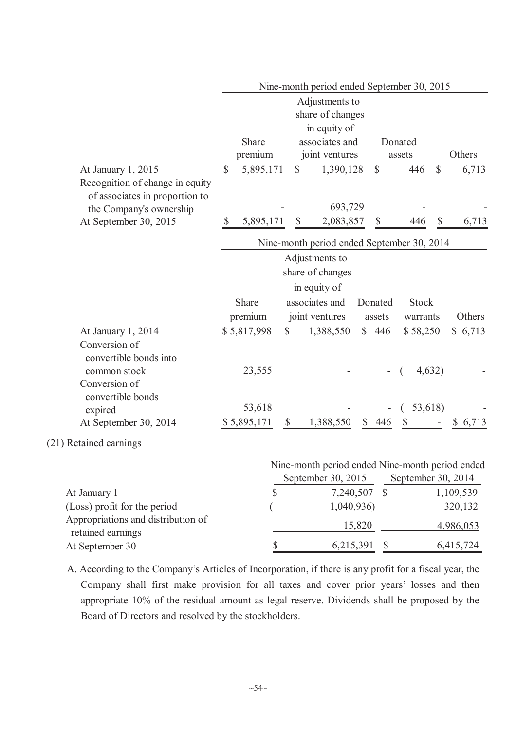|                                                         |                                            |             |               |                           | Nine-month period ended September 30, 2015      |              |              |                    |              |           |  |
|---------------------------------------------------------|--------------------------------------------|-------------|---------------|---------------------------|-------------------------------------------------|--------------|--------------|--------------------|--------------|-----------|--|
|                                                         | Adjustments to                             |             |               |                           |                                                 |              |              |                    |              |           |  |
|                                                         |                                            |             |               |                           | share of changes                                |              |              |                    |              |           |  |
|                                                         |                                            |             |               |                           | in equity of                                    |              |              |                    |              |           |  |
|                                                         |                                            | Share       |               |                           | associates and                                  |              |              | Donated            |              |           |  |
|                                                         |                                            | premium     |               |                           | joint ventures                                  |              |              | assets             |              | Others    |  |
| At January 1, 2015                                      | $\mathbb{S}$                               | 5,895,171   |               | $\mathbb{S}$              | 1,390,128                                       |              | $\mathbb{S}$ | 446                | $\mathbb{S}$ | 6,713     |  |
| Recognition of change in equity                         |                                            |             |               |                           |                                                 |              |              |                    |              |           |  |
| of associates in proportion to                          |                                            |             |               |                           |                                                 |              |              |                    |              |           |  |
| the Company's ownership                                 |                                            |             |               |                           | 693,729                                         |              |              |                    |              |           |  |
| At September 30, 2015                                   | \$                                         | 5,895,171   |               | $\boldsymbol{\mathsf{S}}$ | 2,083,857                                       |              | \$           | 446                | $\mathbb{S}$ | 6,713     |  |
|                                                         | Nine-month period ended September 30, 2014 |             |               |                           |                                                 |              |              |                    |              |           |  |
|                                                         | Adjustments to                             |             |               |                           |                                                 |              |              |                    |              |           |  |
|                                                         | share of changes                           |             |               |                           |                                                 |              |              |                    |              |           |  |
|                                                         | in equity of                               |             |               |                           |                                                 |              |              |                    |              |           |  |
|                                                         |                                            | Share       |               |                           | associates and                                  |              | Donated      | Stock              |              |           |  |
|                                                         |                                            | premium     |               |                           | joint ventures                                  |              | assets       | warrants           |              | Others    |  |
| At January 1, 2014                                      |                                            | \$5,817,998 | $\mathcal{S}$ |                           | 1,388,550                                       |              | \$446        | \$58,250           |              | \$6,713   |  |
| Conversion of                                           |                                            |             |               |                           |                                                 |              |              |                    |              |           |  |
| convertible bonds into                                  |                                            |             |               |                           |                                                 |              |              |                    |              |           |  |
| common stock                                            |                                            | 23,555      |               |                           |                                                 |              |              |                    | 4,632)       |           |  |
| Conversion of                                           |                                            |             |               |                           |                                                 |              |              |                    |              |           |  |
| convertible bonds                                       |                                            |             |               |                           |                                                 |              |              |                    |              |           |  |
| expired                                                 |                                            | 53,618      |               |                           |                                                 |              |              | 53,618)            |              |           |  |
| At September 30, 2014                                   |                                            | \$5,895,171 | $\mathbb{S}$  |                           | 1,388,550                                       | $\mathbb{S}$ | 446          | \$                 |              | \$6,713   |  |
| (21) Retained earnings                                  |                                            |             |               |                           |                                                 |              |              |                    |              |           |  |
|                                                         |                                            |             |               |                           | Nine-month period ended Nine-month period ended |              |              |                    |              |           |  |
|                                                         |                                            |             |               |                           | September 30, 2015                              |              |              | September 30, 2014 |              |           |  |
| At January 1                                            |                                            | \$          |               |                           | 7,240,507                                       |              | $\mathbb{S}$ |                    |              | 1,109,539 |  |
| (Loss) profit for the period                            |                                            |             |               |                           | 1,040,936)                                      |              |              |                    |              | 320,132   |  |
| Appropriations and distribution of<br>retained earnings |                                            |             |               |                           |                                                 | 15,820       |              |                    |              | 4,986,053 |  |
| At September 30                                         |                                            | \$          |               |                           | 6,215,391                                       |              | <b>S</b>     |                    |              | 6,415,724 |  |

A. According to the Company's Articles of Incorporation, if there is any profit for a fiscal year, the Company shall first make provision for all taxes and cover prior years' losses and then appropriate 10% of the residual amount as legal reserve. Dividends shall be proposed by the Board of Directors and resolved by the stockholders.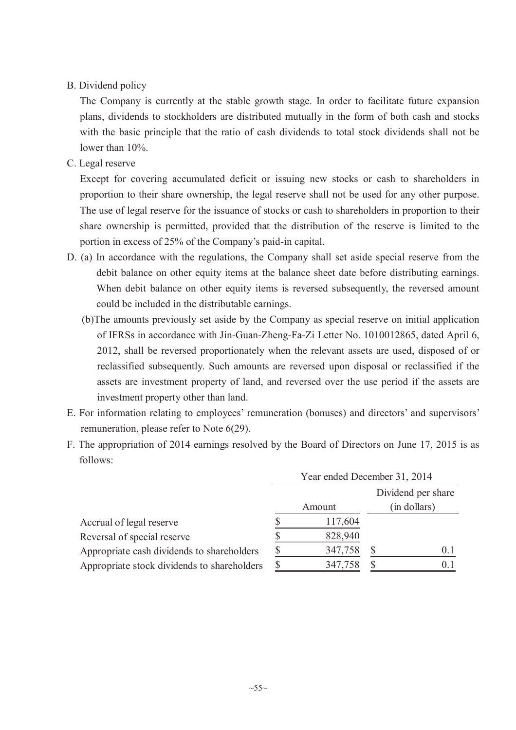# B. Dividend policy

The Company is currently at the stable growth stage. In order to facilitate future expansion plans, dividends to stockholders are distributed mutually in the form of both cash and stocks with the basic principle that the ratio of cash dividends to total stock dividends shall not be lower than 10%.

C. Legal reserve

Except for covering accumulated deficit or issuing new stocks or cash to shareholders in proportion to their share ownership, the legal reserve shall not be used for any other purpose. The use of legal reserve for the issuance of stocks or cash to shareholders in proportion to their share ownership is permitted, provided that the distribution of the reserve is limited to the portion in excess of 25% of the Company's paid-in capital.

- D. (a) In accordance with the regulations, the Company shall set aside special reserve from the debit balance on other equity items at the balance sheet date before distributing earnings. When debit balance on other equity items is reversed subsequently, the reversed amount could be included in the distributable earnings.
	- (b)The amounts previously set aside by the Company as special reserve on initial application of IFRSs in accordance with Jin-Guan-Zheng-Fa-Zi Letter No. 1010012865, dated April 6, 2012, shall be reversed proportionately when the relevant assets are used, disposed of or reclassified subsequently. Such amounts are reversed upon disposal or reclassified if the assets are investment property of land, and reversed over the use period if the assets are investment property other than land.
- E. For information relating to employees' remuneration (bonuses) and directors' and supervisors' remuneration, please refer to Note 6(29).
- F. The appropriation of 2014 earnings resolved by the Board of Directors on June 17, 2015 is as follows:

|                                             | Year ended December 31, 2014 |         |  |              |  |  |  |
|---------------------------------------------|------------------------------|---------|--|--------------|--|--|--|
|                                             | Dividend per share           |         |  |              |  |  |  |
|                                             |                              | Amount  |  | (in dollars) |  |  |  |
| Accrual of legal reserve                    |                              | 117,604 |  |              |  |  |  |
| Reversal of special reserve                 |                              | 828,940 |  |              |  |  |  |
| Appropriate cash dividends to shareholders  |                              | 347,758 |  | 0.1          |  |  |  |
| Appropriate stock dividends to shareholders |                              | 347,758 |  | 0.           |  |  |  |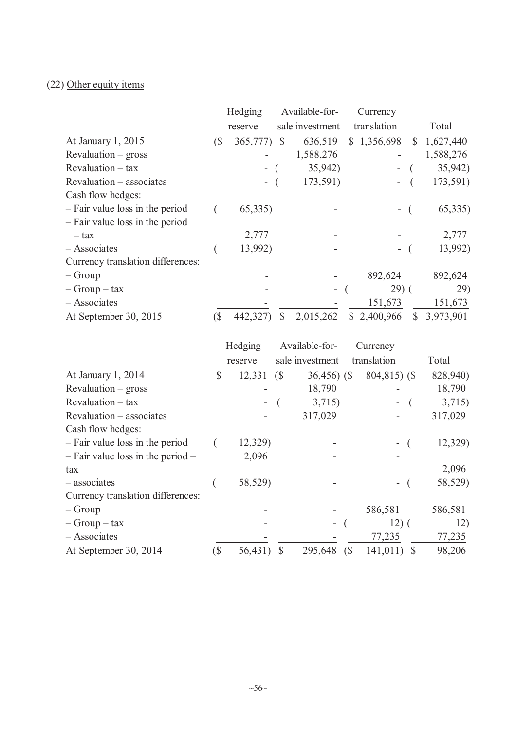# (22) Other equity items

|                                   |                            | Hedging     | Available-for-  | Currency    |              |           |
|-----------------------------------|----------------------------|-------------|-----------------|-------------|--------------|-----------|
|                                   |                            | reserve     | sale investment | translation |              | Total     |
| At January 1, 2015                | $\left( \text{\$} \right)$ | 365,777) \$ | 636,519         | \$1,356,698 | <sup>S</sup> | 1,627,440 |
| Revaluation - gross               |                            |             | 1,588,276       |             |              | 1,588,276 |
| $Revaluation - tax$               |                            | Ξ.          | 35,942)         |             |              | 35,942)   |
| Revaluation – associates          |                            | -           | 173,591)        |             |              | 173,591)  |
| Cash flow hedges:                 |                            |             |                 |             |              |           |
| - Fair value loss in the period   |                            | 65,335      |                 |             |              | 65,335)   |
| - Fair value loss in the period   |                            |             |                 |             |              |           |
| – tax                             |                            | 2,777       |                 |             |              | 2,777     |
| - Associates                      |                            | 13,992)     |                 |             |              | 13,992)   |
| Currency translation differences: |                            |             |                 |             |              |           |
| $-$ Group                         |                            |             |                 | 892,624     |              | 892,624   |
| – Group – tax                     |                            |             | ۰               | $(29)$ (    |              | 29)       |
| - Associates                      |                            |             |                 | 151,673     |              | 151,673   |
| At September 30, 2015             |                            | 442,327     | \$<br>2,015,262 | \$2,400,966 |              | 3,973,901 |
|                                   |                            |             |                 |             |              |           |

|                                       | Hedging      |            | Available-for-  | Currency                              |          |
|---------------------------------------|--------------|------------|-----------------|---------------------------------------|----------|
|                                       | reserve      |            | sale investment | translation                           | Total    |
| At January 1, 2014                    | \$<br>12,331 | $\sqrt{S}$ | $36,456$ (\$)   | $804,815$ (\$)                        | 828,940) |
| $Revaluation - gross$                 |              |            | 18,790          |                                       | 18,790   |
| $Revaluation - tax$                   |              |            | 3,715)          | -                                     | 3,715)   |
| Revaluation – associates              |              |            | 317,029         |                                       | 317,029  |
| Cash flow hedges:                     |              |            |                 |                                       |          |
| - Fair value loss in the period       | 12,329)      |            |                 |                                       | 12,329)  |
| $-$ Fair value loss in the period $-$ | 2,096        |            |                 |                                       |          |
| tax                                   |              |            |                 |                                       | 2,096    |
| - associates                          | 58,529)      |            |                 | ۰                                     | 58,529)  |
| Currency translation differences:     |              |            |                 |                                       |          |
| $-$ Group                             |              |            |                 | 586,581                               | 586,581  |
| $-$ Group $-$ tax                     |              |            |                 | $12)$ (                               | 12)      |
| - Associates                          |              |            |                 | 77,235                                | 77,235   |
| At September 30, 2014                 | 56,431)      |            | 295,648         | 141,011<br>$\left( \text{\$} \right)$ | 98,206   |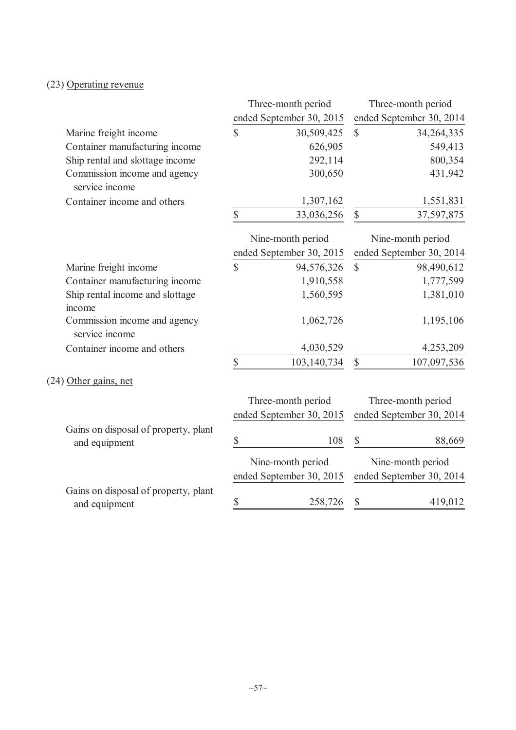# (23) Operating revenue

|                                                       |                           | Three-month period       |                           | Three-month period       |
|-------------------------------------------------------|---------------------------|--------------------------|---------------------------|--------------------------|
|                                                       |                           | ended September 30, 2015 |                           | ended September 30, 2014 |
| Marine freight income                                 | \$                        | 30,509,425               | $\mathbb{S}$              | 34,264,335               |
| Container manufacturing income                        |                           | 626,905                  |                           | 549,413                  |
| Ship rental and slottage income                       |                           | 292,114                  |                           | 800,354                  |
| Commission income and agency<br>service income        |                           | 300,650                  |                           | 431,942                  |
| Container income and others                           |                           | 1,307,162                |                           | 1,551,831                |
|                                                       | \$                        | 33,036,256               | $\boldsymbol{\mathsf{S}}$ | 37,597,875               |
|                                                       |                           | Nine-month period        |                           | Nine-month period        |
|                                                       |                           | ended September 30, 2015 |                           | ended September 30, 2014 |
| Marine freight income                                 | \$                        | 94,576,326               | \$                        | 98,490,612               |
| Container manufacturing income                        |                           | 1,910,558                |                           | 1,777,599                |
| Ship rental income and slottage<br>income             |                           | 1,560,595                |                           | 1,381,010                |
| Commission income and agency<br>service income        |                           | 1,062,726                |                           | 1,195,106                |
| Container income and others                           |                           | 4,030,529                |                           | 4,253,209                |
|                                                       | \$                        | 103,140,734              | \$                        | 107,097,536              |
| $(24)$ Other gains, net                               |                           |                          |                           |                          |
|                                                       |                           | Three-month period       |                           | Three-month period       |
|                                                       |                           | ended September 30, 2015 |                           | ended September 30, 2014 |
| Gains on disposal of property, plant                  |                           |                          |                           |                          |
| and equipment                                         | $\boldsymbol{\mathsf{S}}$ | 108                      | $\mathbb{S}$              | 88,669                   |
|                                                       |                           | Nine-month period        |                           | Nine-month period        |
|                                                       |                           | ended September 30, 2015 |                           | ended September 30, 2014 |
| Gains on disposal of property, plant<br>and equipment | $\$\,$                    | 258,726                  | $\mathcal{S}$             | 419,012                  |
|                                                       |                           |                          |                           |                          |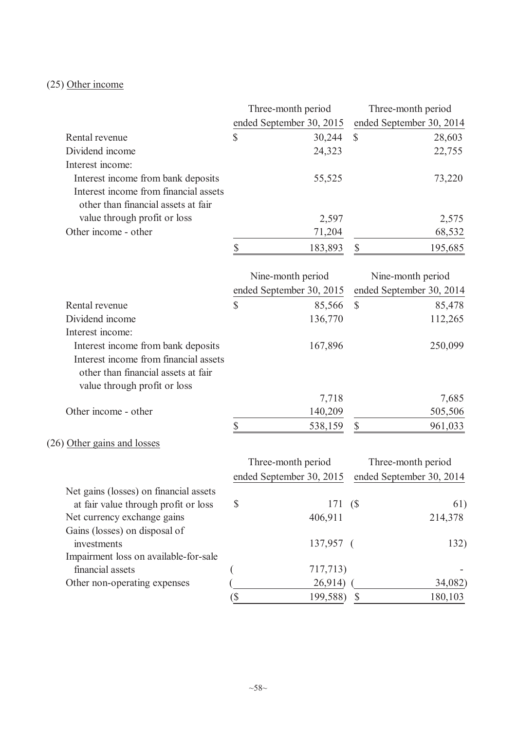# (25) Other income

|                                                  |     | Three-month period       |              | Three-month period       |
|--------------------------------------------------|-----|--------------------------|--------------|--------------------------|
|                                                  |     | ended September 30, 2015 |              | ended September 30, 2014 |
| Rental revenue                                   | \$  | 30,244                   | $\mathbb{S}$ | 28,603                   |
| Dividend income                                  |     | 24,323                   |              | 22,755                   |
| Interest income:                                 |     |                          |              |                          |
| Interest income from bank deposits               |     | 55,525                   |              | 73,220                   |
| Interest income from financial assets            |     |                          |              |                          |
| other than financial assets at fair              |     |                          |              |                          |
| value through profit or loss                     |     | 2,597                    |              | 2,575                    |
| Other income - other                             |     | 71,204                   |              | 68,532                   |
|                                                  | \$  | 183,893                  | \$           | 195,685                  |
|                                                  |     |                          |              |                          |
|                                                  |     | Nine-month period        |              | Nine-month period        |
|                                                  |     | ended September 30, 2015 |              | ended September 30, 2014 |
| Rental revenue<br>Dividend income                | \$  | 85,566                   | $\mathbb{S}$ | 85,478                   |
| Interest income:                                 |     | 136,770                  |              | 112,265                  |
| Interest income from bank deposits               |     | 167,896                  |              | 250,099                  |
| Interest income from financial assets            |     |                          |              |                          |
| other than financial assets at fair              |     |                          |              |                          |
| value through profit or loss                     |     |                          |              |                          |
|                                                  |     | 7,718                    |              | 7,685                    |
| Other income - other                             |     | 140,209                  |              | 505,506                  |
|                                                  | \$  | 538,159                  | \$           | 961,033                  |
| (26) Other gains and losses                      |     |                          |              |                          |
|                                                  |     | Three-month period       |              | Three-month period       |
|                                                  |     | ended September 30, 2015 |              | ended September 30, 2014 |
| Net gains (losses) on financial assets           |     |                          |              |                          |
| at fair value through profit or loss             | \$  | 171                      | (S           | 61)                      |
| Net currency exchange gains                      |     | 406,911                  |              | 214,378                  |
| Gains (losses) on disposal of                    |     |                          |              |                          |
| investments                                      |     | 137,957 (                |              | 132)                     |
| Impairment loss on available-for-sale            |     |                          |              |                          |
| financial assets<br>Other non-operating expenses |     | 717,713)                 |              | 34,082)                  |
|                                                  | (\$ | 26,914)<br>199,588)      | $\mathbb{S}$ | 180,103                  |
|                                                  |     |                          |              |                          |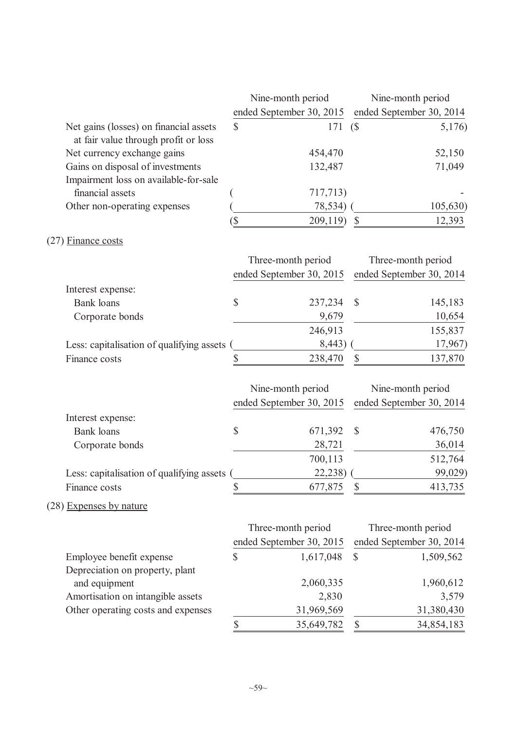|                                                                                |                          | Nine-month period        |                           | Nine-month period        |
|--------------------------------------------------------------------------------|--------------------------|--------------------------|---------------------------|--------------------------|
|                                                                                |                          | ended September 30, 2015 |                           | ended September 30, 2014 |
| Net gains (losses) on financial assets<br>at fair value through profit or loss | \$                       | 171                      | (S)                       | 5,176)                   |
| Net currency exchange gains                                                    |                          | 454,470                  |                           | 52,150                   |
| Gains on disposal of investments                                               |                          | 132,487                  |                           | 71,049                   |
| Impairment loss on available-for-sale                                          |                          |                          |                           |                          |
| financial assets                                                               |                          | 717,713)                 |                           |                          |
| Other non-operating expenses                                                   |                          | 78,534)                  |                           | 105,630                  |
|                                                                                | $\overline{\mathcal{S}}$ | 209,119)                 | $\boldsymbol{\mathsf{S}}$ | 12,393                   |
| $(27)$ Finance costs                                                           |                          |                          |                           |                          |
|                                                                                |                          | Three-month period       |                           | Three-month period       |
|                                                                                |                          | ended September 30, 2015 |                           | ended September 30, 2014 |
| Interest expense:                                                              |                          |                          |                           |                          |
| <b>Bank</b> loans                                                              | \$                       | 237,234                  | $\mathcal{S}$             | 145,183                  |
| Corporate bonds                                                                |                          | 9,679                    |                           | 10,654                   |
|                                                                                |                          | 246,913                  |                           | 155,837                  |
| Less: capitalisation of qualifying assets                                      |                          | 8,443)                   |                           | 17,967)                  |
| Finance costs                                                                  | \$                       | 238,470                  | \$                        | 137,870                  |
|                                                                                |                          | Nine-month period        |                           | Nine-month period        |
|                                                                                |                          | ended September 30, 2015 |                           | ended September 30, 2014 |
| Interest expense:                                                              |                          |                          |                           |                          |
| <b>Bank</b> loans                                                              | \$                       | 671,392                  | \$                        | 476,750                  |
| Corporate bonds                                                                |                          | 28,721                   |                           | 36,014                   |
|                                                                                |                          | 700,113                  |                           | 512,764                  |
| Less: capitalisation of qualifying assets (                                    |                          | 22,238)                  |                           | 99,029)                  |
| Finance costs                                                                  | \$                       | 677,875                  | \$                        | 413,735                  |
| (28) Expenses by nature                                                        |                          |                          |                           |                          |
|                                                                                |                          | Three-month period       |                           | Three-month period       |
|                                                                                |                          | ended September 30, 2015 |                           | ended September 30, 2014 |
| Employee benefit expense                                                       | \$                       | 1,617,048                | \$                        | 1,509,562                |
| Depreciation on property, plant                                                |                          |                          |                           |                          |
| and equipment                                                                  |                          | 2,060,335                |                           | 1,960,612                |
| Amortisation on intangible assets                                              |                          | 2,830                    |                           | 3,579                    |
| Other operating costs and expenses                                             |                          | 31,969,569               |                           | 31,380,430               |
|                                                                                | \$                       | 35,649,782               | \$                        | 34,854,183               |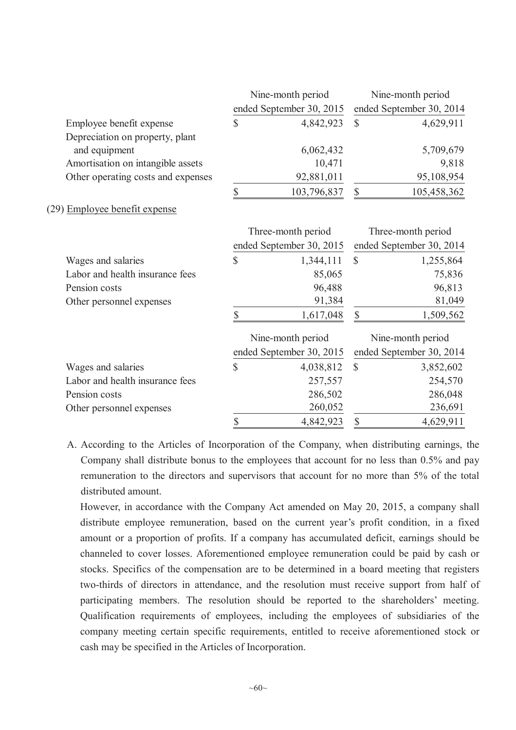|                                    | Nine-month period        |              | Nine-month period        |
|------------------------------------|--------------------------|--------------|--------------------------|
|                                    | ended September 30, 2015 |              | ended September 30, 2014 |
| Employee benefit expense           | \$<br>4,842,923          | $\mathbb{S}$ | 4,629,911                |
| Depreciation on property, plant    |                          |              |                          |
| and equipment                      | 6,062,432                |              | 5,709,679                |
| Amortisation on intangible assets  | 10,471                   |              | 9,818                    |
| Other operating costs and expenses | 92,881,011               |              | 95,108,954               |
|                                    | \$<br>103,796,837        | $\mathbb{S}$ | 105,458,362              |
| (29) Employee benefit expense      |                          |              |                          |
|                                    | Three-month period       |              | Three-month period       |
|                                    | ended September 30, 2015 |              | ended September 30, 2014 |
| Wages and salaries                 | \$<br>1,344,111          | \$           | 1,255,864                |
| Labor and health insurance fees    | 85,065                   |              | 75,836                   |
| Pension costs                      | 96,488                   |              | 96,813                   |
| Other personnel expenses           | 91,384                   |              | 81,049                   |
|                                    | \$<br>1,617,048          | $\mathbb{S}$ | 1,509,562                |
|                                    | Nine-month period        |              | Nine-month period        |
|                                    | ended September 30, 2015 |              | ended September 30, 2014 |
| Wages and salaries                 | \$<br>4,038,812          | $\mathbb{S}$ | 3,852,602                |
| Labor and health insurance fees    | 257,557                  |              | 254,570                  |
| Pension costs                      | 286,502                  |              | 286,048                  |
| Other personnel expenses           | 260,052                  |              | 236,691                  |
|                                    | \$<br>4,842,923          | \$           | 4,629,911                |

A. According to the Articles of Incorporation of the Company, when distributing earnings, the Company shall distribute bonus to the employees that account for no less than 0.5% and pay remuneration to the directors and supervisors that account for no more than 5% of the total distributed amount.

However, in accordance with the Company Act amended on May 20, 2015, a company shall distribute employee remuneration, based on the current year's profit condition, in a fixed amount or a proportion of profits. If a company has accumulated deficit, earnings should be channeled to cover losses. Aforementioned employee remuneration could be paid by cash or stocks. Specifics of the compensation are to be determined in a board meeting that registers two-thirds of directors in attendance, and the resolution must receive support from half of participating members. The resolution should be reported to the shareholders' meeting. Qualification requirements of employees, including the employees of subsidiaries of the company meeting certain specific requirements, entitled to receive aforementioned stock or cash may be specified in the Articles of Incorporation.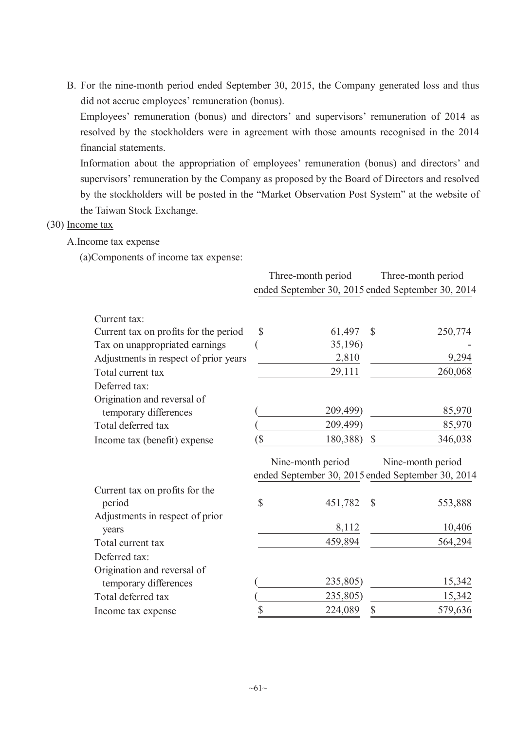B. For the nine-month period ended September 30, 2015, the Company generated loss and thus did not accrue employees' remuneration (bonus).

Employees' remuneration (bonus) and directors' and supervisors' remuneration of 2014 as resolved by the stockholders were in agreement with those amounts recognised in the 2014 financial statements.

Information about the appropriation of employees' remuneration (bonus) and directors' and supervisors' remuneration by the Company as proposed by the Board of Directors and resolved by the stockholders will be posted in the "Market Observation Post System" at the website of the Taiwan Stock Exchange.

# (30) Income tax

#### A.Income tax expense

(a)Components of income tax expense:

|                                       |                                                   | Three-month period                                |                           | Three-month period |  |
|---------------------------------------|---------------------------------------------------|---------------------------------------------------|---------------------------|--------------------|--|
|                                       | ended September 30, 2015 ended September 30, 2014 |                                                   |                           |                    |  |
| Current tax:                          |                                                   |                                                   |                           |                    |  |
| Current tax on profits for the period | \$                                                | 61,497                                            | $\mathcal{S}$             | 250,774            |  |
| Tax on unappropriated earnings        |                                                   | 35,196)                                           |                           |                    |  |
| Adjustments in respect of prior years |                                                   | 2,810                                             |                           | 9,294              |  |
| Total current tax                     |                                                   | 29,111                                            |                           | 260,068            |  |
| Deferred tax:                         |                                                   |                                                   |                           |                    |  |
| Origination and reversal of           |                                                   |                                                   |                           |                    |  |
| temporary differences                 |                                                   | 209,499)                                          |                           | 85,970             |  |
| Total deferred tax                    |                                                   | 209,499)                                          |                           | 85,970             |  |
| Income tax (benefit) expense          | `\$                                               | 180,388)                                          | $\mathbb{S}$              | 346,038            |  |
|                                       |                                                   | Nine-month period                                 |                           | Nine-month period  |  |
|                                       |                                                   | ended September 30, 2015 ended September 30, 2014 |                           |                    |  |
| Current tax on profits for the        |                                                   |                                                   |                           |                    |  |
| period                                | $\mathbb{S}$                                      | 451,782                                           | $\mathcal{S}$             | 553,888            |  |
| Adjustments in respect of prior       |                                                   |                                                   |                           |                    |  |
| years                                 |                                                   | 8,112                                             |                           | 10,406             |  |
| Total current tax                     |                                                   | 459,894                                           |                           | 564,294            |  |
| Deferred tax:                         |                                                   |                                                   |                           |                    |  |
| Origination and reversal of           |                                                   |                                                   |                           |                    |  |
| temporary differences                 |                                                   | 235,805)                                          |                           | 15,342             |  |
| Total deferred tax                    |                                                   | 235,805)                                          |                           | 15,342             |  |
| Income tax expense                    | \$                                                | 224,089                                           | $\boldsymbol{\mathsf{S}}$ | 579,636            |  |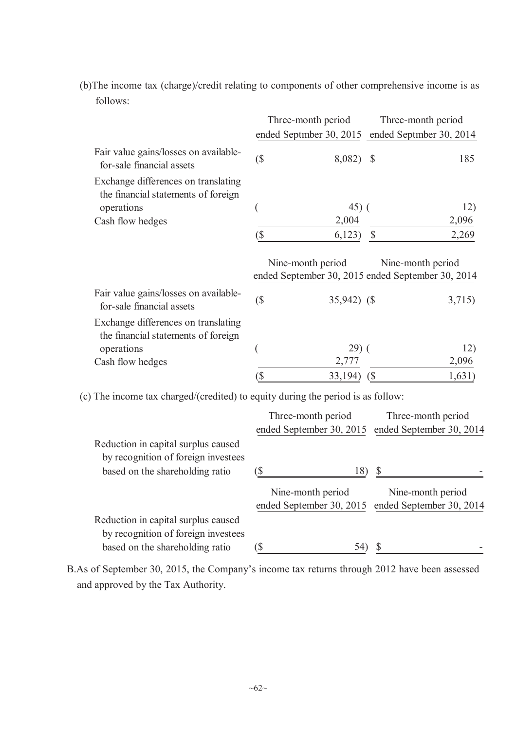|                                                                            |         | Three-month period                                                     |              | Three-month period |
|----------------------------------------------------------------------------|---------|------------------------------------------------------------------------|--------------|--------------------|
|                                                                            |         | ended Septmber 30, 2015 ended Septmber 30, 2014                        |              |                    |
| Fair value gains/losses on available-<br>for-sale financial assets         | $(\$\)$ | $8,082)$ \$                                                            |              | 185                |
| Exchange differences on translating<br>the financial statements of foreign |         |                                                                        |              |                    |
| operations                                                                 |         | 45) (                                                                  |              | 12)                |
| Cash flow hedges                                                           |         | 2,004                                                                  |              | 2,096              |
|                                                                            | (\$     | 6,123)                                                                 | $\mathbb{S}$ | 2,269              |
|                                                                            |         | Nine-month period<br>ended September 30, 2015 ended September 30, 2014 |              | Nine-month period  |
| Fair value gains/losses on available-<br>for-sale financial assets         | $(\$\)$ | $35,942)$ (\$)                                                         |              | 3,715)             |
| Exchange differences on translating<br>the financial statements of foreign |         |                                                                        |              |                    |
| operations                                                                 |         | $(29)$ (                                                               |              | 12)                |
| Cash flow hedges                                                           |         | 2,777                                                                  |              | 2,096              |
|                                                                            | (\$     | 33,194)                                                                | (            | 1,631)             |

(b)The income tax (charge)/credit relating to components of other comprehensive income is as follows:

(c) The income tax charged/(credited) to equity during the period is as follow:

|                                     | Three-month period       | Three-month period       |
|-------------------------------------|--------------------------|--------------------------|
|                                     | ended September 30, 2015 | ended September 30, 2014 |
| Reduction in capital surplus caused |                          |                          |
| by recognition of foreign investees |                          |                          |
| based on the shareholding ratio     |                          |                          |
|                                     | Nine-month period        | Nine-month period        |
|                                     | ended September 30, 2015 | ended September 30, 2014 |
| Reduction in capital surplus caused |                          |                          |
| by recognition of foreign investees |                          |                          |
| based on the shareholding ratio     |                          |                          |

B.As of September 30, 2015, the Company's income tax returns through 2012 have been assessed and approved by the Tax Authority.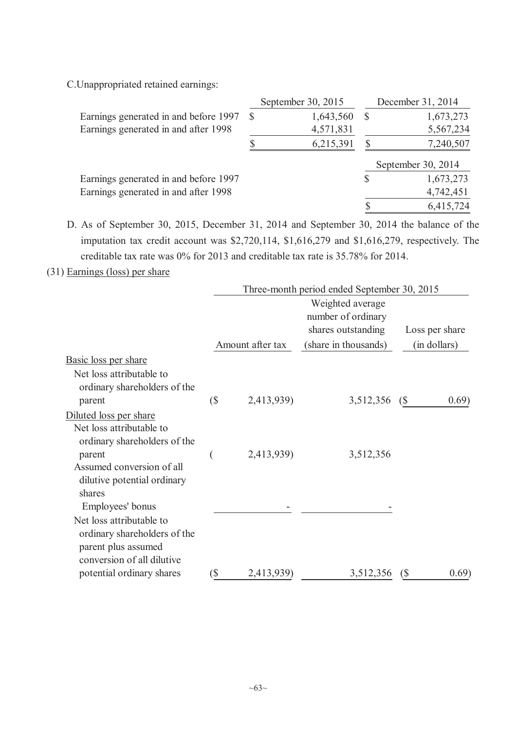C.Unappropriated retained earnings:

|                                       |              | September 30, 2015 |   | December 31, 2014  |
|---------------------------------------|--------------|--------------------|---|--------------------|
| Earnings generated in and before 1997 | <sup>S</sup> | 1,643,560          | S | 1,673,273          |
| Earnings generated in and after 1998  |              | 4,571,831          |   | 5,567,234          |
|                                       |              | 6,215,391          |   | 7,240,507          |
|                                       |              |                    |   | September 30, 2014 |
| Earnings generated in and before 1997 |              |                    |   | 1,673,273          |
| Earnings generated in and after 1998  |              |                    |   | 4,742,451          |
|                                       |              |                    |   | 6,415,724          |

D. As of September 30, 2015, December 31, 2014 and September 30, 2014 the balance of the imputation tax credit account was \$2,720,114, \$1,616,279 and \$1,616,279, respectively. The creditable tax rate was 0% for 2013 and creditable tax rate is 35.78% for 2014.

(31) Earnings (loss) per share

|                                                                                                               |     |                  | Three-month period ended September 30, 2015                  |                                       |
|---------------------------------------------------------------------------------------------------------------|-----|------------------|--------------------------------------------------------------|---------------------------------------|
|                                                                                                               |     |                  | Weighted average<br>number of ordinary<br>shares outstanding | Loss per share                        |
|                                                                                                               |     | Amount after tax | (share in thousands)                                         | (in dollars)                          |
| Basic loss per share                                                                                          |     |                  |                                                              |                                       |
| Net loss attributable to<br>ordinary shareholders of the<br>parent                                            | (   | 2,413,939)       | 3,512,356                                                    | 0.69)<br>$\left( \mathcal{S} \right)$ |
| Diluted loss per share                                                                                        |     |                  |                                                              |                                       |
| Net loss attributable to<br>ordinary shareholders of the                                                      |     |                  |                                                              |                                       |
| parent                                                                                                        |     | 2,413,939)       | 3,512,356                                                    |                                       |
| Assumed conversion of all<br>dilutive potential ordinary<br>shares                                            |     |                  |                                                              |                                       |
| Employees' bonus                                                                                              |     |                  |                                                              |                                       |
| Net loss attributable to<br>ordinary shareholders of the<br>parent plus assumed<br>conversion of all dilutive |     |                  |                                                              |                                       |
| potential ordinary shares                                                                                     | `\$ | 2,413,939)       | 3,512,356                                                    | (0.69)                                |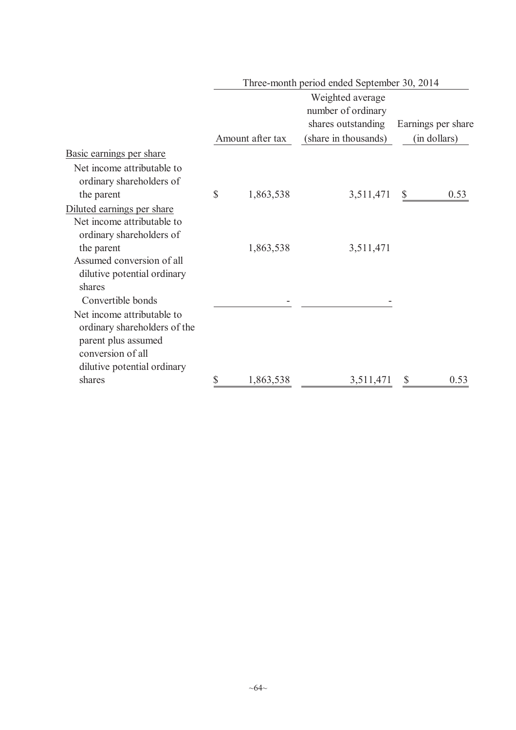|                                                                                                                                                            | Three-month period ended September 30, 2014 |                  |                                                              |                    |  |  |  |
|------------------------------------------------------------------------------------------------------------------------------------------------------------|---------------------------------------------|------------------|--------------------------------------------------------------|--------------------|--|--|--|
|                                                                                                                                                            |                                             |                  | Weighted average<br>number of ordinary<br>shares outstanding | Earnings per share |  |  |  |
|                                                                                                                                                            |                                             | Amount after tax | (share in thousands)                                         | (in dollars)       |  |  |  |
| Basic earnings per share<br>Net income attributable to<br>ordinary shareholders of                                                                         |                                             |                  |                                                              |                    |  |  |  |
| the parent                                                                                                                                                 | \$                                          | 1,863,538        | 3,511,471                                                    | \$<br>0.53         |  |  |  |
| Diluted earnings per share<br>Net income attributable to<br>ordinary shareholders of                                                                       |                                             |                  |                                                              |                    |  |  |  |
| the parent<br>Assumed conversion of all<br>dilutive potential ordinary<br>shares                                                                           |                                             | 1,863,538        | 3,511,471                                                    |                    |  |  |  |
| Convertible bonds<br>Net income attributable to<br>ordinary shareholders of the<br>parent plus assumed<br>conversion of all<br>dilutive potential ordinary |                                             |                  |                                                              |                    |  |  |  |
| shares                                                                                                                                                     | \$                                          | 1,863,538        | 3,511,471                                                    | 0.53<br>\$         |  |  |  |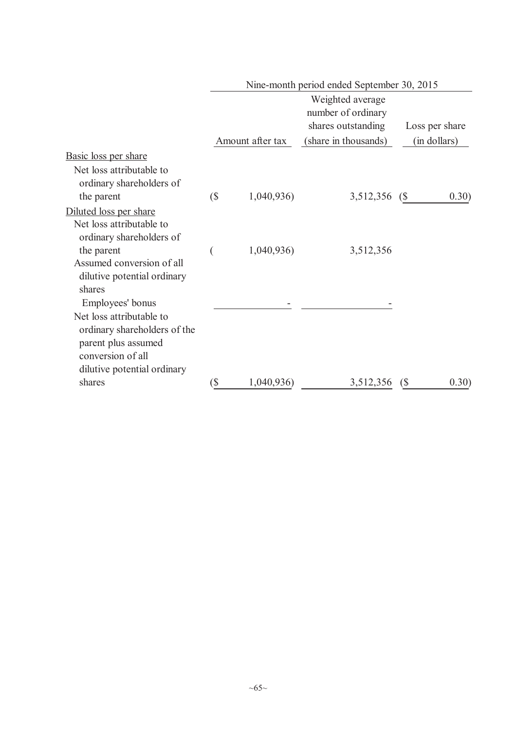| Nine-month period ended September 30, 2015 |            |                                        |                                            |  |  |
|--------------------------------------------|------------|----------------------------------------|--------------------------------------------|--|--|
|                                            |            | Weighted average<br>number of ordinary | Loss per share                             |  |  |
|                                            |            |                                        | (in dollars)                               |  |  |
|                                            |            |                                        |                                            |  |  |
|                                            |            |                                        |                                            |  |  |
| (                                          | 1,040,936) | 3,512,356                              | 0.30)<br>(S                                |  |  |
|                                            |            |                                        |                                            |  |  |
|                                            | 1,040,936) | 3,512,356                              |                                            |  |  |
|                                            |            |                                        |                                            |  |  |
|                                            |            |                                        |                                            |  |  |
|                                            |            |                                        |                                            |  |  |
| `\$                                        | 1,040,936) | 3,512,356                              | 0.30)<br>$\sqrt{S}$                        |  |  |
|                                            |            | Amount after tax                       | shares outstanding<br>(share in thousands) |  |  |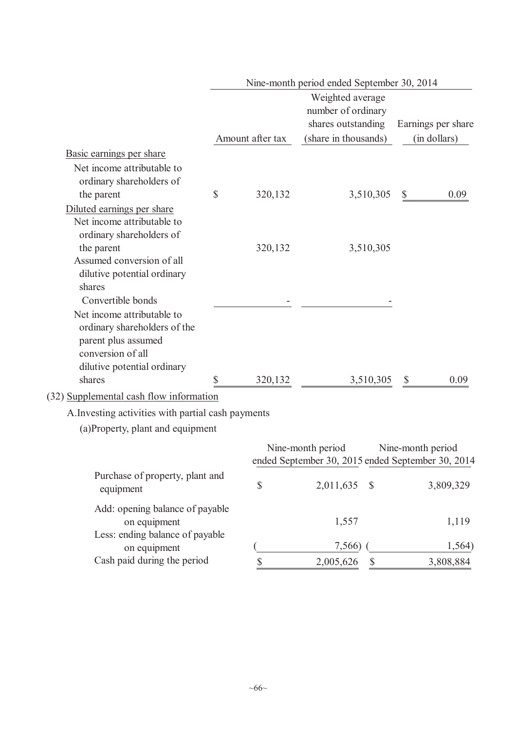|                                                                                                                                       |                  | Nine-month period ended September 30, 2014                             |              |                    |
|---------------------------------------------------------------------------------------------------------------------------------------|------------------|------------------------------------------------------------------------|--------------|--------------------|
|                                                                                                                                       |                  | Weighted average<br>number of ordinary<br>shares outstanding           |              | Earnings per share |
|                                                                                                                                       | Amount after tax | (share in thousands)                                                   |              | (in dollars)       |
| Basic earnings per share                                                                                                              |                  |                                                                        |              |                    |
| Net income attributable to<br>ordinary shareholders of<br>the parent                                                                  | \$<br>320,132    |                                                                        |              |                    |
|                                                                                                                                       |                  | 3,510,305                                                              | $\mathbb{S}$ | 0.09               |
| Diluted earnings per share<br>Net income attributable to<br>ordinary shareholders of                                                  |                  |                                                                        |              |                    |
| the parent                                                                                                                            | 320,132          | 3,510,305                                                              |              |                    |
| Assumed conversion of all<br>dilutive potential ordinary<br>shares                                                                    |                  |                                                                        |              |                    |
| Convertible bonds                                                                                                                     |                  |                                                                        |              |                    |
| Net income attributable to<br>ordinary shareholders of the<br>parent plus assumed<br>conversion of all<br>dilutive potential ordinary |                  |                                                                        |              |                    |
| shares                                                                                                                                | \$<br>320,132    | 3,510,305                                                              | $\mathbb{S}$ | 0.09               |
| (32) Supplemental cash flow information                                                                                               |                  |                                                                        |              |                    |
| A. Investing activities with partial cash payments                                                                                    |                  |                                                                        |              |                    |
| (a)Property, plant and equipment                                                                                                      |                  |                                                                        |              |                    |
|                                                                                                                                       |                  | Nine-month period<br>ended September 30, 2015 ended September 30, 2014 |              | Nine-month period  |
| Purchase of property, plant and<br>equipment                                                                                          | \$               | 2,011,635<br>$\mathbb{S}$                                              |              | 3,809,329          |
| Add: opening balance of payable<br>on equipment<br>Less: ending balance of payable                                                    |                  | 1,557                                                                  |              | 1,119              |
| on equipment                                                                                                                          |                  | 7,566)                                                                 |              | 1,564)             |
| Cash paid during the period                                                                                                           |                  | 2,005,626<br>\$                                                        |              | 3,808,884          |
|                                                                                                                                       |                  |                                                                        |              |                    |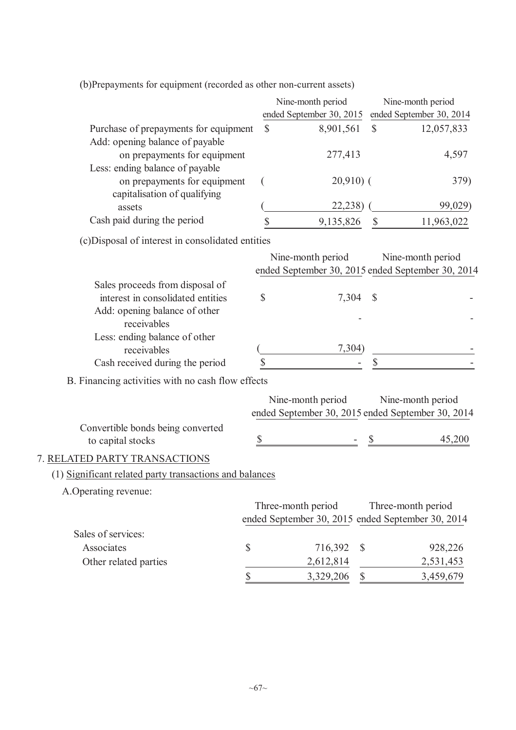|                                                                      |               | Nine-month period<br>ended September 30, 2015 |                           | Nine-month period<br>ended September 30, 2014     |
|----------------------------------------------------------------------|---------------|-----------------------------------------------|---------------------------|---------------------------------------------------|
| Purchase of prepayments for equipment                                | $\mathcal{S}$ | 8,901,561                                     | $\mathcal{S}$             | 12,057,833                                        |
| Add: opening balance of payable                                      |               |                                               |                           |                                                   |
| on prepayments for equipment                                         |               | 277,413                                       |                           | 4,597                                             |
| Less: ending balance of payable                                      |               |                                               |                           |                                                   |
| on prepayments for equipment                                         |               | $20,910)$ (                                   |                           | 379)                                              |
| capitalisation of qualifying<br>assets                               |               | 22,238)                                       |                           | 99,029)                                           |
| Cash paid during the period                                          | \$            | 9,135,826                                     | $\boldsymbol{\mathsf{S}}$ | 11,963,022                                        |
|                                                                      |               |                                               |                           |                                                   |
| (c) Disposal of interest in consolidated entities                    |               |                                               |                           |                                                   |
|                                                                      |               | Nine-month period                             |                           | Nine-month period                                 |
|                                                                      |               |                                               |                           | ended September 30, 2015 ended September 30, 2014 |
| Sales proceeds from disposal of<br>interest in consolidated entities | \$            | 7,304                                         | S                         |                                                   |
| Add: opening balance of other                                        |               |                                               |                           |                                                   |
| receivables                                                          |               |                                               |                           |                                                   |
| Less: ending balance of other                                        |               |                                               |                           |                                                   |
| receivables                                                          |               | 7,304)                                        |                           |                                                   |
| Cash received during the period                                      | \$            |                                               | $\boldsymbol{\mathsf{S}}$ |                                                   |
| B. Financing activities with no cash flow effects                    |               |                                               |                           |                                                   |
|                                                                      |               | Nine-month period                             |                           | Nine-month period                                 |
|                                                                      |               |                                               |                           | ended September 30, 2015 ended September 30, 2014 |
| Convertible bonds being converted                                    |               |                                               |                           |                                                   |
| to capital stocks                                                    | \$            |                                               | \$                        | 45,200                                            |
| 7. RELATED PARTY TRANSACTIONS                                        |               |                                               |                           |                                                   |
| (1) Significant related party transactions and balances              |               |                                               |                           |                                                   |
| A. Operating revenue:                                                |               |                                               |                           |                                                   |
|                                                                      |               | Three-month period                            |                           | Three-month period                                |
|                                                                      |               |                                               |                           | ended September 30, 2015 ended September 30, 2014 |
| Sales of services:                                                   |               |                                               |                           |                                                   |
| Associates<br>\$                                                     |               | 716,392                                       | $\mathcal{S}$             | 928,226                                           |
| Other related parties                                                |               | 2,612,814                                     |                           | 2,531,453                                         |
| \$                                                                   |               | 3,329,206                                     | \$                        | 3,459,679                                         |

(b)Prepayments for equipment (recorded as other non-current assets)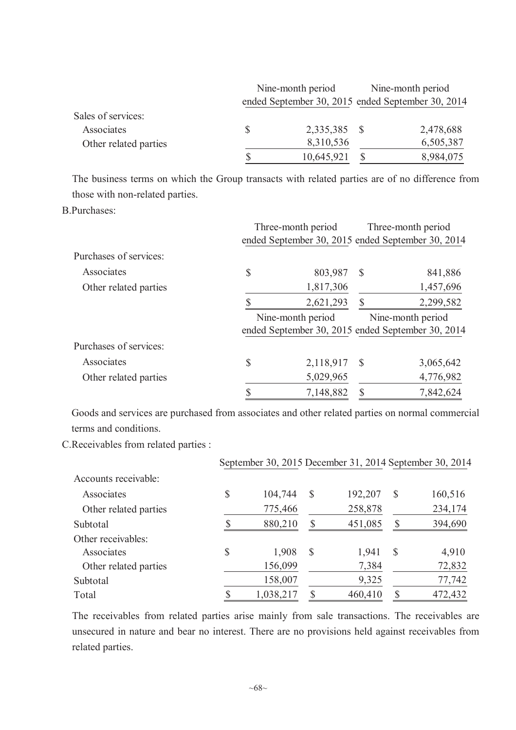|                       | Nine-month period                                 |  | Nine-month period |  |  |
|-----------------------|---------------------------------------------------|--|-------------------|--|--|
|                       | ended September 30, 2015 ended September 30, 2014 |  |                   |  |  |
| Sales of services:    |                                                   |  |                   |  |  |
| Associates            | 2,335,385 \$                                      |  | 2,478,688         |  |  |
| Other related parties | 8,310,536                                         |  | 6,505,387         |  |  |
|                       | 10,645,921                                        |  | 8,984,075         |  |  |

The business terms on which the Group transacts with related parties are of no difference from those with non-related parties.

B.Purchases:

|                        | Three-month period |                                                                        | Three-month period                                |  |  |
|------------------------|--------------------|------------------------------------------------------------------------|---------------------------------------------------|--|--|
|                        |                    |                                                                        | ended September 30, 2015 ended September 30, 2014 |  |  |
| Purchases of services: |                    |                                                                        |                                                   |  |  |
| Associates             | \$<br>803,987      | $\mathcal{S}$                                                          | 841,886                                           |  |  |
| Other related parties  | 1,817,306          |                                                                        | 1,457,696                                         |  |  |
|                        | 2,621,293          | \$                                                                     | 2,299,582                                         |  |  |
|                        | Nine-month period  | Nine-month period<br>ended September 30, 2015 ended September 30, 2014 |                                                   |  |  |
| Purchases of services: |                    |                                                                        |                                                   |  |  |
| Associates             | \$<br>2,118,917    | <sup>S</sup>                                                           | 3,065,642                                         |  |  |
| Other related parties  | 5,029,965          |                                                                        | 4,776,982                                         |  |  |
|                        | 7,148,882          |                                                                        | 7,842,624                                         |  |  |

Goods and services are purchased from associates and other related parties on normal commercial terms and conditions.

C.Receivables from related parties :

|                       | September 30, 2015 December 31, 2014 September 30, 2014 |               |         |              |         |
|-----------------------|---------------------------------------------------------|---------------|---------|--------------|---------|
| Accounts receivable:  |                                                         |               |         |              |         |
| Associates            | \$<br>104,744                                           | $\mathcal{S}$ | 192,207 | $\mathbb{S}$ | 160,516 |
| Other related parties | 775,466                                                 |               | 258,878 |              | 234,174 |
| Subtotal              | 880,210                                                 |               | 451,085 |              | 394,690 |
| Other receivables:    |                                                         |               |         |              |         |
| Associates            | \$<br>1,908                                             | $\mathcal{S}$ | 1,941   | <sup>S</sup> | 4,910   |
| Other related parties | 156,099                                                 |               | 7,384   |              | 72,832  |
| Subtotal              | 158,007                                                 |               | 9,325   |              | 77,742  |
| Total                 | 1,038,217                                               |               | 460,410 |              | 472,432 |

The receivables from related parties arise mainly from sale transactions. The receivables are unsecured in nature and bear no interest. There are no provisions held against receivables from related parties.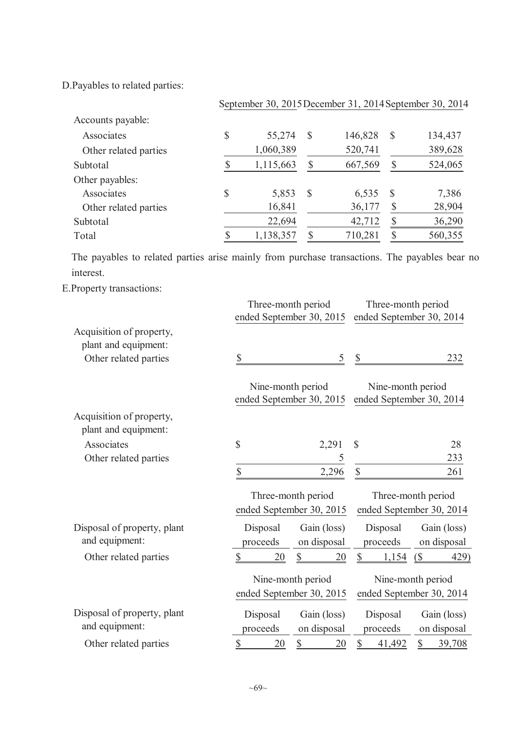D.Payables to related parties:

|                       | September 30, 2015 December 31, 2014 September 30, 2014 |               |         |               |         |
|-----------------------|---------------------------------------------------------|---------------|---------|---------------|---------|
| Accounts payable:     |                                                         |               |         |               |         |
| Associates            | \$<br>55,274                                            | $\mathcal{S}$ | 146,828 | S             | 134,437 |
| Other related parties | 1,060,389                                               |               | 520,741 |               | 389,628 |
| Subtotal              | 1,115,663                                               |               | 667,569 | S             | 524,065 |
| Other payables:       |                                                         |               |         |               |         |
| Associates            | \$<br>5,853                                             | <sup>S</sup>  | 6,535   | $\mathcal{S}$ | 7,386   |
| Other related parties | 16,841                                                  |               | 36,177  | \$            | 28,904  |
| Subtotal              | 22,694                                                  |               | 42,712  | S             | 36,290  |
| Total                 | 1,138,357                                               |               | 710,281 |               | 560,355 |

The payables to related parties arise mainly from purchase transactions. The payables bear no interest.

E.Property transactions:

|                                                  |                                | Three-month period<br>ended September 30, 2015 | Three-month period<br>ended September 30, 2014 |                                                |  |  |
|--------------------------------------------------|--------------------------------|------------------------------------------------|------------------------------------------------|------------------------------------------------|--|--|
| Acquisition of property,<br>plant and equipment: |                                |                                                |                                                |                                                |  |  |
| Other related parties                            | $\boldsymbol{\mathsf{S}}$      | 5                                              | $\mathbb S$                                    | 232                                            |  |  |
|                                                  |                                | Nine-month period<br>ended September 30, 2015  | Nine-month period<br>ended September 30, 2014  |                                                |  |  |
| Acquisition of property,<br>plant and equipment: |                                |                                                |                                                |                                                |  |  |
| Associates                                       | \$                             | 2,291                                          | $\mathcal{S}$                                  | 28                                             |  |  |
| Other related parties                            |                                | $\overline{5}$                                 | 233                                            |                                                |  |  |
|                                                  | \$                             | 2,296                                          | \$<br>261                                      |                                                |  |  |
|                                                  |                                | Three-month period<br>ended September 30, 2015 |                                                | Three-month period<br>ended September 30, 2014 |  |  |
| Disposal of property, plant                      | Disposal                       | Gain (loss)                                    | Disposal                                       | Gain (loss)                                    |  |  |
| and equipment:                                   | proceeds                       | on disposal                                    | proceeds                                       | on disposal                                    |  |  |
| Other related parties                            | 20                             | $\mathbb{S}$<br>20                             | 1,154                                          | (S)<br>429)                                    |  |  |
|                                                  |                                | Nine-month period                              | Nine-month period<br>ended September 30, 2014  |                                                |  |  |
|                                                  |                                | ended September 30, 2015                       |                                                |                                                |  |  |
| Disposal of property, plant                      | Disposal                       | Gain (loss)                                    | Disposal                                       | Gain (loss)                                    |  |  |
| and equipment:                                   | proceeds                       | on disposal                                    | proceeds                                       | on disposal                                    |  |  |
| Other related parties                            | $\overline{\mathcal{L}}$<br>20 | $\frac{1}{2}$<br>$\overline{20}$               | $\frac{1}{2}$<br>41,492                        | \$<br>39,708                                   |  |  |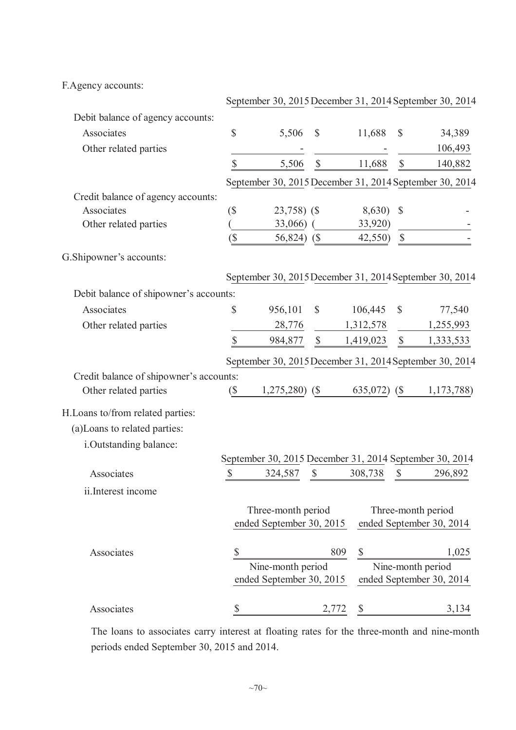F.Agency accounts:

| \$                         | 5,506                                                                             | $\mathbb{S}$              | 11,688                                                                  | $\mathbb{S}$                                                         | 34,389                                                                                                                                                                                                                                                                                                                                                                                                 |
|----------------------------|-----------------------------------------------------------------------------------|---------------------------|-------------------------------------------------------------------------|----------------------------------------------------------------------|--------------------------------------------------------------------------------------------------------------------------------------------------------------------------------------------------------------------------------------------------------------------------------------------------------------------------------------------------------------------------------------------------------|
|                            |                                                                                   |                           |                                                                         |                                                                      | 106,493                                                                                                                                                                                                                                                                                                                                                                                                |
| $\boldsymbol{\mathsf{S}}$  | 5,506                                                                             | $\mathcal{S}$             | 11,688                                                                  | $\mathcal{S}$                                                        | 140,882                                                                                                                                                                                                                                                                                                                                                                                                |
|                            |                                                                                   |                           |                                                                         |                                                                      |                                                                                                                                                                                                                                                                                                                                                                                                        |
|                            |                                                                                   |                           |                                                                         |                                                                      |                                                                                                                                                                                                                                                                                                                                                                                                        |
| $(\$\)$                    |                                                                                   |                           | 8,630)                                                                  | $\mathcal{S}$                                                        |                                                                                                                                                                                                                                                                                                                                                                                                        |
|                            | 33,066)                                                                           |                           | 33,920)                                                                 |                                                                      |                                                                                                                                                                                                                                                                                                                                                                                                        |
| $\Im$                      |                                                                                   |                           | 42,550)                                                                 | $\boldsymbol{\mathsf{S}}$                                            |                                                                                                                                                                                                                                                                                                                                                                                                        |
|                            |                                                                                   |                           |                                                                         |                                                                      |                                                                                                                                                                                                                                                                                                                                                                                                        |
|                            |                                                                                   |                           |                                                                         |                                                                      |                                                                                                                                                                                                                                                                                                                                                                                                        |
|                            |                                                                                   |                           |                                                                         |                                                                      |                                                                                                                                                                                                                                                                                                                                                                                                        |
| \$                         | 956,101                                                                           | $\mathbb{S}$              | 106,445                                                                 | $\mathbb{S}$                                                         | 77,540                                                                                                                                                                                                                                                                                                                                                                                                 |
|                            | 28,776                                                                            |                           | 1,312,578                                                               |                                                                      | 1,255,993                                                                                                                                                                                                                                                                                                                                                                                              |
| $\mathbb{S}$               | 984,877                                                                           | $\mathbb{S}$              | 1,419,023                                                               | $\mathbb{S}$                                                         | 1,333,533                                                                                                                                                                                                                                                                                                                                                                                              |
|                            |                                                                                   |                           |                                                                         |                                                                      |                                                                                                                                                                                                                                                                                                                                                                                                        |
|                            |                                                                                   |                           |                                                                         |                                                                      |                                                                                                                                                                                                                                                                                                                                                                                                        |
| $\left( \text{\$} \right)$ |                                                                                   |                           | 635,072)                                                                | $\left( \text{\$} \right)$                                           | 1,173,788)                                                                                                                                                                                                                                                                                                                                                                                             |
|                            |                                                                                   |                           |                                                                         |                                                                      |                                                                                                                                                                                                                                                                                                                                                                                                        |
|                            |                                                                                   |                           |                                                                         |                                                                      |                                                                                                                                                                                                                                                                                                                                                                                                        |
|                            |                                                                                   |                           |                                                                         |                                                                      |                                                                                                                                                                                                                                                                                                                                                                                                        |
|                            |                                                                                   |                           |                                                                         |                                                                      |                                                                                                                                                                                                                                                                                                                                                                                                        |
| $\$\,$                     | 324,587                                                                           | $\boldsymbol{\mathsf{S}}$ | 308,738                                                                 | $\$\,$                                                               | 296,892                                                                                                                                                                                                                                                                                                                                                                                                |
|                            |                                                                                   |                           |                                                                         |                                                                      |                                                                                                                                                                                                                                                                                                                                                                                                        |
|                            |                                                                                   |                           |                                                                         |                                                                      |                                                                                                                                                                                                                                                                                                                                                                                                        |
|                            |                                                                                   |                           |                                                                         |                                                                      |                                                                                                                                                                                                                                                                                                                                                                                                        |
|                            |                                                                                   |                           |                                                                         |                                                                      |                                                                                                                                                                                                                                                                                                                                                                                                        |
| \$                         |                                                                                   |                           | $\mathbb{S}$                                                            |                                                                      | 1,025                                                                                                                                                                                                                                                                                                                                                                                                  |
| Nine-month period          |                                                                                   |                           |                                                                         |                                                                      |                                                                                                                                                                                                                                                                                                                                                                                                        |
|                            |                                                                                   |                           |                                                                         |                                                                      |                                                                                                                                                                                                                                                                                                                                                                                                        |
| \$                         |                                                                                   |                           | \$                                                                      |                                                                      | 3,134                                                                                                                                                                                                                                                                                                                                                                                                  |
|                            | Debit balance of shipowner's accounts:<br>Credit balance of shipowner's accounts: |                           | $23,758$ ) (\$<br>56,824) (\$<br>$1,275,280$ (\$)<br>Three-month period | ended September 30, 2015<br>809<br>ended September 30, 2015<br>2,772 | September 30, 2015 December 31, 2014 September 30, 2014<br>September 30, 2015 December 31, 2014 September 30, 2014<br>September 30, 2015 December 31, 2014 September 30, 2014<br>September 30, 2015 December 31, 2014 September 30, 2014<br>September 30, 2015 December 31, 2014 September 30, 2014<br>Three-month period<br>ended September 30, 2014<br>Nine-month period<br>ended September 30, 2014 |

The loans to associates carry interest at floating rates for the three-month and nine-month periods ended September 30, 2015 and 2014.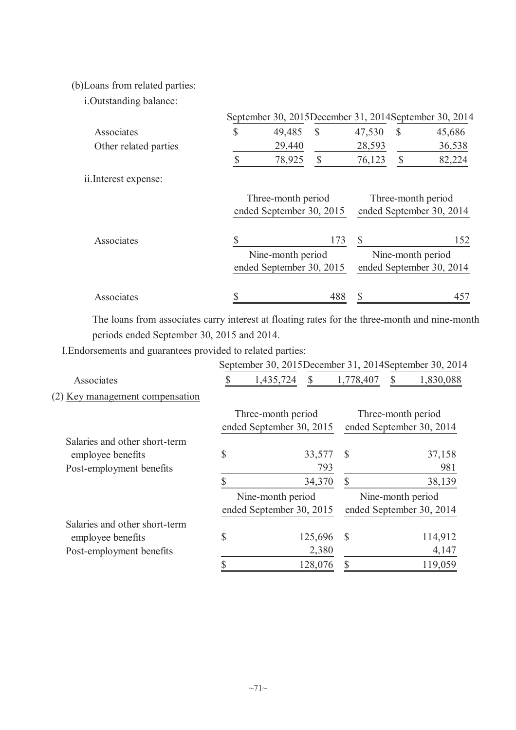# (b)Loans from related parties:

i.Outstanding balance:

|                       |    |                          |              |                   |              | September 30, 2015December 31, 2014September 30, 2014 |  |  |  |
|-----------------------|----|--------------------------|--------------|-------------------|--------------|-------------------------------------------------------|--|--|--|
| Associates            | \$ | 49,485                   | $\mathbb{S}$ | 47,530            | $\mathbb{S}$ | 45,686                                                |  |  |  |
| Other related parties |    | 29,440                   |              | 28,593            |              | 36,538                                                |  |  |  |
|                       | S  | 78,925                   | \$           | 76,123            | \$           | 82,224                                                |  |  |  |
| ii.Interest expense:  |    |                          |              |                   |              |                                                       |  |  |  |
|                       |    | Three-month period       |              |                   |              | Three-month period                                    |  |  |  |
|                       |    | ended September 30, 2015 |              |                   |              | ended September 30, 2014                              |  |  |  |
| Associates            |    |                          | 173          | $\mathbb{S}$      |              | 152                                                   |  |  |  |
|                       |    | Nine-month period        |              | Nine-month period |              |                                                       |  |  |  |
|                       |    | ended September 30, 2015 |              |                   |              | ended September 30, 2014                              |  |  |  |
| Associates            |    |                          | 488          |                   |              | 457                                                   |  |  |  |
|                       |    |                          |              |                   |              |                                                       |  |  |  |

The loans from associates carry interest at floating rates for the three-month and nine-month periods ended September 30, 2015 and 2014.

I.Endorsements and guarantees provided to related parties:

|                                 |    |                          |              |               |              | September 30, 2015December 31, 2014September 30, 2014 |
|---------------------------------|----|--------------------------|--------------|---------------|--------------|-------------------------------------------------------|
| Associates                      | S  | 1,435,724                | <sup>S</sup> | 1,778,407     | $\mathbb{S}$ | 1,830,088                                             |
| (2) Key management compensation |    |                          |              |               |              |                                                       |
|                                 |    | Three-month period       |              |               |              | Three-month period                                    |
|                                 |    | ended September 30, 2015 |              |               |              | ended September 30, 2014                              |
| Salaries and other short-term   |    |                          |              |               |              |                                                       |
| employee benefits               | \$ |                          | 33,577       | <sup>S</sup>  |              | 37,158                                                |
| Post-employment benefits        |    |                          | 793          |               |              | 981                                                   |
|                                 | S  |                          | 34,370       | \$            |              | 38,139                                                |
|                                 |    | Nine-month period        |              |               |              | Nine-month period                                     |
|                                 |    | ended September 30, 2015 |              |               |              | ended September 30, 2014                              |
| Salaries and other short-term   |    |                          |              |               |              |                                                       |
| employee benefits               | \$ |                          | 125,696      | $\mathcal{S}$ |              | 114,912                                               |
| Post-employment benefits        |    |                          | 2,380        |               |              | 4,147                                                 |
|                                 |    |                          | 128,076      |               |              | 119,059                                               |
|                                 |    |                          |              |               |              |                                                       |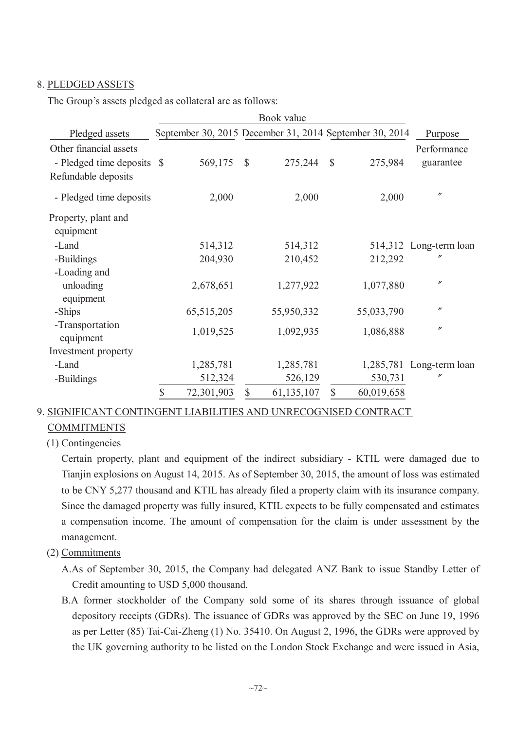## 8. PLEDGED ASSETS

The Group's assets pledged as collateral are as follows:

|                                                                             |                  |               | Book value                                              |               |            |                          |
|-----------------------------------------------------------------------------|------------------|---------------|---------------------------------------------------------|---------------|------------|--------------------------|
| Pledged assets                                                              |                  |               | September 30, 2015 December 31, 2014 September 30, 2014 |               |            | Purpose                  |
| Other financial assets<br>- Pledged time deposits \$<br>Refundable deposits | 569,175          | $\mathcal{S}$ | 275,244                                                 | $\mathcal{S}$ | 275,984    | Performance<br>guarantee |
|                                                                             |                  |               |                                                         |               |            |                          |
| - Pledged time deposits                                                     | 2,000            |               | 2,000                                                   |               | 2,000      | $^{\prime\prime}$        |
| Property, plant and<br>equipment                                            |                  |               |                                                         |               |            |                          |
| -Land                                                                       | 514,312          |               | 514,312                                                 |               |            | 514,312 Long-term loan   |
| -Buildings<br>-Loading and                                                  | 204,930          |               | 210,452                                                 |               | 212,292    | $^{\prime\prime}$        |
| unloading<br>equipment                                                      | 2,678,651        |               | 1,277,922                                               |               | 1,077,880  | $^{\prime\prime}$        |
| -Ships                                                                      | 65,515,205       |               | 55,950,332                                              |               | 55,033,790 | $^{\prime\prime}$        |
| -Transportation<br>equipment                                                | 1,019,525        |               | 1,092,935                                               |               | 1,086,888  | $^{\prime\prime}$        |
| Investment property                                                         |                  |               |                                                         |               |            |                          |
| -Land                                                                       | 1,285,781        |               | 1,285,781                                               |               | 1,285,781  | Long-term loan           |
| -Buildings                                                                  | 512,324          |               | 526,129                                                 |               | 530,731    | $^{\prime\prime}$        |
|                                                                             | \$<br>72,301,903 | $\mathbb{S}$  | 61,135,107                                              | $\mathbb{S}$  | 60,019,658 |                          |

## 9. SIGNIFICANT CONTINGENT LIABILITIES AND UNRECOGNISED CONTRACT COMMITMENTS

## (1) Contingencies

Certain property, plant and equipment of the indirect subsidiary - KTIL were damaged due to Tianjin explosions on August 14, 2015. As of September 30, 2015, the amount of loss was estimated to be CNY 5,277 thousand and KTIL has already filed a property claim with its insurance company. Since the damaged property was fully insured, KTIL expects to be fully compensated and estimates a compensation income. The amount of compensation for the claim is under assessment by the management.

- (2) Commitments
	- A.As of September 30, 2015, the Company had delegated ANZ Bank to issue Standby Letter of Credit amounting to USD 5,000 thousand.
	- B.A former stockholder of the Company sold some of its shares through issuance of global depository receipts (GDRs). The issuance of GDRs was approved by the SEC on June 19, 1996 as per Letter (85) Tai-Cai-Zheng (1) No. 35410. On August 2, 1996, the GDRs were approved by the UK governing authority to be listed on the London Stock Exchange and were issued in Asia,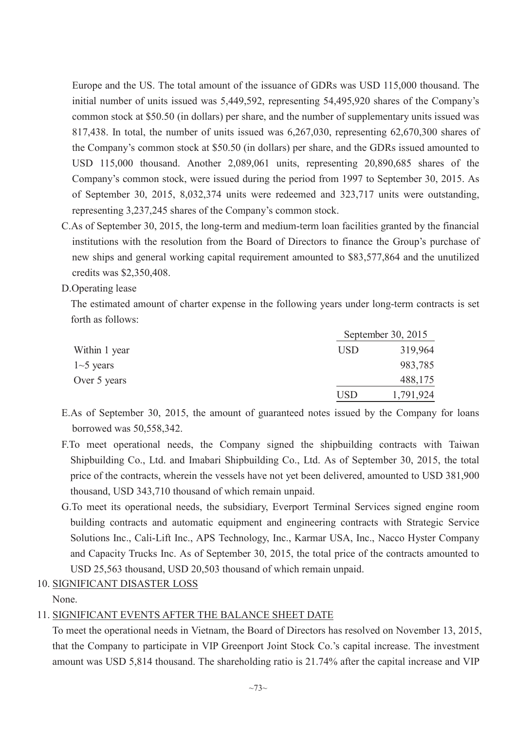Europe and the US. The total amount of the issuance of GDRs was USD 115,000 thousand. The initial number of units issued was 5,449,592, representing 54,495,920 shares of the Company's common stock at \$50.50 (in dollars) per share, and the number of supplementary units issued was 817,438. In total, the number of units issued was 6,267,030, representing 62,670,300 shares of the Company's common stock at \$50.50 (in dollars) per share, and the GDRs issued amounted to USD 115,000 thousand. Another 2,089,061 units, representing 20,890,685 shares of the Company's common stock, were issued during the period from 1997 to September 30, 2015. As of September 30, 2015, 8,032,374 units were redeemed and 323,717 units were outstanding, representing 3,237,245 shares of the Company's common stock.

C.As of September 30, 2015, the long-term and medium-term loan facilities granted by the financial institutions with the resolution from the Board of Directors to finance the Group's purchase of new ships and general working capital requirement amounted to \$83,577,864 and the unutilized credits was \$2,350,408.

D.Operating lease

The estimated amount of charter expense in the following years under long-term contracts is set forth as follows:

|                  |            | September 30, $2015$ |
|------------------|------------|----------------------|
| Within 1 year    | <b>USD</b> | 319,964              |
| $1 \sim 5$ years |            | 983,785              |
| Over 5 years     |            | 488,175              |
|                  | <b>USD</b> | 1,791,924            |

- E.As of September 30, 2015, the amount of guaranteed notes issued by the Company for loans borrowed was 50,558,342.
- F.To meet operational needs, the Company signed the shipbuilding contracts with Taiwan Shipbuilding Co., Ltd. and Imabari Shipbuilding Co., Ltd. As of September 30, 2015, the total price of the contracts, wherein the vessels have not yet been delivered, amounted to USD 381,900 thousand, USD 343,710 thousand of which remain unpaid.
- G.To meet its operational needs, the subsidiary, Everport Terminal Services signed engine room building contracts and automatic equipment and engineering contracts with Strategic Service Solutions Inc., Cali-Lift Inc., APS Technology, Inc., Karmar USA, Inc., Nacco Hyster Company and Capacity Trucks Inc. As of September 30, 2015, the total price of the contracts amounted to USD 25,563 thousand, USD 20,503 thousand of which remain unpaid.
- 10. SIGNIFICANT DISASTER LOSS

None.

11. SIGNIFICANT EVENTS AFTER THE BALANCE SHEET DATE

To meet the operational needs in Vietnam, the Board of Directors has resolved on November 13, 2015, that the Company to participate in VIP Greenport Joint Stock Co.'s capital increase. The investment amount was USD 5,814 thousand. The shareholding ratio is 21.74% after the capital increase and VIP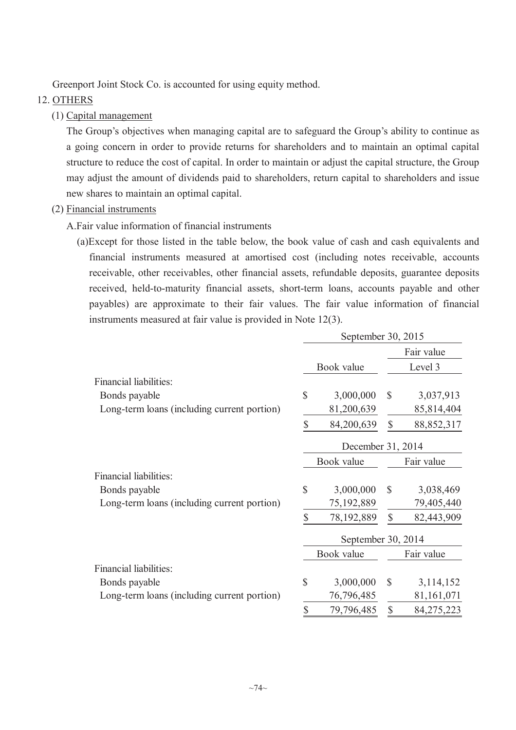Greenport Joint Stock Co. is accounted for using equity method.

## 12. OTHERS

## (1) Capital management

The Group's objectives when managing capital are to safeguard the Group's ability to continue as a going concern in order to provide returns for shareholders and to maintain an optimal capital structure to reduce the cost of capital. In order to maintain or adjust the capital structure, the Group may adjust the amount of dividends paid to shareholders, return capital to shareholders and issue new shares to maintain an optimal capital.

## (2) Financial instruments

## A.Fair value information of financial instruments

(a)Except for those listed in the table below, the book value of cash and cash equivalents and financial instruments measured at amortised cost (including notes receivable, accounts receivable, other receivables, other financial assets, refundable deposits, guarantee deposits received, held-to-maturity financial assets, short-term loans, accounts payable and other payables) are approximate to their fair values. The fair value information of financial instruments measured at fair value is provided in Note 12(3).

|                                             |             | September 30, 2015 |               |              |
|---------------------------------------------|-------------|--------------------|---------------|--------------|
|                                             |             |                    |               | Fair value   |
|                                             |             | Book value         |               | Level 3      |
| Financial liabilities:                      |             |                    |               |              |
| Bonds payable                               | $\mathbf S$ | 3,000,000          | $\mathcal{S}$ | 3,037,913    |
| Long-term loans (including current portion) |             | 81,200,639         |               | 85,814,404   |
|                                             | \$          | 84,200,639         | \$            | 88, 852, 317 |
|                                             |             | December 31, 2014  |               |              |
|                                             |             | Book value         |               | Fair value   |
| Financial liabilities:                      |             |                    |               |              |
| Bonds payable                               | \$          | 3,000,000          | $\mathcal{S}$ | 3,038,469    |
| Long-term loans (including current portion) |             | 75, 192, 889       |               | 79,405,440   |
|                                             | \$          | 78,192,889         | \$            | 82,443,909   |
|                                             |             | September 30, 2014 |               |              |
|                                             |             | Book value         |               | Fair value   |
| Financial liabilities:                      |             |                    |               |              |
| Bonds payable                               | $\mathbf S$ | 3,000,000          | $\mathcal{S}$ | 3,114,152    |
| Long-term loans (including current portion) |             | 76,796,485         |               | 81,161,071   |
|                                             | \$          | 79,796,485         | \$            | 84, 275, 223 |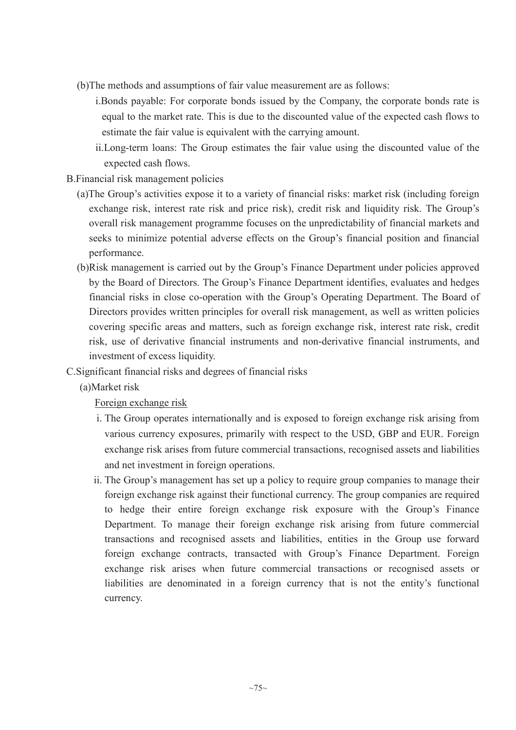- (b)The methods and assumptions of fair value measurement are as follows:
	- i.Bonds payable: For corporate bonds issued by the Company, the corporate bonds rate is equal to the market rate. This is due to the discounted value of the expected cash flows to estimate the fair value is equivalent with the carrying amount.
	- ii.Long-term loans: The Group estimates the fair value using the discounted value of the expected cash flows.
- B.Financial risk management policies
	- (a)The Group's activities expose it to a variety of financial risks: market risk (including foreign exchange risk, interest rate risk and price risk), credit risk and liquidity risk. The Group's overall risk management programme focuses on the unpredictability of financial markets and seeks to minimize potential adverse effects on the Group's financial position and financial performance.
	- (b)Risk management is carried out by the Group's Finance Department under policies approved by the Board of Directors. The Group's Finance Department identifies, evaluates and hedges financial risks in close co-operation with the Group's Operating Department. The Board of Directors provides written principles for overall risk management, as well as written policies covering specific areas and matters, such as foreign exchange risk, interest rate risk, credit risk, use of derivative financial instruments and non-derivative financial instruments, and investment of excess liquidity.
- C.Significant financial risks and degrees of financial risks
	- (a)Market risk

Foreign exchange risk

- i. The Group operates internationally and is exposed to foreign exchange risk arising from various currency exposures, primarily with respect to the USD, GBP and EUR. Foreign exchange risk arises from future commercial transactions, recognised assets and liabilities and net investment in foreign operations.
- ii. The Group's management has set up a policy to require group companies to manage their foreign exchange risk against their functional currency. The group companies are required to hedge their entire foreign exchange risk exposure with the Group's Finance Department. To manage their foreign exchange risk arising from future commercial transactions and recognised assets and liabilities, entities in the Group use forward foreign exchange contracts, transacted with Group's Finance Department. Foreign exchange risk arises when future commercial transactions or recognised assets or liabilities are denominated in a foreign currency that is not the entity's functional currency.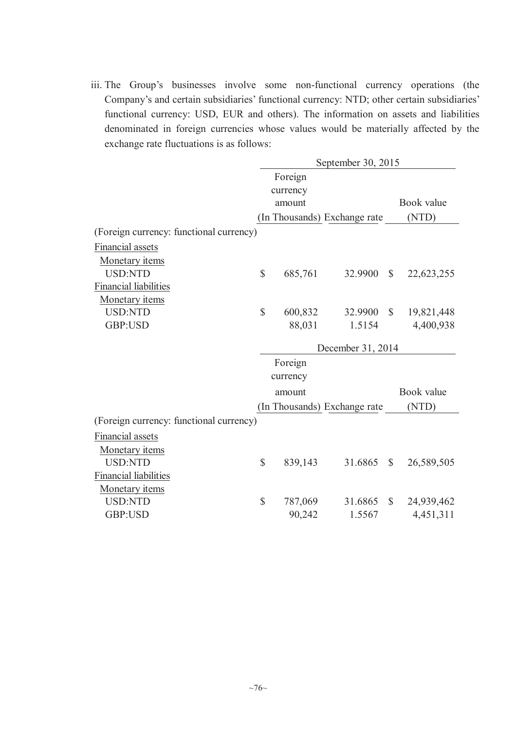iii. The Group's businesses involve some non-functional currency operations (the Company's and certain subsidiaries' functional currency: NTD; other certain subsidiaries' functional currency: USD, EUR and others). The information on assets and liabilities denominated in foreign currencies whose values would be materially affected by the exchange rate fluctuations is as follows:

|                                         | September 30, 2015      |                   |                              |               |                         |  |  |
|-----------------------------------------|-------------------------|-------------------|------------------------------|---------------|-------------------------|--|--|
|                                         | Foreign                 |                   |                              |               |                         |  |  |
|                                         | currency                |                   |                              |               |                         |  |  |
|                                         | amount                  |                   |                              |               |                         |  |  |
|                                         |                         |                   | (In Thousands) Exchange rate |               | (NTD)                   |  |  |
| (Foreign currency: functional currency) |                         |                   |                              |               |                         |  |  |
| Financial assets                        |                         |                   |                              |               |                         |  |  |
| Monetary items                          |                         |                   |                              |               |                         |  |  |
| <b>USD:NTD</b>                          | $\overline{\mathbb{S}}$ | 685,761           | 32.9900                      | $\mathbb{S}$  | 22,623,255              |  |  |
| <b>Financial liabilities</b>            |                         |                   |                              |               |                         |  |  |
| Monetary items                          |                         |                   |                              |               |                         |  |  |
| <b>USD:NTD</b>                          | $\mathbb{S}$            | 600,832           | 32.9900                      | $\mathbb{S}$  | 19,821,448              |  |  |
| GBP:USD                                 |                         | 88,031            | 1.5154                       |               | 4,400,938               |  |  |
|                                         |                         |                   | December 31, 2014            |               |                         |  |  |
|                                         |                         |                   |                              |               |                         |  |  |
|                                         |                         | Foreign           |                              |               |                         |  |  |
|                                         |                         | currency          |                              |               |                         |  |  |
|                                         |                         | amount            |                              |               | Book value              |  |  |
|                                         |                         |                   | (In Thousands) Exchange rate |               | (NTD)                   |  |  |
| (Foreign currency: functional currency) |                         |                   |                              |               |                         |  |  |
| Financial assets                        |                         |                   |                              |               |                         |  |  |
| <b>Monetary</b> items                   |                         |                   |                              |               |                         |  |  |
| <b>USD:NTD</b>                          | $\mathbb{S}$            | 839,143           | 31.6865                      | $\mathcal{S}$ | 26,589,505              |  |  |
| <b>Financial liabilities</b>            |                         |                   |                              |               |                         |  |  |
| Monetary items                          |                         |                   |                              |               |                         |  |  |
| <b>USD:NTD</b><br>GBP:USD               | \$                      | 787,069<br>90,242 | 31.6865<br>1.5567            | $\mathbb{S}$  | 24,939,462<br>4,451,311 |  |  |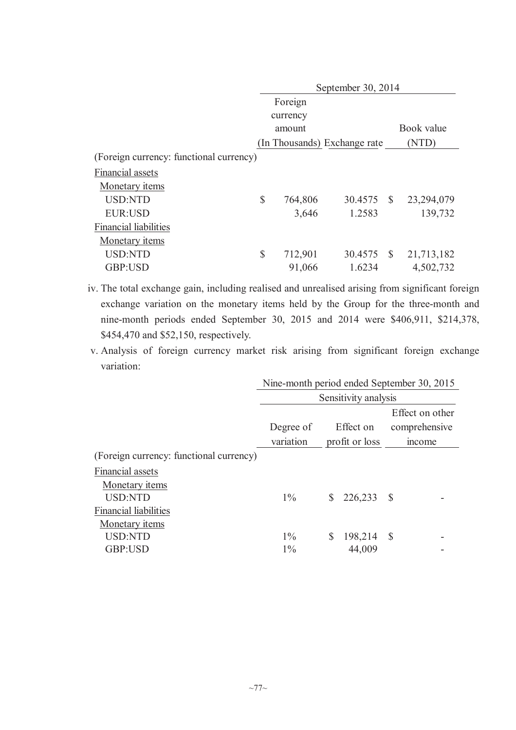|                                         | September 30, 2014 |          |                              |              |            |  |  |  |
|-----------------------------------------|--------------------|----------|------------------------------|--------------|------------|--|--|--|
|                                         |                    | Foreign  |                              |              |            |  |  |  |
|                                         |                    | currency |                              |              |            |  |  |  |
|                                         |                    | amount   |                              |              | Book value |  |  |  |
|                                         |                    |          | (In Thousands) Exchange rate |              | (NTD)      |  |  |  |
| (Foreign currency: functional currency) |                    |          |                              |              |            |  |  |  |
| Financial assets                        |                    |          |                              |              |            |  |  |  |
| Monetary <i>items</i>                   |                    |          |                              |              |            |  |  |  |
| <b>USD:NTD</b>                          | \$                 | 764,806  | 30.4575                      | <sup>S</sup> | 23,294,079 |  |  |  |
| <b>EUR:USD</b>                          |                    | 3,646    | 1.2583                       |              | 139,732    |  |  |  |
| <b>Financial liabilities</b>            |                    |          |                              |              |            |  |  |  |
| <b>Monetary items</b>                   |                    |          |                              |              |            |  |  |  |
| <b>USD:NTD</b>                          | \$                 | 712,901  | 30.4575                      | $\mathbb{S}$ | 21,713,182 |  |  |  |
| GBP:USD                                 |                    | 91,066   | 1.6234                       |              | 4,502,732  |  |  |  |

iv. The total exchange gain, including realised and unrealised arising from significant foreign exchange variation on the monetary items held by the Group for the three-month and nine-month periods ended September 30, 2015 and 2014 were \$406,911, \$214,378, \$454,470 and \$52,150, respectively.

v. Analysis of foreign currency market risk arising from significant foreign exchange variation:

|                                         | Nine-month period ended September 30, 2015 |    |                |     |                 |  |  |  |
|-----------------------------------------|--------------------------------------------|----|----------------|-----|-----------------|--|--|--|
|                                         | Sensitivity analysis                       |    |                |     |                 |  |  |  |
|                                         |                                            |    |                |     | Effect on other |  |  |  |
|                                         | Degree of                                  |    | Effect on      |     | comprehensive   |  |  |  |
|                                         | variation                                  |    | profit or loss |     | mcome           |  |  |  |
| (Foreign currency: functional currency) |                                            |    |                |     |                 |  |  |  |
| Financial assets                        |                                            |    |                |     |                 |  |  |  |
| Monetary items                          |                                            |    |                |     |                 |  |  |  |
| <b>USD:NTD</b>                          | $1\%$                                      | S. | 226,233 \$     |     |                 |  |  |  |
| <b>Financial liabilities</b>            |                                            |    |                |     |                 |  |  |  |
| Monetary <i>items</i>                   |                                            |    |                |     |                 |  |  |  |
| <b>USD:NTD</b>                          | $1\%$                                      |    | 198,214        | - S |                 |  |  |  |
| GBP:USD                                 | $1\%$                                      |    | 44,009         |     |                 |  |  |  |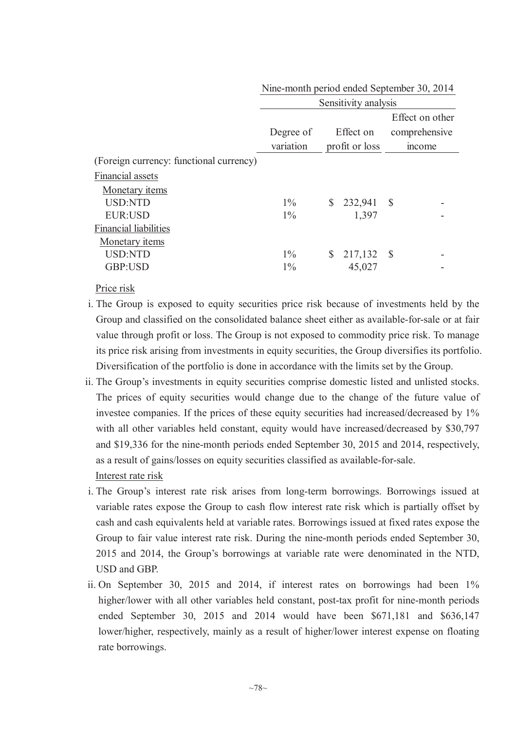|                                         | Nine-month period ended September 30, 2014 |                            |               |  |  |  |  |  |
|-----------------------------------------|--------------------------------------------|----------------------------|---------------|--|--|--|--|--|
|                                         | Sensitivity analysis                       |                            |               |  |  |  |  |  |
|                                         | Effect on other                            |                            |               |  |  |  |  |  |
|                                         | Degree of                                  | Effect on                  | comprehensive |  |  |  |  |  |
|                                         | variation                                  | profit or loss             | mcome         |  |  |  |  |  |
| (Foreign currency: functional currency) |                                            |                            |               |  |  |  |  |  |
| Financial assets                        |                                            |                            |               |  |  |  |  |  |
| Monetary items                          |                                            |                            |               |  |  |  |  |  |
| <b>USD:NTD</b>                          | $1\%$                                      | 232,941 \$<br><sup>S</sup> |               |  |  |  |  |  |
| EUR:USD                                 | $1\%$                                      | 1,397                      |               |  |  |  |  |  |
| <b>Financial liabilities</b>            |                                            |                            |               |  |  |  |  |  |
| Monetary <i>items</i>                   |                                            |                            |               |  |  |  |  |  |
| <b>USD:NTD</b>                          | $1\%$                                      | 217,132 \$<br>S            |               |  |  |  |  |  |
| GBP:USD                                 | $1\%$                                      | 45,027                     |               |  |  |  |  |  |
|                                         |                                            |                            |               |  |  |  |  |  |

Price risk

- i. The Group is exposed to equity securities price risk because of investments held by the Group and classified on the consolidated balance sheet either as available-for-sale or at fair value through profit or loss. The Group is not exposed to commodity price risk. To manage its price risk arising from investments in equity securities, the Group diversifies its portfolio. Diversification of the portfolio is done in accordance with the limits set by the Group.
- ii. The Group's investments in equity securities comprise domestic listed and unlisted stocks. The prices of equity securities would change due to the change of the future value of investee companies. If the prices of these equity securities had increased/decreased by 1% with all other variables held constant, equity would have increased/decreased by \$30,797 and \$19,336 for the nine-month periods ended September 30, 2015 and 2014, respectively, as a result of gains/losses on equity securities classified as available-for-sale. Interest rate risk
- i. The Group's interest rate risk arises from long-term borrowings. Borrowings issued at variable rates expose the Group to cash flow interest rate risk which is partially offset by cash and cash equivalents held at variable rates. Borrowings issued at fixed rates expose the Group to fair value interest rate risk. During the nine-month periods ended September 30, 2015 and 2014, the Group's borrowings at variable rate were denominated in the NTD, USD and GBP.
- ii. On September 30, 2015 and 2014, if interest rates on borrowings had been 1% higher/lower with all other variables held constant, post-tax profit for nine-month periods ended September 30, 2015 and 2014 would have been \$671,181 and \$636,147 lower/higher, respectively, mainly as a result of higher/lower interest expense on floating rate borrowings.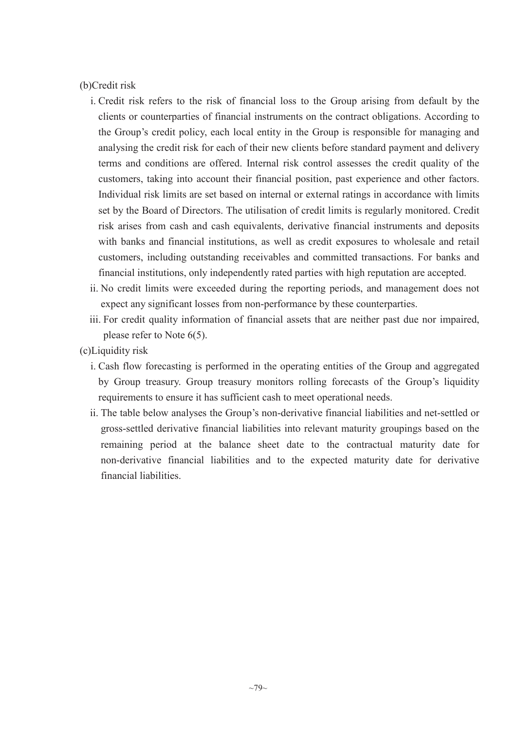## (b)Credit risk

- i. Credit risk refers to the risk of financial loss to the Group arising from default by the clients or counterparties of financial instruments on the contract obligations. According to the Group's credit policy, each local entity in the Group is responsible for managing and analysing the credit risk for each of their new clients before standard payment and delivery terms and conditions are offered. Internal risk control assesses the credit quality of the customers, taking into account their financial position, past experience and other factors. Individual risk limits are set based on internal or external ratings in accordance with limits set by the Board of Directors. The utilisation of credit limits is regularly monitored. Credit risk arises from cash and cash equivalents, derivative financial instruments and deposits with banks and financial institutions, as well as credit exposures to wholesale and retail customers, including outstanding receivables and committed transactions. For banks and financial institutions, only independently rated parties with high reputation are accepted.
- ii. No credit limits were exceeded during the reporting periods, and management does not expect any significant losses from non-performance by these counterparties.
- iii. For credit quality information of financial assets that are neither past due nor impaired, please refer to Note 6(5).
- (c)Liquidity risk
	- i. Cash flow forecasting is performed in the operating entities of the Group and aggregated by Group treasury. Group treasury monitors rolling forecasts of the Group's liquidity requirements to ensure it has sufficient cash to meet operational needs.
	- ii. The table below analyses the Group's non-derivative financial liabilities and net-settled or gross-settled derivative financial liabilities into relevant maturity groupings based on the remaining period at the balance sheet date to the contractual maturity date for non-derivative financial liabilities and to the expected maturity date for derivative financial liabilities.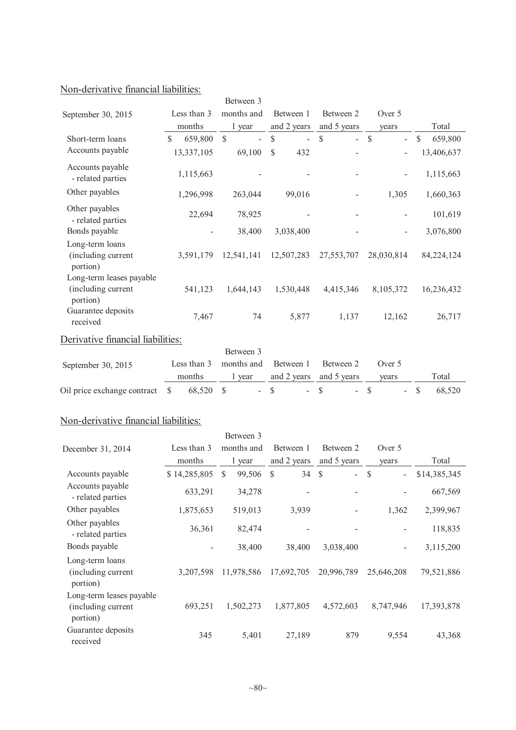## Non-derivative financial liabilities:

| <u>ron-ucrivative imaneiai naomines.</u>                   |               |                                           |               |                                          |                                           |                         |
|------------------------------------------------------------|---------------|-------------------------------------------|---------------|------------------------------------------|-------------------------------------------|-------------------------|
|                                                            |               | Between 3                                 |               |                                          |                                           |                         |
| September 30, 2015                                         | Less than 3   | months and                                | Between 1     | Between 2                                | Over 5                                    |                         |
|                                                            | months        | 1 year                                    | and 2 years   | and 5 years                              | years                                     | Total                   |
| Short-term loans                                           | \$<br>659,800 | $\mathcal{S}$<br>$\overline{\phantom{a}}$ | $\mathcal{S}$ | $\mathbb{S}$<br>$\overline{\phantom{0}}$ | $\mathcal{S}$<br>$\overline{\phantom{0}}$ | $\mathbb{S}$<br>659,800 |
| Accounts payable                                           | 13,337,105    | 69,100                                    | \$<br>432     |                                          |                                           | 13,406,637              |
| Accounts payable<br>- related parties                      | 1,115,663     |                                           |               |                                          | $\overline{\phantom{a}}$                  | 1,115,663               |
| Other payables                                             | 1,296,998     | 263,044                                   | 99,016        |                                          | 1,305                                     | 1,660,363               |
| Other payables<br>- related parties                        | 22,694        | 78,925                                    |               |                                          |                                           | 101,619                 |
| Bonds payable                                              |               | 38,400                                    | 3,038,400     |                                          |                                           | 3,076,800               |
| Long-term loans<br>(including current<br>portion)          | 3,591,179     | 12,541,141                                | 12,507,283    | 27,553,707                               | 28,030,814                                | 84,224,124              |
| Long-term leases payable<br>(including current<br>portion) | 541,123       | 1,644,143                                 | 1,530,448     | 4,415,346                                | 8,105,372                                 | 16,236,432              |
| Guarantee deposits<br>received                             | 7,467         | 74                                        | 5,877         | 1,137                                    | 12,162                                    | 26,717                  |
| Derivative financial liabilities:                          |               |                                           |               |                                          |                                           |                         |
|                                                            |               | Between 3                                 |               |                                          |                                           |                         |
| September 30, 2015                                         | Less than 3   | months and                                | Between 1     | Between 2                                | Over 5                                    |                         |

| $\alpha$ september 50, 2015                                                     |        |  | $\text{Loss}$ man $\beta$ - months and - Detween T - Detween $\beta$ |  |  | $\mathcal{L}$ |  |       |  |
|---------------------------------------------------------------------------------|--------|--|----------------------------------------------------------------------|--|--|---------------|--|-------|--|
|                                                                                 | months |  | 1 year and 2 years and 5 years years                                 |  |  |               |  | Total |  |
| Oil price exchange contract $\$$ 68,520 $\$$ - $\$$ - $\$$ - $\$$ - $\$$ 68,520 |        |  |                                                                      |  |  |               |  |       |  |

## Non-derivative financial liabilities:

|                                                            |              | Between 3    |             |                                 |                                           |              |
|------------------------------------------------------------|--------------|--------------|-------------|---------------------------------|-------------------------------------------|--------------|
| December 31, 2014                                          | Less than 3  | months and   | Between 1   | Between 2                       | Over 5                                    |              |
|                                                            | months       | 1 year       | and 2 years | and 5 years                     | years                                     | Total        |
| Accounts payable                                           | \$14,285,805 | \$<br>99,506 | \$<br>34    | $\mathcal{S}$<br>$\overline{a}$ | $\mathcal{S}$<br>$\overline{\phantom{a}}$ | \$14,385,345 |
| Accounts payable<br>- related parties                      | 633,291      | 34,278       |             |                                 |                                           | 667,569      |
| Other payables                                             | 1,875,653    | 519,013      | 3,939       |                                 | 1,362                                     | 2,399,967    |
| Other payables<br>- related parties                        | 36,361       | 82,474       |             |                                 |                                           | 118,835      |
| Bonds payable                                              |              | 38,400       | 38,400      | 3,038,400                       | $\overline{\phantom{a}}$                  | 3,115,200    |
| Long-term loans<br>(including current<br>portion)          | 3,207,598    | 11,978,586   | 17,692,705  | 20,996,789                      | 25,646,208                                | 79,521,886   |
| Long-term leases payable<br>(including current<br>portion) | 693,251      | 1,502,273    | 1,877,805   | 4,572,603                       | 8,747,946                                 | 17,393,878   |
| Guarantee deposits<br>received                             | 345          | 5,401        | 27,189      | 879                             | 9,554                                     | 43,368       |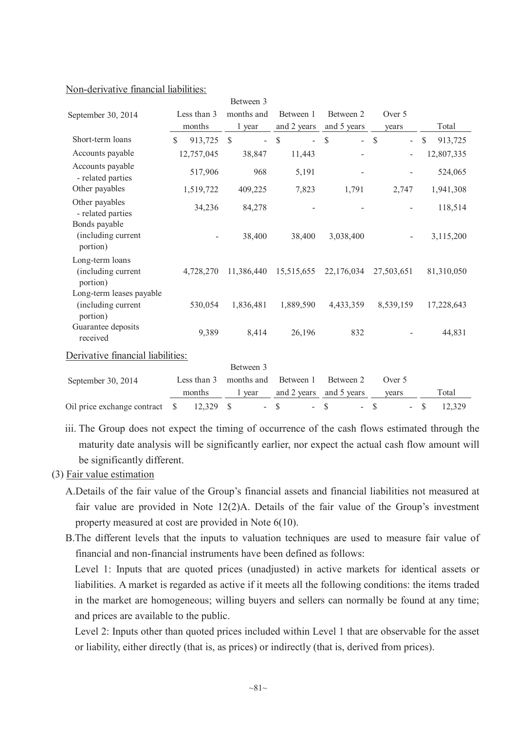|                                                            |               | Between 3     |                                 |                               |                                           |                         |
|------------------------------------------------------------|---------------|---------------|---------------------------------|-------------------------------|-------------------------------------------|-------------------------|
| September 30, 2014                                         | Less than 3   | months and    | Between 1                       | Between 2                     | Over 5                                    |                         |
|                                                            | months        | 1 year        | and 2 years                     | and 5 years                   | vears                                     | Total                   |
| Short-term loans                                           | \$<br>913,725 | $\mathcal{S}$ | $\mathcal{S}$<br>$\overline{a}$ | $\mathcal{S}$<br>$\mathbf{r}$ | $\mathcal{S}$<br>$\overline{\phantom{0}}$ | $\mathbb{S}$<br>913,725 |
| Accounts payable                                           | 12,757,045    | 38,847        | 11,443                          |                               |                                           | 12,807,335              |
| Accounts payable<br>- related parties                      | 517,906       | 968           | 5,191                           |                               |                                           | 524,065                 |
| Other payables                                             | 1,519,722     | 409,225       | 7,823                           | 1,791                         | 2,747                                     | 1,941,308               |
| Other payables<br>- related parties                        | 34,236        | 84,278        |                                 |                               |                                           | 118,514                 |
| Bonds payable<br>(including current<br>portion)            |               | 38,400        | 38,400                          | 3,038,400                     |                                           | 3,115,200               |
| Long-term loans<br>(including current<br>portion)          | 4,728,270     | 11,386,440    | 15,515,655                      | 22,176,034                    | 27,503,651                                | 81,310,050              |
| Long-term leases payable<br>(including current<br>portion) | 530,054       | 1,836,481     | 1,889,590                       | 4,433,359                     | 8,539,159                                 | 17,228,643              |
| Guarantee deposits<br>received                             | 9,389         | 8,414         | 26,196                          | 832                           |                                           | 44,831                  |
| Derivative financial liabilities:                          |               |               |                                 |                               |                                           |                         |
|                                                            |               | Between 3     |                                 |                               |                                           |                         |
| September 30, 2014                                         | Less than 3   | months and    | Between 1                       | Between 2                     | Over 5                                    |                         |
|                                                            | months        | 1 year        | and 2 years                     | and 5 years                   | years                                     | Total                   |
| Oil price exchange contract                                | \$<br>12,329  | \$            | \$                              | \$                            | \$                                        | \$<br>12,329            |

## Non-derivative financial liabilities:

iii. The Group does not expect the timing of occurrence of the cash flows estimated through the maturity date analysis will be significantly earlier, nor expect the actual cash flow amount will be significantly different.

(3) Fair value estimation

- A.Details of the fair value of the Group's financial assets and financial liabilities not measured at fair value are provided in Note 12(2)A. Details of the fair value of the Group's investment property measured at cost are provided in Note 6(10).
- B.The different levels that the inputs to valuation techniques are used to measure fair value of financial and non-financial instruments have been defined as follows:

Level 1: Inputs that are quoted prices (unadjusted) in active markets for identical assets or liabilities. A market is regarded as active if it meets all the following conditions: the items traded in the market are homogeneous; willing buyers and sellers can normally be found at any time; and prices are available to the public.

Level 2: Inputs other than quoted prices included within Level 1 that are observable for the asset or liability, either directly (that is, as prices) or indirectly (that is, derived from prices).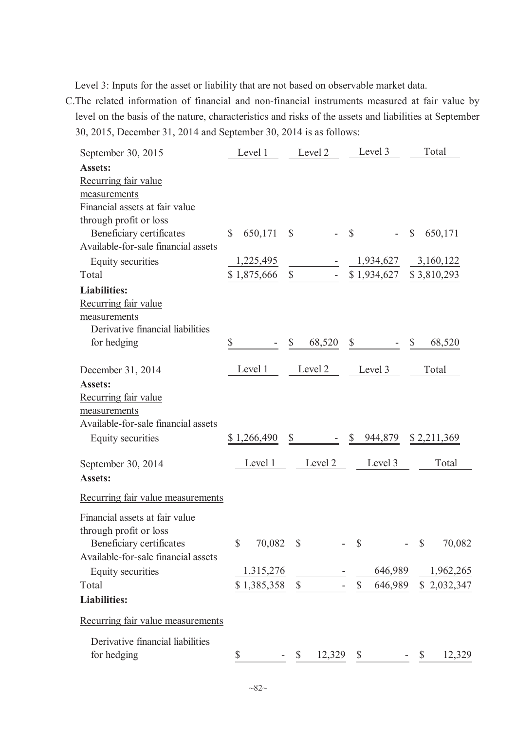Level 3: Inputs for the asset or liability that are not based on observable market data.

C.The related information of financial and non-financial instruments measured at fair value by level on the basis of the nature, characteristics and risks of the assets and liabilities at September 30, 2015, December 31, 2014 and September 30, 2014 is as follows:

| September 30, 2015                  | Level 1       | Level 2                             | Level 3                 | Total                   |
|-------------------------------------|---------------|-------------------------------------|-------------------------|-------------------------|
| Assets:                             |               |                                     |                         |                         |
| Recurring fair value                |               |                                     |                         |                         |
| measurements                        |               |                                     |                         |                         |
| Financial assets at fair value      |               |                                     |                         |                         |
| through profit or loss              |               |                                     |                         |                         |
| Beneficiary certificates            | 650,171<br>\$ | $\mathcal{S}$                       | $\mathbb{S}$            | $\mathbb{S}$<br>650,171 |
| Available-for-sale financial assets |               |                                     |                         |                         |
| Equity securities                   | 1,225,495     |                                     | 1,934,627               | 3,160,122               |
| Total                               | \$1,875,666   | $\mathbb S$                         | \$1,934,627             | \$3,810,293             |
| <b>Liabilities:</b>                 |               |                                     |                         |                         |
| Recurring fair value                |               |                                     |                         |                         |
| measurements                        |               |                                     |                         |                         |
| Derivative financial liabilities    |               |                                     |                         |                         |
| for hedging                         | \$            | $\boldsymbol{\mathsf{S}}$<br>68,520 | \$                      | 68,520<br>$\mathbb{S}$  |
| December 31, 2014                   | Level 1       | Level 2                             | Level 3                 | Total                   |
| <b>Assets:</b>                      |               |                                     |                         |                         |
| Recurring fair value                |               |                                     |                         |                         |
| measurements                        |               |                                     |                         |                         |
| Available-for-sale financial assets |               |                                     |                         |                         |
| Equity securities                   | \$1,266,490   | \$                                  | \$<br>944,879           | \$2,211,369             |
| September 30, 2014                  | Level 1       | Level 2                             | Level 3                 | Total                   |
| Assets:                             |               |                                     |                         |                         |
| Recurring fair value measurements   |               |                                     |                         |                         |
| Financial assets at fair value      |               |                                     |                         |                         |
| through profit or loss              |               |                                     |                         |                         |
| Beneficiary certificates            | \$<br>70,082  | $\mathbb{S}$                        | $\mathcal{S}$           | $\mathbb{S}$<br>70,082  |
| Available-for-sale financial assets |               |                                     |                         |                         |
| Equity securities                   | 1,315,276     |                                     | 646,989                 | 1,962,265               |
| Total                               | \$1,385,358   | $\boldsymbol{\mathsf{S}}$           | 646,989<br>$\mathbb{S}$ | \$2,032,347             |
| <b>Liabilities:</b>                 |               |                                     |                         |                         |
| Recurring fair value measurements   |               |                                     |                         |                         |
|                                     |               |                                     |                         |                         |
| Derivative financial liabilities    |               |                                     |                         |                         |
| for hedging                         | \$            | $\frac{\$}{12,329}$                 | $\mathbb{S}$            | $\mathbb{S}$<br>12,329  |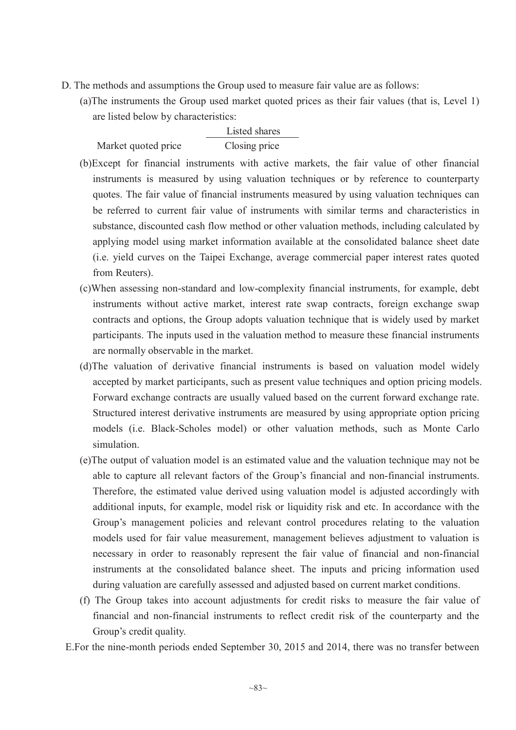- D. The methods and assumptions the Group used to measure fair value are as follows:
	- (a)The instruments the Group used market quoted prices as their fair values (that is, Level 1) are listed below by characteristics:

|                     | Listed shares |
|---------------------|---------------|
| Market quoted price | Closing price |

- (b)Except for financial instruments with active markets, the fair value of other financial instruments is measured by using valuation techniques or by reference to counterparty quotes. The fair value of financial instruments measured by using valuation techniques can be referred to current fair value of instruments with similar terms and characteristics in substance, discounted cash flow method or other valuation methods, including calculated by applying model using market information available at the consolidated balance sheet date (i.e. yield curves on the Taipei Exchange, average commercial paper interest rates quoted from Reuters).
- (c)When assessing non-standard and low-complexity financial instruments, for example, debt instruments without active market, interest rate swap contracts, foreign exchange swap contracts and options, the Group adopts valuation technique that is widely used by market participants. The inputs used in the valuation method to measure these financial instruments are normally observable in the market.
- (d)The valuation of derivative financial instruments is based on valuation model widely accepted by market participants, such as present value techniques and option pricing models. Forward exchange contracts are usually valued based on the current forward exchange rate. Structured interest derivative instruments are measured by using appropriate option pricing models (i.e. Black-Scholes model) or other valuation methods, such as Monte Carlo simulation.
- (e)The output of valuation model is an estimated value and the valuation technique may not be able to capture all relevant factors of the Group's financial and non-financial instruments. Therefore, the estimated value derived using valuation model is adjusted accordingly with additional inputs, for example, model risk or liquidity risk and etc. In accordance with the Group's management policies and relevant control procedures relating to the valuation models used for fair value measurement, management believes adjustment to valuation is necessary in order to reasonably represent the fair value of financial and non-financial instruments at the consolidated balance sheet. The inputs and pricing information used during valuation are carefully assessed and adjusted based on current market conditions.
- (f) The Group takes into account adjustments for credit risks to measure the fair value of financial and non-financial instruments to reflect credit risk of the counterparty and the Group's credit quality.

E.For the nine-month periods ended September 30, 2015 and 2014, there was no transfer between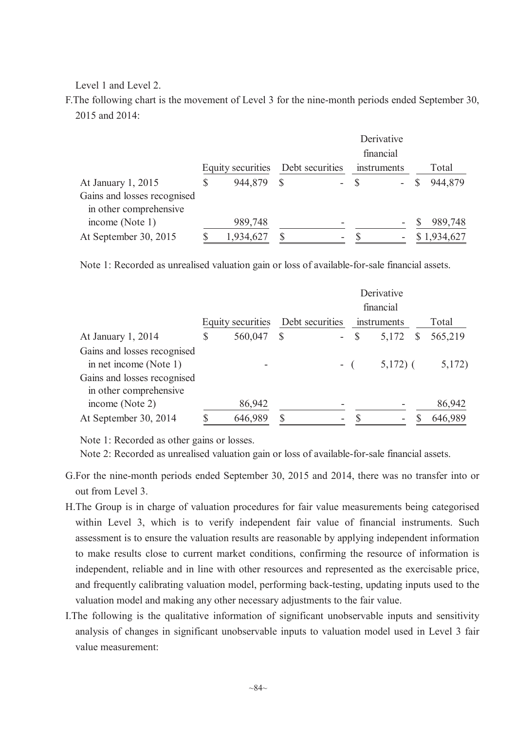Level 1 and Level 2.

F.The following chart is the movement of Level 3 for the nine-month periods ended September 30, 2015 and 2014:

|                             |   |                   |                          | Derivative  |             |
|-----------------------------|---|-------------------|--------------------------|-------------|-------------|
|                             |   |                   |                          | financial   |             |
|                             |   | Equity securities | Debt securities          | instruments | Total       |
| At January 1, 2015          | S | 944,879           | $\overline{\phantom{a}}$ |             | 944,879     |
| Gains and losses recognised |   |                   |                          |             |             |
| in other comprehensive      |   |                   |                          |             |             |
| income (Note 1)             |   | 989,748           |                          |             | 989,748     |
| At September 30, 2015       |   | 1,934,627         | $\overline{\phantom{0}}$ |             | \$1,934,627 |

Note 1: Recorded as unrealised valuation gain or loss of available-for-sale financial assets.

|                                                       |                   |               |                 |        | Derivative<br>financial |               |         |
|-------------------------------------------------------|-------------------|---------------|-----------------|--------|-------------------------|---------------|---------|
|                                                       | Equity securities |               | Debt securities |        | instruments             |               | Total   |
| At January 1, 2014                                    | \$<br>560,047     | $\mathcal{S}$ |                 | $-$ \$ | 5,172                   | $\mathcal{S}$ | 565,219 |
| Gains and losses recognised<br>in net income (Note 1) |                   |               | $-$ (           |        | $5,172$ ) (             |               | 5,172)  |
| Gains and losses recognised<br>in other comprehensive |                   |               |                 |        |                         |               |         |
| income (Note 2)                                       | 86,942            |               |                 |        |                         |               | 86,942  |
| At September 30, 2014                                 | 646,989           |               |                 |        |                         |               | 646,989 |

Note 1: Recorded as other gains or losses.

Note 2: Recorded as unrealised valuation gain or loss of available-for-sale financial assets.

- G.For the nine-month periods ended September 30, 2015 and 2014, there was no transfer into or out from Level 3.
- H.The Group is in charge of valuation procedures for fair value measurements being categorised within Level 3, which is to verify independent fair value of financial instruments. Such assessment is to ensure the valuation results are reasonable by applying independent information to make results close to current market conditions, confirming the resource of information is independent, reliable and in line with other resources and represented as the exercisable price, and frequently calibrating valuation model, performing back-testing, updating inputs used to the valuation model and making any other necessary adjustments to the fair value.
- I.The following is the qualitative information of significant unobservable inputs and sensitivity analysis of changes in significant unobservable inputs to valuation model used in Level 3 fair value measurement: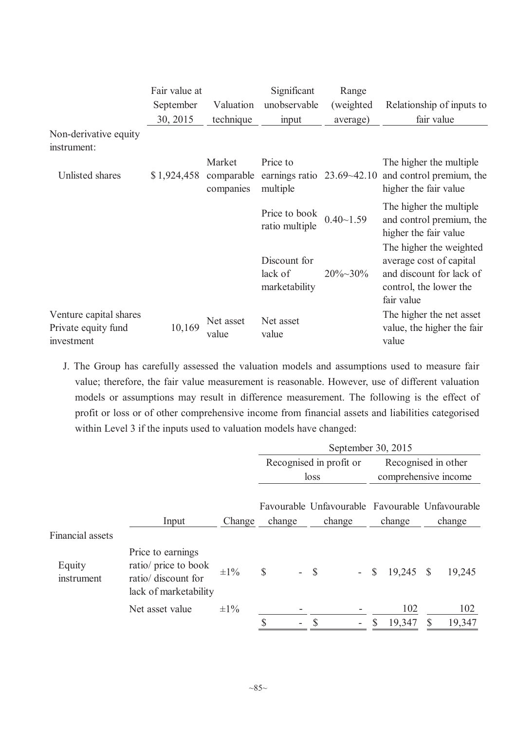|                                                             | Fair value at |                         | Significant                                | Range            |                                                                                                                        |
|-------------------------------------------------------------|---------------|-------------------------|--------------------------------------------|------------------|------------------------------------------------------------------------------------------------------------------------|
|                                                             | September     | Valuation               | unobservable                               | (weighted)       | Relationship of inputs to                                                                                              |
|                                                             | 30, 2015      | technique               | input                                      | average)         | fair value                                                                                                             |
| Non-derivative equity<br>instrument:                        |               |                         |                                            |                  |                                                                                                                        |
|                                                             |               | Market                  | Price to                                   |                  | The higher the multiple                                                                                                |
| Unlisted shares                                             | \$1,924,458   | comparable<br>companies | earnings ratio $23.69 - 42.10$<br>multiple |                  | and control premium, the<br>higher the fair value                                                                      |
|                                                             |               |                         | Price to book<br>ratio multiple            | $0.40 - 1.59$    | The higher the multiple<br>and control premium, the<br>higher the fair value                                           |
|                                                             |               |                         | Discount for<br>lack of<br>marketability   | $20\% \sim 30\%$ | The higher the weighted<br>average cost of capital<br>and discount for lack of<br>control, the lower the<br>fair value |
| Venture capital shares<br>Private equity fund<br>investment | 10,169        | Net asset<br>value      | Net asset<br>value                         |                  | The higher the net asset<br>value, the higher the fair<br>value                                                        |

J. The Group has carefully assessed the valuation models and assumptions used to measure fair value; therefore, the fair value measurement is reasonable. However, use of different valuation models or assumptions may result in difference measurement. The following is the effect of profit or loss or of other comprehensive income from financial assets and liabilities categorised within Level 3 if the inputs used to valuation models have changed:

|                      |                                                                                           |           | September 30, 2015                        |                                                 |                        |                              |  |  |  |  |  |  |  |  |
|----------------------|-------------------------------------------------------------------------------------------|-----------|-------------------------------------------|-------------------------------------------------|------------------------|------------------------------|--|--|--|--|--|--|--|--|
|                      |                                                                                           |           |                                           | Recognised in profit or                         |                        | Recognised in other          |  |  |  |  |  |  |  |  |
|                      |                                                                                           |           |                                           | loss                                            | comprehensive income   |                              |  |  |  |  |  |  |  |  |
|                      |                                                                                           |           |                                           |                                                 |                        |                              |  |  |  |  |  |  |  |  |
|                      |                                                                                           |           |                                           | Favourable Unfavourable Favourable Unfavourable |                        |                              |  |  |  |  |  |  |  |  |
|                      | Input                                                                                     | Change    | change                                    | change                                          | change                 | change                       |  |  |  |  |  |  |  |  |
| Financial assets     |                                                                                           |           |                                           |                                                 |                        |                              |  |  |  |  |  |  |  |  |
| Equity<br>instrument | Price to earnings<br>ratio/ price to book<br>ratio/ discount for<br>lack of marketability | $\pm 1\%$ | $\mathcal{S}$<br>$\overline{\phantom{0}}$ | $\mathcal{S}$<br>$\sim$ 10 $\pm$                | 19,245<br>$\mathbb{S}$ | 19,245<br>$\mathbf{\hat{s}}$ |  |  |  |  |  |  |  |  |
|                      | Net asset value                                                                           | $\pm 1\%$ |                                           |                                                 | 102                    | 102                          |  |  |  |  |  |  |  |  |
|                      |                                                                                           |           | \$                                        | \$                                              | \$<br>19,347           | 19,347                       |  |  |  |  |  |  |  |  |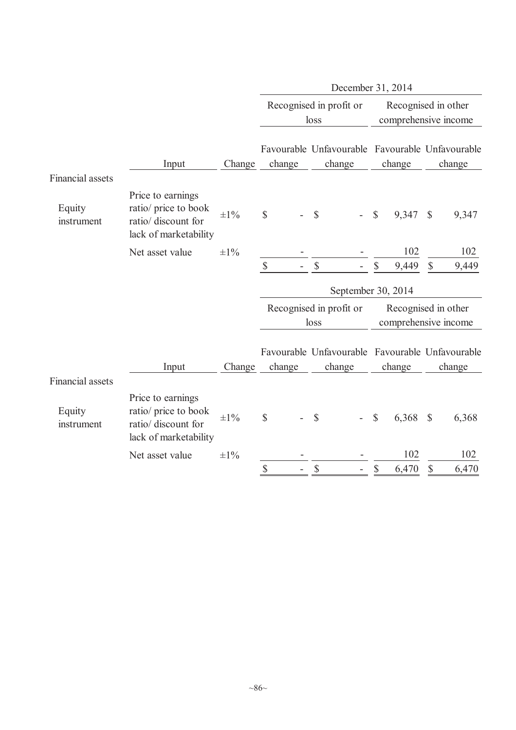|                      |                                                                                           |           |               |                                                           | December 31, 2014                           |                                             |  |  |  |  |
|----------------------|-------------------------------------------------------------------------------------------|-----------|---------------|-----------------------------------------------------------|---------------------------------------------|---------------------------------------------|--|--|--|--|
|                      |                                                                                           |           |               | Recognised in profit or<br>loss                           |                                             | Recognised in other<br>comprehensive income |  |  |  |  |
|                      | Input                                                                                     | Change    | change        | Favourable Unfavourable Favourable Unfavourable<br>change | change                                      | change                                      |  |  |  |  |
| Financial assets     |                                                                                           |           |               |                                                           |                                             |                                             |  |  |  |  |
| Equity<br>instrument | Price to earnings<br>ratio/ price to book<br>ratio/ discount for<br>lack of marketability | $\pm 1\%$ | $\mathbb{S}$  | \$                                                        | $\mathbb{S}$<br>9,347                       | $\mathcal{S}$<br>9,347                      |  |  |  |  |
|                      | Net asset value                                                                           | $\pm 1\%$ |               |                                                           | 102                                         | 102                                         |  |  |  |  |
|                      |                                                                                           |           | $\mathcal{S}$ | $\boldsymbol{\mathsf{S}}$                                 | \$<br>9,449                                 | \$<br>9,449                                 |  |  |  |  |
|                      |                                                                                           |           |               |                                                           | September 30, 2014                          |                                             |  |  |  |  |
|                      |                                                                                           |           |               | Recognised in profit or<br>loss                           | Recognised in other<br>comprehensive income |                                             |  |  |  |  |
|                      |                                                                                           |           |               | Favourable Unfavourable Favourable Unfavourable           |                                             |                                             |  |  |  |  |
|                      | Input                                                                                     | Change    | change        | change                                                    | change                                      | change                                      |  |  |  |  |
| Financial assets     |                                                                                           |           |               |                                                           |                                             |                                             |  |  |  |  |
| Equity<br>instrument | Price to earnings<br>ratio/ price to book<br>ratio/ discount for<br>lack of marketability | $\pm 1\%$ | $\mathbb{S}$  | \$                                                        | $\mathbb{S}$<br>6,368                       | $\mathcal{S}$<br>6,368                      |  |  |  |  |
|                      | Net asset value                                                                           | $\pm 1\%$ |               |                                                           | 102                                         | 102                                         |  |  |  |  |
|                      |                                                                                           |           | \$            | $\boldsymbol{\mathsf{S}}$                                 | \$<br>6,470                                 | \$<br>6,470                                 |  |  |  |  |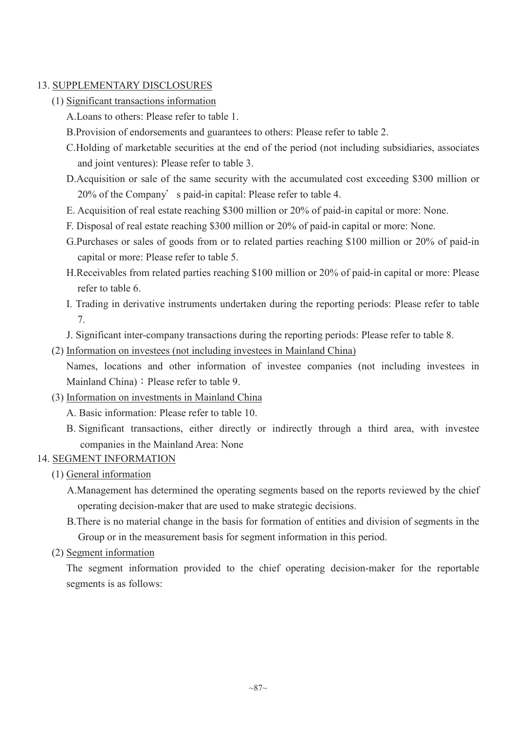## 13. SUPPLEMENTARY DISCLOSURES

- (1) Significant transactions information
	- A.Loans to others: Please refer to table 1.
	- B.Provision of endorsements and guarantees to others: Please refer to table 2.
	- C.Holding of marketable securities at the end of the period (not including subsidiaries, associates and joint ventures): Please refer to table 3.
	- D.Acquisition or sale of the same security with the accumulated cost exceeding \$300 million or 20% of the Company's paid-in capital: Please refer to table 4.
	- E. Acquisition of real estate reaching \$300 million or 20% of paid-in capital or more: None.
	- F. Disposal of real estate reaching \$300 million or 20% of paid-in capital or more: None.
	- G.Purchases or sales of goods from or to related parties reaching \$100 million or 20% of paid-in capital or more: Please refer to table 5.
	- H.Receivables from related parties reaching \$100 million or 20% of paid-in capital or more: Please refer to table 6.
	- I. Trading in derivative instruments undertaken during the reporting periods: Please refer to table 7.
	- J. Significant inter-company transactions during the reporting periods: Please refer to table 8.
- (2) Information on investees (not including investees in Mainland China)
	- Names, locations and other information of investee companies (not including investees in Mainland China) : Please refer to table 9.
- (3) Information on investments in Mainland China
	- A. Basic information: Please refer to table 10.
	- B. Significant transactions, either directly or indirectly through a third area, with investee companies in the Mainland Area: None

## 14. SEGMENT INFORMATION

- (1) General information
	- A.Management has determined the operating segments based on the reports reviewed by the chief operating decision-maker that are used to make strategic decisions.
	- B.There is no material change in the basis for formation of entities and division of segments in the Group or in the measurement basis for segment information in this period.
- (2) Segment information

The segment information provided to the chief operating decision-maker for the reportable segments is as follows: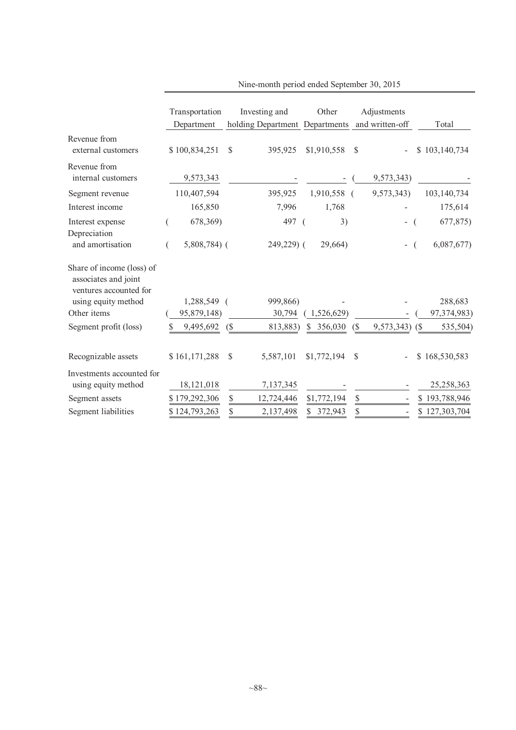|                                                                             | Transportation<br>Department |              | Investing and<br>holding Department Departments | Other        |                            | Adjustments<br>and written-off |              | Total         |
|-----------------------------------------------------------------------------|------------------------------|--------------|-------------------------------------------------|--------------|----------------------------|--------------------------------|--------------|---------------|
| Revenue from<br>external customers                                          | \$100,834,251                | $\mathbb{S}$ | 395,925                                         | \$1,910,558  | $\mathcal{S}$              |                                |              | \$103,140,734 |
| Revenue from<br>internal customers                                          | 9,573,343                    |              |                                                 |              |                            | 9,573,343)                     |              |               |
| Segment revenue                                                             | 110,407,594                  |              | 395,925                                         | 1,910,558    | $\sqrt{ }$                 | 9,573,343)                     |              | 103,140,734   |
| Interest income                                                             | 165,850                      |              | 7,996                                           | 1,768        |                            |                                |              | 175,614       |
| Interest expense<br>Depreciation                                            | 678,369)                     |              | 497 (                                           | 3)           |                            | $\overline{\phantom{0}}$       |              | 677,875)      |
| and amortisation                                                            | $5,808,784$ (                |              | 249,229) (                                      | 29,664)      |                            |                                |              | 6,087,677     |
| Share of income (loss) of<br>associates and joint<br>ventures accounted for |                              |              |                                                 |              |                            |                                |              |               |
| using equity method                                                         | 1,288,549 (                  |              | 999,866)                                        |              |                            |                                |              | 288,683       |
| Other items                                                                 | 95,879,148)                  |              | 30,794                                          | 1,526,629    |                            |                                |              | 97,374,983)   |
| Segment profit (loss)                                                       | 9,495,692<br>S               | (S)          | 813,883)                                        | \$356,030    | $\left(\frac{6}{5}\right)$ | $9,573,343$ (\$)               |              | 535,504)      |
| Recognizable assets                                                         | \$161,171,288                | $\mathbb{S}$ | 5,587,101                                       | \$1,772,194  | $\mathcal{S}$              |                                | <sup>S</sup> | 168,530,583   |
| Investments accounted for<br>using equity method                            | 18,121,018                   |              | 7,137,345                                       |              |                            |                                |              | 25,258,363    |
| Segment assets                                                              | \$179,292,306                | $\$$         | 12,724,446                                      | \$1,772,194  | $\mathbb{S}$               |                                |              | \$193,788,946 |
| Segment liabilities                                                         | \$124,793,263                | \$           | 2,137,498                                       | 372,943<br>S | \$                         |                                |              | \$127,303,704 |

Nine-month period ended September 30, 2015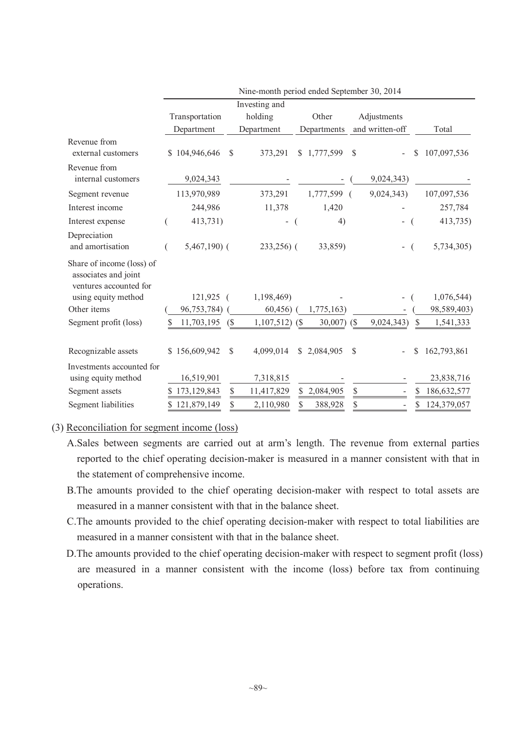|                                                                             | Nine-month period ended september 30, 2014 |               |                  |    |                |               |                 |    |             |  |  |  |  |
|-----------------------------------------------------------------------------|--------------------------------------------|---------------|------------------|----|----------------|---------------|-----------------|----|-------------|--|--|--|--|
|                                                                             |                                            |               | Investing and    |    |                |               |                 |    |             |  |  |  |  |
|                                                                             | Transportation                             |               | holding          |    | Other          |               | Adjustments     |    |             |  |  |  |  |
|                                                                             | Department                                 |               | Department       |    | Departments    |               | and written-off |    | Total       |  |  |  |  |
| Revenue from<br>external customers                                          | \$104,946,646                              | <sup>\$</sup> | 373,291          |    | \$1,777,599    | \$            |                 | \$ | 107,097,536 |  |  |  |  |
| Revenue from<br>internal customers                                          | 9,024,343                                  |               |                  |    |                |               | 9,024,343)      |    |             |  |  |  |  |
| Segment revenue                                                             | 113,970,989                                |               | 373,291          |    | 1,777,599      |               | 9,024,343)      |    | 107,097,536 |  |  |  |  |
| Interest income                                                             | 244,986                                    |               | 11,378           |    | 1,420          |               |                 |    | 257,784     |  |  |  |  |
| Interest expense                                                            | 413,731)                                   |               | -                |    | 4)             |               |                 |    | 413,735)    |  |  |  |  |
| Depreciation<br>and amortisation                                            | $5,467,190$ (                              |               | 233,256) (       |    | 33,859)        |               |                 |    | 5,734,305)  |  |  |  |  |
| Share of income (loss) of<br>associates and joint<br>ventures accounted for |                                            |               |                  |    |                |               |                 |    |             |  |  |  |  |
| using equity method                                                         | 121,925                                    | $\sqrt{ }$    | 1,198,469)       |    |                |               |                 |    | 1,076,544)  |  |  |  |  |
| Other items                                                                 | 96,753,784)                                |               | 60,456           |    | 1,775,163)     |               |                 |    | 98,589,403) |  |  |  |  |
| Segment profit (loss)                                                       | 11,703,195<br>\$                           | (S            | $1,107,512)$ (\$ |    | $30,007$ ) (\$ |               | 9,024,343)      | S  | 1,541,333   |  |  |  |  |
| Recognizable assets                                                         | \$156,609,942                              | S             | 4,099,014        |    | \$2,084,905    | <sup>\$</sup> |                 | S  | 162,793,861 |  |  |  |  |
| Investments accounted for<br>using equity method                            | 16,519,901                                 |               | 7,318,815        |    |                |               |                 |    | 23,838,716  |  |  |  |  |
| Segment assets                                                              | \$173,129,843                              | \$            | 11,417,829       | \$ | 2,084,905      | \$            |                 | \$ | 186,632,577 |  |  |  |  |
| Segment liabilities                                                         | 121,879,149                                | \$            | 2,110,980        |    | 388,928        | \$            |                 | \$ | 124,379,057 |  |  |  |  |

## Nine-month period ended September 30, 2014

## (3) Reconciliation for segment income (loss)

- A.Sales between segments are carried out at arm's length. The revenue from external parties reported to the chief operating decision-maker is measured in a manner consistent with that in the statement of comprehensive income.
- B.The amounts provided to the chief operating decision-maker with respect to total assets are measured in a manner consistent with that in the balance sheet.
- C.The amounts provided to the chief operating decision-maker with respect to total liabilities are measured in a manner consistent with that in the balance sheet.
- D.The amounts provided to the chief operating decision-maker with respect to segment profit (loss) are measured in a manner consistent with the income (loss) before tax from continuing operations.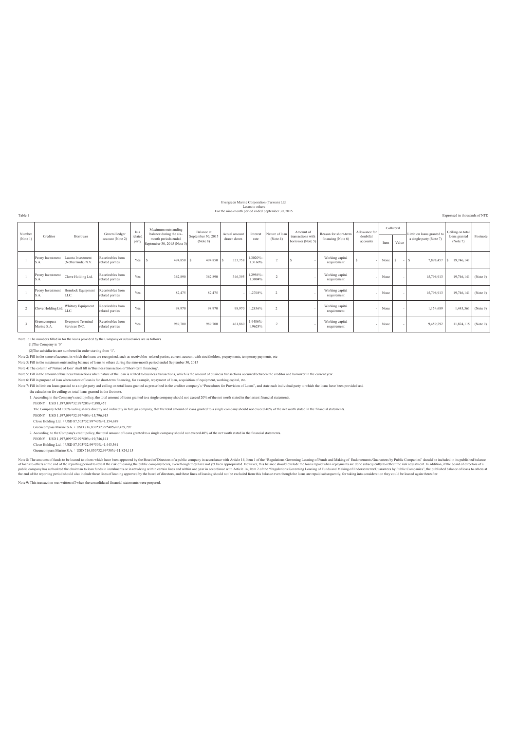# Evergreen Marine Corporation (Taiwan) Ltd.<br>
Loans to others<br>
For the nine-month period ended September 30, 2015<br>
Expressed in thousands of NTD

| Number<br>(Note 1) | Creditor                    | Borrower                                   | General ledger<br>account (Note 2)  | Is a<br>related<br>party | Maximum outstanding<br>balance during the six-<br>month periods ended<br>September 30, 2015 (Note 3) | Balance at<br>September 30, 2015<br>(Note 8) | Actual amount<br>drawn down | Interest<br>rate   | Nature of loan<br>(Note 4) | Amount of<br>transactions with<br>borrower (Note 5) | Reason for short-term<br>financing (Note 6) | Allowance for<br>doubtful<br>accounts | Collateral<br>Item | Value      | imit on loans granted to<br>a single party (Note 7) | Ceiling on total<br>loans granted<br>(Note 7) | Footnote |
|--------------------|-----------------------------|--------------------------------------------|-------------------------------------|--------------------------|------------------------------------------------------------------------------------------------------|----------------------------------------------|-----------------------------|--------------------|----------------------------|-----------------------------------------------------|---------------------------------------------|---------------------------------------|--------------------|------------|-----------------------------------------------------|-----------------------------------------------|----------|
|                    | Peony Investment<br>S.A.    | Luanta Investment<br>(Netherlands) N.V.    | Receivables from<br>related parties | Yes                      | 494,850 S                                                                                            | 494,850 \$                                   | 323,758                     | .3020%<br>1.3160%  |                            |                                                     | Working capital<br>requirement              |                                       | None               | $-1s$<br>s |                                                     | 7,898,457 \$ 19,746,141                       |          |
|                    | Peony Investment<br>S.A.    | Clove Holding Ltd.                         | Receivables from<br>related parties | Yes                      | 362,890                                                                                              | 362,890                                      | 346.395                     | .2956%~<br>1.3004% |                            |                                                     | Working capital<br>requirement              |                                       | None               |            | 15,796,913                                          | 19,746,141                                    | (Note 9) |
|                    | Peony Investment<br>S.A.    | Hemlock Equipment<br>LLC.                  | Receivables from<br>related parties | Yes                      | 82,475                                                                                               | 82,475                                       |                             | 1.2708%            | $\mathfrak{D}$             |                                                     | Working capital<br>requirement              |                                       | None               |            | 15,796,913                                          | 19,746,141                                    | (Note 9) |
|                    | Clove Holding Ltd           | Whitney Equipment<br>LLC.                  | Receivables from<br>related parties | Yes                      | 98,970                                                                                               | 98,970                                       | 98.970                      | 1.2836%            |                            |                                                     | Working capital<br>requirement              |                                       | None               |            | 1,154,689                                           | 1,443,361                                     | (Note 9) |
|                    | Greencompass<br>Marine S.A. | <b>Everpeort Terminal</b><br>Services INC. | Receivables from<br>related parties | Yes                      | 989,700                                                                                              | 989,700                                      | 461.860                     | 1.9486%<br>1.9628% |                            |                                                     | Working capital<br>requirement              |                                       | None               |            | 9,459,292                                           | 11,824,115                                    | (Note 9) |

Note 1: The numbers filled in for the loans provided by the Company or subsidiaries are as follows

(1)The Company is '0' (2)The subsidiaries are numbered in order starting from '1'.

Note 2: Fill in the name of account in which the loans are recognised, such as receivables–related parties, current account with stockholders, prepayments, temporary payments, etc.

Note 3: Fill in the maximum outstanding balance of loans to others during the nine-month period ended September 30, 2015 Note 4: The column of'Nature of loan' shall fill in'Business transaction or'Short-term financing'.

Note 5: Fill in the amount of business transactions when nature of the loan is related to business transactions, which is the amount of business transactions occurred between the creditor and borrower in the current year.

Note 6: Fill in purpose of loan when nature of loan is for short-term financing, for example, repayment of loan, acquisition of equipment, working capital, etc.<br>Note 7: Fill in limit on loans graphy and capitaly and cellul

1. According to the Company's credit policy, the total amount of loans granted to a single company should not exceed 20% of the net worth stated in the lastest financial statements.

PEONY: USD 1,197,099\*32.99\*20%=7,898,457<br>The Company held 100% voting shares directly and indirectly in foreign company, that the total amount of loans granted to a single company should not exceed 40% of the net worth sta

PEONY : USD 1,197,099\*32.99\*40%=15,796,913

Clove Holding Ltd. : USD 87,503\*32.99\*40%=1,154,689

Greencompass Marine S.A.ǺUSD 716,830\*32.99\*40%=9,459,292

2. According to the Company's credit policy, the total amount of loans granted to a single company should not exceed 40% of the net worth stated in the financial statements.<br>PEONY : USD 1,197,099\*32.99\*50%=19,746,141

Clove Holding Ltd.ǺUSD 87,503\*32.99\*50%=1,443,361

Greencompass Marine S.A. : USD 716,830\*32.99\*50%=11,824,115

Note as the amounts of lands to be loaned to others which have been approved by the basel of Directors, are not ought in a contained the two security in excellent in the distributed by the Area of the Technical Scheme in a

Note 9: This transaction was written off when the consolidated financial statements were prepared.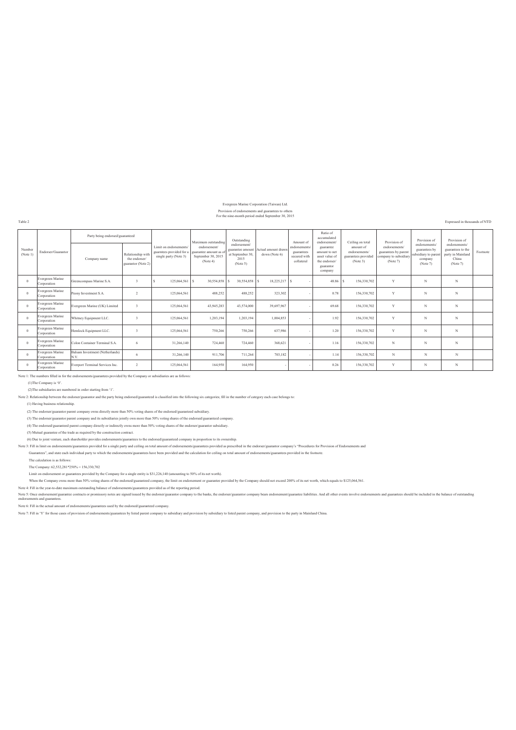## Evergreen Marine Corporation (Taiwan) Ltd.

### Provision of endorsements and guarantees to others For the nine-month period ended September 30, 2015

Table 2 Expressed in thousands of NTD

|                    |                                 | Party being endorsed/guaranteed         |                                                          |                                                                            | Maximum outstanding                                                     | Outstanding                                                              |                                      | Amount of                                                 | Ratio of<br>accumulated<br>endorsement/                                              | Ceiling on total                                              | Provision of                                                               | Provision of                                                                  | Provision of                                                                 |          |
|--------------------|---------------------------------|-----------------------------------------|----------------------------------------------------------|----------------------------------------------------------------------------|-------------------------------------------------------------------------|--------------------------------------------------------------------------|--------------------------------------|-----------------------------------------------------------|--------------------------------------------------------------------------------------|---------------------------------------------------------------|----------------------------------------------------------------------------|-------------------------------------------------------------------------------|------------------------------------------------------------------------------|----------|
| Number<br>(Note 1) | Endorser/Guarantor              | Company name                            | Relationship with<br>the endorser/<br>guarantor (Note 2) | Limit on endorsements<br>guarntees provided for a<br>single party (Note 3) | endorsement/<br>guarantee amount as o<br>September 30, 2015<br>(Note 4) | endorsement/<br>guarantee amount<br>at September 30.<br>2015<br>(Note 5) | Actual amount drawn<br>down (Note 6) | endorsements/<br>guarantees<br>secured with<br>collateral | guarantee<br>amount to net<br>asset value o<br>the endorser.<br>guarantor<br>company | amount of<br>endorsements/<br>guarantees provided<br>(Note 3) | endorsements/<br>guarantees by parent<br>company to subsidiary<br>(Note 7) | endorsements/<br>guarantees by<br>subsidiary to parent<br>company<br>(Note 7) | endorsements/<br>guarantees to the<br>party in Mainland<br>China<br>(Note 7) | Footnote |
| $\Omega$           | Evergreen Marine<br>Corporation | Greencompass Marine S.A.                |                                                          | 125,064,561 \$                                                             | 30,554,858 \$                                                           | 30,554,858 \$                                                            | 18,225,217 \$                        |                                                           | 48.86                                                                                | 156,330,702                                                   | Y                                                                          | N                                                                             | N                                                                            |          |
| $\Omega$           | Evergreen Marine<br>Corporation | Peony Investment S.A.                   | $\overline{2}$                                           | 125.064.561                                                                | 488.252                                                                 | 488,252                                                                  | 323.302                              |                                                           | 0.78                                                                                 | 156,330,702                                                   | Y                                                                          | N                                                                             | N                                                                            |          |
| $\Omega$           | Evergreen Marine<br>Corporation | Evergreen Marine (UK) Limited           |                                                          | 125.064.561                                                                | 43,945,283                                                              | 43.574.000                                                               | 39.697.967                           |                                                           | 69.68                                                                                | 156.330.702                                                   | Y                                                                          | N                                                                             | N                                                                            |          |
| $\theta$           | Evergreen Marine<br>Corporation | Whitney Equipment LLC.                  |                                                          | 125.064.561                                                                | 1,203,194                                                               | 1,203,194                                                                | 1,004,853                            |                                                           | 1.92                                                                                 | 156.330.702                                                   | Y                                                                          | N                                                                             | N                                                                            |          |
| $\Omega$           | Evergreen Marine<br>Corporation | Hemlock Equipment LLC.                  |                                                          | 125,064,561                                                                | 750,266                                                                 | 750,266                                                                  | 637,986                              |                                                           | 1.20                                                                                 | 156,330,702                                                   | Y                                                                          | N                                                                             | N                                                                            |          |
| $\Omega$           | Evergreen Marine<br>Corporation | Colon Container Terminal S.A.           | 6                                                        | 31,266,140                                                                 | 724,460                                                                 | 724,460                                                                  | 368,621                              |                                                           | 1.16                                                                                 | 156,330,702                                                   | N                                                                          | N                                                                             | N                                                                            |          |
| $\Omega$           | Evergreen Marine<br>Corporation | Balsam Investment (Netherlands)<br>N.V. | 6                                                        | 31,266,140                                                                 | 911,706                                                                 | 711,264                                                                  | 703,182                              |                                                           | 1.14                                                                                 | 156,330,702                                                   | N                                                                          | N                                                                             | N                                                                            |          |
| $\theta$           | Evergreen Marine<br>Corporation | Everport Terminal Services Inc.         | $\overline{2}$                                           | 125.064.561                                                                | 164.950                                                                 | 164.950                                                                  |                                      |                                                           | 0.26                                                                                 | 156,330,702                                                   | Y                                                                          | N                                                                             | N                                                                            |          |

### Note 1: The numbers filled in for the endorsements/guarantees provided by the Company or subsidiaries are as follows:

(1)The Company is '0'.

(2)The subsidiaries are numbered in order starting from '1'.

Note 2: Relationship between the endorser/guarantor and the party being endorsed/guaranteed is classified into the following six categories; fill in the number of category each case belongs to:

### (1) Having business relationship.

(2) The endorser/guarantor parent company owns directly more than 50% voting shares of the endorsed/guaranteed subsidiary.

(3) The endorser/guarantor parent company and its subsidiaries jointly own more than 50% voting shares of the endorsed/guaranteed company.

(4) The endorsed/guaranteed parent company directly or indirectly owns more than 50% voting shares of the endorser/guarantor subsidiary.

(5) Mutual guarantee of the trade as required by the construction contract.

(6) Due to joint venture, each shareholder provides endorsements/guarantees to the endorsed/guaranteed company in proportion to its ownership.

Note 3: Fill in limit on endorsements/guarantees provided for a single party and ceiling on total amount of endorsements/guarantees provided as prescribed in the endorser/guarantor company's "Procedures for Provision of En

Guarantees", and state each individual party to which the endorsements/guarantees have been provided and the calculation for ceiling on total amount of endorsements/guarantees provided in the footnote.

The calculation is as follows:

The Company: 62,532,281\*250% = 156,330,702

Limit on endorsement or guarantees provided by the Company for a single entity is \$31,226,140 (amounting to 50% of its net worth).

When the Company owns more than 50% voting shares of the endorsed/guaranteed company, the limit on endorsement or guarantee provided by the Company should not exceed 200% of its net worth, which equals to \$125,064,561.

Note 4: Fill in the year-to-date maximum outstanding balance of endorsements/guarantees provided as of the reporting period.<br>Note 5: Once endorsement guarantee contracts or promissory notes are signed/issued by the endorse

Note 6: Fill in the actual amount of endorsements/guarantees used by the endorsed/guaranteed company.

Note 7: Fill in 'Y' for those cases of provision of endorsements/guarantees by listed parent company to subsidiary and provision by subsidiary to listed parent company, and provision to the party in Mainland China.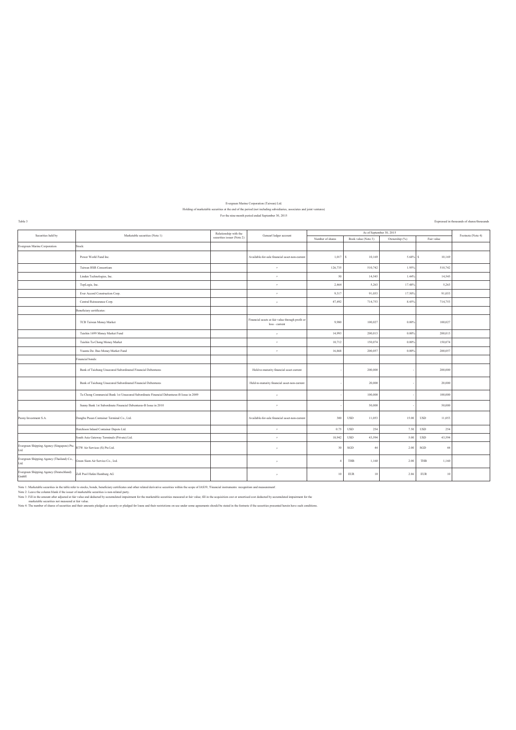## Evergreen Marine Corporation (Taiwan) Ltd.<br>Holding of marketable securities at the end of the period (not including subsidiaries, associates and joint ventures)<br>For the nine-month period ended September 30, 2015

Table 3 Expressed in thousands of shares/thousands of shares/thousands of shares/thousands of shares/thousands of shares/thousands of shares/thousands

| Securities held by                                 | Marketable securities (Note 1)                                                          | Relationship with the      | Genearl ledger account                                             |                  |                      | As of September 30, 2015 |                      | Footnote (Note 4) |
|----------------------------------------------------|-----------------------------------------------------------------------------------------|----------------------------|--------------------------------------------------------------------|------------------|----------------------|--------------------------|----------------------|-------------------|
|                                                    |                                                                                         | securities issuer (Note 2) |                                                                    | Number of shares | Book value (Note 3)  | Ownership (%)            | Fair value           |                   |
| Evergreen Marine Corporation                       | Stock:                                                                                  |                            |                                                                    |                  |                      |                          |                      |                   |
|                                                    | Power World Fund Inc.                                                                   |                            | Available-for-sale financial asset-non-current                     | 1,017            | 10,169               | 5.68%                    | 10,169               |                   |
|                                                    | Taiwan HSR Consortium                                                                   |                            | $\sigma$                                                           | 126,735          | 510,742              | 1.95%                    | 510,742              |                   |
|                                                    | Linden Technologies, Inc.                                                               |                            | $\sigma$                                                           | 50               | 14,545               | 1.44%                    | 14,545               |                   |
|                                                    | TopLogis, Inc.                                                                          |                            | $\sigma$                                                           | 2,464            | 5,263                | 17.48%                   | 5,263                |                   |
|                                                    | Ever Accord Construction Corp.                                                          |                            | $\sigma$                                                           | 9,317            | 91,053               | 17.50%                   | 91,053               |                   |
|                                                    | Central Reinsurance Corp.                                                               |                            | $\sigma$                                                           | 47,492           | 714,753              | 8.45%                    | 714,753              |                   |
|                                                    | Beneficiary certificates:                                                               |                            |                                                                    |                  |                      |                          |                      |                   |
|                                                    | <b>TCB Taiwan Money Market</b>                                                          |                            | Financial assets at fair value through profit or<br>loss - current | 9,980            | 100,027              | 0.00%                    | 100,027              |                   |
|                                                    | Taishin 1699 Money Market Fund                                                          |                            | $\sigma$                                                           | 14,993           | 200.013              | 0.00%                    | 200,013              |                   |
|                                                    | Taishin Ta-Chong Money Market                                                           |                            | $\sigma$                                                           | 10,712           | 150,074              | 0.00%                    | 150,074              |                   |
|                                                    | Yuanta De- Bao Money Market Fund                                                        |                            | $\sigma$                                                           | 16,868           | 200,057              | 0.00%                    | 200,057              |                   |
|                                                    | inancial bonds:                                                                         |                            |                                                                    |                  |                      |                          |                      |                   |
|                                                    | Bank of Taichung Unsecured Subordinated Financial Debentures                            |                            | Held-to-maturity financial asset-current                           |                  | 200,000              |                          | 200,000              |                   |
|                                                    | Bank of Taichung Unsecured Subordinated Financial Debentures                            |                            | Held-to-maturity financial asset-non-current                       |                  | 20,000               |                          | 20,000               |                   |
|                                                    | Ta Chong Commercial Bank 1st Unsecured Subordinate Financial Debentures-B Issue in 2009 |                            | $\sigma$                                                           |                  | 100,000              |                          | 100,000              |                   |
|                                                    | Sunny Bank 1st Subordinate Financial Debentures-B Issue in 2010                         |                            | $\boldsymbol{\sigma}$                                              |                  | 50,000               |                          | 50,000               |                   |
| Peony Investment S.A.                              | Dongbu Pusan Container Terminal Co., Ltd.                                               |                            | Available-for-sale financial asset-non-current                     | 300              | 11,053<br><b>USD</b> | 15.00                    | <b>USD</b><br>11,053 |                   |
|                                                    | Hutchison Inland Container Depots I.td.                                                 |                            | $\sigma$                                                           | 0.75             | 254<br><b>USD</b>    | 7.50                     | 254<br><b>USD</b>    |                   |
|                                                    | South Asia Gateway Terminals (Private) Ltd.                                             |                            | $\boldsymbol{\sigma}$                                              | 18,942           | 43,594<br><b>USD</b> | 5.00                     | <b>USD</b><br>43,594 |                   |
| Evergreen Shipping Agency (Singapore) Pte.<br>Ltd. | RTW Air Services (S) Pte Ltd.                                                           |                            | $\boldsymbol{\pi}$                                                 | 30               | SGD<br>44            | 2.00                     | SGD<br>44            |                   |
| Evergreen Shipping Agency (Thailand) Co.,<br>Ltd.  | Green Siam Air Service Co., Ltd.                                                        |                            | $\boldsymbol{\pi}$                                                 |                  | THB<br>1,160         | 2.00                     | THB<br>1,160         |                   |
| Evergreen Shipping Agency (Deutschland)<br>GmbH    | Zoll Pool Hafen Hamburg AG                                                              |                            | $\boldsymbol{\sigma}$                                              | 10               | <b>EUR</b><br>10     | 2.86                     | <b>EUR</b><br>10     |                   |

Note 1: Marketable securities in the take refer to stock, boads, boads, boads charged and a metal derivative securities within the soope of IAS39, Financial instruments: recognition and measurement.<br>Note 2: Leave the colum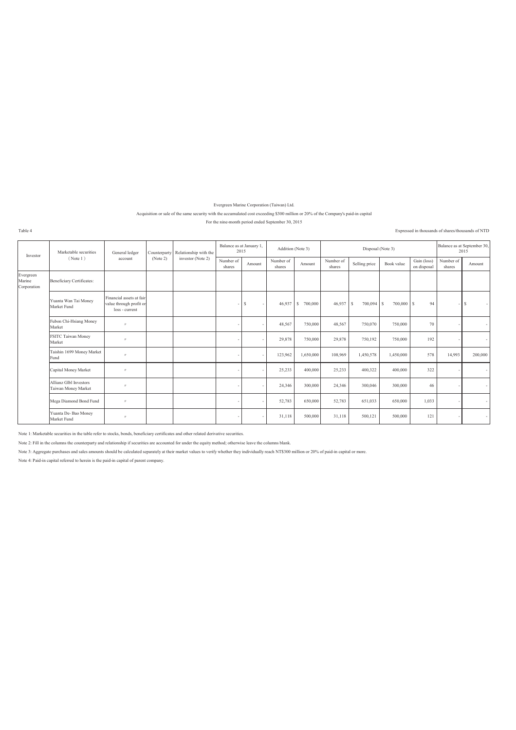Evergreen Marine Corporation (Taiwan) Ltd.

Acquisition or sale of the same security with the accumulated cost exceeding \$300 million or 20% of the Company's paid-in capital

For the nine-month period ended September 30, 2015

Expressed in thousands of shares/thousands of NTD

|                                    |                                                      |                                                                       |          | Relationship with the<br>Counterparty |                     | Balance as at January 1.<br>2015 |                     | Addition (Note 3) |                     | Disposal (Note 3) |            | Balance as at September 30,<br>2015 |                     |         |
|------------------------------------|------------------------------------------------------|-----------------------------------------------------------------------|----------|---------------------------------------|---------------------|----------------------------------|---------------------|-------------------|---------------------|-------------------|------------|-------------------------------------|---------------------|---------|
| Investor                           | Marketable securities<br>(Note 1)                    | General ledger<br>account                                             | (Note 2) | investor (Note 2)                     | Number of<br>shares | Amount                           | Number of<br>shares | Amount            | Number of<br>shares | Selling price     | Book value | Gain (loss)<br>on disposal          | Number of<br>shares | Amount  |
| Evergreen<br>Marine<br>Corporation | <b>Beneficiary Certificates:</b>                     |                                                                       |          |                                       |                     |                                  |                     |                   |                     |                   |            |                                     |                     |         |
|                                    | Yuanta Wan Tai Money<br>Market Fund                  | Financial assets at fair<br>value through profit or<br>loss - current |          |                                       |                     | s                                | 46,937              | 700,000<br>l S    | $46,937$ \$         | 700,094 \$        | 700,000 \$ | 94                                  |                     | l s     |
|                                    | Fubon Chi-Hsiang Money<br>Market                     | $^{\prime\prime}$                                                     |          |                                       |                     |                                  | 48,567              | 750,000           | 48,567              | 750,070           | 750,000    | 70                                  |                     | $\sim$  |
|                                    | <b>FSITC Taiwan Money</b><br>Market                  | $^{\prime\prime}$                                                     |          |                                       |                     |                                  | 29,878              | 750,000           | 29,878              | 750,192           | 750,000    | 192                                 |                     | $\sim$  |
|                                    | Taishin 1699 Money Market<br>Fund                    | $^{\prime\prime}$                                                     |          |                                       |                     |                                  | 123,962             | 1.650.000         | 108.969             | 1,450,578         | 1.450.000  | 578                                 | 14.993              | 200.000 |
|                                    | Capital Money Market                                 | $^{\prime\prime}$                                                     |          |                                       |                     |                                  | 25,233              | 400.000           | 25,233              | 400,322           | 400,000    | 322                                 |                     | $\sim$  |
|                                    | <b>Allianz Glbl Investors</b><br>Taiwan Money Market | $^{\prime\prime}$                                                     |          |                                       |                     |                                  | 24,346              | 300.000           | 24,346              | 300,046           | 300,000    | 46                                  |                     | $\sim$  |
|                                    | Mega Diamond Bond Fund                               | $^{\prime\prime}$                                                     |          |                                       |                     |                                  | 52,783              | 650,000           | 52,783              | 651,033           | 650,000    | 1,033                               |                     | $\sim$  |
|                                    | Yuanta De-Bao Money<br>Market Fund                   | $^{\prime\prime}$                                                     |          |                                       |                     |                                  | 31,118              | 500,000           | 31,118              | 500,121           | 500,000    | 121                                 |                     | $\sim$  |

Note 1: Marketable securities in the table refer to stocks, bonds, beneficiary certificates and other related derivative securities.

Note 2: Fill in the columns the counterparty and relationship if securities are accounted for under the equity method; otherwise leave the columns blank.

Note 3: Aggregate purchases and sales amounts should be calculated separately at their market values to verify whether they individually reach NT\$300 million or 20% of paid-in capital or more.

Note 4: Paid-in capital referred to herein is the paid-in capital of parent company.

Table 4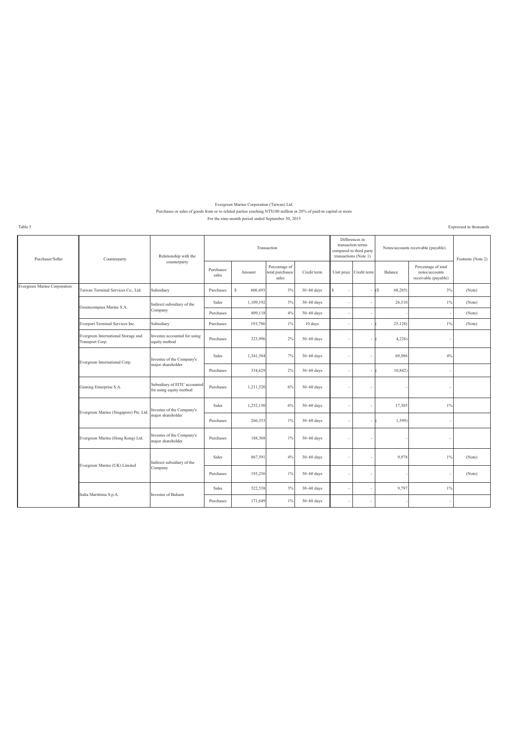#### Evergreen Marine Corporation (Taiwan) Ltd. Purchases or sales of goods from or to related parties reaching NT\$100 million or 20% of paid-in capital or more For the nine-month period ended September 30, 2015

Table 5 Expressed in thousands

| Purchaser/Seller             | Counterparty                                           | Relationship with the<br>counterparty                   |                     |                         | Transaction                                |                |                          | Differences in<br>transaction terms<br>compared to third party<br>transactions (Note 1) |               | Notes/accounts receivable (payable)                           | Footnote (Note 2) |
|------------------------------|--------------------------------------------------------|---------------------------------------------------------|---------------------|-------------------------|--------------------------------------------|----------------|--------------------------|-----------------------------------------------------------------------------------------|---------------|---------------------------------------------------------------|-------------------|
|                              |                                                        |                                                         | Purchases/<br>sales | Amount                  | Percentage of<br>total purchases/<br>sales | Credit term    |                          | Unit price Credit term                                                                  | Balance       | Percentage of total<br>notes/accounts<br>receivable (payable) |                   |
| Evergreen Marine Corporation | Taiwan Terminal Services Co., Ltd.                     | Subsidiary                                              | Purchases           | $\mathsf{s}$<br>606,693 | 3%                                         | $30 - 60$ days | $\mathsf{s}$<br>٠        | ٠                                                                                       | (S<br>68,285) | 3%                                                            | (Note)            |
|                              | Greencompass Marine S.A.                               | Indirect subsidiary of the                              | Sales               | 1,109,192               | 5%                                         | $30 - 60$ days | $\sim$                   |                                                                                         | 26,510        | $1\%$                                                         | (Note)            |
|                              |                                                        | Company                                                 | Purchases           | 809.118                 | 4%                                         | $30 - 60$ days | ٠                        |                                                                                         |               |                                                               | (Note)            |
|                              | Everport Terminal Services Inc.                        | Subsidiary                                              | Purchases           | 193,786                 | $1\%$                                      | 10 days        | ٠                        |                                                                                         | 25,128)       | $1\%$                                                         | (Note)            |
|                              | Evergreen International Storage and<br>Transport Corp. | Investee accounted for using<br>equity method           | Purchases           | 323,996                 | 2%                                         | $30 - 60$ days | $\overline{\phantom{a}}$ | ٠                                                                                       | 4,226         |                                                               |                   |
|                              | Evergreen International Corp.                          | Investee of the Company's<br>major shareholder          | Sales               | 1,341,504               | 7%                                         | $30 - 60$ days | ٠                        | ×                                                                                       | 69,986        | 4%                                                            |                   |
|                              |                                                        |                                                         | Purchases           | 334,629                 | 2%                                         | $30 - 60$ days | $\overline{\phantom{a}}$ | $\overline{\phantom{a}}$                                                                | 10,842)       |                                                               |                   |
|                              | Gaining Enterprise S.A.                                | Subsidiary of EITC accounted<br>for using equity method | Purchases           | 1,211,520               | 6%                                         | $30 - 60$ days | ٠                        | $\overline{\phantom{a}}$                                                                |               |                                                               |                   |
|                              | Evergreen Marine (Singapore) Pte. Ltd                  | Investee of the Company's                               | Sales               | 1,252,150               | 6%                                         | $30 - 60$ days | ٠                        | $\overline{\phantom{a}}$                                                                | 17,305        | $1\%$                                                         |                   |
|                              |                                                        | major shareholder                                       | Purchases           | 266,353                 | $1\%$                                      | $30 - 60$ days | ٠                        | ٠                                                                                       | 1,599)        |                                                               |                   |
|                              | Evergreen Marine (Hong Kong) Ltd.                      | Investee of the Company's<br>major shareholder          | Purchases           | 188,368                 | $1\%$                                      | $30 - 60$ days | ٠                        | $\overline{\phantom{a}}$                                                                |               |                                                               |                   |
|                              | Evergreen Marine (UK) Limited                          | Indirect subsidiary of the                              | Sales               | 867,591                 | 4%                                         | $30 - 60$ days | $\sim$                   | ٠                                                                                       | 9.978         | $1\%$                                                         | (Note)            |
|                              |                                                        | Company                                                 | Purchases           | 193,256                 | $1\%$                                      | $30 - 60$ days | ٠                        |                                                                                         |               |                                                               | (Note)            |
|                              |                                                        |                                                         | Sales               | 522,538                 | 3%                                         | $30 - 60$ days | ٠                        |                                                                                         | 9,797         | $1\%$                                                         |                   |
|                              | Italia Marittima S.p.A.                                | Investee of Balsam                                      | Purchases           | 171,649                 | $1\%$                                      | $30 - 60$ days | ٠                        | $\overline{a}$                                                                          |               |                                                               |                   |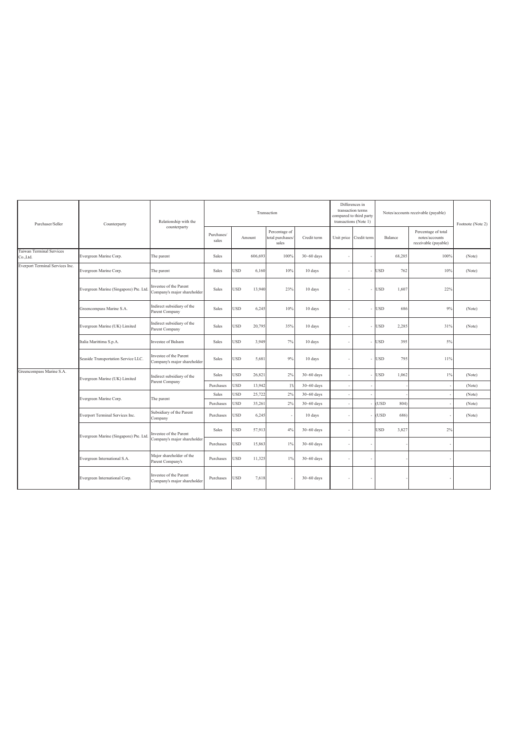| Purchaser/Seller                            | Counterparty                          | Relationship with the                                 |                     |                      | Transaction                                |                |                          | Differences in<br>transaction terms<br>compared to third party<br>transactions (Note 1) |            | Notes/accounts receivable (payable)                           | Footnote (Note 2) |
|---------------------------------------------|---------------------------------------|-------------------------------------------------------|---------------------|----------------------|--------------------------------------------|----------------|--------------------------|-----------------------------------------------------------------------------------------|------------|---------------------------------------------------------------|-------------------|
|                                             |                                       | counterparty                                          | Purchases/<br>sales | Amount               | Percentage of<br>total purchases/<br>sales | Credit term    |                          | Unit price Credit term                                                                  | Balance    | Percentage of total<br>notes/accounts<br>receivable (payable) |                   |
| <b>Taiwan Terminal Services</b><br>Co.,Ltd. | Evergreen Marine Corp.                | The parent                                            | Sales               | 606,693              | 100%                                       | $30 - 60$ days | ٠                        |                                                                                         | 68,285     | 100%                                                          | (Note)            |
| Everport Terminal Services Inc.             | Evergreen Marine Corp.                | The parent                                            | Sales               | USD<br>6,160         | 10%                                        | 10 days        | ٠                        |                                                                                         | USD        | 762<br>10%                                                    | (Note)            |
|                                             | Evergreen Marine (Singapore) Pte. Ltd | Investee of the Parent<br>Company's major shareholder | Sales               | USD<br>13,940        | 23%                                        | 10 days        |                          |                                                                                         | USD        | 22%<br>1,607                                                  |                   |
|                                             | Greencompass Marine S.A.              | Indirect subsidiary of the<br>Parent Company          | Sales               | USD<br>6,245         | 10%                                        | 10 days        | $\overline{\phantom{m}}$ |                                                                                         | USD        | 686<br>9%                                                     | (Note)            |
|                                             | Evergreen Marine (UK) Limited         | Indirect subsidiary of the<br>Parent Company          | Sales               | USD<br>20,795        | 35%                                        | 10 days        | $\overline{a}$           |                                                                                         | USD        | 31%<br>2,285                                                  | (Note)            |
|                                             | Italia Marittima S.p.A.               | Investee of Balsam                                    | Sales               | <b>USD</b><br>3,949  | 7%                                         | 10 days        | $\overline{\phantom{0}}$ |                                                                                         | <b>USD</b> | 395<br>5%                                                     |                   |
|                                             | Seaside Transportation Service LLC.   | Investee of the Parent<br>Company's major shareholder | Sales               | <b>USD</b><br>5,681  | 9%                                         | 10 days        |                          |                                                                                         | USD        | 795<br>11%                                                    |                   |
| Greencompass Marine S.A.                    | Evergreen Marine (UK) Limited         | Indirect subsidiary of the<br>Parent Company          | Sales               | <b>USD</b><br>26,821 | 2%                                         | $30 - 60$ days | $\overline{a}$           |                                                                                         | USD        | 1,062<br>$1\%$                                                | (Note)            |
|                                             |                                       |                                                       | Purchases           | <b>USD</b><br>13,942 | 1%                                         | $30 - 60$ days | $\sim$                   |                                                                                         |            |                                                               | (Note)            |
|                                             | Evergreen Marine Corp.                | The parent                                            | Sales               | USD<br>25,722        | 2%                                         | $30 - 60$ days |                          |                                                                                         |            |                                                               | (Note)            |
|                                             |                                       |                                                       | Purchases           | USD<br>35,261        | 2%                                         | $30 - 60$ days | ä,                       |                                                                                         | (USD       | 804                                                           | (Note)            |
|                                             | Everport Terminal Services Inc.       | Subsidiary of the Parent<br>Company                   | Purchases           | <b>USD</b><br>6,245  |                                            | 10 days        | ٠                        |                                                                                         | (USD       | 686)                                                          | (Note)            |
|                                             | Evergreen Marine (Singapore) Pte. Ltd | Investee of the Parent                                | Sales               | <b>USD</b><br>57,913 | 4%                                         | $30 - 60$ days | $\overline{a}$           |                                                                                         | USD        | 3,827<br>2%                                                   |                   |
|                                             |                                       | Company's major shareholder                           | Purchases           | <b>USD</b><br>15,863 | $1\%$                                      | $30 - 60$ days | $\overline{\phantom{a}}$ |                                                                                         |            |                                                               |                   |
|                                             | Evergreen International S.A.          | Major shareholder of the<br>Parent Company's          | Purchases           | USD<br>11,325        | $1\%$                                      | $30 - 60$ days | ٠                        |                                                                                         |            |                                                               |                   |
|                                             | Evergreen International Corp.         | Investee of the Parent<br>Company's major shareholder | Purchases           | <b>USD</b><br>7,618  |                                            | $30 - 60$ days | $\overline{a}$           |                                                                                         |            |                                                               |                   |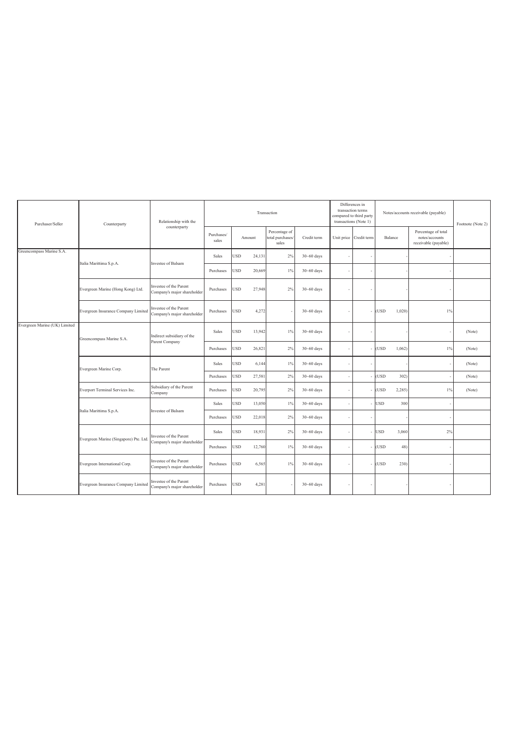| Purchaser/Seller              | Counterparty                          | Relationship with the                                 |                     |                      | Transaction                                |                |                          | Differences in<br>transaction terms<br>compared to third party<br>transactions (Note 1) |               | Notes/accounts receivable (payable)                           | Footnote (Note 2) |
|-------------------------------|---------------------------------------|-------------------------------------------------------|---------------------|----------------------|--------------------------------------------|----------------|--------------------------|-----------------------------------------------------------------------------------------|---------------|---------------------------------------------------------------|-------------------|
|                               |                                       | counterparty                                          | Purchases/<br>sales | Amount               | Percentage of<br>total purchases/<br>sales | Credit term    |                          | Unit price Credit term                                                                  | Balance       | Percentage of total<br>notes/accounts<br>receivable (payable) |                   |
| Greencompass Marine S.A.      |                                       |                                                       | Sales               | <b>USD</b><br>24,131 | 2%                                         | $30 - 60$ days | ٠                        | ٠                                                                                       |               | ٠                                                             |                   |
|                               | Italia Marittima S.p.A.               | Investee of Balsam                                    | Purchases           | USD<br>20,669        | $1\%$                                      | $30 - 60$ days |                          |                                                                                         |               |                                                               |                   |
|                               | Evergreen Marine (Hong Kong) Ltd.     | Investee of the Parent<br>Company's major shareholder | Purchases           | <b>USD</b><br>27,948 | 2%                                         | $30 - 60$ days | ٠                        |                                                                                         |               |                                                               |                   |
|                               | Evergreen Insurance Company Limited   | Investee of the Parent<br>Company's major shareholder | Purchases           | <b>USD</b><br>4,272  |                                            | $30 - 60$ days | ٠                        |                                                                                         | (USD<br>1,020 | 1%                                                            |                   |
| Evergreen Marine (UK) Limited | Greencompass Marine S.A.              | Indirect subsidiary of the<br>Parent Company          | Sales               | <b>USD</b><br>13,942 | $1\%$                                      | $30 - 60$ days | ٠                        |                                                                                         |               |                                                               | (Note)            |
|                               |                                       |                                                       | Purchases           | <b>USD</b><br>26,821 | 2%                                         | $30 - 60$ days | ٠                        |                                                                                         | (USD<br>1,062 | $1\%$                                                         | (Note)            |
|                               | Evergreen Marine Corp.                | The Parent                                            | Sales               | <b>USD</b><br>6,144  | $1\%$                                      | $30 - 60$ days | ×,                       |                                                                                         |               |                                                               | (Note)            |
|                               |                                       |                                                       | Purchases           | USD<br>27,581        | 2%                                         | $30 - 60$ days | ×,                       |                                                                                         | (USD<br>302)  |                                                               | (Note)            |
|                               | Everport Terminal Services Inc.       | Subsidiary of the Parent<br>Company                   | Purchases           | USD<br>20,795        | 2%                                         | $30 - 60$ days | ٠                        |                                                                                         | (USD<br>2,285 | 1%                                                            | (Note)            |
|                               |                                       |                                                       | Sales               | <b>USD</b><br>13,050 | $1\%$                                      | $30 - 60$ days | $\overline{\phantom{a}}$ |                                                                                         | USD<br>300    |                                                               |                   |
|                               | Italia Marittima S.p.A.               | Investee of Balsam                                    | Purchases           | USD<br>22,018        | 2%                                         | $30 - 60$ days | ٠                        |                                                                                         |               |                                                               |                   |
|                               | Evergreen Marine (Singapore) Pte. Ltd | Investee of the Parent                                | Sales               | <b>USD</b><br>18,931 | 2%                                         | $30 - 60$ days | ٠                        |                                                                                         | USD<br>3,060  | 2%                                                            |                   |
|                               |                                       | Company's major shareholder                           | Purchases           | <b>USD</b><br>12,760 | $1\%$                                      | $30 - 60$ days | ٠                        |                                                                                         | (USD<br>48)   |                                                               |                   |
|                               | Evergreen International Corp.         | Investee of the Parent<br>Company's major shareholder | Purchases           | <b>USD</b><br>6,565  | $1\%$                                      | $30 - 60$ days | ٠                        |                                                                                         | (USD<br>230)  | ٠                                                             |                   |
|                               | Evergreen Insurance Company Limited   | Investee of the Parent<br>Company's major shareholder | Purchases           | USD<br>4,281         |                                            | $30 - 60$ days |                          |                                                                                         |               |                                                               |                   |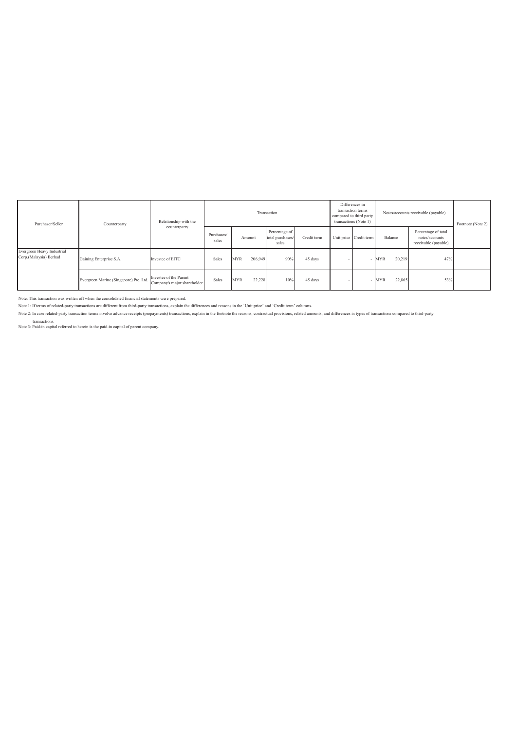| Purchaser/Seller                                     | Counterparty                           | Relationship with the                                 |                     |            |         | Transaction                                |             | transactions (Note 1) | Differences in<br>transaction terms<br>compared to third party |            |         | Notes/accounts receivable (payable)                           | Footnote (Note 2) |
|------------------------------------------------------|----------------------------------------|-------------------------------------------------------|---------------------|------------|---------|--------------------------------------------|-------------|-----------------------|----------------------------------------------------------------|------------|---------|---------------------------------------------------------------|-------------------|
|                                                      |                                        | counterparty                                          | Purchases/<br>sales | Amount     |         | Percentage of<br>total purchases/<br>sales | Credit term |                       | Unit price Credit term                                         |            | Balance | Percentage of total<br>notes/accounts<br>receivable (payable) |                   |
| Evergreen Heavy Industrial<br>Corp.(Malaysia) Berhad | Gaining Enterprise S.A.                | Investee of EITC                                      | Sales               | <b>MYR</b> | 206,949 | 90%                                        | 45 days     | $\sim$                |                                                                | MYR        | 20,219  | 47%                                                           |                   |
|                                                      | Evergreen Marine (Singapore) Pte. Ltd. | Investee of the Parent<br>Company's major shareholder | Sales               | <b>MYR</b> | 22,228  | 10%                                        | 45 days     | $\sim$                |                                                                | <b>MYR</b> | 22,865  | 53%                                                           |                   |

Note: This transaction was written off when the consolidated financial statements were prepared.

Note 1: If terms of related-party transactions are different from third-party transactions, explain the differences and reasons in the 'Unit price' and 'Credit term' columns.

Note 2: In case related-party transaction terms involve advance receipts (prepayments) transactions, explain in the footnote the reasons, contractual provisions, related amounts, and differences in types of transactions co

transactions. Note 3: Paid-in capital referred to herein is the paid-in capital of parent company.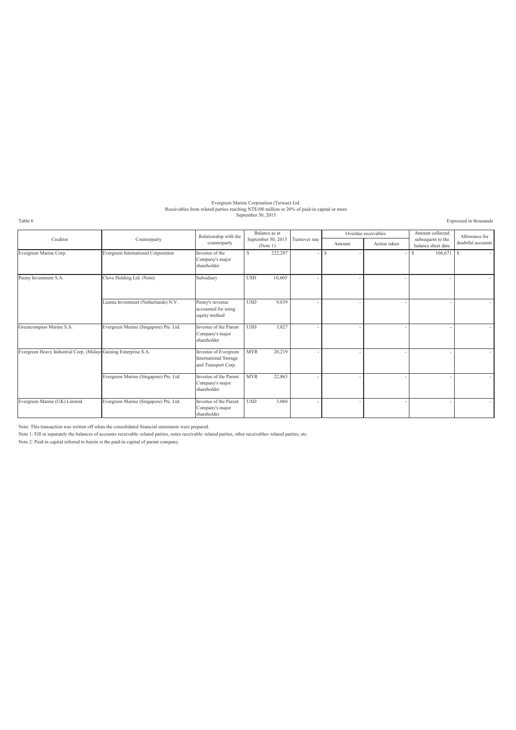## Evergreen Marine Corporation (Taiwan) Ltd. Receivables from related parties reaching NT\$100 million or 20% of paid-in capital or more September 30, 2015

Table 6 Expressed in thousands

|                                                                  |                                        | Relationship with the                                                 |            | Balance as at                  |               |    |        | Overdue receivables | Amount collected                        | Allowance for     |
|------------------------------------------------------------------|----------------------------------------|-----------------------------------------------------------------------|------------|--------------------------------|---------------|----|--------|---------------------|-----------------------------------------|-------------------|
| Creditor                                                         | Counterparty                           | counterparty                                                          |            | September 30, 2015<br>(Note 1) | Turnover rate |    | Amount | Action taken        | subsequent to the<br>balance sheet date | doubtful accounts |
| Evergreen Marine Corp.                                           | Evergreen International Corporation    | Investee of the<br>Company's major<br>shareholder                     | S          | 222,287                        |               | -S |        |                     | 106,671<br>S                            | S<br>$\sim$       |
| Peony Investment S.A.                                            | Clove Holding Ltd. (Note)              | Subsidiary                                                            | <b>USD</b> | 10,605                         |               |    |        |                     |                                         |                   |
|                                                                  | Luanta Investment (Netherlands) N.V.   | Peony's investee<br>accounted for using<br>equity method              | <b>USD</b> | 9,839                          |               |    |        |                     |                                         |                   |
| Greencompass Marine S.A.                                         | Evergreen Marine (Singapore) Pte. Ltd. | Investee of the Parent<br>Company's major<br>shareholder              | <b>USD</b> | 3,827                          |               |    |        |                     |                                         | $\sim$            |
| Evergreen Heavy Industrial Corp. (Malays Gaining Enterprise S.A. |                                        | Investee of Evergreen<br>International Storage<br>and Transport Corp. | <b>MYR</b> | 20,219                         |               |    |        |                     |                                         |                   |
|                                                                  | Evergreen Marine (Singapore) Pte. Ltd. | Investee of the Parent<br>Company's major<br>shareholder              | <b>MYR</b> | 22,865                         |               |    |        |                     |                                         |                   |
| Evergreen Marine (UK) Limited                                    | Evergreen Marine (Singapore) Pte. Ltd. | Investee of the Parent<br>Company's major<br>shareholder              | <b>USD</b> | 3,060                          |               |    |        |                     |                                         |                   |

Note: This transaction was written off when the consolidated financial statements were prepared.

Note 1: Fill in separately the balances of accounts receivable–related parties, notes receivable–related parties, other receivables–related parties, etc.

Note 2: Paid-in capital referred to herein is the paid-in capital of parent company.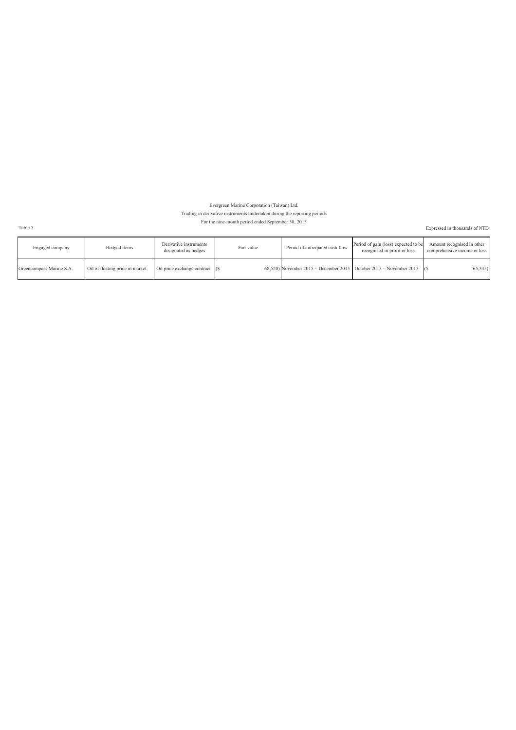### Evergreen Marine Corporation (Taiwan) Ltd.

## Trading in derivative instruments undertaken during the reporting periods

Table 7 Expressed in thousands of NTD For the nine-month period ended September 30, 2015

| Engaged company          | Hedged items                    | Derivative instruments<br>designated as hedges | Fair value | Period of anticipated cash flow | Period of gain (loss) expected to be<br>recognised in profit or loss     | Amount recognised in other<br>comprehensive income or loss |
|--------------------------|---------------------------------|------------------------------------------------|------------|---------------------------------|--------------------------------------------------------------------------|------------------------------------------------------------|
| Greencompass Marine S.A. | Oil of floating price in market | Oil price exchange contract (\$                |            |                                 | 68,520) November 2015 ~ December 2015   October 2015 ~ November 2015 (\$ | 65,335                                                     |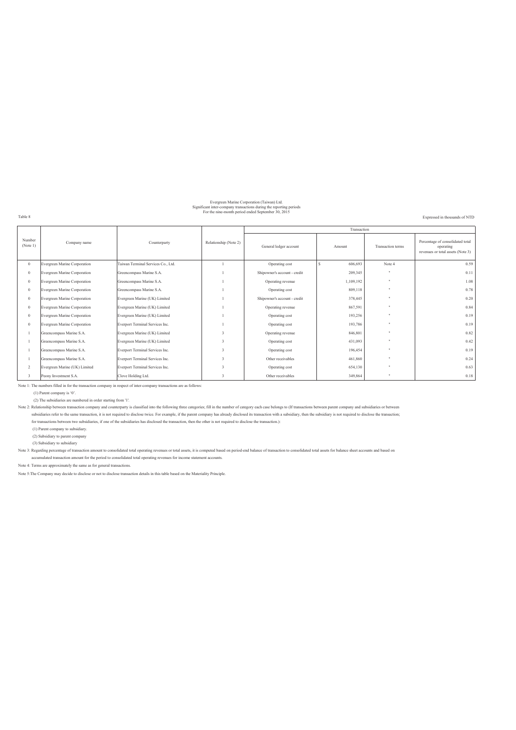## Evergreen Marine Corporation (Taiwan) Ltd. Significant inter-company transactions during the reporting periods For the nine-month period ended September 30, 2015

Expressed in thousands of NTD

|                    |                               |                                        |                       |                              | Transaction |                   |                                                                                    |
|--------------------|-------------------------------|----------------------------------------|-----------------------|------------------------------|-------------|-------------------|------------------------------------------------------------------------------------|
| Number<br>(Note 1) | Company name                  | Counterparty                           | Relationship (Note 2) | General ledger account       | Amount      | Transaction terms | Percentage of consolidated total<br>operating<br>revenues or total assets (Note 3) |
| $\overline{0}$     | Evergreen Marine Corporation  | Taiwan Terminal Services Co., Ltd.     |                       | Operating cost               | 606,693     | Note 4            | 0.59                                                                               |
| $\theta$           | Evergreen Marine Corporation  | Greencompass Marine S.A.               |                       | Shipowner's account - credit | 209,345     | ×                 | 0.11                                                                               |
| $\theta$           | Evergreen Marine Corporation  | Greencompass Marine S.A.               |                       | Operating revenue            | 1,109,192   | <b>H</b>          | 1.08                                                                               |
| $\Omega$           | Evergreen Marine Corporation  | Greencompass Marine S.A.               |                       | Operating cost               | 809,118     | <b>H</b>          | 0.78                                                                               |
| $\Omega$           | Evergreen Marine Corporation  | Evergreen Marine (UK) Limited          |                       | Shipowner's account - credit | 378,445     | <b>H</b>          | 0.20                                                                               |
| $\overline{0}$     | Evergreen Marine Corporation  | Evergreen Marine (UK) Limited          |                       | Operating revenue            | 867,591     | <b>H</b>          | 0.84                                                                               |
| $\mathbf{0}$       | Evergreen Marine Corporation  | Evergreen Marine (UK) Limited          |                       | Operating cost               | 193,256     | <b>H</b>          | 0.19                                                                               |
| $\overline{0}$     | Evergreen Marine Corporation  | <b>Everport Terminal Services Inc.</b> |                       | Operating cost               | 193,786     | <b>H</b>          | 0.19                                                                               |
|                    | Greencompass Marine S.A.      | Evergreen Marine (UK) Limited          |                       | Operating revenue            | 846,801     | <b>H</b>          | 0.82                                                                               |
|                    | Greencompass Marine S.A.      | Evergreen Marine (UK) Limited          |                       | Operating cost               | 431,093     | <b>H</b>          | 0.42                                                                               |
|                    | Greencompass Marine S.A.      | Everport Terminal Services Inc.        |                       | Operating cost               | 196,454     | <b>H</b>          | 0.19                                                                               |
|                    | Greencompass Marine S.A.      | <b>Everport Terminal Services Inc.</b> |                       | Other receivables            | 461,860     | <b>H</b>          | 0.24                                                                               |
| $\sqrt{2}$         | Evergreen Marine (UK) Limited | <b>Everport Terminal Services Inc.</b> |                       | Operating cost               | 654,130     | <b>H</b>          | 0.63                                                                               |
| 3                  | Peony Investment S.A.         | Clove Holding Ltd.                     |                       | Other receivables            | 349,864     | $\mathbf{a}$      | 0.18                                                                               |

Note 1: The numbers filled in for the transaction company in respect of inter-company transactions are as follows:

(1) Parent company is '0'.

(2) The subsidiaries are numbered in order starting from '1'.

Note 2: Relationship between transaction company and counterparty is classified into the following three categories; fill in the number of category each case belongs to (If transactions between parent company and subsidiar subsidiaries refer to the same transaction, it is not required to disclose twice. For example, if the parent company has already disclosed its transaction with a subsidiary, then the subsidiary is not required to disclose for transactions between two subsidiaries, if one of the subsidiaries has disclosed the transaction, then the other is not required to disclose the transaction.):

(1) Parent company to subsidiary. (2) Subsidiary to parent company

(3) Subsidiary to subsidiary

Note 3: Regarding percentage of transaction amount to consolidated total operating revenues or total assets, it is computed based on period-end balance of transaction to consolidated total assets for balance sheet accounts

accumulated transaction amount for the period to consolidated total operating revenues for income statement accounts.

Note 4: Terms are approximately the same as for general transactions.

Note 5:The Company may decide to disclose or not to disclose transaction details in this table based on the Materiality Principle.

Table 8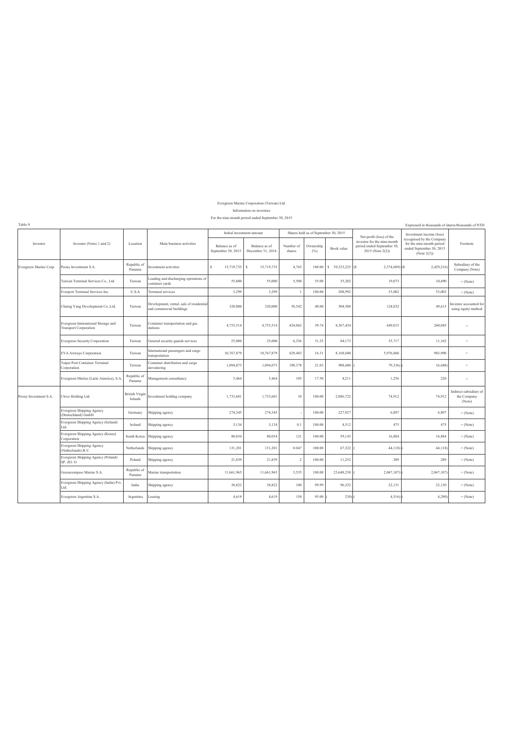### Information on investees Evergreen Marine Corporation (Taiwan) Ltd.

### For the nine-month period ended September 30, 2015

Table 9

|                        |                                                                     |                                  |                                                                      | Initial investment amount           |                                    |                     | Shares held as of September 30, 2015 |                    | Net profit (loss) of the                                                      | Investment income (loss)                                                                          |                                                 |
|------------------------|---------------------------------------------------------------------|----------------------------------|----------------------------------------------------------------------|-------------------------------------|------------------------------------|---------------------|--------------------------------------|--------------------|-------------------------------------------------------------------------------|---------------------------------------------------------------------------------------------------|-------------------------------------------------|
| Investor               | Investee (Notes 1 and 2)                                            | Location                         | Main business activities                                             | Balance as of<br>September 30, 2015 | Balance as of<br>December 31, 2014 | Number of<br>shares | Ownership<br>(%)                     | Book value         | investee for the nine-month<br>period ended September 30,<br>2015 (Note 2(2)) | recognised by the Company<br>for the nine-month period<br>ended September 30, 2015<br>(Note 2(3)) | Footnote                                        |
| Evergreen Marine Corp. | Peony Investment S.A.                                               | Republic of<br>Panama            | Investment activities                                                | $\mathbf{s}$<br>15,719,735          | 15,719,735<br>s                    | 4,765               | 100.00                               | $$39,323,225$ (\$) | 2,374,689) (\$                                                                | 2,429,216                                                                                         | Subsidiary of the<br>Company (Note)             |
|                        | Taiwan Terminal Services Co., Ltd.                                  | Taiwan                           | oading and discharging operations of<br>container yards              | 55,000                              | 55,000                             | 5.500               | 55.00                                | 35,202             | 19,073                                                                        | 10.490                                                                                            | $\pi$ (Note)                                    |
|                        | Everport Terminal Services Inc.                                     | U.S.A                            | Terminal services                                                    | 3,299                               | 3,299                              |                     | 100.00                               | 208,992            | 53,002                                                                        | 53,002                                                                                            | $\pi$ (Note)                                    |
|                        | Charng Yang Development Co., Ltd.                                   | Taiwan                           | Development, rental, sale of residential<br>and commercial buildings | 320,000                             | 320,000                            | 58.542              | 40.00                                | 504.588            | 124,032                                                                       | 49,613                                                                                            | Investee accounted for<br>using equity method   |
|                        | Evergreen International Storage and<br><b>Transport Corporation</b> | Taiwan                           | Container transportation and gas<br>stations                         | 4.753.514                           | 4,753,514                          | 424.062             | 39.74                                | 8.367.434          | 649.015                                                                       | 260.045                                                                                           |                                                 |
|                        | <b>Evergreen Security Corporation</b>                               | Taiwan                           | General security guards services                                     | 25,000                              | 25,000                             | 6,336               | 31.25                                | 84,173             | 35,717                                                                        | 11,162                                                                                            | $\theta$                                        |
|                        | <b>EVA Airways Corporation</b>                                      | Taiwan                           | International passengers and cargo<br>transportation                 | 10,767,879                          | 10,767,879                         | 629,483             | 16.31                                | 8,168,040          | 5,976,060                                                                     | 983,990                                                                                           | $\theta$                                        |
|                        | Taipei Port Container Terminal<br>Corporation                       | Taiwan                           | Container distribution and cargo<br>stevedoring                      | 1,094,073                           | 1,094,073                          | 109,378             | 21.03                                | 988,600            | 79,336)                                                                       | 16,688                                                                                            | $\boldsymbol{\theta}$                           |
|                        | Evergreen Marine (Latin America), S.A.                              | Republic of<br>Panama            | Management consultancy                                               | 3,464                               | 3,464                              | 105                 | 17.50                                | 4,211              | 1,256                                                                         | 220                                                                                               | $\theta$                                        |
| Peony Investment S.A.  | Clove Holding Ltd.                                                  | <b>British Virgin</b><br>Islands | Investment holding company                                           | 1,733,601                           | 1,733,601                          | 10                  | 100.00                               | 2,886,722          | 74,912                                                                        | 74,912                                                                                            | Indirect subsidiary of<br>the Company<br>(Note) |
|                        | Evergreen Shipping Agency<br>(Deutschland) GmbH                     | Germany                          | Shipping agency                                                      | 274,345                             | 274,345                            |                     | 100.00                               | 227,927            | 6,897                                                                         | 6,897                                                                                             | $\pi$ (Note)                                    |
|                        | Evergreen Shipping Agency (Ireland)<br>ht.                          | Ireland                          | Shipping agency                                                      | 3,134                               | 3,134                              | 0.1                 | 100.00                               | 4,512              | 475                                                                           | 475                                                                                               | $\pi$ (Note)                                    |
|                        | Evergreen Shipping Agency (Korea)<br>Corporation                    | South Korea                      | Shipping agency                                                      | 80,034                              | 80,034                             | 121                 | 100.00                               | 59,143             | 16,884                                                                        | 16,884                                                                                            | $\pi$ (Note)                                    |
|                        | <b>Evergreen Shipping Agency</b><br>(Netherlands) B.V.              | Netherlands                      | Shipping agency                                                      | 131,201                             | 131,201                            | 0.047               | 100.00                               | 67,322             | 44,118)                                                                       | 44,118                                                                                            | $\pi$ (Note)                                    |
|                        | Evergreen Shipping Agency (Poland)<br>SP. ZO. O                     | Poland                           | Shipping agency                                                      | 21.839                              | 21,839                             | $\mathcal{I}$       | 100.00                               | 11,252             | 289                                                                           | 289                                                                                               | $\pi$ (Note)                                    |
|                        | Greencompass Marine S.A.                                            | Republic of<br>Panama            | Marine transportation                                                | 11,661,965                          | 11,661,965                         | 3.535               | 100.00                               | 23,648,230         | 2,047,107                                                                     | 2,047,107                                                                                         | $\pi$ (Note)                                    |
|                        | Evergreen Shipping Agency (India) Pvt.<br>Ltd.                      | India                            | Shipping agency                                                      | 38,822                              | 38,822                             | 100                 | 99.99                                | 96,322             | 22,131                                                                        | 22,130                                                                                            | $\pi$ (Note)                                    |
|                        | Evergreen Argentina S.A.                                            | Argentina                        | Leasing                                                              | 4.619                               | 4.619                              | 150                 | 95.00                                | 230)               | 4.516)                                                                        | 4.290)                                                                                            | $\pi$ (Note)                                    |

Expressed in thousands of shares/thousands of NTD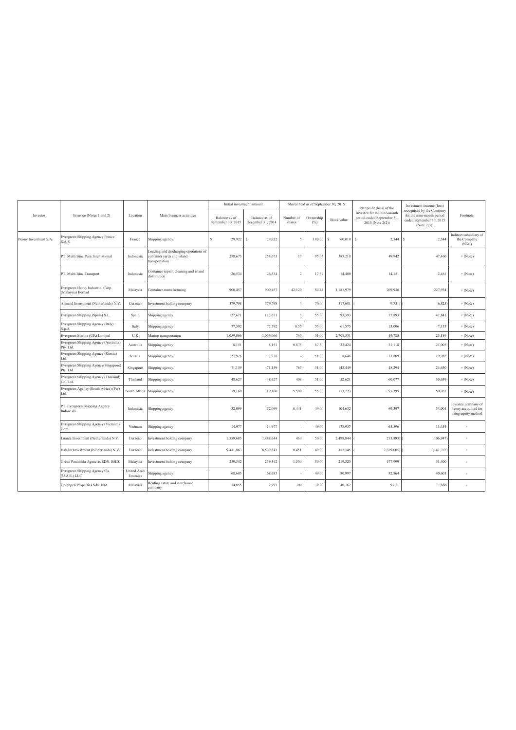|                       |                                                       |                                |                                                                                      | Initial investment amount           |                                    |                          | Shares held as of September 30, 2015 |              | Net profit (loss) of the                                                      | Investment income (loss)                                                                          |                                                                   |
|-----------------------|-------------------------------------------------------|--------------------------------|--------------------------------------------------------------------------------------|-------------------------------------|------------------------------------|--------------------------|--------------------------------------|--------------|-------------------------------------------------------------------------------|---------------------------------------------------------------------------------------------------|-------------------------------------------------------------------|
| Investor              | Investee (Notes 1 and 2)                              | Location                       | Main business activities                                                             | Balance as of<br>September 30, 2015 | Balance as of<br>December 31, 2014 | Number of<br>shares      | Ownership<br>(%)                     | Book value   | investee for the nine-month<br>period ended September 30,<br>2015 (Note 2(2)) | recognised by the Company<br>for the nine-month period<br>ended September 30, 2015<br>(Note 2(3)) | Footnote                                                          |
| Peony Investment S.A. | Evergreen Shipping Agency France<br>S.A.S.            | France                         | Shipping agency                                                                      | 29,922<br>s                         | 29,922<br>-S                       | $\overline{\phantom{a}}$ | 100.00                               | 60,010<br>-S | s<br>2,544                                                                    | 2,544                                                                                             | Indirect subsidiary of<br>the Company<br>(Note)                   |
|                       | PT. Multi Bina Pura International                     | Indonesia                      | Loading and discharging operations of<br>ontainer yards and island<br>transportation | 258,673                             | 258,673                            | 17                       | 95.03                                | 385,218      | 49.942                                                                        | 47,460                                                                                            | $\pi$ (Note)                                                      |
|                       | PT. Multi Bina Transport                              | Indonesia                      | Container repair, cleaning and island<br>distribution                                | 26.534                              | 26,534                             | $\mathfrak{D}$           | 17.39                                | 14,400       | 14,151                                                                        | 2,461                                                                                             | $\pi$ (Note)                                                      |
|                       | Evergreen Heavy Industrial Corp.<br>(Malaysia) Berhad | Malaysia                       | Container manufacturing                                                              | 900.457                             | 900.457                            | 42.120                   | 84.44                                | 1,181,979    | 269.936                                                                       | 227.934                                                                                           | $\pi$ (Note)                                                      |
|                       | Armand Investment (Netherlands) N.V.                  | Curacao                        | Investment holding company                                                           | 379,798                             | 379,798                            | $\Delta$                 | 70.00                                | 317,681      | 9,751                                                                         | 6,825                                                                                             | $\pi$ (Note)                                                      |
|                       | Evergreen Shipping (Spain) S.L.                       | Spain                          | Shipping agency                                                                      | 127,671                             | 127,671                            | $\overline{\mathbf{3}}$  | 55.00                                | 93,393       | 77,893                                                                        | 42.841                                                                                            | $\pi$ (Note)                                                      |
|                       | Evergreen Shipping Agency (Italy)<br>S.p.A.           | Italy                          | Shipping agency                                                                      | 77.592                              | 77.592                             | 0.55                     | 55.00                                | 61.575       | 13.006                                                                        | 7,153                                                                                             | $\pi$ (Note)                                                      |
|                       | Evergreen Marine (UK) Limited                         | U.K                            | Marine transportation                                                                | 1,059,066                           | 1,059,066                          | 765                      | 51.00                                | 2,708,531    | 49,783                                                                        | 25,389                                                                                            | $\pi$ (Note)                                                      |
|                       | Evergreen Shipping Agency (Australia)<br>Pty. Ltd.    | Australia                      | Shipping agency                                                                      | 8,151                               | 8,151                              | 0.675                    | 67.50                                | 23,424       | 31,118                                                                        | 21,005                                                                                            | $\pi$ (Note)                                                      |
|                       | Evergreen Shipping Agency (Russia)<br>Ltd.            | Russia                         | Shipping agency                                                                      | 27.976                              | 27,976                             |                          | 51.00                                | 8,646        | 37,809                                                                        | 19,282                                                                                            | $\pi$ (Note)                                                      |
|                       | Evergreen Shipping Agency(Singapore)<br>Pte. Ltd.     | Singapore                      | Shipping agency                                                                      | 71,159                              | 71,159                             | 765                      | 51.00                                | 143,449      | 48,294                                                                        | 24,630                                                                                            | $\pi$ (Note)                                                      |
|                       | Evergreen Shipping Agency (Thailand)<br>Co., Ltd.     | Thailand                       | Shipping agency                                                                      | 48,627                              | 48,627                             | 408                      | 51.00                                | 52,621       | 60,077                                                                        | 30,639                                                                                            | $\pi$ (Note)                                                      |
|                       | Evergreen Agency (South Africa) (Pty)<br>Ltd.         | South Africa                   | Shipping agency                                                                      | 19,160                              | 19,160                             | 5,500                    | 55.00                                | 113,223      | 91,395                                                                        | 50,267                                                                                            | $\pi$ (Note)                                                      |
|                       | PT. Evergreen Shipping Agency<br>Indonesia            | Indonesia                      | Shipping agency                                                                      | 32,099                              | 32,099                             | 0.441                    | 49.00                                | 104,632      | 69,397                                                                        | 34,004                                                                                            | Investee company of<br>Peony accounted for<br>using equity method |
|                       | Evergreen Shipping Agency (Vietnam)<br>Corp.          | Vietnam                        | Shipping agency                                                                      | 14.977                              | 14.977                             |                          | 49.00                                | 178.957      | 65.596                                                                        | 33.454                                                                                            | $\boldsymbol{\theta}$                                             |
|                       | Luanta Investment (Netherlands) N.V.                  | Curaçao                        | Investment holding company                                                           | 1.559.685                           | 1,488,644                          | 460                      | 50.00                                | 2,498,844    | 213.893)                                                                      | 106.947                                                                                           | $\boldsymbol{\theta}$                                             |
|                       | Balsam Investment (Netherlands) N.V.                  | Curaçao                        | Investment holding company                                                           | 9,431,063                           | 8,539,841                          | 0.451                    | 49.00                                | 352,345      | 2,329,005)                                                                    | 1,141,212)                                                                                        | $\boldsymbol{\pi}$                                                |
|                       | Green Peninsula Agencies SDN. BHD.                    | Malaysia                       | Investment holding company                                                           | 239,342                             | 239,342                            | 1,500                    | 30.00                                | 219,325      | 177,999                                                                       | 53,400                                                                                            | $\boldsymbol{\theta}$                                             |
|                       | Evergreen Shipping Agency Co.<br>(U.A.E.) LLC         | <b>United Arab</b><br>Emirates | Shipping agency                                                                      | 68,685                              | 68,685                             |                          | 49.00                                | 80,997       | 82,864                                                                        | 40,603                                                                                            | $\boldsymbol{\pi}$                                                |
|                       | Greenpen Properties Sdn. Bhd.                         | Malaysia                       | Renting estate and storehouse<br>company                                             | 14,055                              | 2,991                              | 300                      | 30.00                                | 40,362       | 9,621                                                                         | 2,886                                                                                             | $\boldsymbol{\pi}$                                                |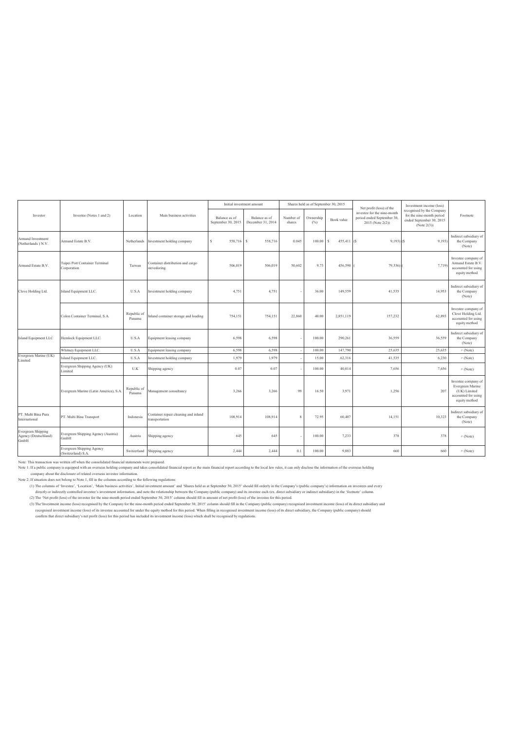|                                                           |                                                 |                       |                                                       |                                     | Initial investment amount          |                     | Shares held as of September 30, 2015 |              |                                                                                                          | Investment income (loss)                                                                          |                                                                                                 |
|-----------------------------------------------------------|-------------------------------------------------|-----------------------|-------------------------------------------------------|-------------------------------------|------------------------------------|---------------------|--------------------------------------|--------------|----------------------------------------------------------------------------------------------------------|---------------------------------------------------------------------------------------------------|-------------------------------------------------------------------------------------------------|
| Investor                                                  | Investee (Notes 1 and 2)                        | Location              | Main business activities                              | Balance as of<br>September 30, 2015 | Balance as of<br>December 31, 2014 | Number of<br>shares | Ownership<br>(%)                     | Book value   | Net profit (loss) of the<br>investee for the nine-month<br>period ended September 30<br>2015 (Note 2(2)) | recognised by the Company<br>for the nine-month period<br>ended September 30, 2015<br>(Note 2(3)) | Footnote                                                                                        |
| Armand Investment<br>(Netherlands) N.V.                   | Armand Estate B.V.                              | Netherlands           | Investment holding company                            | 558,716                             | 558,716<br>s                       | 0.045               | 100.00                               | 455,411<br>s | (S<br>$9,193$ (S)                                                                                        | 9,193                                                                                             | Indirect subsidiary of<br>the Company<br>(Note)                                                 |
| Armand Estate B.V.                                        | Taipei Port Container Terminal<br>Corporation   | Taiwan                | Container distribution and cargo<br>stevedoring       | 506,019                             | 506,019                            | 50,602              | 9.73                                 | 456,590      | 79,336                                                                                                   | 7,719                                                                                             | Investee company of<br>Armand Estate B.V.<br>accounted for using<br>equity method               |
| Clove Holding Ltd.                                        | Island Equipment LLC.                           | U.S.A                 | Investment holding company                            | 4.751                               | 4.751                              |                     | 36.00                                | 149.559      | 41,535                                                                                                   | 14.953                                                                                            | Indirect subsidiary of<br>the Company<br>(Note)                                                 |
|                                                           | Colon Container Terminal, S.A.                  | Republic of<br>Panama | Inland container storage and loading                  | 754,151                             | 754,151                            | 22,860              | 40.00                                | 2,851,119    | 157,232                                                                                                  | 62,893                                                                                            | Investee company of<br>Clove Holding Ltd<br>accounted for using<br>equity method                |
| Island Equipment LLC                                      | Hemlock Equipment LLC.                          | U.S.A                 | Equipment leasing company                             | 6.598                               | 6,598                              |                     | 100.00                               | 290,261      | 36,559                                                                                                   | 36,559                                                                                            | Indirect subsidiary of<br>the Company<br>(Note)                                                 |
|                                                           | Whitney Equipment LLC.                          | U.S.A                 | <b>Equipment</b> leasing company                      | 6,598                               | 6,598                              |                     | 100.00                               | 147.790      | 25.635                                                                                                   | 25.635                                                                                            | $\pi$ (Note)                                                                                    |
| Evergreen Marine (UK)<br>Limited                          | Island Equipment LLC.                           | U.S.A                 | nvestment holding company                             | 1,979                               | 1,979                              |                     | 15.00                                | 62,316       | 41,535                                                                                                   | 6,230                                                                                             | $\pi$ (Note)                                                                                    |
|                                                           | Evergreen Shipping Agency (UK)<br>Limited       | U.K                   | Shipping agency                                       | 0.07                                | 0.07                               |                     | 100.00                               | 40.814       | 7,656                                                                                                    | 7,656                                                                                             | $\pi$ (Note)                                                                                    |
|                                                           | Evergreen Marine (Latin America), S.A.          | Republic of<br>Panama | Management consultancy                                | 3,266                               | 3,266                              | 99                  | 16.50                                | 3,971        | 1,256                                                                                                    | 207                                                                                               | Investee company of<br>Evergreen Marine<br>(UK) Limited<br>accounted for using<br>equity method |
| PT. Multi Bina Pura<br>International                      | PT. Multi Bina Transport                        | Indonesia             | Container repair cleaning and inland<br>ransportation | 108,914                             | 108,914                            | $\mathbf{g}$        | 72.95                                | 60,407       | 14,151                                                                                                   | 10,323                                                                                            | Indirect subsidiary of<br>the Company<br>(Note)                                                 |
| <b>Evergreen Shipping</b><br>Agency (Deutschland)<br>GmbH | Evergreen Shipping Agency (Austria)<br>GmbH     | Austria               | Shipping agency                                       | 645                                 | 645                                |                     | 100.00                               | 7,233        | 378                                                                                                      | 378                                                                                               | $\pi$ (Note)                                                                                    |
|                                                           | Evergreen Shipping Agency<br>(Switzerland) S.A. |                       | Switzerland Shipping agency                           | 2.444                               | 2,444                              | 0.1                 | 100.00                               | 9,883        | 660                                                                                                      | 660                                                                                               | $\pi$ (Note)                                                                                    |

Note: This transaction was written off when the consolidated financial statements were prepared.

Note 1: If a public company is equipped with an overseas holding company and takes consolidated financial report as the main financial report according to the local law rules, it can only disclose the information of the ov

(1) The columns of 'Investee', 'Location', 'Main business activities', Initial investment amount' and 'Shares held as at September 30, 2015' should fill orderly in the Company's (public company's) information on investees